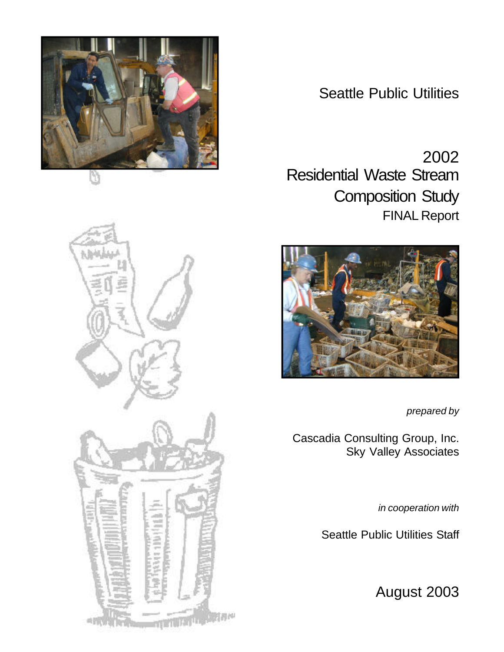

Seattle Public Utilities

2002 Residential Waste Stream Composition Study FINAL Report



*prepared by*

Cascadia Consulting Group, Inc. Sky Valley Associates

*in cooperation with*

Seattle Public Utilities Staff

August 2003

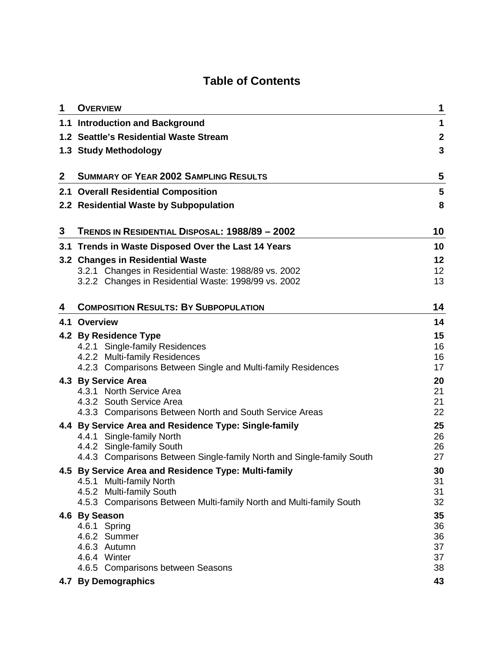# **Table of Contents**

| 1            | <b>OVERVIEW</b>                                                                                 | 1                |
|--------------|-------------------------------------------------------------------------------------------------|------------------|
|              | 1.1 Introduction and Background                                                                 | 1                |
|              | 1.2 Seattle's Residential Waste Stream                                                          | $\boldsymbol{2}$ |
|              | 1.3 Study Methodology                                                                           | 3                |
|              |                                                                                                 |                  |
| $\mathbf{2}$ | <b>SUMMARY OF YEAR 2002 SAMPLING RESULTS</b>                                                    | 5                |
|              | 2.1 Overall Residential Composition                                                             | 5                |
|              | 2.2 Residential Waste by Subpopulation                                                          | 8                |
| 3            | TRENDS IN RESIDENTIAL DISPOSAL: 1988/89 - 2002                                                  | 10               |
|              | 3.1 Trends in Waste Disposed Over the Last 14 Years                                             | 10               |
|              | 3.2 Changes in Residential Waste                                                                | 12               |
|              | 3.2.1 Changes in Residential Waste: 1988/89 vs. 2002                                            | 12               |
|              | 3.2.2 Changes in Residential Waste: 1998/99 vs. 2002                                            | 13               |
|              | <b>COMPOSITION RESULTS: BY SUBPOPULATION</b>                                                    | 14               |
| 4            |                                                                                                 |                  |
|              | 4.1 Overview                                                                                    | 14               |
|              | 4.2 By Residence Type<br>4.2.1 Single-family Residences                                         | 15<br>16         |
|              | 4.2.2 Multi-family Residences                                                                   | 16               |
|              | 4.2.3 Comparisons Between Single and Multi-family Residences                                    | 17               |
|              | 4.3 By Service Area                                                                             | 20               |
|              | 4.3.1 North Service Area                                                                        | 21               |
|              | 4.3.2 South Service Area<br>4.3.3 Comparisons Between North and South Service Areas             | 21<br>22         |
|              |                                                                                                 |                  |
|              | 4.4 By Service Area and Residence Type: Single-family<br>4.4.1 Single-family North              | 25<br>26         |
|              | 4.4.2 Single-family South                                                                       | 26               |
|              | 4.4.3 Comparisons Between Single-family North and Single-family South                           | 27               |
|              | 4.5 By Service Area and Residence Type: Multi-family                                            | 30               |
|              | 4.5.1 Multi-family North                                                                        | 31               |
|              | 4.5.2 Multi-family South<br>4.5.3 Comparisons Between Multi-family North and Multi-family South | 31<br>32         |
|              | 4.6 By Season                                                                                   | 35               |
|              | 4.6.1 Spring                                                                                    | 36               |
|              | 4.6.2 Summer                                                                                    | 36               |
|              | 4.6.3 Autumn                                                                                    | 37               |
|              | 4.6.4 Winter                                                                                    | 37               |
|              | 4.6.5 Comparisons between Seasons                                                               | 38               |
|              | 4.7 By Demographics                                                                             | 43               |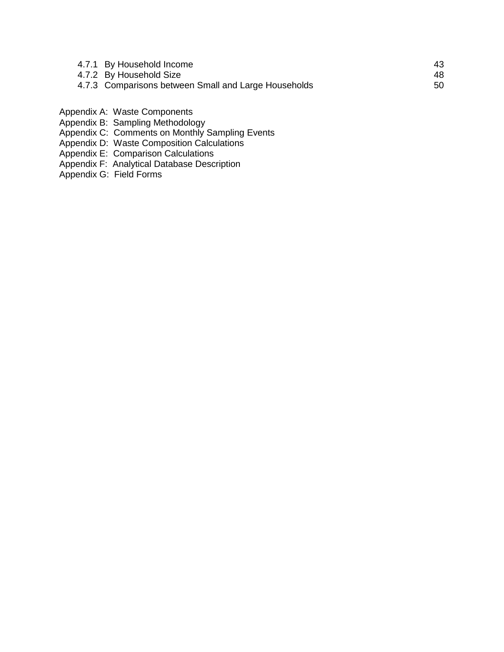| 4.7.1 By Household Income                            | 43. |
|------------------------------------------------------|-----|
| 4.7.2 By Household Size                              | 48. |
| 4.7.3 Comparisons between Small and Large Households | 50  |

- Appendix A: Waste Components
- Appendix B: Sampling Methodology
- Appendix C: Comments on Monthly Sampling Events
- Appendix D: Waste Composition Calculations
- Appendix E: Comparison Calculations
- Appendix F: Analytical Database Description
- Appendix G: Field Forms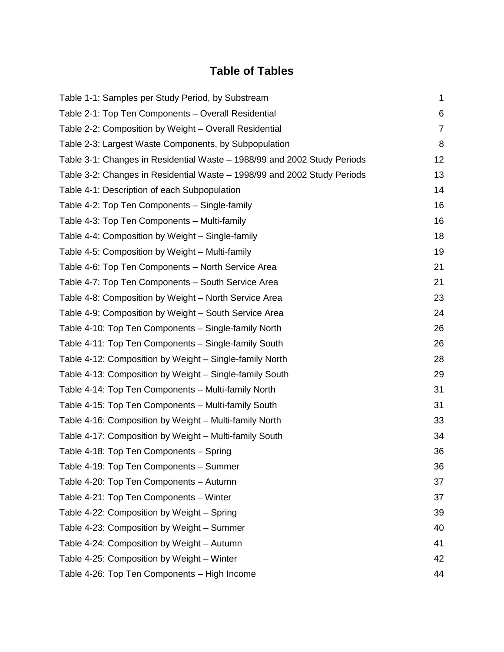# **Table of Tables**

| Table 1-1: Samples per Study Period, by Substream                        | $\mathbf 1$    |
|--------------------------------------------------------------------------|----------------|
| Table 2-1: Top Ten Components - Overall Residential                      | 6              |
| Table 2-2: Composition by Weight – Overall Residential                   | $\overline{7}$ |
| Table 2-3: Largest Waste Components, by Subpopulation                    | 8              |
| Table 3-1: Changes in Residential Waste - 1988/99 and 2002 Study Periods | 12             |
| Table 3-2: Changes in Residential Waste - 1998/99 and 2002 Study Periods | 13             |
| Table 4-1: Description of each Subpopulation                             | 14             |
| Table 4-2: Top Ten Components - Single-family                            | 16             |
| Table 4-3: Top Ten Components - Multi-family                             | 16             |
| Table 4-4: Composition by Weight – Single-family                         | 18             |
| Table 4-5: Composition by Weight – Multi-family                          | 19             |
| Table 4-6: Top Ten Components - North Service Area                       | 21             |
| Table 4-7: Top Ten Components - South Service Area                       | 21             |
| Table 4-8: Composition by Weight - North Service Area                    | 23             |
| Table 4-9: Composition by Weight - South Service Area                    | 24             |
| Table 4-10: Top Ten Components - Single-family North                     | 26             |
| Table 4-11: Top Ten Components - Single-family South                     | 26             |
| Table 4-12: Composition by Weight – Single-family North                  | 28             |
| Table 4-13: Composition by Weight – Single-family South                  | 29             |
| Table 4-14: Top Ten Components - Multi-family North                      | 31             |
| Table 4-15: Top Ten Components - Multi-family South                      | 31             |
| Table 4-16: Composition by Weight - Multi-family North                   | 33             |
| Table 4-17: Composition by Weight - Multi-family South                   | 34             |
| Table 4-18: Top Ten Components - Spring                                  | 36             |
| Table 4-19: Top Ten Components - Summer                                  | 36             |
| Table 4-20: Top Ten Components - Autumn                                  | 37             |
| Table 4-21: Top Ten Components - Winter                                  | 37             |
| Table 4-22: Composition by Weight - Spring                               | 39             |
| Table 4-23: Composition by Weight - Summer                               | 40             |
| Table 4-24: Composition by Weight - Autumn                               | 41             |
| Table 4-25: Composition by Weight - Winter                               | 42             |
| Table 4-26: Top Ten Components - High Income                             | 44             |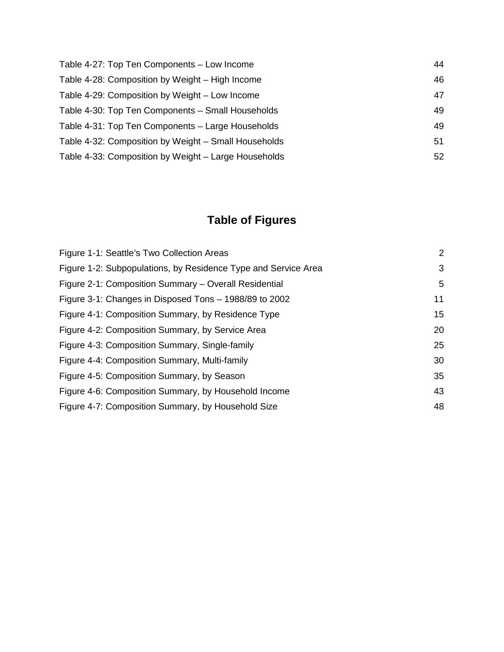| 44 |
|----|
| 46 |
| 47 |
| 49 |
| 49 |
| 51 |
| 52 |
|    |

# **Table of Figures**

| Figure 1-1: Seattle's Two Collection Areas                     | 2  |
|----------------------------------------------------------------|----|
| Figure 1-2: Subpopulations, by Residence Type and Service Area | 3  |
| Figure 2-1: Composition Summary - Overall Residential          | 5  |
| Figure 3-1: Changes in Disposed Tons – 1988/89 to 2002         | 11 |
| Figure 4-1: Composition Summary, by Residence Type             | 15 |
| Figure 4-2: Composition Summary, by Service Area               | 20 |
| Figure 4-3: Composition Summary, Single-family                 | 25 |
| Figure 4-4: Composition Summary, Multi-family                  | 30 |
| Figure 4-5: Composition Summary, by Season                     | 35 |
| Figure 4-6: Composition Summary, by Household Income           | 43 |
| Figure 4-7: Composition Summary, by Household Size             | 48 |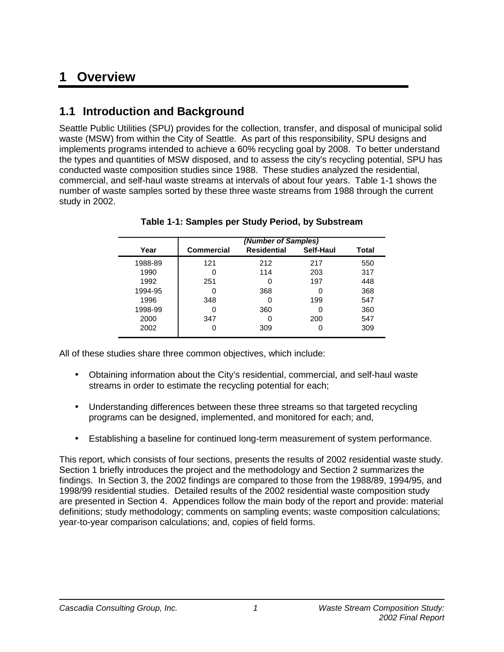# **1 Overview**

# **1.1 Introduction and Background**

Seattle Public Utilities (SPU) provides for the collection, transfer, and disposal of municipal solid waste (MSW) from within the City of Seattle. As part of this responsibility, SPU designs and implements programs intended to achieve a 60% recycling goal by 2008. To better understand the types and quantities of MSW disposed, and to assess the city's recycling potential, SPU has conducted waste composition studies since 1988. These studies analyzed the residential, commercial, and self-haul waste streams at intervals of about four years. Table 1-1 shows the number of waste samples sorted by these three waste streams from 1988 through the current study in 2002.

|         |                   | (Number of Samples) |           |       |  |  |  |  |
|---------|-------------------|---------------------|-----------|-------|--|--|--|--|
| Year    | <b>Commercial</b> | <b>Residential</b>  | Self-Haul | Total |  |  |  |  |
| 1988-89 | 121               | 212                 | 217       | 550   |  |  |  |  |
| 1990    | 0                 | 114                 | 203       | 317   |  |  |  |  |
| 1992    | 251               | 0                   | 197       | 448   |  |  |  |  |
| 1994-95 |                   | 368                 | 0         | 368   |  |  |  |  |
| 1996    | 348               | 0                   | 199       | 547   |  |  |  |  |
| 1998-99 | 0                 | 360                 | 0         | 360   |  |  |  |  |
| 2000    | 347               | ი                   | 200       | 547   |  |  |  |  |
| 2002    |                   | 309                 | 0         | 309   |  |  |  |  |

**Table 1-1: Samples per Study Period, by Substream** 

All of these studies share three common objectives, which include:

- Obtaining information about the City's residential, commercial, and self-haul waste streams in order to estimate the recycling potential for each;
- Understanding differences between these three streams so that targeted recycling programs can be designed, implemented, and monitored for each; and,
- Establishing a baseline for continued long-term measurement of system performance.

This report, which consists of four sections, presents the results of 2002 residential waste study. Section 1 briefly introduces the project and the methodology and Section 2 summarizes the findings. In Section 3, the 2002 findings are compared to those from the 1988/89, 1994/95, and 1998/99 residential studies. Detailed results of the 2002 residential waste composition study are presented in Section 4. Appendices follow the main body of the report and provide: material definitions; study methodology; comments on sampling events; waste composition calculations; year-to-year comparison calculations; and, copies of field forms.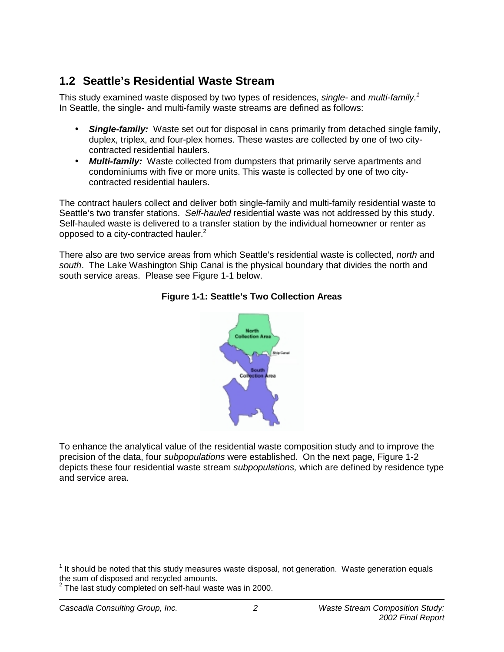# **1.2 Seattle's Residential Waste Stream**

This study examined waste disposed by two types of residences, *single-* and *multi-family.1* In Seattle, the single- and multi-family waste streams are defined as follows:

- *Single-family:* Waste set out for disposal in cans primarily from detached single family, duplex, triplex, and four-plex homes. These wastes are collected by one of two citycontracted residential haulers.
- *Multi-family:* Waste collected from dumpsters that primarily serve apartments and condominiums with five or more units. This waste is collected by one of two citycontracted residential haulers.

The contract haulers collect and deliver both single-family and multi-family residential waste to Seattle's two transfer stations. *Self-hauled* residential waste was not addressed by this study. Self-hauled waste is delivered to a transfer station by the individual homeowner or renter as opposed to a city-contracted hauler.<sup>2</sup>

There also are two service areas from which Seattle's residential waste is collected, *north* and *south*. The Lake Washington Ship Canal is the physical boundary that divides the north and south service areas. Please see Figure 1-1 below.



### **Figure 1-1: Seattle's Two Collection Areas**

To enhance the analytical value of the residential waste composition study and to improve the precision of the data, four *subpopulations* were established. On the next page, Figure 1-2 depicts these four residential waste stream *subpopulations,* which are defined by residence type and service area.

 $\overline{\phantom{a}}$  $1$  It should be noted that this study measures waste disposal, not generation. Waste generation equals

the sum of disposed and recycled amounts.<br><sup>2</sup> The last study completed on self-haul waste was in 2000.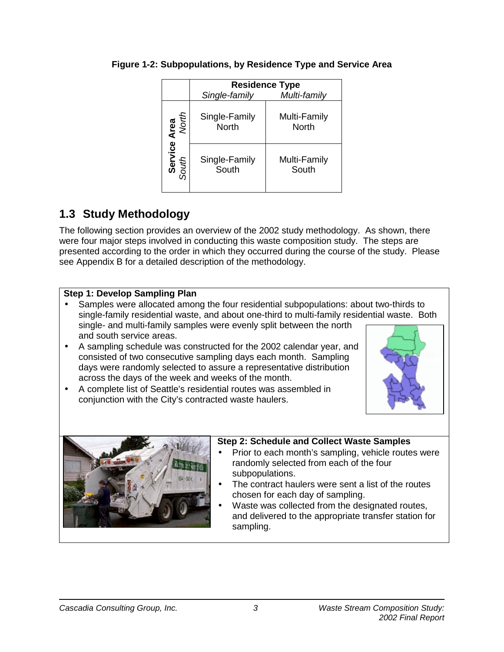|                  |                        | <b>Residence Type</b>        |
|------------------|------------------------|------------------------------|
|                  | Single-family          | Multi-family                 |
| Area<br>North    | Single-Family<br>North | Multi-Family<br><b>North</b> |
| Service<br>South | Single-Family<br>South | Multi-Family<br>South        |

## **Figure 1-2: Subpopulations, by Residence Type and Service Area**

# **1.3 Study Methodology**

The following section provides an overview of the 2002 study methodology. As shown, there were four major steps involved in conducting this waste composition study. The steps are presented according to the order in which they occurred during the course of the study. Please see Appendix B for a detailed description of the methodology.

## **Step 1: Develop Sampling Plan**

- Samples were allocated among the four residential subpopulations: about two-thirds to single-family residential waste, and about one-third to multi-family residential waste. Both single- and multi-family samples were evenly split between the north and south service areas.
- A sampling schedule was constructed for the 2002 calendar year, and consisted of two consecutive sampling days each month. Sampling days were randomly selected to assure a representative distribution across the days of the week and weeks of the month.

• A complete list of Seattle's residential routes was assembled in

conjunction with the City's contracted waste haulers.



## **Step 2: Schedule and Collect Waste Samples**

- Prior to each month's sampling, vehicle routes were randomly selected from each of the four subpopulations.
- The contract haulers were sent a list of the routes chosen for each day of sampling.
- Waste was collected from the designated routes, and delivered to the appropriate transfer station for sampling.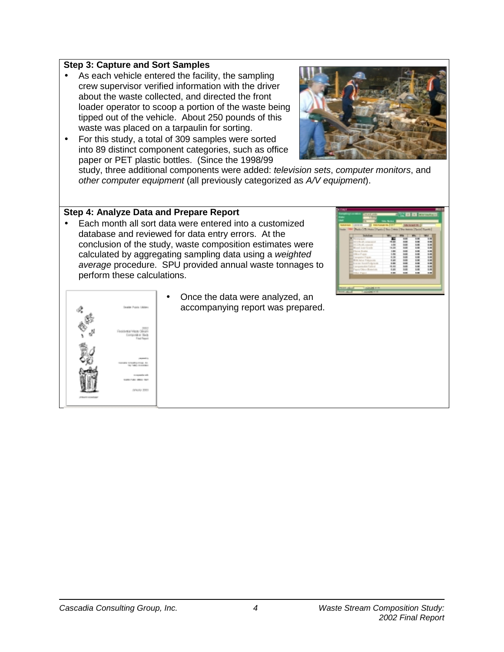### **Step 3: Capture and Sort Samples**

- As each vehicle entered the facility, the sampling crew supervisor verified information with the driver about the waste collected, and directed the front loader operator to scoop a portion of the waste being tipped out of the vehicle. About 250 pounds of this waste was placed on a tarpaulin for sorting.
- For this study, a total of 309 samples were sorted into 89 distinct component categories, such as office paper or PET plastic bottles. (Since the 1998/99



study, three additional components were added: *television sets*, *computer monitors*, and *other computer equipment* (all previously categorized as *A/V equipment*).

### **Step 4: Analyze Data and Prepare Report**

• Each month all sort data were entered into a customized database and reviewed for data entry errors. At the conclusion of the study, waste composition estimates were calculated by aggregating sampling data using a *weighted average* procedure. SPU provided annual waste tonnages to perform these calculations.





• Once the data were analyzed, an accompanying report was prepared.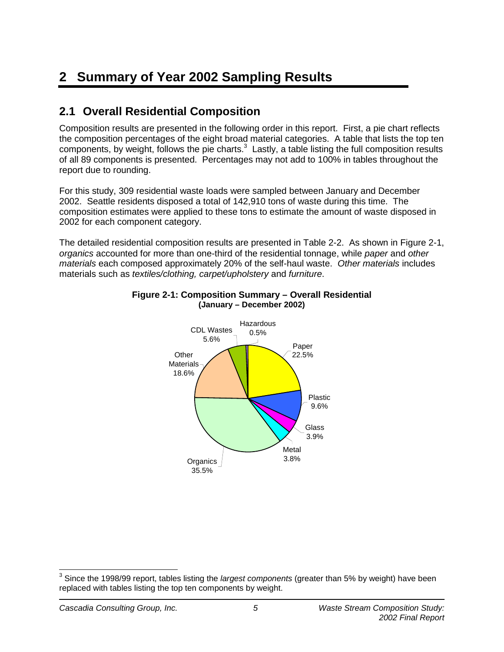# **2 Summary of Year 2002 Sampling Results**

# **2.1 Overall Residential Composition**

Composition results are presented in the following order in this report. First, a pie chart reflects the composition percentages of the eight broad material categories. A table that lists the top ten components, by weight, follows the pie charts. $3$  Lastly, a table listing the full composition results of all 89 components is presented. Percentages may not add to 100% in tables throughout the report due to rounding.

For this study, 309 residential waste loads were sampled between January and December 2002. Seattle residents disposed a total of 142,910 tons of waste during this time. The composition estimates were applied to these tons to estimate the amount of waste disposed in 2002 for each component category.

The detailed residential composition results are presented in Table 2-2. As shown in Figure 2-1, *organics* accounted for more than one-third of the residential tonnage, while *paper* and *other materials* each composed approximately 20% of the self-haul waste. *Other materials* includes materials such as *textiles/clothing, carpet/upholstery* and *furniture*.



#### **Figure 2-1: Composition Summary – Overall Residential (January – December 2002)**

j 3 Since the 1998/99 report, tables listing the *largest components* (greater than 5% by weight) have been replaced with tables listing the top ten components by weight.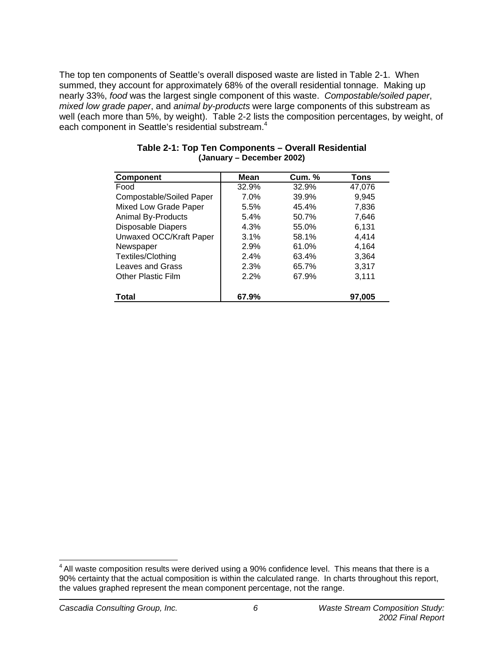The top ten components of Seattle's overall disposed waste are listed in Table 2-1. When summed, they account for approximately 68% of the overall residential tonnage. Making up nearly 33%, *food* was the largest single component of this waste. *Compostable/soiled paper*, *mixed low grade paper*, and *animal by-products* were large components of this substream as well (each more than 5%, by weight). Table 2-2 lists the composition percentages, by weight, of each component in Seattle's residential substream.<sup>4</sup>

| <b>Component</b>          | <b>Mean</b> | <b>Cum.</b> % | <b>Tons</b> |
|---------------------------|-------------|---------------|-------------|
| Food                      | 32.9%       | 32.9%         | 47,076      |
| Compostable/Soiled Paper  | 7.0%        | 39.9%         | 9,945       |
| Mixed Low Grade Paper     | 5.5%        | 45.4%         | 7,836       |
| <b>Animal By-Products</b> | 5.4%        | 50.7%         | 7,646       |
| Disposable Diapers        | 4.3%        | 55.0%         | 6,131       |
| Unwaxed OCC/Kraft Paper   | 3.1%        | 58.1%         | 4,414       |
| Newspaper                 | 2.9%        | 61.0%         | 4,164       |
| Textiles/Clothing         | 2.4%        | 63.4%         | 3,364       |
| Leaves and Grass          | 2.3%        | 65.7%         | 3,317       |
| Other Plastic Film        | 2.2%        | 67.9%         | 3,111       |
| <b>Total</b>              | 67.9%       |               | 97,005      |

### **Table 2-1: Top Ten Components – Overall Residential (January – December 2002)**

 $\overline{\phantom{a}}$  $<sup>4</sup>$  All waste composition results were derived using a 90% confidence level. This means that there is a</sup> 90% certainty that the actual composition is within the calculated range. In charts throughout this report, the values graphed represent the mean component percentage, not the range.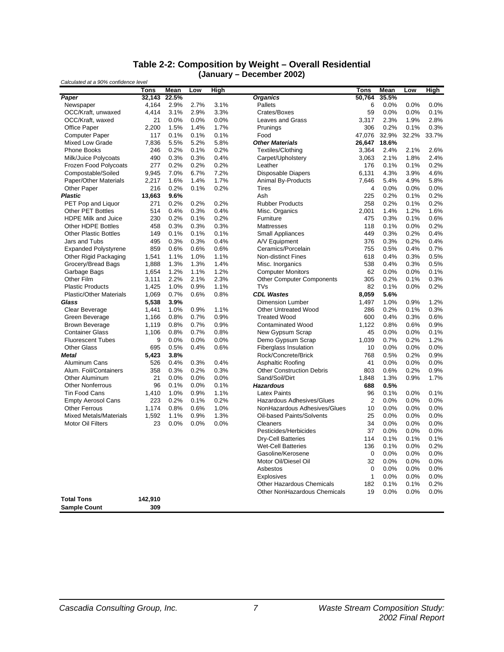#### **Table 2-2: Composition by Weight – Overall Residential (January – December 2002)**

| Calculated at a 90% confidence level |                |       |      |      |                                     |                |              |         |              |  |  |
|--------------------------------------|----------------|-------|------|------|-------------------------------------|----------------|--------------|---------|--------------|--|--|
|                                      | Tons           | Mean  | Low  | High |                                     | <b>Tons</b>    | Mean         | Low     | High         |  |  |
| Paper                                | 32,143         | 22.5% |      |      | <b>Organics</b>                     | 50,764         | 35.5%        |         |              |  |  |
| Newspaper                            | 4,164          | 2.9%  | 2.7% | 3.1% | Pallets                             | 6              | 0.0%         | 0.0%    | 0.0%         |  |  |
| OCC/Kraft, unwaxed                   | 4,414          | 3.1%  | 2.9% | 3.3% | Crates/Boxes                        | 59             | 0.0%         | 0.0%    | 0.1%         |  |  |
| OCC/Kraft, waxed                     | 21             | 0.0%  | 0.0% | 0.0% | <b>Leaves and Grass</b>             | 3,317          | 2.3%         | 1.9%    | 2.8%         |  |  |
| <b>Office Paper</b>                  | 2,200          | 1.5%  | 1.4% | 1.7% | Prunings                            | 306            | 0.2%         | 0.1%    | 0.3%         |  |  |
| <b>Computer Paper</b>                | 117            | 0.1%  | 0.1% | 0.1% | Food                                | 47,076         | 32.9%        | 32.2%   | 33.7%        |  |  |
| Mixed Low Grade                      | 7,836          | 5.5%  | 5.2% | 5.8% | <b>Other Materials</b>              | 26,647         | 18.6%        |         |              |  |  |
| <b>Phone Books</b>                   | 246            | 0.2%  | 0.1% | 0.2% | Textiles/Clothing                   | 3,364          | 2.4%         | 2.1%    | 2.6%         |  |  |
| Milk/Juice Polycoats                 | 490            | 0.3%  | 0.3% | 0.4% | Carpet/Upholstery                   | 3,063          | 2.1%         | 1.8%    | 2.4%         |  |  |
| Frozen Food Polycoats                | 277            | 0.2%  | 0.2% | 0.2% | Leather                             | 176            | 0.1%         | 0.1%    | 0.2%         |  |  |
| Compostable/Soiled                   | 9,945          | 7.0%  | 6.7% | 7.2% | <b>Disposable Diapers</b>           | 6,131          | 4.3%         | 3.9%    | 4.6%         |  |  |
| Paper/Other Materials                | 2,217          | 1.6%  | 1.4% | 1.7% | Animal By-Products                  | 7,646          | 5.4%         | 4.9%    | 5.8%         |  |  |
| Other Paper                          | 216            | 0.2%  | 0.1% | 0.2% | <b>Tires</b>                        | 4              | 0.0%         | 0.0%    | 0.0%         |  |  |
| <b>Plastic</b>                       | 13,663         | 9.6%  |      |      | Ash                                 | 225            | 0.2%         | 0.1%    | 0.2%         |  |  |
| PET Pop and Liquor                   | 271            | 0.2%  | 0.2% | 0.2% | <b>Rubber Products</b>              | 258            | 0.2%         | 0.1%    | 0.2%         |  |  |
| <b>Other PET Bottles</b>             | 514            | 0.4%  | 0.3% | 0.4% | Misc. Organics                      | 2,001          | 1.4%         | 1.2%    | 1.6%         |  |  |
| <b>HDPE Milk and Juice</b>           | 230            | 0.2%  | 0.1% | 0.2% | Furniture                           | 475            | 0.3%         | 0.1%    | 0.6%         |  |  |
| Other HDPE Bottles                   | 458            | 0.3%  | 0.3% | 0.3% | Mattresses                          | 118            | 0.1%         | 0.0%    | 0.2%         |  |  |
| <b>Other Plastic Bottles</b>         | 149            | 0.1%  | 0.1% | 0.1% | <b>Small Appliances</b>             | 449            | 0.3%         | 0.2%    | 0.4%         |  |  |
| Jars and Tubs                        | 495            | 0.3%  | 0.3% | 0.4% | A/V Equipment                       | 376            | 0.3%         | 0.2%    | 0.4%         |  |  |
| <b>Expanded Polystyrene</b>          | 859            | 0.6%  | 0.6% | 0.6% | Ceramics/Porcelain                  | 755            | 0.5%         | 0.4%    | 0.7%         |  |  |
| Other Rigid Packaging                | 1,541          | 1.1%  | 1.0% | 1.1% | <b>Non-distinct Fines</b>           | 618            | 0.4%         | 0.3%    | 0.5%         |  |  |
| Grocery/Bread Bags                   | 1,888          | 1.3%  | 1.3% | 1.4% | Misc. Inorganics                    | 538            | 0.4%         | 0.3%    | 0.5%         |  |  |
| Garbage Bags                         | 1,654          | 1.2%  | 1.1% | 1.2% | <b>Computer Monitors</b>            | 62             | 0.0%         | 0.0%    | 0.1%         |  |  |
| Other Film                           | 3,111          | 2.2%  | 2.1% | 2.3% | <b>Other Computer Components</b>    | 305            | 0.2%         | 0.1%    | 0.3%         |  |  |
| <b>Plastic Products</b>              | 1,425          | 1.0%  | 0.9% | 1.1% | TVs                                 | 82             | 0.1%         | 0.0%    | 0.2%         |  |  |
| <b>Plastic/Other Materials</b>       | 1,069          | 0.7%  | 0.6% | 0.8% | <b>CDL Wastes</b>                   | 8,059          | 5.6%         |         |              |  |  |
| Glass                                | 5,538          | 3.9%  |      |      | Dimension Lumber                    | 1,497          | 1.0%         | 0.9%    | 1.2%         |  |  |
| Clear Beverage                       | 1,441          | 1.0%  | 0.9% | 1.1% | <b>Other Untreated Wood</b>         | 286            | 0.2%         | 0.1%    | 0.3%         |  |  |
| Green Beverage                       | 1,166          | 0.8%  | 0.7% | 0.9% | <b>Treated Wood</b>                 | 600            | 0.4%         | 0.3%    | 0.6%         |  |  |
| <b>Brown Beverage</b>                | 1,119          | 0.8%  | 0.7% | 0.9% | <b>Contaminated Wood</b>            | 1,122          | 0.8%         | 0.6%    | 0.9%         |  |  |
| <b>Container Glass</b>               | 1,106          | 0.8%  | 0.7% | 0.8% | New Gypsum Scrap                    | 45             | 0.0%         | 0.0%    | 0.1%         |  |  |
| <b>Fluorescent Tubes</b>             | 9              | 0.0%  | 0.0% | 0.0% | Demo Gypsum Scrap                   | 1,039          | 0.7%         | 0.2%    | 1.2%         |  |  |
| <b>Other Glass</b>                   | 695            | 0.5%  | 0.4% | 0.6% | <b>Fiberglass Insulation</b>        | 10             | 0.0%         | 0.0%    | 0.0%         |  |  |
| <b>Metal</b>                         | 5,423          | 3.8%  |      |      | Rock/Concrete/Brick                 | 768            | 0.5%         | 0.2%    | 0.9%         |  |  |
| Aluminum Cans                        | 526            | 0.4%  | 0.3% | 0.4% | Asphaltic Roofing                   | 41             | 0.0%         | 0.0%    | 0.0%         |  |  |
| Alum. Foil/Containers                | 358            | 0.3%  | 0.2% | 0.3% | <b>Other Construction Debris</b>    | 803            | 0.6%         | 0.2%    | 0.9%         |  |  |
| Other Aluminum                       | 21             | 0.0%  | 0.0% | 0.0% | Sand/Soil/Dirt                      | 1,848          | 1.3%         | 0.9%    | 1.7%         |  |  |
| <b>Other Nonferrous</b>              | 96             | 0.1%  | 0.0% | 0.1% | <b>Hazardous</b>                    | 688            | 0.5%         |         |              |  |  |
| <b>Tin Food Cans</b>                 | 1,410          | 1.0%  | 0.9% | 1.1% | <b>Latex Paints</b>                 | 96             | 0.1%         | $0.0\%$ | 0.1%         |  |  |
| <b>Empty Aerosol Cans</b>            | 223            | 0.2%  | 0.1% | 0.2% | Hazardous Adhesives/Glues           | $\overline{2}$ | 0.0%         | 0.0%    | 0.0%         |  |  |
| <b>Other Ferrous</b>                 | 1,174          | 0.8%  | 0.6% | 1.0% | NonHazardous Adhesives/Glues        | 10             | 0.0%         | 0.0%    | 0.0%         |  |  |
| <b>Mixed Metals/Materials</b>        | 1,592          | 1.1%  | 0.9% | 1.3% | Oil-based Paints/Solvents           | 25             | 0.0%         | 0.0%    | 0.0%         |  |  |
| <b>Motor Oil Filters</b>             | 23             | 0.0%  | 0.0% | 0.0% | Cleaners                            | 34             | 0.0%         | 0.0%    | 0.0%         |  |  |
|                                      |                |       |      |      | Pesticides/Herbicides               | 37             | 0.0%         | 0.0%    | 0.0%         |  |  |
|                                      |                |       |      |      | <b>Dry-Cell Batteries</b>           | 114            | 0.1%         | 0.1%    | 0.1%         |  |  |
|                                      |                |       |      |      | <b>Wet-Cell Batteries</b>           | 136            | 0.1%         | 0.0%    | 0.2%         |  |  |
|                                      |                |       |      |      | Gasoline/Kerosene                   | 0              | 0.0%         | $0.0\%$ | 0.0%         |  |  |
|                                      |                |       |      |      | Motor Oil/Diesel Oil                | 32             | 0.0%         | $0.0\%$ | 0.0%         |  |  |
|                                      |                |       |      |      | Asbestos                            |                |              |         |              |  |  |
|                                      |                |       |      |      | Explosives                          | 0<br>1         | 0.0%<br>0.0% | 0.0%    | 0.0%         |  |  |
|                                      |                |       |      |      | Other Hazardous Chemicals           |                | 0.1%         | $0.0\%$ | 0.0%<br>0.2% |  |  |
|                                      |                |       |      |      | <b>Other NonHazardous Chemicals</b> | 182            |              | 0.1%    |              |  |  |
| <b>Total Tons</b>                    |                |       |      |      |                                     | 19             | 0.0%         | $0.0\%$ | 0.0%         |  |  |
|                                      | 142,910<br>309 |       |      |      |                                     |                |              |         |              |  |  |
| <b>Sample Count</b>                  |                |       |      |      |                                     |                |              |         |              |  |  |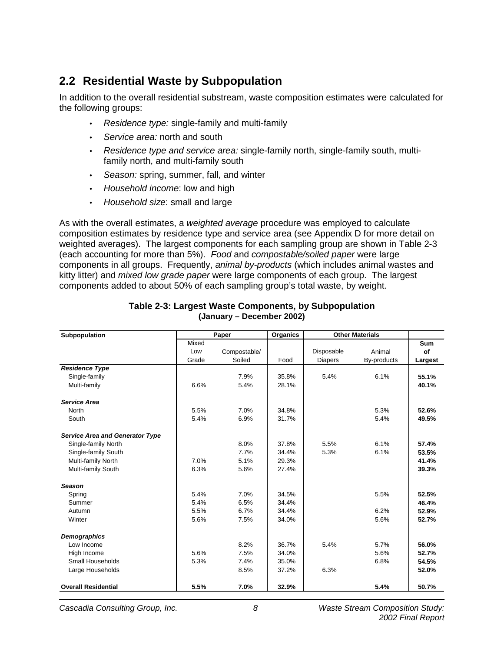# **2.2 Residential Waste by Subpopulation**

In addition to the overall residential substream, waste composition estimates were calculated for the following groups:

- *Residence type:* single-family and multi-family
- *Service area:* north and south
- *Residence type and service area:* single-family north, single-family south, multifamily north, and multi-family south
- *Season:* spring, summer, fall, and winter
- *Household income*: low and high
- *Household size*: small and large

As with the overall estimates, a *weighted average* procedure was employed to calculate composition estimates by residence type and service area (see Appendix D for more detail on weighted averages). The largest components for each sampling group are shown in Table 2-3 (each accounting for more than 5%). *Food* and *compostable/soiled paper* were large components in all groups. Frequently, *animal by-products* (which includes animal wastes and kitty litter) and *mixed low grade paper* were large components of each group. The largest components added to about 50% of each sampling group's total waste, by weight.

| Subpopulation                          |       | Paper        | Organics |                | <b>Other Materials</b> |            |
|----------------------------------------|-------|--------------|----------|----------------|------------------------|------------|
|                                        | Mixed |              |          |                |                        | <b>Sum</b> |
|                                        | Low   | Compostable/ |          | Disposable     | Animal                 | οf         |
|                                        | Grade | Soiled       | Food     | <b>Diapers</b> | By-products            | Largest    |
| <b>Residence Type</b>                  |       |              |          |                |                        |            |
| Single-family                          |       | 7.9%         | 35.8%    | 5.4%           | 6.1%                   | 55.1%      |
| Multi-family                           | 6.6%  | 5.4%         | 28.1%    |                |                        | 40.1%      |
| <b>Service Area</b>                    |       |              |          |                |                        |            |
| <b>North</b>                           | 5.5%  | 7.0%         | 34.8%    |                | 5.3%                   | 52.6%      |
| South                                  | 5.4%  | 6.9%         | 31.7%    |                | 5.4%                   | 49.5%      |
| <b>Service Area and Generator Type</b> |       |              |          |                |                        |            |
| Single-family North                    |       | 8.0%         | 37.8%    | 5.5%           | 6.1%                   | 57.4%      |
| Single-family South                    |       | 7.7%         | 34.4%    | 5.3%           | 6.1%                   | 53.5%      |
| Multi-family North                     | 7.0%  | 5.1%         | 29.3%    |                |                        | 41.4%      |
| Multi-family South                     | 6.3%  | 5.6%         | 27.4%    |                |                        | 39.3%      |
| <b>Season</b>                          |       |              |          |                |                        |            |
| Spring                                 | 5.4%  | 7.0%         | 34.5%    |                | 5.5%                   | 52.5%      |
| Summer                                 | 5.4%  | 6.5%         | 34.4%    |                |                        | 46.4%      |
| Autumn                                 | 5.5%  | 6.7%         | 34.4%    |                | 6.2%                   | 52.9%      |
| Winter                                 | 5.6%  | 7.5%         | 34.0%    |                | 5.6%                   | 52.7%      |
| <b>Demographics</b>                    |       |              |          |                |                        |            |
| Low Income                             |       | 8.2%         | 36.7%    | 5.4%           | 5.7%                   | 56.0%      |
| High Income                            | 5.6%  | 7.5%         | 34.0%    |                | 5.6%                   | 52.7%      |
| Small Households                       | 5.3%  | 7.4%         | 35.0%    |                | 6.8%                   | 54.5%      |
| Large Households                       |       | 8.5%         | 37.2%    | 6.3%           |                        | 52.0%      |
| <b>Overall Residential</b>             | 5.5%  | 7.0%         | 32.9%    |                | 5.4%                   | 50.7%      |

#### **Table 2-3: Largest Waste Components, by Subpopulation (January – December 2002)**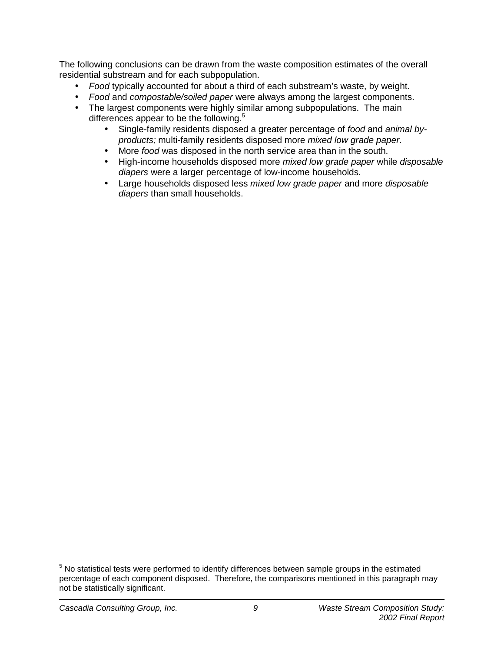The following conclusions can be drawn from the waste composition estimates of the overall residential substream and for each subpopulation.

- *Food* typically accounted for about a third of each substream's waste, by weight.
- *Food* and *compostable/soiled paper* were always among the largest components.
- The largest components were highly similar among subpopulations. The main differences appear to be the following.<sup>5</sup>
	- Single-family residents disposed a greater percentage of *food* and *animal byproducts;* multi-family residents disposed more *mixed low grade paper*.
	- More *food* was disposed in the north service area than in the south.
	- High-income households disposed more *mixed low grade paper* while *disposable diapers* were a larger percentage of low-income households.
	- Large households disposed less *mixed low grade paper* and more *disposable diapers* than small households.

<sup>————————————————————&</sup>lt;br><sup>5</sup> No statistical tests were performed to identify differences between sample groups in the estimated percentage of each component disposed. Therefore, the comparisons mentioned in this paragraph may not be statistically significant.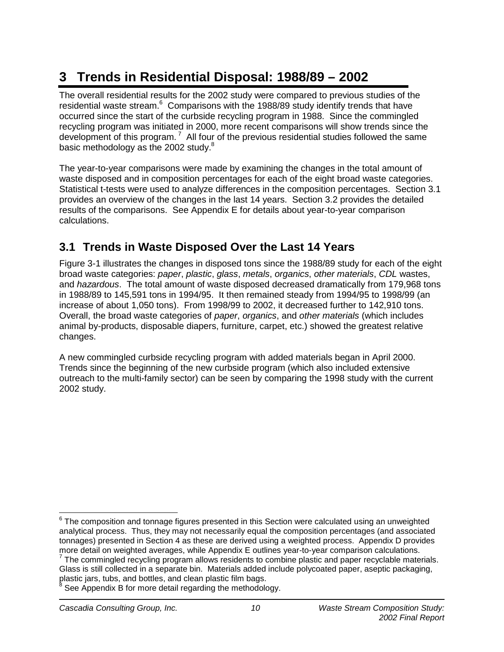# **3 Trends in Residential Disposal: 1988/89 – 2002**

The overall residential results for the 2002 study were compared to previous studies of the residential waste stream. $6$  Comparisons with the 1988/89 study identify trends that have occurred since the start of the curbside recycling program in 1988. Since the commingled recycling program was initiated in 2000, more recent comparisons will show trends since the development of this program.<sup>7</sup> All four of the previous residential studies followed the same basic methodology as the 2002 study.<sup>8</sup>

The year-to-year comparisons were made by examining the changes in the total amount of waste disposed and in composition percentages for each of the eight broad waste categories. Statistical t-tests were used to analyze differences in the composition percentages. Section 3.1 provides an overview of the changes in the last 14 years. Section 3.2 provides the detailed results of the comparisons. See Appendix E for details about year-to-year comparison calculations.

# **3.1 Trends in Waste Disposed Over the Last 14 Years**

Figure 3-1 illustrates the changes in disposed tons since the 1988/89 study for each of the eight broad waste categories: *paper*, *plastic*, *glass*, *metals*, *organics*, *other materials*, *CDL* wastes, and *hazardous*. The total amount of waste disposed decreased dramatically from 179,968 tons in 1988/89 to 145,591 tons in 1994/95. It then remained steady from 1994/95 to 1998/99 (an increase of about 1,050 tons). From 1998/99 to 2002, it decreased further to 142,910 tons. Overall, the broad waste categories of *paper*, *organics*, and *other materials* (which includes animal by-products, disposable diapers, furniture, carpet, etc.) showed the greatest relative changes.

A new commingled curbside recycling program with added materials began in April 2000. Trends since the beginning of the new curbside program (which also included extensive outreach to the multi-family sector) can be seen by comparing the 1998 study with the current 2002 study.

  $6$  The composition and tonnage figures presented in this Section were calculated using an unweighted analytical process. Thus, they may not necessarily equal the composition percentages (and associated tonnages) presented in Section 4 as these are derived using a weighted process. Appendix D provides more detail on weighted averages, while Appendix E outlines year-to-year comparison calculations.

<sup>&</sup>lt;sup>7</sup> The commingled recycling program allows residents to combine plastic and paper recyclable materials. Glass is still collected in a separate bin. Materials added include polycoated paper, aseptic packaging, plastic jars, tubs, and bottles, and clean plastic film bags.<br><sup>8</sup> See Appendix B for mare detail regarding the methodology

See Appendix B for more detail regarding the methodology.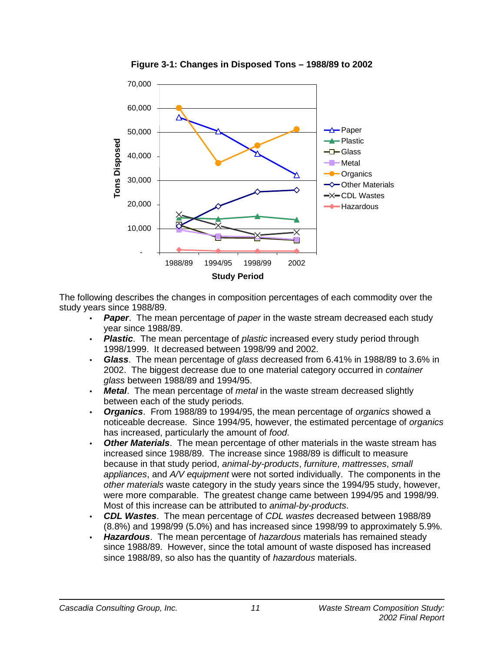

**Figure 3-1: Changes in Disposed Tons – 1988/89 to 2002** 

The following describes the changes in composition percentages of each commodity over the study years since 1988/89.

- *Paper*. The mean percentage of *paper* in the waste stream decreased each study year since 1988/89.
- *Plastic*. The mean percentage of *plastic* increased every study period through 1998/1999. It decreased between 1998/99 and 2002.
- *Glass*. The mean percentage of *glass* decreased from 6.41% in 1988/89 to 3.6% in 2002. The biggest decrease due to one material category occurred in *container glass* between 1988/89 and 1994/95.
- *Metal*. The mean percentage of *metal* in the waste stream decreased slightly between each of the study periods.
- *Organics*. From 1988/89 to 1994/95, the mean percentage of *organics* showed a noticeable decrease. Since 1994/95, however, the estimated percentage of *organics* has increased, particularly the amount of *food*.
- *Other Materials*. The mean percentage of other materials in the waste stream has increased since 1988/89. The increase since 1988/89 is difficult to measure because in that study period, *animal-by-products*, *furniture*, *mattresses*, *small appliances*, and *A/V equipment* were not sorted individually. The components in the *other materials* waste category in the study years since the 1994/95 study, however, were more comparable. The greatest change came between 1994/95 and 1998/99. Most of this increase can be attributed to *animal-by-products*.
- *CDL Wastes*. The mean percentage of *CDL wastes* decreased between 1988/89 (8.8%) and 1998/99 (5.0%) and has increased since 1998/99 to approximately 5.9%.
- *Hazardous*. The mean percentage of *hazardous* materials has remained steady since 1988/89. However, since the total amount of waste disposed has increased since 1988/89, so also has the quantity of *hazardous* materials.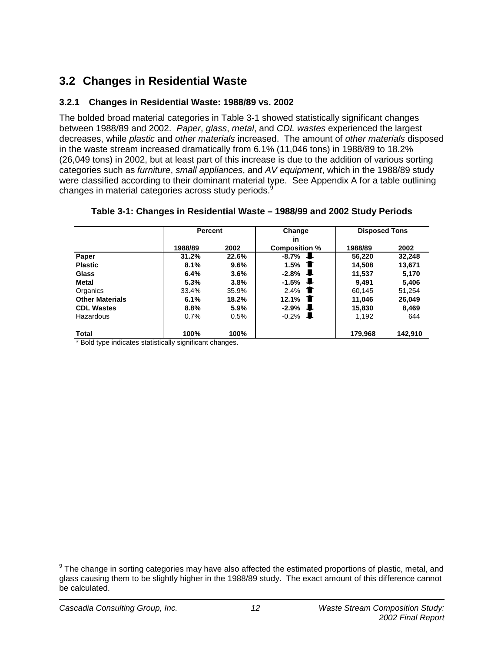# **3.2 Changes in Residential Waste**

### **3.2.1 Changes in Residential Waste: 1988/89 vs. 2002**

The bolded broad material categories in Table 3-1 showed statistically significant changes between 1988/89 and 2002. *Paper*, *glass*, *metal*, and *CDL wastes* experienced the largest decreases, while *plastic* and *other materials* increased. The amount of *other materials* disposed in the waste stream increased dramatically from 6.1% (11,046 tons) in 1988/89 to 18.2% (26,049 tons) in 2002, but at least part of this increase is due to the addition of various sorting categories such as *furniture*, *small appliances*, and *AV equipment*, which in the 1988/89 study were classified according to their dominant material type. See Appendix A for a table outlining changes in material categories across study periods.<sup>9</sup>

|                        |         | <b>Percent</b> |                        |         | <b>Disposed Tons</b> |  |  |
|------------------------|---------|----------------|------------------------|---------|----------------------|--|--|
|                        |         |                | <b>in</b>              |         |                      |  |  |
|                        | 1988/89 | 2002           | <b>Composition %</b>   | 1988/89 | 2002                 |  |  |
| Paper                  | 31.2%   | 22.6%          | $-8.7\%$ $\downarrow$  | 56.220  | 32,248               |  |  |
| <b>Plastic</b>         | 8.1%    | $9.6\%$        | 1.5%<br>$\blacksquare$ | 14.508  | 13,671               |  |  |
| <b>Glass</b>           | 6.4%    | $3.6\%$        | J.<br>$-2.8%$          | 11.537  | 5,170                |  |  |
| <b>Metal</b>           | 5.3%    | 3.8%           | J.<br>$-1.5%$          | 9.491   | 5,406                |  |  |
| Organics               | 33.4%   | 35.9%          | 2.4%<br>T              | 60.145  | 51.254               |  |  |
| <b>Other Materials</b> | 6.1%    | 18.2%          | 12.1%<br>T             | 11,046  | 26,049               |  |  |
| <b>CDL Wastes</b>      | 8.8%    | $5.9\%$        | J.<br>-2.9%            | 15.830  | 8,469                |  |  |
| Hazardous              | 0.7%    | 0.5%           | $-0.2\%$               | 1.192   | 644                  |  |  |
| Total                  | 100%    | 100%           |                        | 179,968 | 142,910              |  |  |

### **Table 3-1: Changes in Residential Waste – 1988/99 and 2002 Study Periods**

Bold type indicates statistically significant changes.

 9 The change in sorting categories may have also affected the estimated proportions of plastic, metal, and glass causing them to be slightly higher in the 1988/89 study. The exact amount of this difference cannot be calculated.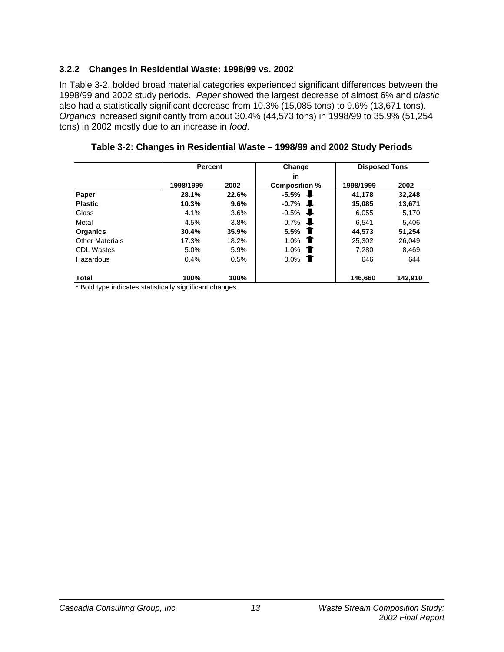### **3.2.2 Changes in Residential Waste: 1998/99 vs. 2002**

In Table 3-2, bolded broad material categories experienced significant differences between the 1998/99 and 2002 study periods. *Paper* showed the largest decrease of almost 6% and *plastic* also had a statistically significant decrease from 10.3% (15,085 tons) to 9.6% (13,671 tons). *Organics* increased significantly from about 30.4% (44,573 tons) in 1998/99 to 35.9% (51,254 tons) in 2002 mostly due to an increase in *food*.

|                        |           | <b>Percent</b> |                      | <b>Disposed Tons</b> |         |
|------------------------|-----------|----------------|----------------------|----------------------|---------|
|                        |           |                | in                   |                      |         |
|                        | 1998/1999 | 2002           | <b>Composition %</b> | 1998/1999            | 2002    |
| Paper                  | 28.1%     | 22.6%          | $-5.5%$              | 41,178               | 32,248  |
| <b>Plastic</b>         | 10.3%     | 9.6%           | $-0.7%$<br>J.        | 15.085               | 13.671  |
| Glass                  | 4.1%      | 3.6%           | $-0.5%$<br>æ.        | 6.055                | 5.170   |
| Metal                  | 4.5%      | 3.8%           | $-0.7%$<br>J.        | 6.541                | 5,406   |
| Organics               | 30.4%     | 35.9%          | 5.5%                 | 44.573               | 51.254  |
| <b>Other Materials</b> | 17.3%     | 18.2%          | 1.0%                 | 25,302               | 26,049  |
| <b>CDL Wastes</b>      | 5.0%      | 5.9%           | 1.0%                 | 7.280                | 8,469   |
| Hazardous              | 0.4%      | 0.5%           | 0.0%                 | 646                  | 644     |
| Total                  | 100%      | 100%           |                      | 146,660              | 142,910 |

**Table 3-2: Changes in Residential Waste – 1998/99 and 2002 Study Periods** 

\* Bold type indicates statistically significant changes.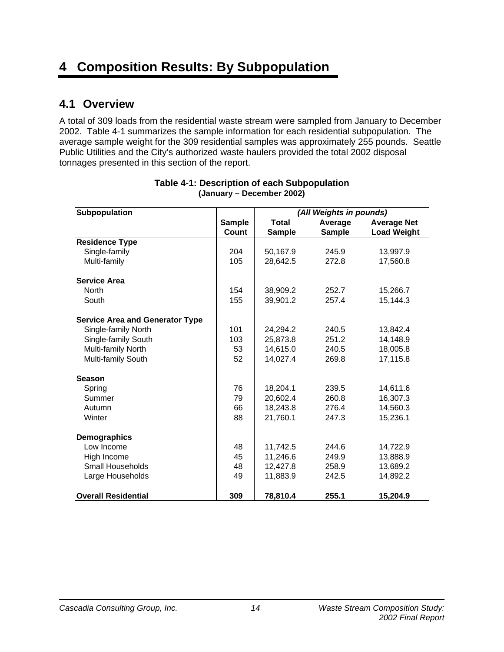# **4 Composition Results: By Subpopulation**

## **4.1 Overview**

A total of 309 loads from the residential waste stream were sampled from January to December 2002. Table 4-1 summarizes the sample information for each residential subpopulation. The average sample weight for the 309 residential samples was approximately 255 pounds. Seattle Public Utilities and the City's authorized waste haulers provided the total 2002 disposal tonnages presented in this section of the report.

| Subpopulation                          |               |               | (All Weights in pounds) |                    |
|----------------------------------------|---------------|---------------|-------------------------|--------------------|
|                                        | <b>Sample</b> | <b>Total</b>  | Average                 | <b>Average Net</b> |
|                                        | Count         | <b>Sample</b> | <b>Sample</b>           | <b>Load Weight</b> |
| <b>Residence Type</b>                  |               |               |                         |                    |
| Single-family                          | 204           | 50,167.9      | 245.9                   | 13,997.9           |
| Multi-family                           | 105           | 28,642.5      | 272.8                   | 17,560.8           |
| <b>Service Area</b>                    |               |               |                         |                    |
| North                                  | 154           | 38,909.2      | 252.7                   | 15,266.7           |
| South                                  | 155           | 39,901.2      | 257.4                   | 15,144.3           |
| <b>Service Area and Generator Type</b> |               |               |                         |                    |
| Single-family North                    | 101           | 24,294.2      | 240.5                   | 13,842.4           |
| Single-family South                    | 103           | 25,873.8      | 251.2                   | 14,148.9           |
| Multi-family North                     | 53            | 14,615.0      | 240.5                   | 18,005.8           |
| Multi-family South                     | 52            | 14,027.4      | 269.8                   | 17,115.8           |
| <b>Season</b>                          |               |               |                         |                    |
| Spring                                 | 76            | 18,204.1      | 239.5                   | 14,611.6           |
| Summer                                 | 79            | 20,602.4      | 260.8                   | 16,307.3           |
| Autumn                                 | 66            | 18,243.8      | 276.4                   | 14,560.3           |
| Winter                                 | 88            | 21,760.1      | 247.3                   | 15,236.1           |
| Demographics                           |               |               |                         |                    |
| Low Income                             | 48            | 11,742.5      | 244.6                   | 14,722.9           |
| High Income                            | 45            | 11,246.6      | 249.9                   | 13,888.9           |
| Small Households                       | 48            | 12,427.8      | 258.9                   | 13,689.2           |
| Large Households                       | 49            | 11,883.9      | 242.5                   | 14,892.2           |
| <b>Overall Residential</b>             | 309           | 78,810.4      | 255.1                   | 15,204.9           |

### **Table 4-1: Description of each Subpopulation (January – December 2002)**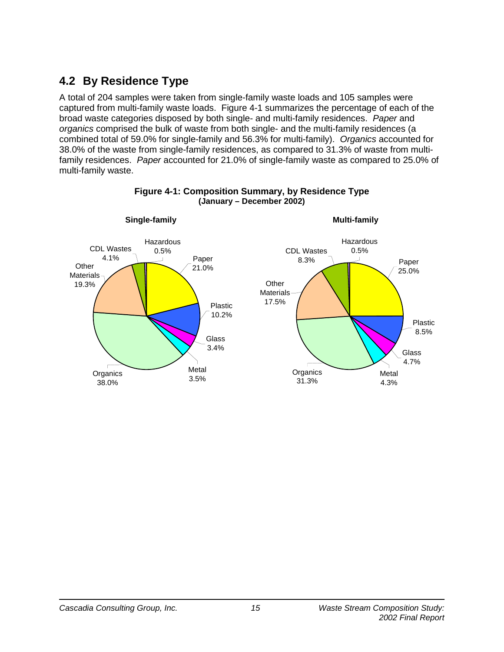# **4.2 By Residence Type**

A total of 204 samples were taken from single-family waste loads and 105 samples were captured from multi-family waste loads. Figure 4-1 summarizes the percentage of each of the broad waste categories disposed by both single- and multi-family residences. *Paper* and *organics* comprised the bulk of waste from both single- and the multi-family residences (a combined total of 59.0% for single-family and 56.3% for multi-family). *Organics* accounted for 38.0% of the waste from single-family residences, as compared to 31.3% of waste from multifamily residences. *Paper* accounted for 21.0% of single-family waste as compared to 25.0% of multi-family waste.



### **Figure 4-1: Composition Summary, by Residence Type (January – December 2002)**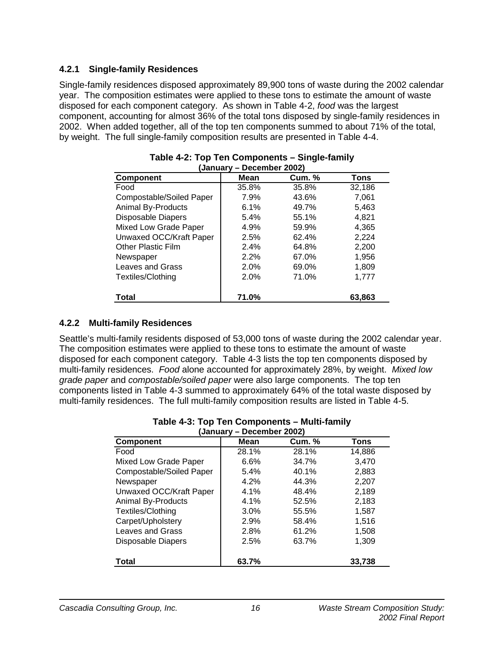### **4.2.1 Single-family Residences**

Single-family residences disposed approximately 89,900 tons of waste during the 2002 calendar year. The composition estimates were applied to these tons to estimate the amount of waste disposed for each component category. As shown in Table 4-2, *food* was the largest component, accounting for almost 36% of the total tons disposed by single-family residences in 2002. When added together, all of the top ten components summed to about 71% of the total, by weight. The full single-family composition results are presented in Table 4-4.

| (January – December 2002) |       |               |        |  |  |  |  |  |  |
|---------------------------|-------|---------------|--------|--|--|--|--|--|--|
| <b>Component</b>          | Mean  | <b>Cum.</b> % | Tons   |  |  |  |  |  |  |
| Food                      | 35.8% | 35.8%         | 32,186 |  |  |  |  |  |  |
| Compostable/Soiled Paper  | 7.9%  | 43.6%         | 7,061  |  |  |  |  |  |  |
| <b>Animal By-Products</b> | 6.1%  | 49.7%         | 5,463  |  |  |  |  |  |  |
| Disposable Diapers        | 5.4%  | 55.1%         | 4,821  |  |  |  |  |  |  |
| Mixed Low Grade Paper     | 4.9%  | 59.9%         | 4,365  |  |  |  |  |  |  |
| Unwaxed OCC/Kraft Paper   | 2.5%  | 62.4%         | 2,224  |  |  |  |  |  |  |
| <b>Other Plastic Film</b> | 2.4%  | 64.8%         | 2,200  |  |  |  |  |  |  |
| Newspaper                 | 2.2%  | 67.0%         | 1,956  |  |  |  |  |  |  |
| Leaves and Grass          | 2.0%  | 69.0%         | 1,809  |  |  |  |  |  |  |
| Textiles/Clothing         | 2.0%  | 71.0%         | 1,777  |  |  |  |  |  |  |
| <b>Total</b>              | 71.0% |               | 63.863 |  |  |  |  |  |  |

# **Table 4-2: Top Ten Components – Single-family**

### **4.2.2 Multi-family Residences**

Seattle's multi-family residents disposed of 53,000 tons of waste during the 2002 calendar year. The composition estimates were applied to these tons to estimate the amount of waste disposed for each component category. Table 4-3 lists the top ten components disposed by multi-family residences. *Food* alone accounted for approximately 28%, by weight. *Mixed low grade paper* and *compostable/soiled paper* were also large components. The top ten components listed in Table 4-3 summed to approximately 64% of the total waste disposed by multi-family residences. The full multi-family composition results are listed in Table 4-5.

| January – Deceniber Zuuz) |       |               |        |  |  |  |  |  |  |
|---------------------------|-------|---------------|--------|--|--|--|--|--|--|
| <b>Component</b>          | Mean  | <b>Cum.</b> % | Tons   |  |  |  |  |  |  |
| Food                      | 28.1% | 28.1%         | 14,886 |  |  |  |  |  |  |
| Mixed Low Grade Paper     | 6.6%  | 34.7%         | 3,470  |  |  |  |  |  |  |
| Compostable/Soiled Paper  | 5.4%  | 40.1%         | 2,883  |  |  |  |  |  |  |
| Newspaper                 | 4.2%  | 44.3%         | 2,207  |  |  |  |  |  |  |
| Unwaxed OCC/Kraft Paper   | 4.1%  | 48.4%         | 2,189  |  |  |  |  |  |  |
| <b>Animal By-Products</b> | 4.1%  | 52.5%         | 2,183  |  |  |  |  |  |  |
| Textiles/Clothing         | 3.0%  | 55.5%         | 1,587  |  |  |  |  |  |  |
| Carpet/Upholstery         | 2.9%  | 58.4%         | 1,516  |  |  |  |  |  |  |
| Leaves and Grass          | 2.8%  | 61.2%         | 1,508  |  |  |  |  |  |  |
| <b>Disposable Diapers</b> | 2.5%  | 63.7%         | 1,309  |  |  |  |  |  |  |
| <b>Total</b>              | 63.7% |               | 33,738 |  |  |  |  |  |  |

#### **Table 4-3: Top Ten Components – Multi-family (January – December 2002)**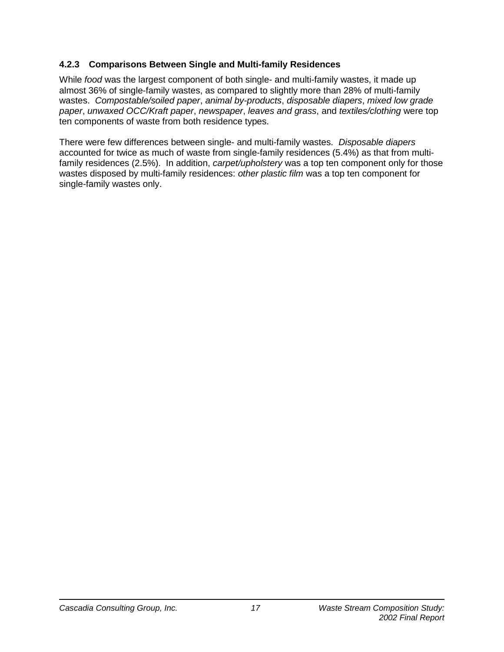### **4.2.3 Comparisons Between Single and Multi-family Residences**

While *food* was the largest component of both single- and multi-family wastes, it made up almost 36% of single-family wastes, as compared to slightly more than 28% of multi-family wastes. *Compostable/soiled paper*, *animal by-products*, *disposable diapers*, *mixed low grade paper*, *unwaxed OCC/Kraft paper*, *newspaper*, *leaves and grass*, and *textiles/clothing* were top ten components of waste from both residence types.

There were few differences between single- and multi-family wastes. *Disposable diapers* accounted for twice as much of waste from single-family residences (5.4%) as that from multifamily residences (2.5%). In addition, *carpet/upholstery* was a top ten component only for those wastes disposed by multi-family residences: *other plastic film* was a top ten component for single-family wastes only.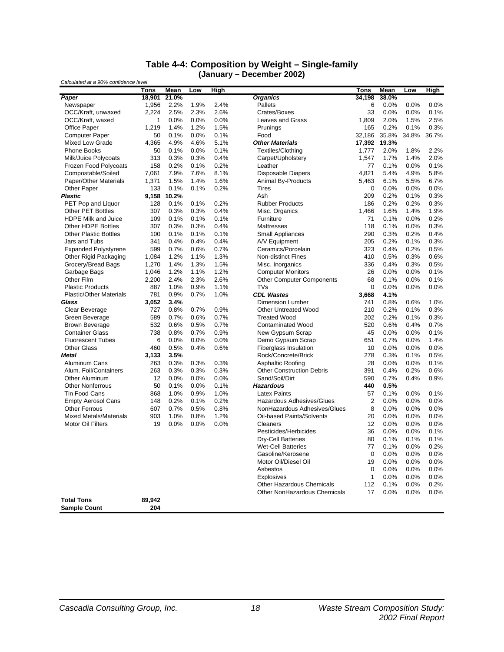#### **Table 4-4: Composition by Weight – Single-family (January – December 2002)**

| <b>Organics</b><br>34,198<br>Paper<br>18,901<br>21.0%<br>38.0%<br>1,956<br>2.2%<br>1.9%<br>2.4%<br><b>Pallets</b><br>0.0%<br>0.0%<br>Newspaper<br>6<br>0.0%<br>2,224<br>2.3%<br>2.6%<br>33<br>0.0%<br>0.1%<br>OCC/Kraft, unwaxed<br>2.5%<br>Crates/Boxes<br>0.0%<br>0.0%<br>0.0%<br><b>Leaves and Grass</b><br>1.809<br>2.0%<br>1.5%<br>2.5%<br>OCC/Kraft, waxed<br>1<br>0.0%<br>Office Paper<br>1.4%<br>1.2%<br>1.5%<br>Prunings<br>0.2%<br>0.1%<br>0.3%<br>1,219<br>165<br><b>Computer Paper</b><br>0.1%<br>0.0%<br>0.1%<br>Food<br>35.8%<br>34.8%<br>36.7%<br>50<br>32,186<br>Mixed Low Grade<br><b>Other Materials</b><br>4,365<br>4.9%<br>4.6%<br>5.1%<br>17,392<br>19.3%<br><b>Phone Books</b><br>0.0%<br>Textiles/Clothing<br>2.0%<br>1.8%<br>2.2%<br>50<br>0.1%<br>0.1%<br>1,777<br>Milk/Juice Polycoats<br>313<br>0.3%<br>0.3%<br>0.4%<br>Carpet/Upholstery<br>1,547<br>1.7%<br>1.4%<br>2.0%<br>Frozen Food Polycoats<br>158<br>0.2%<br>0.1%<br>0.2%<br>Leather<br>77<br>0.1%<br>0.0%<br>0.1%<br>Compostable/Soiled<br>7,061<br>7.9%<br>7.6%<br>8.1%<br><b>Disposable Diapers</b><br>4,821<br>5.4%<br>4.9%<br>5.8%<br>Paper/Other Materials<br>1,371<br>1.5%<br>1.4%<br>1.6%<br><b>Animal By-Products</b><br>5,463<br>6.1%<br>5.5%<br>6.7%<br>Other Paper<br>133<br>0.1%<br>0.1%<br>0.2%<br><b>Tires</b><br>$\mathbf 0$<br>0.0%<br>0.0%<br>0.0%<br>9,158<br>10.2%<br>209<br>0.2%<br>0.1%<br>0.3%<br><b>Plastic</b><br>Ash<br>0.3%<br>PET Pop and Liquor<br>128<br>0.1%<br>0.1%<br>0.2%<br><b>Rubber Products</b><br>186<br>0.2%<br>0.2%<br><b>Other PET Bottles</b><br>307<br>0.3%<br>0.3%<br>0.4%<br>Misc. Organics<br>1,466<br>1.6%<br>1.4%<br>1.9%<br>HDPE Milk and Juice<br>0.2%<br>109<br>0.1%<br>0.1%<br>0.1%<br>Furniture<br>71<br>0.1%<br>0.0%<br>Other HDPE Bottles<br>307<br>0.3%<br>0.3%<br>0.4%<br>118<br>0.1%<br>0.3%<br>Mattresses<br>0.0%<br><b>Other Plastic Bottles</b><br>0.1%<br>0.1%<br>0.1%<br><b>Small Appliances</b><br>290<br>0.3%<br>0.2%<br>0.4%<br>100<br>A/V Equipment<br>205<br>Jars and Tubs<br>341<br>0.4%<br>0.4%<br>0.4%<br>0.2%<br>0.1%<br>0.3%<br>Ceramics/Porcelain<br><b>Expanded Polystyrene</b><br>599<br>0.7%<br>0.6%<br>0.7%<br>323<br>0.4%<br>0.2%<br>0.5%<br>Other Rigid Packaging<br>1,084<br>1.2%<br>1.1%<br>1.3%<br><b>Non-distinct Fines</b><br>410<br>0.5%<br>0.6%<br>0.3%<br>Grocery/Bread Bags<br>1.4%<br>1.3%<br>1.5%<br>Misc. Inorganics<br>336<br>0.4%<br>0.3%<br>0.5%<br>1,270<br>Garbage Bags<br>1.2%<br>1.1%<br>1.2%<br>26<br>0.0%<br>0.1%<br>1,046<br><b>Computer Monitors</b><br>0.0%<br>Other Film<br>2,200<br>2.4%<br>2.3%<br>2.6%<br><b>Other Computer Components</b><br>68<br>0.1%<br>0.0%<br>0.1%<br><b>Plastic Products</b><br>887<br>1.0%<br>1.1%<br><b>TVs</b><br>$\mathbf 0$<br>0.0%<br>0.9%<br>0.0%<br>0.0%<br><b>Plastic/Other Materials</b><br>781<br>0.9%<br>0.7%<br>1.0%<br><b>CDL Wastes</b><br>3,668<br>4.1%<br>0.8%<br>Glass<br>3,052<br>3.4%<br><b>Dimension Lumber</b><br>741<br>0.6%<br>1.0%<br>0.2%<br>0.3%<br>Clear Beverage<br>727<br>0.8%<br>0.7%<br>0.9%<br><b>Other Untreated Wood</b><br>210<br>0.1%<br>Green Beverage<br>589<br>0.7%<br>0.6%<br>0.7%<br><b>Treated Wood</b><br>202<br>0.2%<br>0.3%<br>0.1%<br><b>Brown Beverage</b><br>532<br>0.6%<br>0.5%<br>0.7%<br><b>Contaminated Wood</b><br>520<br>0.6%<br>0.4%<br>0.7%<br><b>Container Glass</b><br>738<br>0.8%<br>0.7%<br>0.9%<br>New Gypsum Scrap<br>45<br>0.0%<br>0.0%<br>0.1%<br>Demo Gypsum Scrap<br>1.4%<br><b>Fluorescent Tubes</b><br>6<br>0.0%<br>0.0%<br>0.0%<br>651<br>0.7%<br>0.0%<br><b>Fiberglass Insulation</b><br><b>Other Glass</b><br>460<br>0.5%<br>0.4%<br>0.0%<br>0.0%<br>0.6%<br>10<br>0.0%<br>Rock/Concrete/Brick<br>278<br>0.3%<br>0.1%<br>0.5%<br><b>Metal</b><br>3,133<br>3.5%<br>Aluminum Cans<br>0.3%<br>0.3%<br>Asphaltic Roofing<br>28<br>0.0%<br>0.1%<br>263<br>0.3%<br>0.0%<br>Alum. Foil/Containers<br><b>Other Construction Debris</b><br>391<br>263<br>0.3%<br>0.3%<br>0.3%<br>0.4%<br>0.2%<br>0.6%<br>Other Aluminum<br>12<br>0.0%<br>0.0%<br>0.0%<br>Sand/Soil/Dirt<br>590<br>0.7%<br>0.4%<br>0.9%<br><b>Other Nonferrous</b><br>50<br>0.1%<br>0.0%<br>0.1%<br><b>Hazardous</b><br>440<br>0.5%<br><b>Tin Food Cans</b><br>868<br>1.0%<br>0.9%<br>1.0%<br><b>Latex Paints</b><br>57<br>0.1%<br>0.0%<br>0.1%<br>2<br>148<br>0.2%<br>0.1%<br>0.2%<br>Hazardous Adhesives/Glues<br>0.0%<br>0.0%<br>0.0%<br><b>Empty Aerosol Cans</b><br><b>Other Ferrous</b><br>0.7%<br>0.5%<br>0.8%<br>NonHazardous Adhesives/Glues<br>8<br>0.0%<br>0.0%<br>607<br>0.0%<br><b>Mixed Metals/Materials</b><br>903<br>1.0%<br>0.8%<br>1.2%<br>Oil-based Paints/Solvents<br>20<br>0.0%<br>0.0%<br>0.0%<br>19<br>0.0%<br>0.0%<br>12<br>0.0%<br>0.0%<br><b>Motor Oil Filters</b><br>0.0%<br><b>Cleaners</b><br>0.0%<br>Pesticides/Herbicides<br>36<br>0.0%<br>0.1%<br>0.0%<br><b>Dry-Cell Batteries</b><br>0.1%<br>0.1%<br>80<br>0.1%<br><b>Wet-Cell Batteries</b><br>77<br>0.1%<br>0.0%<br>0.2%<br>Gasoline/Kerosene<br>$\mathbf 0$<br>0.0%<br>0.0%<br>0.0%<br>Motor Oil/Diesel Oil<br>19<br>0.0%<br>0.0%<br>0.0%<br>0.0%<br>Asbestos<br>0<br>0.0%<br>0.0%<br>1<br>0.0%<br>0.0%<br>0.0%<br><b>Explosives</b><br><b>Other Hazardous Chemicals</b><br>112<br>0.1%<br>0.2%<br>0.0%<br>Other NonHazardous Chemicals<br>17<br>0.0%<br>0.0%<br>0.0%<br><b>Total Tons</b><br>89,942<br>204<br><b>Sample Count</b> | Calculated at a 90% confidence level |      |      |     |      |             |      |     |      |
|-------------------------------------------------------------------------------------------------------------------------------------------------------------------------------------------------------------------------------------------------------------------------------------------------------------------------------------------------------------------------------------------------------------------------------------------------------------------------------------------------------------------------------------------------------------------------------------------------------------------------------------------------------------------------------------------------------------------------------------------------------------------------------------------------------------------------------------------------------------------------------------------------------------------------------------------------------------------------------------------------------------------------------------------------------------------------------------------------------------------------------------------------------------------------------------------------------------------------------------------------------------------------------------------------------------------------------------------------------------------------------------------------------------------------------------------------------------------------------------------------------------------------------------------------------------------------------------------------------------------------------------------------------------------------------------------------------------------------------------------------------------------------------------------------------------------------------------------------------------------------------------------------------------------------------------------------------------------------------------------------------------------------------------------------------------------------------------------------------------------------------------------------------------------------------------------------------------------------------------------------------------------------------------------------------------------------------------------------------------------------------------------------------------------------------------------------------------------------------------------------------------------------------------------------------------------------------------------------------------------------------------------------------------------------------------------------------------------------------------------------------------------------------------------------------------------------------------------------------------------------------------------------------------------------------------------------------------------------------------------------------------------------------------------------------------------------------------------------------------------------------------------------------------------------------------------------------------------------------------------------------------------------------------------------------------------------------------------------------------------------------------------------------------------------------------------------------------------------------------------------------------------------------------------------------------------------------------------------------------------------------------------------------------------------------------------------------------------------------------------------------------------------------------------------------------------------------------------------------------------------------------------------------------------------------------------------------------------------------------------------------------------------------------------------------------------------------------------------------------------------------------------------------------------------------------------------------------------------------------------------------------------------------------------------------------------------------------------------------------------------------------------------------------------------------------------------------------------------------------------------------------------------------------------------------------------------------------------------------------------------------------------------------------------------------------------------------------------------------------------------------------------------------------------------------------------------------------------------------------------------------------------------------------------------------------------------------------------------------------------------------------------------------------------------------------------------------------------------------------------------------------------------------------------------------------------------------------------------------------------------------------------------------------------------------------------------------------------------------------------------------|--------------------------------------|------|------|-----|------|-------------|------|-----|------|
|                                                                                                                                                                                                                                                                                                                                                                                                                                                                                                                                                                                                                                                                                                                                                                                                                                                                                                                                                                                                                                                                                                                                                                                                                                                                                                                                                                                                                                                                                                                                                                                                                                                                                                                                                                                                                                                                                                                                                                                                                                                                                                                                                                                                                                                                                                                                                                                                                                                                                                                                                                                                                                                                                                                                                                                                                                                                                                                                                                                                                                                                                                                                                                                                                                                                                                                                                                                                                                                                                                                                                                                                                                                                                                                                                                                                                                                                                                                                                                                                                                                                                                                                                                                                                                                                                                                                                                                                                                                                                                                                                                                                                                                                                                                                                                                                                                                                                                                                                                                                                                                                                                                                                                                                                                                                                                                                                                               |                                      | Tons | Mean | Low | High | <u>Tons</u> | Mean | Low | High |
|                                                                                                                                                                                                                                                                                                                                                                                                                                                                                                                                                                                                                                                                                                                                                                                                                                                                                                                                                                                                                                                                                                                                                                                                                                                                                                                                                                                                                                                                                                                                                                                                                                                                                                                                                                                                                                                                                                                                                                                                                                                                                                                                                                                                                                                                                                                                                                                                                                                                                                                                                                                                                                                                                                                                                                                                                                                                                                                                                                                                                                                                                                                                                                                                                                                                                                                                                                                                                                                                                                                                                                                                                                                                                                                                                                                                                                                                                                                                                                                                                                                                                                                                                                                                                                                                                                                                                                                                                                                                                                                                                                                                                                                                                                                                                                                                                                                                                                                                                                                                                                                                                                                                                                                                                                                                                                                                                                               |                                      |      |      |     |      |             |      |     |      |
|                                                                                                                                                                                                                                                                                                                                                                                                                                                                                                                                                                                                                                                                                                                                                                                                                                                                                                                                                                                                                                                                                                                                                                                                                                                                                                                                                                                                                                                                                                                                                                                                                                                                                                                                                                                                                                                                                                                                                                                                                                                                                                                                                                                                                                                                                                                                                                                                                                                                                                                                                                                                                                                                                                                                                                                                                                                                                                                                                                                                                                                                                                                                                                                                                                                                                                                                                                                                                                                                                                                                                                                                                                                                                                                                                                                                                                                                                                                                                                                                                                                                                                                                                                                                                                                                                                                                                                                                                                                                                                                                                                                                                                                                                                                                                                                                                                                                                                                                                                                                                                                                                                                                                                                                                                                                                                                                                                               |                                      |      |      |     |      |             |      |     |      |
|                                                                                                                                                                                                                                                                                                                                                                                                                                                                                                                                                                                                                                                                                                                                                                                                                                                                                                                                                                                                                                                                                                                                                                                                                                                                                                                                                                                                                                                                                                                                                                                                                                                                                                                                                                                                                                                                                                                                                                                                                                                                                                                                                                                                                                                                                                                                                                                                                                                                                                                                                                                                                                                                                                                                                                                                                                                                                                                                                                                                                                                                                                                                                                                                                                                                                                                                                                                                                                                                                                                                                                                                                                                                                                                                                                                                                                                                                                                                                                                                                                                                                                                                                                                                                                                                                                                                                                                                                                                                                                                                                                                                                                                                                                                                                                                                                                                                                                                                                                                                                                                                                                                                                                                                                                                                                                                                                                               |                                      |      |      |     |      |             |      |     |      |
|                                                                                                                                                                                                                                                                                                                                                                                                                                                                                                                                                                                                                                                                                                                                                                                                                                                                                                                                                                                                                                                                                                                                                                                                                                                                                                                                                                                                                                                                                                                                                                                                                                                                                                                                                                                                                                                                                                                                                                                                                                                                                                                                                                                                                                                                                                                                                                                                                                                                                                                                                                                                                                                                                                                                                                                                                                                                                                                                                                                                                                                                                                                                                                                                                                                                                                                                                                                                                                                                                                                                                                                                                                                                                                                                                                                                                                                                                                                                                                                                                                                                                                                                                                                                                                                                                                                                                                                                                                                                                                                                                                                                                                                                                                                                                                                                                                                                                                                                                                                                                                                                                                                                                                                                                                                                                                                                                                               |                                      |      |      |     |      |             |      |     |      |
|                                                                                                                                                                                                                                                                                                                                                                                                                                                                                                                                                                                                                                                                                                                                                                                                                                                                                                                                                                                                                                                                                                                                                                                                                                                                                                                                                                                                                                                                                                                                                                                                                                                                                                                                                                                                                                                                                                                                                                                                                                                                                                                                                                                                                                                                                                                                                                                                                                                                                                                                                                                                                                                                                                                                                                                                                                                                                                                                                                                                                                                                                                                                                                                                                                                                                                                                                                                                                                                                                                                                                                                                                                                                                                                                                                                                                                                                                                                                                                                                                                                                                                                                                                                                                                                                                                                                                                                                                                                                                                                                                                                                                                                                                                                                                                                                                                                                                                                                                                                                                                                                                                                                                                                                                                                                                                                                                                               |                                      |      |      |     |      |             |      |     |      |
|                                                                                                                                                                                                                                                                                                                                                                                                                                                                                                                                                                                                                                                                                                                                                                                                                                                                                                                                                                                                                                                                                                                                                                                                                                                                                                                                                                                                                                                                                                                                                                                                                                                                                                                                                                                                                                                                                                                                                                                                                                                                                                                                                                                                                                                                                                                                                                                                                                                                                                                                                                                                                                                                                                                                                                                                                                                                                                                                                                                                                                                                                                                                                                                                                                                                                                                                                                                                                                                                                                                                                                                                                                                                                                                                                                                                                                                                                                                                                                                                                                                                                                                                                                                                                                                                                                                                                                                                                                                                                                                                                                                                                                                                                                                                                                                                                                                                                                                                                                                                                                                                                                                                                                                                                                                                                                                                                                               |                                      |      |      |     |      |             |      |     |      |
|                                                                                                                                                                                                                                                                                                                                                                                                                                                                                                                                                                                                                                                                                                                                                                                                                                                                                                                                                                                                                                                                                                                                                                                                                                                                                                                                                                                                                                                                                                                                                                                                                                                                                                                                                                                                                                                                                                                                                                                                                                                                                                                                                                                                                                                                                                                                                                                                                                                                                                                                                                                                                                                                                                                                                                                                                                                                                                                                                                                                                                                                                                                                                                                                                                                                                                                                                                                                                                                                                                                                                                                                                                                                                                                                                                                                                                                                                                                                                                                                                                                                                                                                                                                                                                                                                                                                                                                                                                                                                                                                                                                                                                                                                                                                                                                                                                                                                                                                                                                                                                                                                                                                                                                                                                                                                                                                                                               |                                      |      |      |     |      |             |      |     |      |
|                                                                                                                                                                                                                                                                                                                                                                                                                                                                                                                                                                                                                                                                                                                                                                                                                                                                                                                                                                                                                                                                                                                                                                                                                                                                                                                                                                                                                                                                                                                                                                                                                                                                                                                                                                                                                                                                                                                                                                                                                                                                                                                                                                                                                                                                                                                                                                                                                                                                                                                                                                                                                                                                                                                                                                                                                                                                                                                                                                                                                                                                                                                                                                                                                                                                                                                                                                                                                                                                                                                                                                                                                                                                                                                                                                                                                                                                                                                                                                                                                                                                                                                                                                                                                                                                                                                                                                                                                                                                                                                                                                                                                                                                                                                                                                                                                                                                                                                                                                                                                                                                                                                                                                                                                                                                                                                                                                               |                                      |      |      |     |      |             |      |     |      |
|                                                                                                                                                                                                                                                                                                                                                                                                                                                                                                                                                                                                                                                                                                                                                                                                                                                                                                                                                                                                                                                                                                                                                                                                                                                                                                                                                                                                                                                                                                                                                                                                                                                                                                                                                                                                                                                                                                                                                                                                                                                                                                                                                                                                                                                                                                                                                                                                                                                                                                                                                                                                                                                                                                                                                                                                                                                                                                                                                                                                                                                                                                                                                                                                                                                                                                                                                                                                                                                                                                                                                                                                                                                                                                                                                                                                                                                                                                                                                                                                                                                                                                                                                                                                                                                                                                                                                                                                                                                                                                                                                                                                                                                                                                                                                                                                                                                                                                                                                                                                                                                                                                                                                                                                                                                                                                                                                                               |                                      |      |      |     |      |             |      |     |      |
|                                                                                                                                                                                                                                                                                                                                                                                                                                                                                                                                                                                                                                                                                                                                                                                                                                                                                                                                                                                                                                                                                                                                                                                                                                                                                                                                                                                                                                                                                                                                                                                                                                                                                                                                                                                                                                                                                                                                                                                                                                                                                                                                                                                                                                                                                                                                                                                                                                                                                                                                                                                                                                                                                                                                                                                                                                                                                                                                                                                                                                                                                                                                                                                                                                                                                                                                                                                                                                                                                                                                                                                                                                                                                                                                                                                                                                                                                                                                                                                                                                                                                                                                                                                                                                                                                                                                                                                                                                                                                                                                                                                                                                                                                                                                                                                                                                                                                                                                                                                                                                                                                                                                                                                                                                                                                                                                                                               |                                      |      |      |     |      |             |      |     |      |
|                                                                                                                                                                                                                                                                                                                                                                                                                                                                                                                                                                                                                                                                                                                                                                                                                                                                                                                                                                                                                                                                                                                                                                                                                                                                                                                                                                                                                                                                                                                                                                                                                                                                                                                                                                                                                                                                                                                                                                                                                                                                                                                                                                                                                                                                                                                                                                                                                                                                                                                                                                                                                                                                                                                                                                                                                                                                                                                                                                                                                                                                                                                                                                                                                                                                                                                                                                                                                                                                                                                                                                                                                                                                                                                                                                                                                                                                                                                                                                                                                                                                                                                                                                                                                                                                                                                                                                                                                                                                                                                                                                                                                                                                                                                                                                                                                                                                                                                                                                                                                                                                                                                                                                                                                                                                                                                                                                               |                                      |      |      |     |      |             |      |     |      |
|                                                                                                                                                                                                                                                                                                                                                                                                                                                                                                                                                                                                                                                                                                                                                                                                                                                                                                                                                                                                                                                                                                                                                                                                                                                                                                                                                                                                                                                                                                                                                                                                                                                                                                                                                                                                                                                                                                                                                                                                                                                                                                                                                                                                                                                                                                                                                                                                                                                                                                                                                                                                                                                                                                                                                                                                                                                                                                                                                                                                                                                                                                                                                                                                                                                                                                                                                                                                                                                                                                                                                                                                                                                                                                                                                                                                                                                                                                                                                                                                                                                                                                                                                                                                                                                                                                                                                                                                                                                                                                                                                                                                                                                                                                                                                                                                                                                                                                                                                                                                                                                                                                                                                                                                                                                                                                                                                                               |                                      |      |      |     |      |             |      |     |      |
|                                                                                                                                                                                                                                                                                                                                                                                                                                                                                                                                                                                                                                                                                                                                                                                                                                                                                                                                                                                                                                                                                                                                                                                                                                                                                                                                                                                                                                                                                                                                                                                                                                                                                                                                                                                                                                                                                                                                                                                                                                                                                                                                                                                                                                                                                                                                                                                                                                                                                                                                                                                                                                                                                                                                                                                                                                                                                                                                                                                                                                                                                                                                                                                                                                                                                                                                                                                                                                                                                                                                                                                                                                                                                                                                                                                                                                                                                                                                                                                                                                                                                                                                                                                                                                                                                                                                                                                                                                                                                                                                                                                                                                                                                                                                                                                                                                                                                                                                                                                                                                                                                                                                                                                                                                                                                                                                                                               |                                      |      |      |     |      |             |      |     |      |
|                                                                                                                                                                                                                                                                                                                                                                                                                                                                                                                                                                                                                                                                                                                                                                                                                                                                                                                                                                                                                                                                                                                                                                                                                                                                                                                                                                                                                                                                                                                                                                                                                                                                                                                                                                                                                                                                                                                                                                                                                                                                                                                                                                                                                                                                                                                                                                                                                                                                                                                                                                                                                                                                                                                                                                                                                                                                                                                                                                                                                                                                                                                                                                                                                                                                                                                                                                                                                                                                                                                                                                                                                                                                                                                                                                                                                                                                                                                                                                                                                                                                                                                                                                                                                                                                                                                                                                                                                                                                                                                                                                                                                                                                                                                                                                                                                                                                                                                                                                                                                                                                                                                                                                                                                                                                                                                                                                               |                                      |      |      |     |      |             |      |     |      |
|                                                                                                                                                                                                                                                                                                                                                                                                                                                                                                                                                                                                                                                                                                                                                                                                                                                                                                                                                                                                                                                                                                                                                                                                                                                                                                                                                                                                                                                                                                                                                                                                                                                                                                                                                                                                                                                                                                                                                                                                                                                                                                                                                                                                                                                                                                                                                                                                                                                                                                                                                                                                                                                                                                                                                                                                                                                                                                                                                                                                                                                                                                                                                                                                                                                                                                                                                                                                                                                                                                                                                                                                                                                                                                                                                                                                                                                                                                                                                                                                                                                                                                                                                                                                                                                                                                                                                                                                                                                                                                                                                                                                                                                                                                                                                                                                                                                                                                                                                                                                                                                                                                                                                                                                                                                                                                                                                                               |                                      |      |      |     |      |             |      |     |      |
|                                                                                                                                                                                                                                                                                                                                                                                                                                                                                                                                                                                                                                                                                                                                                                                                                                                                                                                                                                                                                                                                                                                                                                                                                                                                                                                                                                                                                                                                                                                                                                                                                                                                                                                                                                                                                                                                                                                                                                                                                                                                                                                                                                                                                                                                                                                                                                                                                                                                                                                                                                                                                                                                                                                                                                                                                                                                                                                                                                                                                                                                                                                                                                                                                                                                                                                                                                                                                                                                                                                                                                                                                                                                                                                                                                                                                                                                                                                                                                                                                                                                                                                                                                                                                                                                                                                                                                                                                                                                                                                                                                                                                                                                                                                                                                                                                                                                                                                                                                                                                                                                                                                                                                                                                                                                                                                                                                               |                                      |      |      |     |      |             |      |     |      |
|                                                                                                                                                                                                                                                                                                                                                                                                                                                                                                                                                                                                                                                                                                                                                                                                                                                                                                                                                                                                                                                                                                                                                                                                                                                                                                                                                                                                                                                                                                                                                                                                                                                                                                                                                                                                                                                                                                                                                                                                                                                                                                                                                                                                                                                                                                                                                                                                                                                                                                                                                                                                                                                                                                                                                                                                                                                                                                                                                                                                                                                                                                                                                                                                                                                                                                                                                                                                                                                                                                                                                                                                                                                                                                                                                                                                                                                                                                                                                                                                                                                                                                                                                                                                                                                                                                                                                                                                                                                                                                                                                                                                                                                                                                                                                                                                                                                                                                                                                                                                                                                                                                                                                                                                                                                                                                                                                                               |                                      |      |      |     |      |             |      |     |      |
|                                                                                                                                                                                                                                                                                                                                                                                                                                                                                                                                                                                                                                                                                                                                                                                                                                                                                                                                                                                                                                                                                                                                                                                                                                                                                                                                                                                                                                                                                                                                                                                                                                                                                                                                                                                                                                                                                                                                                                                                                                                                                                                                                                                                                                                                                                                                                                                                                                                                                                                                                                                                                                                                                                                                                                                                                                                                                                                                                                                                                                                                                                                                                                                                                                                                                                                                                                                                                                                                                                                                                                                                                                                                                                                                                                                                                                                                                                                                                                                                                                                                                                                                                                                                                                                                                                                                                                                                                                                                                                                                                                                                                                                                                                                                                                                                                                                                                                                                                                                                                                                                                                                                                                                                                                                                                                                                                                               |                                      |      |      |     |      |             |      |     |      |
|                                                                                                                                                                                                                                                                                                                                                                                                                                                                                                                                                                                                                                                                                                                                                                                                                                                                                                                                                                                                                                                                                                                                                                                                                                                                                                                                                                                                                                                                                                                                                                                                                                                                                                                                                                                                                                                                                                                                                                                                                                                                                                                                                                                                                                                                                                                                                                                                                                                                                                                                                                                                                                                                                                                                                                                                                                                                                                                                                                                                                                                                                                                                                                                                                                                                                                                                                                                                                                                                                                                                                                                                                                                                                                                                                                                                                                                                                                                                                                                                                                                                                                                                                                                                                                                                                                                                                                                                                                                                                                                                                                                                                                                                                                                                                                                                                                                                                                                                                                                                                                                                                                                                                                                                                                                                                                                                                                               |                                      |      |      |     |      |             |      |     |      |
|                                                                                                                                                                                                                                                                                                                                                                                                                                                                                                                                                                                                                                                                                                                                                                                                                                                                                                                                                                                                                                                                                                                                                                                                                                                                                                                                                                                                                                                                                                                                                                                                                                                                                                                                                                                                                                                                                                                                                                                                                                                                                                                                                                                                                                                                                                                                                                                                                                                                                                                                                                                                                                                                                                                                                                                                                                                                                                                                                                                                                                                                                                                                                                                                                                                                                                                                                                                                                                                                                                                                                                                                                                                                                                                                                                                                                                                                                                                                                                                                                                                                                                                                                                                                                                                                                                                                                                                                                                                                                                                                                                                                                                                                                                                                                                                                                                                                                                                                                                                                                                                                                                                                                                                                                                                                                                                                                                               |                                      |      |      |     |      |             |      |     |      |
|                                                                                                                                                                                                                                                                                                                                                                                                                                                                                                                                                                                                                                                                                                                                                                                                                                                                                                                                                                                                                                                                                                                                                                                                                                                                                                                                                                                                                                                                                                                                                                                                                                                                                                                                                                                                                                                                                                                                                                                                                                                                                                                                                                                                                                                                                                                                                                                                                                                                                                                                                                                                                                                                                                                                                                                                                                                                                                                                                                                                                                                                                                                                                                                                                                                                                                                                                                                                                                                                                                                                                                                                                                                                                                                                                                                                                                                                                                                                                                                                                                                                                                                                                                                                                                                                                                                                                                                                                                                                                                                                                                                                                                                                                                                                                                                                                                                                                                                                                                                                                                                                                                                                                                                                                                                                                                                                                                               |                                      |      |      |     |      |             |      |     |      |
|                                                                                                                                                                                                                                                                                                                                                                                                                                                                                                                                                                                                                                                                                                                                                                                                                                                                                                                                                                                                                                                                                                                                                                                                                                                                                                                                                                                                                                                                                                                                                                                                                                                                                                                                                                                                                                                                                                                                                                                                                                                                                                                                                                                                                                                                                                                                                                                                                                                                                                                                                                                                                                                                                                                                                                                                                                                                                                                                                                                                                                                                                                                                                                                                                                                                                                                                                                                                                                                                                                                                                                                                                                                                                                                                                                                                                                                                                                                                                                                                                                                                                                                                                                                                                                                                                                                                                                                                                                                                                                                                                                                                                                                                                                                                                                                                                                                                                                                                                                                                                                                                                                                                                                                                                                                                                                                                                                               |                                      |      |      |     |      |             |      |     |      |
|                                                                                                                                                                                                                                                                                                                                                                                                                                                                                                                                                                                                                                                                                                                                                                                                                                                                                                                                                                                                                                                                                                                                                                                                                                                                                                                                                                                                                                                                                                                                                                                                                                                                                                                                                                                                                                                                                                                                                                                                                                                                                                                                                                                                                                                                                                                                                                                                                                                                                                                                                                                                                                                                                                                                                                                                                                                                                                                                                                                                                                                                                                                                                                                                                                                                                                                                                                                                                                                                                                                                                                                                                                                                                                                                                                                                                                                                                                                                                                                                                                                                                                                                                                                                                                                                                                                                                                                                                                                                                                                                                                                                                                                                                                                                                                                                                                                                                                                                                                                                                                                                                                                                                                                                                                                                                                                                                                               |                                      |      |      |     |      |             |      |     |      |
|                                                                                                                                                                                                                                                                                                                                                                                                                                                                                                                                                                                                                                                                                                                                                                                                                                                                                                                                                                                                                                                                                                                                                                                                                                                                                                                                                                                                                                                                                                                                                                                                                                                                                                                                                                                                                                                                                                                                                                                                                                                                                                                                                                                                                                                                                                                                                                                                                                                                                                                                                                                                                                                                                                                                                                                                                                                                                                                                                                                                                                                                                                                                                                                                                                                                                                                                                                                                                                                                                                                                                                                                                                                                                                                                                                                                                                                                                                                                                                                                                                                                                                                                                                                                                                                                                                                                                                                                                                                                                                                                                                                                                                                                                                                                                                                                                                                                                                                                                                                                                                                                                                                                                                                                                                                                                                                                                                               |                                      |      |      |     |      |             |      |     |      |
|                                                                                                                                                                                                                                                                                                                                                                                                                                                                                                                                                                                                                                                                                                                                                                                                                                                                                                                                                                                                                                                                                                                                                                                                                                                                                                                                                                                                                                                                                                                                                                                                                                                                                                                                                                                                                                                                                                                                                                                                                                                                                                                                                                                                                                                                                                                                                                                                                                                                                                                                                                                                                                                                                                                                                                                                                                                                                                                                                                                                                                                                                                                                                                                                                                                                                                                                                                                                                                                                                                                                                                                                                                                                                                                                                                                                                                                                                                                                                                                                                                                                                                                                                                                                                                                                                                                                                                                                                                                                                                                                                                                                                                                                                                                                                                                                                                                                                                                                                                                                                                                                                                                                                                                                                                                                                                                                                                               |                                      |      |      |     |      |             |      |     |      |
|                                                                                                                                                                                                                                                                                                                                                                                                                                                                                                                                                                                                                                                                                                                                                                                                                                                                                                                                                                                                                                                                                                                                                                                                                                                                                                                                                                                                                                                                                                                                                                                                                                                                                                                                                                                                                                                                                                                                                                                                                                                                                                                                                                                                                                                                                                                                                                                                                                                                                                                                                                                                                                                                                                                                                                                                                                                                                                                                                                                                                                                                                                                                                                                                                                                                                                                                                                                                                                                                                                                                                                                                                                                                                                                                                                                                                                                                                                                                                                                                                                                                                                                                                                                                                                                                                                                                                                                                                                                                                                                                                                                                                                                                                                                                                                                                                                                                                                                                                                                                                                                                                                                                                                                                                                                                                                                                                                               |                                      |      |      |     |      |             |      |     |      |
|                                                                                                                                                                                                                                                                                                                                                                                                                                                                                                                                                                                                                                                                                                                                                                                                                                                                                                                                                                                                                                                                                                                                                                                                                                                                                                                                                                                                                                                                                                                                                                                                                                                                                                                                                                                                                                                                                                                                                                                                                                                                                                                                                                                                                                                                                                                                                                                                                                                                                                                                                                                                                                                                                                                                                                                                                                                                                                                                                                                                                                                                                                                                                                                                                                                                                                                                                                                                                                                                                                                                                                                                                                                                                                                                                                                                                                                                                                                                                                                                                                                                                                                                                                                                                                                                                                                                                                                                                                                                                                                                                                                                                                                                                                                                                                                                                                                                                                                                                                                                                                                                                                                                                                                                                                                                                                                                                                               |                                      |      |      |     |      |             |      |     |      |
|                                                                                                                                                                                                                                                                                                                                                                                                                                                                                                                                                                                                                                                                                                                                                                                                                                                                                                                                                                                                                                                                                                                                                                                                                                                                                                                                                                                                                                                                                                                                                                                                                                                                                                                                                                                                                                                                                                                                                                                                                                                                                                                                                                                                                                                                                                                                                                                                                                                                                                                                                                                                                                                                                                                                                                                                                                                                                                                                                                                                                                                                                                                                                                                                                                                                                                                                                                                                                                                                                                                                                                                                                                                                                                                                                                                                                                                                                                                                                                                                                                                                                                                                                                                                                                                                                                                                                                                                                                                                                                                                                                                                                                                                                                                                                                                                                                                                                                                                                                                                                                                                                                                                                                                                                                                                                                                                                                               |                                      |      |      |     |      |             |      |     |      |
|                                                                                                                                                                                                                                                                                                                                                                                                                                                                                                                                                                                                                                                                                                                                                                                                                                                                                                                                                                                                                                                                                                                                                                                                                                                                                                                                                                                                                                                                                                                                                                                                                                                                                                                                                                                                                                                                                                                                                                                                                                                                                                                                                                                                                                                                                                                                                                                                                                                                                                                                                                                                                                                                                                                                                                                                                                                                                                                                                                                                                                                                                                                                                                                                                                                                                                                                                                                                                                                                                                                                                                                                                                                                                                                                                                                                                                                                                                                                                                                                                                                                                                                                                                                                                                                                                                                                                                                                                                                                                                                                                                                                                                                                                                                                                                                                                                                                                                                                                                                                                                                                                                                                                                                                                                                                                                                                                                               |                                      |      |      |     |      |             |      |     |      |
|                                                                                                                                                                                                                                                                                                                                                                                                                                                                                                                                                                                                                                                                                                                                                                                                                                                                                                                                                                                                                                                                                                                                                                                                                                                                                                                                                                                                                                                                                                                                                                                                                                                                                                                                                                                                                                                                                                                                                                                                                                                                                                                                                                                                                                                                                                                                                                                                                                                                                                                                                                                                                                                                                                                                                                                                                                                                                                                                                                                                                                                                                                                                                                                                                                                                                                                                                                                                                                                                                                                                                                                                                                                                                                                                                                                                                                                                                                                                                                                                                                                                                                                                                                                                                                                                                                                                                                                                                                                                                                                                                                                                                                                                                                                                                                                                                                                                                                                                                                                                                                                                                                                                                                                                                                                                                                                                                                               |                                      |      |      |     |      |             |      |     |      |
|                                                                                                                                                                                                                                                                                                                                                                                                                                                                                                                                                                                                                                                                                                                                                                                                                                                                                                                                                                                                                                                                                                                                                                                                                                                                                                                                                                                                                                                                                                                                                                                                                                                                                                                                                                                                                                                                                                                                                                                                                                                                                                                                                                                                                                                                                                                                                                                                                                                                                                                                                                                                                                                                                                                                                                                                                                                                                                                                                                                                                                                                                                                                                                                                                                                                                                                                                                                                                                                                                                                                                                                                                                                                                                                                                                                                                                                                                                                                                                                                                                                                                                                                                                                                                                                                                                                                                                                                                                                                                                                                                                                                                                                                                                                                                                                                                                                                                                                                                                                                                                                                                                                                                                                                                                                                                                                                                                               |                                      |      |      |     |      |             |      |     |      |
|                                                                                                                                                                                                                                                                                                                                                                                                                                                                                                                                                                                                                                                                                                                                                                                                                                                                                                                                                                                                                                                                                                                                                                                                                                                                                                                                                                                                                                                                                                                                                                                                                                                                                                                                                                                                                                                                                                                                                                                                                                                                                                                                                                                                                                                                                                                                                                                                                                                                                                                                                                                                                                                                                                                                                                                                                                                                                                                                                                                                                                                                                                                                                                                                                                                                                                                                                                                                                                                                                                                                                                                                                                                                                                                                                                                                                                                                                                                                                                                                                                                                                                                                                                                                                                                                                                                                                                                                                                                                                                                                                                                                                                                                                                                                                                                                                                                                                                                                                                                                                                                                                                                                                                                                                                                                                                                                                                               |                                      |      |      |     |      |             |      |     |      |
|                                                                                                                                                                                                                                                                                                                                                                                                                                                                                                                                                                                                                                                                                                                                                                                                                                                                                                                                                                                                                                                                                                                                                                                                                                                                                                                                                                                                                                                                                                                                                                                                                                                                                                                                                                                                                                                                                                                                                                                                                                                                                                                                                                                                                                                                                                                                                                                                                                                                                                                                                                                                                                                                                                                                                                                                                                                                                                                                                                                                                                                                                                                                                                                                                                                                                                                                                                                                                                                                                                                                                                                                                                                                                                                                                                                                                                                                                                                                                                                                                                                                                                                                                                                                                                                                                                                                                                                                                                                                                                                                                                                                                                                                                                                                                                                                                                                                                                                                                                                                                                                                                                                                                                                                                                                                                                                                                                               |                                      |      |      |     |      |             |      |     |      |
|                                                                                                                                                                                                                                                                                                                                                                                                                                                                                                                                                                                                                                                                                                                                                                                                                                                                                                                                                                                                                                                                                                                                                                                                                                                                                                                                                                                                                                                                                                                                                                                                                                                                                                                                                                                                                                                                                                                                                                                                                                                                                                                                                                                                                                                                                                                                                                                                                                                                                                                                                                                                                                                                                                                                                                                                                                                                                                                                                                                                                                                                                                                                                                                                                                                                                                                                                                                                                                                                                                                                                                                                                                                                                                                                                                                                                                                                                                                                                                                                                                                                                                                                                                                                                                                                                                                                                                                                                                                                                                                                                                                                                                                                                                                                                                                                                                                                                                                                                                                                                                                                                                                                                                                                                                                                                                                                                                               |                                      |      |      |     |      |             |      |     |      |
|                                                                                                                                                                                                                                                                                                                                                                                                                                                                                                                                                                                                                                                                                                                                                                                                                                                                                                                                                                                                                                                                                                                                                                                                                                                                                                                                                                                                                                                                                                                                                                                                                                                                                                                                                                                                                                                                                                                                                                                                                                                                                                                                                                                                                                                                                                                                                                                                                                                                                                                                                                                                                                                                                                                                                                                                                                                                                                                                                                                                                                                                                                                                                                                                                                                                                                                                                                                                                                                                                                                                                                                                                                                                                                                                                                                                                                                                                                                                                                                                                                                                                                                                                                                                                                                                                                                                                                                                                                                                                                                                                                                                                                                                                                                                                                                                                                                                                                                                                                                                                                                                                                                                                                                                                                                                                                                                                                               |                                      |      |      |     |      |             |      |     |      |
|                                                                                                                                                                                                                                                                                                                                                                                                                                                                                                                                                                                                                                                                                                                                                                                                                                                                                                                                                                                                                                                                                                                                                                                                                                                                                                                                                                                                                                                                                                                                                                                                                                                                                                                                                                                                                                                                                                                                                                                                                                                                                                                                                                                                                                                                                                                                                                                                                                                                                                                                                                                                                                                                                                                                                                                                                                                                                                                                                                                                                                                                                                                                                                                                                                                                                                                                                                                                                                                                                                                                                                                                                                                                                                                                                                                                                                                                                                                                                                                                                                                                                                                                                                                                                                                                                                                                                                                                                                                                                                                                                                                                                                                                                                                                                                                                                                                                                                                                                                                                                                                                                                                                                                                                                                                                                                                                                                               |                                      |      |      |     |      |             |      |     |      |
|                                                                                                                                                                                                                                                                                                                                                                                                                                                                                                                                                                                                                                                                                                                                                                                                                                                                                                                                                                                                                                                                                                                                                                                                                                                                                                                                                                                                                                                                                                                                                                                                                                                                                                                                                                                                                                                                                                                                                                                                                                                                                                                                                                                                                                                                                                                                                                                                                                                                                                                                                                                                                                                                                                                                                                                                                                                                                                                                                                                                                                                                                                                                                                                                                                                                                                                                                                                                                                                                                                                                                                                                                                                                                                                                                                                                                                                                                                                                                                                                                                                                                                                                                                                                                                                                                                                                                                                                                                                                                                                                                                                                                                                                                                                                                                                                                                                                                                                                                                                                                                                                                                                                                                                                                                                                                                                                                                               |                                      |      |      |     |      |             |      |     |      |
|                                                                                                                                                                                                                                                                                                                                                                                                                                                                                                                                                                                                                                                                                                                                                                                                                                                                                                                                                                                                                                                                                                                                                                                                                                                                                                                                                                                                                                                                                                                                                                                                                                                                                                                                                                                                                                                                                                                                                                                                                                                                                                                                                                                                                                                                                                                                                                                                                                                                                                                                                                                                                                                                                                                                                                                                                                                                                                                                                                                                                                                                                                                                                                                                                                                                                                                                                                                                                                                                                                                                                                                                                                                                                                                                                                                                                                                                                                                                                                                                                                                                                                                                                                                                                                                                                                                                                                                                                                                                                                                                                                                                                                                                                                                                                                                                                                                                                                                                                                                                                                                                                                                                                                                                                                                                                                                                                                               |                                      |      |      |     |      |             |      |     |      |
|                                                                                                                                                                                                                                                                                                                                                                                                                                                                                                                                                                                                                                                                                                                                                                                                                                                                                                                                                                                                                                                                                                                                                                                                                                                                                                                                                                                                                                                                                                                                                                                                                                                                                                                                                                                                                                                                                                                                                                                                                                                                                                                                                                                                                                                                                                                                                                                                                                                                                                                                                                                                                                                                                                                                                                                                                                                                                                                                                                                                                                                                                                                                                                                                                                                                                                                                                                                                                                                                                                                                                                                                                                                                                                                                                                                                                                                                                                                                                                                                                                                                                                                                                                                                                                                                                                                                                                                                                                                                                                                                                                                                                                                                                                                                                                                                                                                                                                                                                                                                                                                                                                                                                                                                                                                                                                                                                                               |                                      |      |      |     |      |             |      |     |      |
|                                                                                                                                                                                                                                                                                                                                                                                                                                                                                                                                                                                                                                                                                                                                                                                                                                                                                                                                                                                                                                                                                                                                                                                                                                                                                                                                                                                                                                                                                                                                                                                                                                                                                                                                                                                                                                                                                                                                                                                                                                                                                                                                                                                                                                                                                                                                                                                                                                                                                                                                                                                                                                                                                                                                                                                                                                                                                                                                                                                                                                                                                                                                                                                                                                                                                                                                                                                                                                                                                                                                                                                                                                                                                                                                                                                                                                                                                                                                                                                                                                                                                                                                                                                                                                                                                                                                                                                                                                                                                                                                                                                                                                                                                                                                                                                                                                                                                                                                                                                                                                                                                                                                                                                                                                                                                                                                                                               |                                      |      |      |     |      |             |      |     |      |
|                                                                                                                                                                                                                                                                                                                                                                                                                                                                                                                                                                                                                                                                                                                                                                                                                                                                                                                                                                                                                                                                                                                                                                                                                                                                                                                                                                                                                                                                                                                                                                                                                                                                                                                                                                                                                                                                                                                                                                                                                                                                                                                                                                                                                                                                                                                                                                                                                                                                                                                                                                                                                                                                                                                                                                                                                                                                                                                                                                                                                                                                                                                                                                                                                                                                                                                                                                                                                                                                                                                                                                                                                                                                                                                                                                                                                                                                                                                                                                                                                                                                                                                                                                                                                                                                                                                                                                                                                                                                                                                                                                                                                                                                                                                                                                                                                                                                                                                                                                                                                                                                                                                                                                                                                                                                                                                                                                               |                                      |      |      |     |      |             |      |     |      |
|                                                                                                                                                                                                                                                                                                                                                                                                                                                                                                                                                                                                                                                                                                                                                                                                                                                                                                                                                                                                                                                                                                                                                                                                                                                                                                                                                                                                                                                                                                                                                                                                                                                                                                                                                                                                                                                                                                                                                                                                                                                                                                                                                                                                                                                                                                                                                                                                                                                                                                                                                                                                                                                                                                                                                                                                                                                                                                                                                                                                                                                                                                                                                                                                                                                                                                                                                                                                                                                                                                                                                                                                                                                                                                                                                                                                                                                                                                                                                                                                                                                                                                                                                                                                                                                                                                                                                                                                                                                                                                                                                                                                                                                                                                                                                                                                                                                                                                                                                                                                                                                                                                                                                                                                                                                                                                                                                                               |                                      |      |      |     |      |             |      |     |      |
|                                                                                                                                                                                                                                                                                                                                                                                                                                                                                                                                                                                                                                                                                                                                                                                                                                                                                                                                                                                                                                                                                                                                                                                                                                                                                                                                                                                                                                                                                                                                                                                                                                                                                                                                                                                                                                                                                                                                                                                                                                                                                                                                                                                                                                                                                                                                                                                                                                                                                                                                                                                                                                                                                                                                                                                                                                                                                                                                                                                                                                                                                                                                                                                                                                                                                                                                                                                                                                                                                                                                                                                                                                                                                                                                                                                                                                                                                                                                                                                                                                                                                                                                                                                                                                                                                                                                                                                                                                                                                                                                                                                                                                                                                                                                                                                                                                                                                                                                                                                                                                                                                                                                                                                                                                                                                                                                                                               |                                      |      |      |     |      |             |      |     |      |
|                                                                                                                                                                                                                                                                                                                                                                                                                                                                                                                                                                                                                                                                                                                                                                                                                                                                                                                                                                                                                                                                                                                                                                                                                                                                                                                                                                                                                                                                                                                                                                                                                                                                                                                                                                                                                                                                                                                                                                                                                                                                                                                                                                                                                                                                                                                                                                                                                                                                                                                                                                                                                                                                                                                                                                                                                                                                                                                                                                                                                                                                                                                                                                                                                                                                                                                                                                                                                                                                                                                                                                                                                                                                                                                                                                                                                                                                                                                                                                                                                                                                                                                                                                                                                                                                                                                                                                                                                                                                                                                                                                                                                                                                                                                                                                                                                                                                                                                                                                                                                                                                                                                                                                                                                                                                                                                                                                               |                                      |      |      |     |      |             |      |     |      |
|                                                                                                                                                                                                                                                                                                                                                                                                                                                                                                                                                                                                                                                                                                                                                                                                                                                                                                                                                                                                                                                                                                                                                                                                                                                                                                                                                                                                                                                                                                                                                                                                                                                                                                                                                                                                                                                                                                                                                                                                                                                                                                                                                                                                                                                                                                                                                                                                                                                                                                                                                                                                                                                                                                                                                                                                                                                                                                                                                                                                                                                                                                                                                                                                                                                                                                                                                                                                                                                                                                                                                                                                                                                                                                                                                                                                                                                                                                                                                                                                                                                                                                                                                                                                                                                                                                                                                                                                                                                                                                                                                                                                                                                                                                                                                                                                                                                                                                                                                                                                                                                                                                                                                                                                                                                                                                                                                                               |                                      |      |      |     |      |             |      |     |      |
|                                                                                                                                                                                                                                                                                                                                                                                                                                                                                                                                                                                                                                                                                                                                                                                                                                                                                                                                                                                                                                                                                                                                                                                                                                                                                                                                                                                                                                                                                                                                                                                                                                                                                                                                                                                                                                                                                                                                                                                                                                                                                                                                                                                                                                                                                                                                                                                                                                                                                                                                                                                                                                                                                                                                                                                                                                                                                                                                                                                                                                                                                                                                                                                                                                                                                                                                                                                                                                                                                                                                                                                                                                                                                                                                                                                                                                                                                                                                                                                                                                                                                                                                                                                                                                                                                                                                                                                                                                                                                                                                                                                                                                                                                                                                                                                                                                                                                                                                                                                                                                                                                                                                                                                                                                                                                                                                                                               |                                      |      |      |     |      |             |      |     |      |
|                                                                                                                                                                                                                                                                                                                                                                                                                                                                                                                                                                                                                                                                                                                                                                                                                                                                                                                                                                                                                                                                                                                                                                                                                                                                                                                                                                                                                                                                                                                                                                                                                                                                                                                                                                                                                                                                                                                                                                                                                                                                                                                                                                                                                                                                                                                                                                                                                                                                                                                                                                                                                                                                                                                                                                                                                                                                                                                                                                                                                                                                                                                                                                                                                                                                                                                                                                                                                                                                                                                                                                                                                                                                                                                                                                                                                                                                                                                                                                                                                                                                                                                                                                                                                                                                                                                                                                                                                                                                                                                                                                                                                                                                                                                                                                                                                                                                                                                                                                                                                                                                                                                                                                                                                                                                                                                                                                               |                                      |      |      |     |      |             |      |     |      |
|                                                                                                                                                                                                                                                                                                                                                                                                                                                                                                                                                                                                                                                                                                                                                                                                                                                                                                                                                                                                                                                                                                                                                                                                                                                                                                                                                                                                                                                                                                                                                                                                                                                                                                                                                                                                                                                                                                                                                                                                                                                                                                                                                                                                                                                                                                                                                                                                                                                                                                                                                                                                                                                                                                                                                                                                                                                                                                                                                                                                                                                                                                                                                                                                                                                                                                                                                                                                                                                                                                                                                                                                                                                                                                                                                                                                                                                                                                                                                                                                                                                                                                                                                                                                                                                                                                                                                                                                                                                                                                                                                                                                                                                                                                                                                                                                                                                                                                                                                                                                                                                                                                                                                                                                                                                                                                                                                                               |                                      |      |      |     |      |             |      |     |      |
|                                                                                                                                                                                                                                                                                                                                                                                                                                                                                                                                                                                                                                                                                                                                                                                                                                                                                                                                                                                                                                                                                                                                                                                                                                                                                                                                                                                                                                                                                                                                                                                                                                                                                                                                                                                                                                                                                                                                                                                                                                                                                                                                                                                                                                                                                                                                                                                                                                                                                                                                                                                                                                                                                                                                                                                                                                                                                                                                                                                                                                                                                                                                                                                                                                                                                                                                                                                                                                                                                                                                                                                                                                                                                                                                                                                                                                                                                                                                                                                                                                                                                                                                                                                                                                                                                                                                                                                                                                                                                                                                                                                                                                                                                                                                                                                                                                                                                                                                                                                                                                                                                                                                                                                                                                                                                                                                                                               |                                      |      |      |     |      |             |      |     |      |
|                                                                                                                                                                                                                                                                                                                                                                                                                                                                                                                                                                                                                                                                                                                                                                                                                                                                                                                                                                                                                                                                                                                                                                                                                                                                                                                                                                                                                                                                                                                                                                                                                                                                                                                                                                                                                                                                                                                                                                                                                                                                                                                                                                                                                                                                                                                                                                                                                                                                                                                                                                                                                                                                                                                                                                                                                                                                                                                                                                                                                                                                                                                                                                                                                                                                                                                                                                                                                                                                                                                                                                                                                                                                                                                                                                                                                                                                                                                                                                                                                                                                                                                                                                                                                                                                                                                                                                                                                                                                                                                                                                                                                                                                                                                                                                                                                                                                                                                                                                                                                                                                                                                                                                                                                                                                                                                                                                               |                                      |      |      |     |      |             |      |     |      |
|                                                                                                                                                                                                                                                                                                                                                                                                                                                                                                                                                                                                                                                                                                                                                                                                                                                                                                                                                                                                                                                                                                                                                                                                                                                                                                                                                                                                                                                                                                                                                                                                                                                                                                                                                                                                                                                                                                                                                                                                                                                                                                                                                                                                                                                                                                                                                                                                                                                                                                                                                                                                                                                                                                                                                                                                                                                                                                                                                                                                                                                                                                                                                                                                                                                                                                                                                                                                                                                                                                                                                                                                                                                                                                                                                                                                                                                                                                                                                                                                                                                                                                                                                                                                                                                                                                                                                                                                                                                                                                                                                                                                                                                                                                                                                                                                                                                                                                                                                                                                                                                                                                                                                                                                                                                                                                                                                                               |                                      |      |      |     |      |             |      |     |      |
|                                                                                                                                                                                                                                                                                                                                                                                                                                                                                                                                                                                                                                                                                                                                                                                                                                                                                                                                                                                                                                                                                                                                                                                                                                                                                                                                                                                                                                                                                                                                                                                                                                                                                                                                                                                                                                                                                                                                                                                                                                                                                                                                                                                                                                                                                                                                                                                                                                                                                                                                                                                                                                                                                                                                                                                                                                                                                                                                                                                                                                                                                                                                                                                                                                                                                                                                                                                                                                                                                                                                                                                                                                                                                                                                                                                                                                                                                                                                                                                                                                                                                                                                                                                                                                                                                                                                                                                                                                                                                                                                                                                                                                                                                                                                                                                                                                                                                                                                                                                                                                                                                                                                                                                                                                                                                                                                                                               |                                      |      |      |     |      |             |      |     |      |
|                                                                                                                                                                                                                                                                                                                                                                                                                                                                                                                                                                                                                                                                                                                                                                                                                                                                                                                                                                                                                                                                                                                                                                                                                                                                                                                                                                                                                                                                                                                                                                                                                                                                                                                                                                                                                                                                                                                                                                                                                                                                                                                                                                                                                                                                                                                                                                                                                                                                                                                                                                                                                                                                                                                                                                                                                                                                                                                                                                                                                                                                                                                                                                                                                                                                                                                                                                                                                                                                                                                                                                                                                                                                                                                                                                                                                                                                                                                                                                                                                                                                                                                                                                                                                                                                                                                                                                                                                                                                                                                                                                                                                                                                                                                                                                                                                                                                                                                                                                                                                                                                                                                                                                                                                                                                                                                                                                               |                                      |      |      |     |      |             |      |     |      |
|                                                                                                                                                                                                                                                                                                                                                                                                                                                                                                                                                                                                                                                                                                                                                                                                                                                                                                                                                                                                                                                                                                                                                                                                                                                                                                                                                                                                                                                                                                                                                                                                                                                                                                                                                                                                                                                                                                                                                                                                                                                                                                                                                                                                                                                                                                                                                                                                                                                                                                                                                                                                                                                                                                                                                                                                                                                                                                                                                                                                                                                                                                                                                                                                                                                                                                                                                                                                                                                                                                                                                                                                                                                                                                                                                                                                                                                                                                                                                                                                                                                                                                                                                                                                                                                                                                                                                                                                                                                                                                                                                                                                                                                                                                                                                                                                                                                                                                                                                                                                                                                                                                                                                                                                                                                                                                                                                                               |                                      |      |      |     |      |             |      |     |      |
|                                                                                                                                                                                                                                                                                                                                                                                                                                                                                                                                                                                                                                                                                                                                                                                                                                                                                                                                                                                                                                                                                                                                                                                                                                                                                                                                                                                                                                                                                                                                                                                                                                                                                                                                                                                                                                                                                                                                                                                                                                                                                                                                                                                                                                                                                                                                                                                                                                                                                                                                                                                                                                                                                                                                                                                                                                                                                                                                                                                                                                                                                                                                                                                                                                                                                                                                                                                                                                                                                                                                                                                                                                                                                                                                                                                                                                                                                                                                                                                                                                                                                                                                                                                                                                                                                                                                                                                                                                                                                                                                                                                                                                                                                                                                                                                                                                                                                                                                                                                                                                                                                                                                                                                                                                                                                                                                                                               |                                      |      |      |     |      |             |      |     |      |
|                                                                                                                                                                                                                                                                                                                                                                                                                                                                                                                                                                                                                                                                                                                                                                                                                                                                                                                                                                                                                                                                                                                                                                                                                                                                                                                                                                                                                                                                                                                                                                                                                                                                                                                                                                                                                                                                                                                                                                                                                                                                                                                                                                                                                                                                                                                                                                                                                                                                                                                                                                                                                                                                                                                                                                                                                                                                                                                                                                                                                                                                                                                                                                                                                                                                                                                                                                                                                                                                                                                                                                                                                                                                                                                                                                                                                                                                                                                                                                                                                                                                                                                                                                                                                                                                                                                                                                                                                                                                                                                                                                                                                                                                                                                                                                                                                                                                                                                                                                                                                                                                                                                                                                                                                                                                                                                                                                               |                                      |      |      |     |      |             |      |     |      |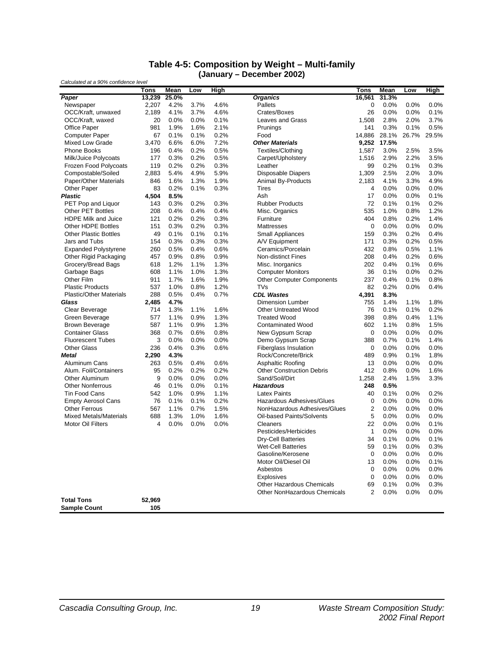#### **Table 4-5: Composition by Weight – Multi-family (January – December 2002)**

| Calculated at a 90% confidence level    |                       |               |              |      |                                   |                |               |       |       |
|-----------------------------------------|-----------------------|---------------|--------------|------|-----------------------------------|----------------|---------------|-------|-------|
| Paper                                   | <b>Tons</b><br>13,239 | Mean<br>25.0% | Low          | High | <b>Organics</b>                   | <b>Tons</b>    | Mean<br>31.3% | Low   | High  |
|                                         | 2,207                 | 4.2%          | 3.7%         | 4.6% | Pallets                           | 16,561<br>0    | 0.0%          | 0.0%  | 0.0%  |
| Newspaper<br>OCC/Kraft, unwaxed         | 2,189                 | 4.1%          | 3.7%         | 4.6% | Crates/Boxes                      | 26             | 0.0%          | 0.0%  | 0.1%  |
| OCC/Kraft, waxed                        | 20                    | 0.0%          | 0.0%         | 0.1% | <b>Leaves and Grass</b>           | 1.508          | 2.8%          | 2.0%  | 3.7%  |
| Office Paper                            | 981                   | 1.9%          | 1.6%         | 2.1% | Prunings                          | 141            | 0.3%          | 0.1%  | 0.5%  |
| <b>Computer Paper</b>                   | 67                    | 0.1%          | 0.1%         | 0.2% | Food                              | 14,886         | 28.1%         | 26.7% | 29.5% |
| <b>Mixed Low Grade</b>                  | 3,470                 | 6.6%          | 6.0%         | 7.2% | <b>Other Materials</b>            | 9,252          | 17.5%         |       |       |
| <b>Phone Books</b>                      | 196                   | 0.4%          | 0.2%         | 0.5% | Textiles/Clothing                 | 1,587          | 3.0%          | 2.5%  | 3.5%  |
| Milk/Juice Polycoats                    | 177                   | 0.3%          | 0.2%         | 0.5% | Carpet/Upholstery                 | 1,516          | 2.9%          | 2.2%  | 3.5%  |
| Frozen Food Polycoats                   | 119                   | 0.2%          | 0.2%         | 0.3% | Leather                           | 99             | 0.2%          | 0.1%  | 0.3%  |
| Compostable/Soiled                      | 2.883                 | 5.4%          | 4.9%         | 5.9% | <b>Disposable Diapers</b>         | 1,309          | 2.5%          | 2.0%  | 3.0%  |
| Paper/Other Materials                   | 846                   | 1.6%          | 1.3%         | 1.9% | <b>Animal By-Products</b>         | 2,183          | 4.1%          | 3.3%  | 4.9%  |
| <b>Other Paper</b>                      | 83                    | 0.2%          | 0.1%         | 0.3% | <b>Tires</b>                      | $\overline{4}$ | 0.0%          | 0.0%  | 0.0%  |
| <b>Plastic</b>                          | 4,504                 | 8.5%          |              |      | Ash                               | 17             | 0.0%          | 0.0%  | 0.1%  |
|                                         | 143                   | 0.3%          |              | 0.3% | <b>Rubber Products</b>            | 72             | 0.1%          | 0.1%  | 0.2%  |
| PET Pop and Liquor<br>Other PET Bottles | 208                   | 0.4%          | 0.2%<br>0.4% | 0.4% |                                   | 535            | 1.0%          | 0.8%  | 1.2%  |
| <b>HDPE Milk and Juice</b>              | 121                   | 0.2%          | 0.2%         | 0.3% | Misc. Organics<br>Furniture       | 404            | 0.8%          | 0.2%  | 1.4%  |
| Other HDPE Bottles                      | 151                   | 0.3%          | 0.2%         | 0.3% | Mattresses                        | $\pmb{0}$      | 0.0%          | 0.0%  | 0.0%  |
| <b>Other Plastic Bottles</b>            | 49                    | 0.1%          | 0.1%         | 0.1% |                                   | 159            | 0.3%          | 0.2%  | 0.4%  |
| Jars and Tubs                           | 154                   | 0.3%          | 0.3%         | 0.3% | Small Appliances<br>A/V Equipment | 171            | 0.3%          | 0.2%  | 0.5%  |
| <b>Expanded Polystyrene</b>             | 260                   | 0.5%          | 0.4%         | 0.6% | Ceramics/Porcelain                | 432            | 0.8%          | 0.5%  | 1.1%  |
| Other Rigid Packaging                   | 457                   | 0.9%          | 0.8%         | 0.9% | <b>Non-distinct Fines</b>         | 208            | 0.4%          | 0.2%  | 0.6%  |
| Grocery/Bread Bags                      | 618                   | 1.2%          | 1.1%         | 1.3% | Misc. Inorganics                  | 202            | 0.4%          | 0.1%  | 0.6%  |
| Garbage Bags                            | 608                   | 1.1%          | 1.0%         | 1.3% | <b>Computer Monitors</b>          | 36             | 0.1%          | 0.0%  | 0.2%  |
| Other Film                              | 911                   | 1.7%          | 1.6%         | 1.9% | <b>Other Computer Components</b>  | 237            | 0.4%          | 0.1%  | 0.8%  |
| <b>Plastic Products</b>                 | 537                   | 1.0%          | 0.8%         | 1.2% | TVs                               | 82             | 0.2%          | 0.0%  | 0.4%  |
|                                         | 288                   | 0.5%          | 0.4%         | 0.7% | <b>CDL Wastes</b>                 | 4,391          | 8.3%          |       |       |
| Plastic/Other Materials<br>Glass        | 2,485                 | 4.7%          |              |      | <b>Dimension Lumber</b>           | 755            | 1.4%          | 1.1%  | 1.8%  |
| Clear Beverage                          | 714                   | 1.3%          | 1.1%         | 1.6% | <b>Other Untreated Wood</b>       | 76             | 0.1%          | 0.1%  | 0.2%  |
| Green Beverage                          | 577                   | 1.1%          | 0.9%         | 1.3% | <b>Treated Wood</b>               | 398            | 0.8%          | 0.4%  | 1.1%  |
| <b>Brown Beverage</b>                   | 587                   | 1.1%          | 0.9%         | 1.3% | <b>Contaminated Wood</b>          | 602            | 1.1%          | 0.8%  | 1.5%  |
| <b>Container Glass</b>                  | 368                   | 0.7%          | 0.6%         | 0.8% | New Gypsum Scrap                  | $\Omega$       | 0.0%          | 0.0%  | 0.0%  |
| <b>Fluorescent Tubes</b>                | 3                     | 0.0%          | 0.0%         | 0.0% | Demo Gypsum Scrap                 | 388            | 0.7%          | 0.1%  | 1.4%  |
| <b>Other Glass</b>                      | 236                   | 0.4%          | 0.3%         | 0.6% | <b>Fiberglass Insulation</b>      | $\mathbf 0$    | 0.0%          | 0.0%  | 0.0%  |
| <b>Metal</b>                            | 2,290                 | 4.3%          |              |      | Rock/Concrete/Brick               | 489            | 0.9%          | 0.1%  | 1.8%  |
| Aluminum Cans                           | 263                   | 0.5%          | 0.4%         | 0.6% | Asphaltic Roofing                 | 13             | 0.0%          | 0.0%  | 0.0%  |
| Alum. Foil/Containers                   | 95                    | 0.2%          | 0.2%         | 0.2% | <b>Other Construction Debris</b>  | 412            | 0.8%          | 0.0%  | 1.6%  |
| Other Aluminum                          | 9                     | 0.0%          | 0.0%         | 0.0% | Sand/Soil/Dirt                    | 1,258          | 2.4%          | 1.5%  | 3.3%  |
| <b>Other Nonferrous</b>                 | 46                    | 0.1%          | 0.0%         | 0.1% | <b>Hazardous</b>                  | 248            | 0.5%          |       |       |
| <b>Tin Food Cans</b>                    | 542                   | 1.0%          | 0.9%         | 1.1% | <b>Latex Paints</b>               | 40             | 0.1%          | 0.0%  | 0.2%  |
| <b>Empty Aerosol Cans</b>               | 76                    | 0.1%          | 0.1%         | 0.2% | Hazardous Adhesives/Glues         | $\mathbf 0$    | 0.0%          | 0.0%  | 0.0%  |
| <b>Other Ferrous</b>                    | 567                   | 1.1%          | 0.7%         | 1.5% | NonHazardous Adhesives/Glues      | 2              | 0.0%          | 0.0%  | 0.0%  |
| <b>Mixed Metals/Materials</b>           | 688                   | 1.3%          | 1.0%         | 1.6% | Oil-based Paints/Solvents         | 5              | 0.0%          | 0.0%  | 0.0%  |
| <b>Motor Oil Filters</b>                | 4                     | 0.0%          | 0.0%         | 0.0% | Cleaners                          | 22             | 0.0%          | 0.0%  | 0.1%  |
|                                         |                       |               |              |      | Pesticides/Herbicides             | $\mathbf{1}$   | 0.0%          | 0.0%  | 0.0%  |
|                                         |                       |               |              |      | <b>Dry-Cell Batteries</b>         | 34             | 0.1%          | 0.0%  | 0.1%  |
|                                         |                       |               |              |      | <b>Wet-Cell Batteries</b>         | 59             | 0.1%          | 0.0%  | 0.3%  |
|                                         |                       |               |              |      | Gasoline/Kerosene                 | $\mathbf 0$    | 0.0%          | 0.0%  | 0.0%  |
|                                         |                       |               |              |      | Motor Oil/Diesel Oil              | 13             | 0.0%          | 0.0%  | 0.1%  |
|                                         |                       |               |              |      | Asbestos                          | $\mathbf 0$    | 0.0%          | 0.0%  | 0.0%  |
|                                         |                       |               |              |      | <b>Explosives</b>                 | $\mathbf 0$    | 0.0%          | 0.0%  | 0.0%  |
|                                         |                       |               |              |      | Other Hazardous Chemicals         | 69             | 0.1%          | 0.0%  | 0.3%  |
|                                         |                       |               |              |      | Other NonHazardous Chemicals      | $\overline{2}$ | 0.0%          | 0.0%  | 0.0%  |
| <b>Total Tons</b>                       | 52.969                |               |              |      |                                   |                |               |       |       |
| <b>Sample Count</b>                     | 105                   |               |              |      |                                   |                |               |       |       |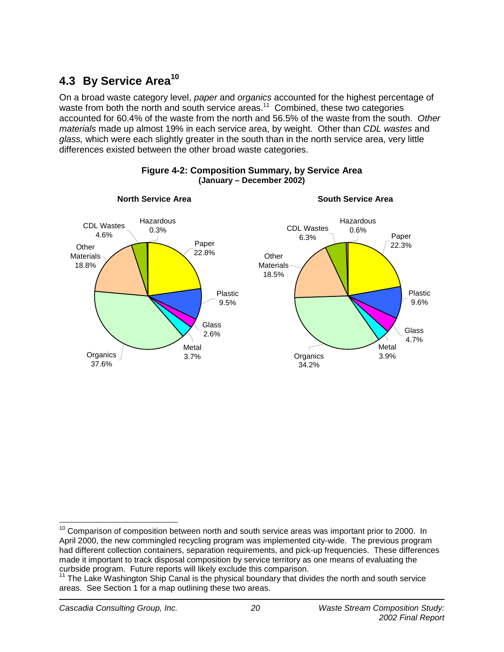# **4.3 By Service Area<sup>10</sup>**

On a broad waste category level, *paper* and *organics* accounted for the highest percentage of waste from both the north and south service areas.<sup>11</sup> Combined, these two categories accounted for 60.4% of the waste from the north and 56.5% of the waste from the south. *Other materials* made up almost 19% in each service area, by weight. Other than *CDL wastes* and *glass,* which were each slightly greater in the south than in the north service area, very little differences existed between the other broad waste categories.



### **Figure 4-2: Composition Summary, by Service Area (January – December 2002)**

j  $10$  Comparison of composition between north and south service areas was important prior to 2000. In April 2000, the new commingled recycling program was implemented city-wide. The previous program had different collection containers, separation requirements, and pick-up frequencies. These differences made it important to track disposal composition by service territory as one means of evaluating the curbside program. Future reports will likely exclude this comparison.

 $11$  The Lake Washington Ship Canal is the physical boundary that divides the north and south service areas. See Section 1 for a map outlining these two areas.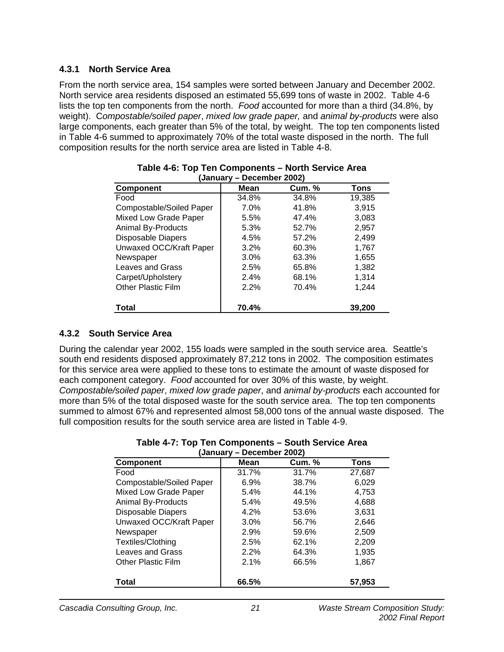### **4.3.1 North Service Area**

From the north service area, 154 samples were sorted between January and December 2002. North service area residents disposed an estimated 55,699 tons of waste in 2002. Table 4-6 lists the top ten components from the north. *Food* accounted for more than a third (34.8%, by weight). C*ompostable/soiled paper*, *mixed low grade paper,* and *animal by-products* were also large components, each greater than 5% of the total, by weight. The top ten components listed in Table 4-6 summed to approximately 70% of the total waste disposed in the north. The full composition results for the north service area are listed in Table 4-8.

| vunuur y                  | PUUUIINUI LUULI |               |        |
|---------------------------|-----------------|---------------|--------|
| <b>Component</b>          | Mean            | <b>Cum.</b> % | Tons   |
| Food                      | 34.8%           | 34.8%         | 19,385 |
| Compostable/Soiled Paper  | 7.0%            | 41.8%         | 3,915  |
| Mixed Low Grade Paper     | 5.5%            | 47.4%         | 3,083  |
| <b>Animal By-Products</b> | 5.3%            | 52.7%         | 2,957  |
| <b>Disposable Diapers</b> | 4.5%            | 57.2%         | 2,499  |
| Unwaxed OCC/Kraft Paper   | 3.2%            | 60.3%         | 1,767  |
| Newspaper                 | 3.0%            | 63.3%         | 1,655  |
| Leaves and Grass          | 2.5%            | 65.8%         | 1,382  |
| Carpet/Upholstery         | 2.4%            | 68.1%         | 1,314  |
| <b>Other Plastic Film</b> | 2.2%            | 70.4%         | 1,244  |
| <b>Total</b>              | 70.4%           |               | 39,200 |

#### **Table 4-6: Top Ten Components – North Service Area (January – December 2002)**

### **4.3.2 South Service Area**

During the calendar year 2002, 155 loads were sampled in the south service area. Seattle's south end residents disposed approximately 87,212 tons in 2002. The composition estimates for this service area were applied to these tons to estimate the amount of waste disposed for each component category. *Food* accounted for over 30% of this waste, by weight. *Compostable/soiled paper*, *mixed low grade paper*, and *animal by-products* each accounted for more than 5% of the total disposed waste for the south service area. The top ten components summed to almost 67% and represented almost 58,000 tons of the annual waste disposed. The full composition results for the south service area are listed in Table 4-9.

|                           | Table 4-7: Top Ten Components – South Service Area |
|---------------------------|----------------------------------------------------|
| (January – December 2002) |                                                    |

| January – Deceniber Zuuz) |       |               |        |  |  |  |  |  |  |
|---------------------------|-------|---------------|--------|--|--|--|--|--|--|
| <b>Component</b>          | Mean  | <b>Cum. %</b> | Tons   |  |  |  |  |  |  |
| Food                      | 31.7% | 31.7%         | 27,687 |  |  |  |  |  |  |
| Compostable/Soiled Paper  | 6.9%  | 38.7%         | 6,029  |  |  |  |  |  |  |
| Mixed Low Grade Paper     | 5.4%  | 44.1%         | 4,753  |  |  |  |  |  |  |
| <b>Animal By-Products</b> | 5.4%  | 49.5%         | 4,688  |  |  |  |  |  |  |
| <b>Disposable Diapers</b> | 4.2%  | 53.6%         | 3,631  |  |  |  |  |  |  |
| Unwaxed OCC/Kraft Paper   | 3.0%  | 56.7%         | 2,646  |  |  |  |  |  |  |
| Newspaper                 | 2.9%  | 59.6%         | 2,509  |  |  |  |  |  |  |
| Textiles/Clothing         | 2.5%  | 62.1%         | 2,209  |  |  |  |  |  |  |
| Leaves and Grass          | 2.2%  | 64.3%         | 1,935  |  |  |  |  |  |  |
| <b>Other Plastic Film</b> | 2.1%  | 66.5%         | 1,867  |  |  |  |  |  |  |
| <b>Total</b>              | 66.5% |               | 57,953 |  |  |  |  |  |  |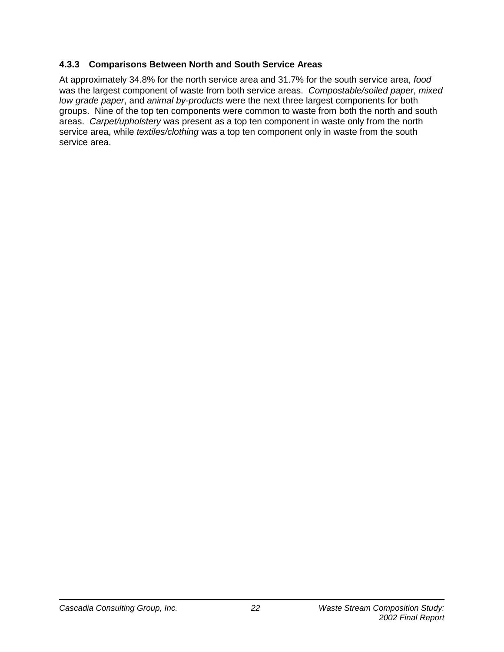### **4.3.3 Comparisons Between North and South Service Areas**

At approximately 34.8% for the north service area and 31.7% for the south service area, *food* was the largest component of waste from both service areas. *Compostable/soiled paper*, *mixed low grade paper*, and *animal by-products* were the next three largest components for both groups. Nine of the top ten components were common to waste from both the north and south areas. *Carpet/upholstery* was present as a top ten component in waste only from the north service area, while *textiles/clothing* was a top ten component only in waste from the south service area.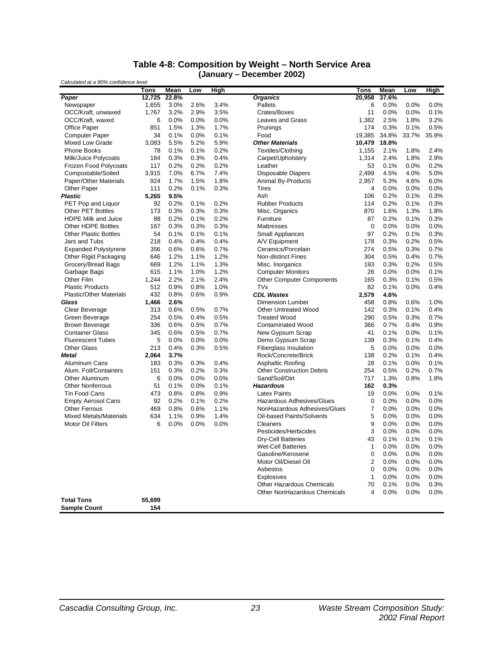#### **Table 4-8: Composition by Weight – North Service Area (January – December 2002)**

| Calculated at a 90% confidence level |        |       | PVVVIIIVVI EVVEJ |             |                                  |             |       |         |             |
|--------------------------------------|--------|-------|------------------|-------------|----------------------------------|-------------|-------|---------|-------------|
|                                      | Tons   | Mean  | Low              | <b>High</b> |                                  | <b>Tons</b> | Mean  | Low     | <b>High</b> |
| Paper                                | 12,725 | 22.8% |                  |             | <b>Organics</b>                  | 20,958      | 37.6% |         |             |
| Newspaper                            | 1,655  | 3.0%  | 2.6%             | 3.4%        | Pallets                          | 6           | 0.0%  | 0.0%    | 0.0%        |
| OCC/Kraft, unwaxed                   | 1,767  | 3.2%  | 2.9%             | 3.5%        | Crates/Boxes                     | 11          | 0.0%  | 0.0%    | 0.1%        |
| OCC/Kraft, waxed                     | 6      | 0.0%  | 0.0%             | 0.0%        | <b>Leaves and Grass</b>          | 1,382       | 2.5%  | 1.8%    | 3.2%        |
| Office Paper                         | 851    | 1.5%  | 1.3%             | 1.7%        | Prunings                         | 174         | 0.3%  | 0.1%    | 0.5%        |
| <b>Computer Paper</b>                | 34     | 0.1%  | 0.0%             | 0.1%        | Food                             | 19,385      | 34.8% | 33.7%   | 35.9%       |
| Mixed Low Grade                      | 3,083  | 5.5%  | 5.2%             | 5.9%        | Other Materials                  | 10,479      | 18.8% |         |             |
| <b>Phone Books</b>                   | 78     | 0.1%  | 0.1%             | 0.2%        | Textiles/Clothing                | 1,155       | 2.1%  | 1.8%    | 2.4%        |
| Milk/Juice Polycoats                 | 184    | 0.3%  | 0.3%             | 0.4%        | Carpet/Upholstery                | 1.314       | 2.4%  | 1.8%    | 2.9%        |
| Frozen Food Polycoats                | 117    | 0.2%  | 0.2%             | 0.2%        | Leather                          | 53          | 0.1%  | 0.0%    | 0.2%        |
| Compostable/Soiled                   | 3,915  | 7.0%  | 6.7%             | 7.4%        | <b>Disposable Diapers</b>        | 2,499       | 4.5%  | 4.0%    | 5.0%        |
| Paper/Other Materials                | 924    | 1.7%  | 1.5%             | 1.8%        | <b>Animal By-Products</b>        | 2,957       | 5.3%  | 4.6%    | 6.0%        |
| Other Paper                          | 111    | 0.2%  | 0.1%             | 0.3%        | Tires                            | 4           | 0.0%  | 0.0%    | 0.0%        |
| Plastic                              | 5,265  | 9.5%  |                  |             | Ash                              | 106         | 0.2%  | 0.1%    | 0.3%        |
| PET Pop and Liquor                   | 92     | 0.2%  | 0.1%             | 0.2%        | <b>Rubber Products</b>           | 114         | 0.2%  | 0.1%    | 0.3%        |
| <b>Other PET Bottles</b>             | 173    | 0.3%  | 0.3%             | 0.3%        | Misc. Organics                   | 870         | 1.6%  | 1.3%    | 1.8%        |
| <b>HDPE Milk and Juice</b>           | 88     | 0.2%  | 0.1%             | 0.2%        | Furniture                        | 87          | 0.2%  | 0.1%    | 0.3%        |
| <b>Other HDPE Bottles</b>            | 167    | 0.3%  | 0.3%             | 0.3%        | <b>Mattresses</b>                | 0           | 0.0%  | 0.0%    | 0.0%        |
| <b>Other Plastic Bottles</b>         | 54     | 0.1%  | 0.1%             | 0.1%        | Small Appliances                 | 97          | 0.2%  | 0.1%    | 0.3%        |
| Jars and Tubs                        | 218    | 0.4%  | 0.4%             | 0.4%        | A/V Equipment                    | 178         | 0.3%  | 0.2%    | 0.5%        |
| <b>Expanded Polystyrene</b>          | 356    | 0.6%  | 0.6%             | 0.7%        | Ceramics/Porcelain               | 274         | 0.5%  | 0.3%    | 0.7%        |
| Other Rigid Packaging                | 646    | 1.2%  | 1.1%             | 1.2%        | <b>Non-distinct Fines</b>        | 304         | 0.5%  | 0.4%    | 0.7%        |
| Grocery/Bread Bags                   | 669    | 1.2%  | 1.1%             | 1.3%        | Misc. Inorganics                 | 193         | 0.3%  | 0.2%    | 0.5%        |
| Garbage Bags                         | 615    | 1.1%  | 1.0%             | 1.2%        | <b>Computer Monitors</b>         | 26          | 0.0%  | 0.0%    | 0.1%        |
| Other Film                           | 1,244  | 2.2%  | 2.1%             | 2.4%        | <b>Other Computer Components</b> | 165         | 0.3%  | 0.1%    | 0.5%        |
| <b>Plastic Products</b>              | 512    | 0.9%  | 0.8%             | 1.0%        | <b>TVs</b>                       | 82          | 0.1%  | 0.0%    | 0.4%        |
| <b>Plastic/Other Materials</b>       | 432    | 0.8%  | 0.6%             | 0.9%        | <b>CDL Wastes</b>                | 2,579       | 4.6%  |         |             |
| Glass                                | 1,466  | 2.6%  |                  |             | <b>Dimension Lumber</b>          | 458         | 0.8%  | 0.6%    | 1.0%        |
| Clear Beverage                       | 313    | 0.6%  | 0.5%             | 0.7%        | <b>Other Untreated Wood</b>      | 142         | 0.3%  | 0.1%    | 0.4%        |
| Green Beverage                       | 254    | 0.5%  | 0.4%             | 0.5%        | <b>Treated Wood</b>              | 290         | 0.5%  | 0.3%    | 0.7%        |
| <b>Brown Beverage</b>                | 336    | 0.6%  | 0.5%             | 0.7%        | <b>Contaminated Wood</b>         | 366         | 0.7%  | 0.4%    | 0.9%        |
| <b>Container Glass</b>               | 345    | 0.6%  | 0.5%             | 0.7%        | New Gypsum Scrap                 | 41          | 0.1%  | 0.0%    | 0.1%        |
| <b>Fluorescent Tubes</b>             | 5      | 0.0%  | 0.0%             | 0.0%        | Demo Gypsum Scrap                | 139         | 0.3%  | 0.1%    | 0.4%        |
| <b>Other Glass</b>                   | 213    | 0.4%  | 0.3%             | 0.5%        | <b>Fiberglass Insulation</b>     | 5           | 0.0%  | 0.0%    | 0.0%        |
| <b>Metal</b>                         | 2,064  | 3.7%  |                  |             | Rock/Concrete/Brick              | 138         | 0.2%  | 0.1%    | 0.4%        |
| Aluminum Cans                        | 183    | 0.3%  | 0.3%             | 0.4%        | Asphaltic Roofing                | 28          | 0.1%  | 0.0%    | 0.1%        |
| Alum. Foil/Containers                | 151    | 0.3%  | 0.2%             | 0.3%        | <b>Other Construction Debris</b> | 254         | 0.5%  | 0.2%    | 0.7%        |
| Other Aluminum                       | 6      | 0.0%  | 0.0%             | 0.0%        | Sand/Soil/Dirt                   | 717         | 1.3%  | 0.8%    | 1.8%        |
| <b>Other Nonferrous</b>              | 51     | 0.1%  | 0.0%             | 0.1%        | <b>Hazardous</b>                 | 162         | 0.3%  |         |             |
| <b>Tin Food Cans</b>                 | 473    | 0.8%  | 0.8%             | 0.9%        | <b>Latex Paints</b>              | 19          | 0.0%  | 0.0%    | 0.1%        |
| <b>Empty Aerosol Cans</b>            | 92     | 0.2%  | 0.1%             | 0.2%        | Hazardous Adhesives/Glues        | 0           | 0.0%  | $0.0\%$ | 0.0%        |
| <b>Other Ferrous</b>                 | 469    | 0.8%  | 0.6%             | 1.1%        | NonHazardous Adhesives/Glues     | 7           | 0.0%  | 0.0%    | 0.0%        |
| <b>Mixed Metals/Materials</b>        | 634    | 1.1%  | 0.9%             | 1.4%        | Oil-based Paints/Solvents        | 5           | 0.0%  | 0.0%    | 0.0%        |
| <b>Motor Oil Filters</b>             | 6      | 0.0%  | 0.0%             | 0.0%        | Cleaners                         | 9           | 0.0%  | 0.0%    | 0.0%        |
|                                      |        |       |                  |             | Pesticides/Herbicides            | 3           | 0.0%  | 0.0%    | 0.0%        |
|                                      |        |       |                  |             | Dry-Cell Batteries               | 43          | 0.1%  | 0.1%    | 0.1%        |
|                                      |        |       |                  |             | <b>Wet-Cell Batteries</b>        | 1           | 0.0%  | 0.0%    | 0.0%        |
|                                      |        |       |                  |             | Gasoline/Kerosene                | 0           | 0.0%  | 0.0%    | $0.0\%$     |
|                                      |        |       |                  |             | Motor Oil/Diesel Oil             | 2           | 0.0%  | 0.0%    | 0.0%        |
|                                      |        |       |                  |             | Asbestos                         | 0           | 0.0%  | 0.0%    | 0.0%        |
|                                      |        |       |                  |             | <b>Explosives</b>                | 1           | 0.0%  | 0.0%    | 0.0%        |
|                                      |        |       |                  |             | <b>Other Hazardous Chemicals</b> | 70          | 0.1%  | 0.0%    | 0.3%        |
|                                      |        |       |                  |             | Other NonHazardous Chemicals     | 4           | 0.0%  | 0.0%    | 0.0%        |
| <b>Total Tons</b>                    | 55,699 |       |                  |             |                                  |             |       |         |             |
| <b>Sample Count</b>                  | 154    |       |                  |             |                                  |             |       |         |             |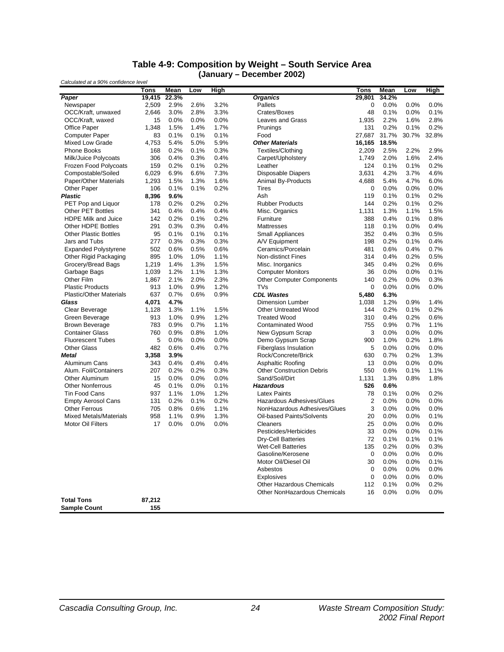#### **Table 4-9: Composition by Weight – South Service Area (January – December 2002)**

| laannaa y<br>Calculated at a 90% confidence level |        |       | DUUUTINUI LUULJ |      |                                     |                |       |         |             |
|---------------------------------------------------|--------|-------|-----------------|------|-------------------------------------|----------------|-------|---------|-------------|
|                                                   | Tons   | Mean  | Low             | High |                                     | <b>Tons</b>    | Mean  | Low     | <b>High</b> |
| Paper                                             | 19,415 | 22.3% |                 |      | <b>Organics</b>                     | 29,801         | 34.2% |         |             |
| Newspaper                                         | 2,509  | 2.9%  | 2.6%            | 3.2% | Pallets                             | 0              | 0.0%  | 0.0%    | 0.0%        |
| OCC/Kraft, unwaxed                                | 2,646  | 3.0%  | 2.8%            | 3.3% | Crates/Boxes                        | 48             | 0.1%  | 0.0%    | 0.1%        |
| OCC/Kraft, waxed                                  | 15     | 0.0%  | 0.0%            | 0.0% | <b>Leaves and Grass</b>             | 1,935          | 2.2%  | 1.6%    | 2.8%        |
| <b>Office Paper</b>                               | 1,348  | 1.5%  | 1.4%            | 1.7% | Prunings                            | 131            | 0.2%  | 0.1%    | 0.2%        |
| <b>Computer Paper</b>                             | 83     | 0.1%  | 0.1%            | 0.1% | Food                                | 27,687         | 31.7% | 30.7%   | 32.8%       |
| Mixed Low Grade                                   | 4,753  | 5.4%  | 5.0%            | 5.9% | <b>Other Materials</b>              | 16,165         | 18.5% |         |             |
| <b>Phone Books</b>                                | 168    | 0.2%  | 0.1%            | 0.3% | Textiles/Clothing                   | 2,209          | 2.5%  | 2.2%    | 2.9%        |
| Milk/Juice Polycoats                              | 306    | 0.4%  | 0.3%            | 0.4% | Carpet/Upholstery                   | 1,749          | 2.0%  | 1.6%    | 2.4%        |
| Frozen Food Polycoats                             | 159    | 0.2%  | 0.1%            | 0.2% | Leather                             | 124            | 0.1%  | 0.1%    | 0.2%        |
| Compostable/Soiled                                | 6,029  | 6.9%  | 6.6%            | 7.3% | <b>Disposable Diapers</b>           | 3,631          | 4.2%  | 3.7%    | 4.6%        |
| Paper/Other Materials                             | 1,293  | 1.5%  | 1.3%            | 1.6% | Animal By-Products                  | 4,688          | 5.4%  | 4.7%    | 6.0%        |
| Other Paper                                       | 106    | 0.1%  | 0.1%            | 0.2% | Tires                               | 0              | 0.0%  | $0.0\%$ | 0.0%        |
| <b>Plastic</b>                                    | 8,396  | 9.6%  |                 |      | Ash                                 | 119            | 0.1%  | 0.1%    | 0.2%        |
| PET Pop and Liquor                                | 178    | 0.2%  | 0.2%            | 0.2% | <b>Rubber Products</b>              | 144            | 0.2%  | 0.1%    | 0.2%        |
| <b>Other PET Bottles</b>                          | 341    | 0.4%  | 0.4%            | 0.4% | Misc. Organics                      | 1,131          | 1.3%  | 1.1%    | 1.5%        |
| <b>HDPE Milk and Juice</b>                        | 142    | 0.2%  | 0.1%            | 0.2% | Furniture                           | 388            | 0.4%  | 0.1%    | 0.8%        |
| <b>Other HDPE Bottles</b>                         | 291    | 0.3%  | 0.3%            | 0.4% | Mattresses                          | 118            | 0.1%  | 0.0%    | 0.4%        |
| <b>Other Plastic Bottles</b>                      | 95     | 0.1%  | 0.1%            | 0.1% | <b>Small Appliances</b>             | 352            | 0.4%  | 0.3%    | 0.5%        |
| Jars and Tubs                                     | 277    | 0.3%  | 0.3%            | 0.3% | A/V Equipment                       | 198            | 0.2%  | 0.1%    | 0.4%        |
| <b>Expanded Polystyrene</b>                       | 502    | 0.6%  | 0.5%            | 0.6% | Ceramics/Porcelain                  | 481            | 0.6%  | 0.4%    | 0.7%        |
| Other Rigid Packaging                             | 895    | 1.0%  | 1.0%            | 1.1% | <b>Non-distinct Fines</b>           | 314            | 0.4%  | 0.2%    | 0.5%        |
| Grocery/Bread Bags                                | 1,219  | 1.4%  | 1.3%            | 1.5% | Misc. Inorganics                    | 345            | 0.4%  | 0.2%    | 0.6%        |
| Garbage Bags                                      | 1,039  | 1.2%  | 1.1%            | 1.3% | <b>Computer Monitors</b>            | 36             | 0.0%  | 0.0%    | 0.1%        |
| Other Film                                        | 1,867  | 2.1%  | 2.0%            | 2.3% | <b>Other Computer Components</b>    | 140            | 0.2%  | 0.0%    | 0.3%        |
| <b>Plastic Products</b>                           | 913    | 1.0%  | 0.9%            | 1.2% | TVs                                 | 0              | 0.0%  | 0.0%    | 0.0%        |
| <b>Plastic/Other Materials</b>                    | 637    | 0.7%  | 0.6%            | 0.9% | <b>CDL Wastes</b>                   | 5,480          | 6.3%  |         |             |
| Glass                                             | 4,071  | 4.7%  |                 |      | Dimension Lumber                    | 1,038          | 1.2%  | 0.9%    | 1.4%        |
| Clear Beverage                                    | 1,128  | 1.3%  | 1.1%            | 1.5% | <b>Other Untreated Wood</b>         | 144            | 0.2%  | 0.1%    | 0.2%        |
| Green Beverage                                    | 913    | 1.0%  | 0.9%            | 1.2% | <b>Treated Wood</b>                 | 310            | 0.4%  | 0.2%    | 0.6%        |
| <b>Brown Beverage</b>                             | 783    | 0.9%  | 0.7%            | 1.1% | <b>Contaminated Wood</b>            | 755            | 0.9%  | 0.7%    | 1.1%        |
| <b>Container Glass</b>                            | 760    | 0.9%  | 0.8%            | 1.0% | New Gypsum Scrap                    | 3              | 0.0%  | 0.0%    | 0.0%        |
| <b>Fluorescent Tubes</b>                          | 5      | 0.0%  | 0.0%            | 0.0% | Demo Gypsum Scrap                   | 900            | 1.0%  | 0.2%    | 1.8%        |
| <b>Other Glass</b>                                | 482    | 0.6%  | 0.4%            | 0.7% | <b>Fiberglass Insulation</b>        | 5              | 0.0%  | 0.0%    | 0.0%        |
| <b>Metal</b>                                      | 3,358  | 3.9%  |                 |      | Rock/Concrete/Brick                 | 630            | 0.7%  | 0.2%    | 1.3%        |
| Aluminum Cans                                     | 343    | 0.4%  | 0.4%            | 0.4% | Asphaltic Roofing                   | 13             | 0.0%  | 0.0%    | 0.0%        |
| Alum. Foil/Containers                             | 207    | 0.2%  | 0.2%            | 0.3% | <b>Other Construction Debris</b>    | 550            | 0.6%  | 0.1%    | 1.1%        |
| Other Aluminum                                    | 15     | 0.0%  | 0.0%            | 0.0% | Sand/Soil/Dirt                      | 1,131          | 1.3%  | 0.8%    | 1.8%        |
| <b>Other Nonferrous</b>                           | 45     | 0.1%  | 0.0%            | 0.1% | <b>Hazardous</b>                    | 526            | 0.6%  |         |             |
| <b>Tin Food Cans</b>                              | 937    | 1.1%  | 1.0%            | 1.2% | <b>Latex Paints</b>                 | 78             | 0.1%  | 0.0%    | 0.2%        |
| <b>Empty Aerosol Cans</b>                         | 131    | 0.2%  | 0.1%            | 0.2% | Hazardous Adhesives/Glues           | $\overline{2}$ | 0.0%  | 0.0%    | 0.0%        |
| <b>Other Ferrous</b>                              | 705    | 0.8%  | 0.6%            | 1.1% | NonHazardous Adhesives/Glues        | 3              | 0.0%  | 0.0%    | 0.0%        |
| <b>Mixed Metals/Materials</b>                     | 958    | 1.1%  | 0.9%            | 1.3% | Oil-based Paints/Solvents           | 20             | 0.0%  | 0.0%    | 0.1%        |
| <b>Motor Oil Filters</b>                          | 17     | 0.0%  | 0.0%            | 0.0% | Cleaners                            | 25             | 0.0%  | 0.0%    | 0.0%        |
|                                                   |        |       |                 |      | Pesticides/Herbicides               | 33             | 0.0%  | 0.0%    | 0.1%        |
|                                                   |        |       |                 |      | <b>Dry-Cell Batteries</b>           | 72             | 0.1%  | 0.1%    | 0.1%        |
|                                                   |        |       |                 |      | Wet-Cell Batteries                  | 135            | 0.2%  | 0.0%    | 0.3%        |
|                                                   |        |       |                 |      | Gasoline/Kerosene                   | 0              | 0.0%  | 0.0%    | 0.0%        |
|                                                   |        |       |                 |      | Motor Oil/Diesel Oil                | 30             | 0.0%  | 0.0%    | 0.1%        |
|                                                   |        |       |                 |      | Asbestos                            | 0              | 0.0%  | 0.0%    | 0.0%        |
|                                                   |        |       |                 |      | <b>Explosives</b>                   | 0              | 0.0%  | 0.0%    | 0.0%        |
|                                                   |        |       |                 |      | <b>Other Hazardous Chemicals</b>    | 112            | 0.1%  | 0.0%    | 0.2%        |
|                                                   |        |       |                 |      | <b>Other NonHazardous Chemicals</b> | 16             | 0.0%  | 0.0%    | 0.0%        |
| <b>Total Tons</b>                                 | 87,212 |       |                 |      |                                     |                |       |         |             |
| <b>Sample Count</b>                               | 155    |       |                 |      |                                     |                |       |         |             |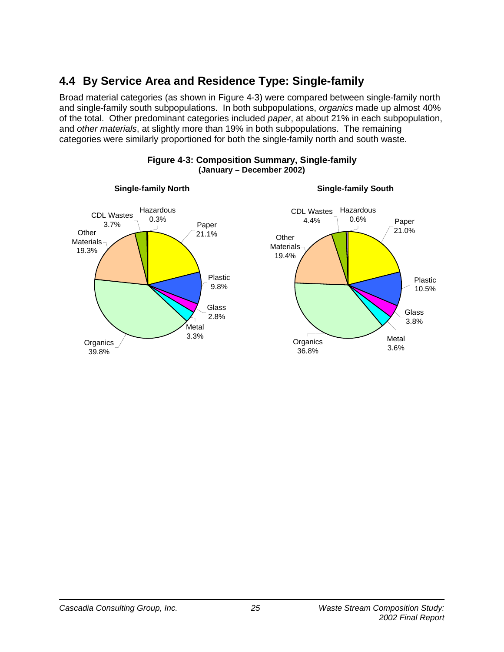# **4.4 By Service Area and Residence Type: Single-family**

Broad material categories (as shown in Figure 4-3) were compared between single-family north and single-family south subpopulations. In both subpopulations, *organics* made up almost 40% of the total. Other predominant categories included *paper*, at about 21% in each subpopulation, and *other materials*, at slightly more than 19% in both subpopulations. The remaining categories were similarly proportioned for both the single-family north and south waste.



#### **Figure 4-3: Composition Summary, Single-family (January – December 2002)**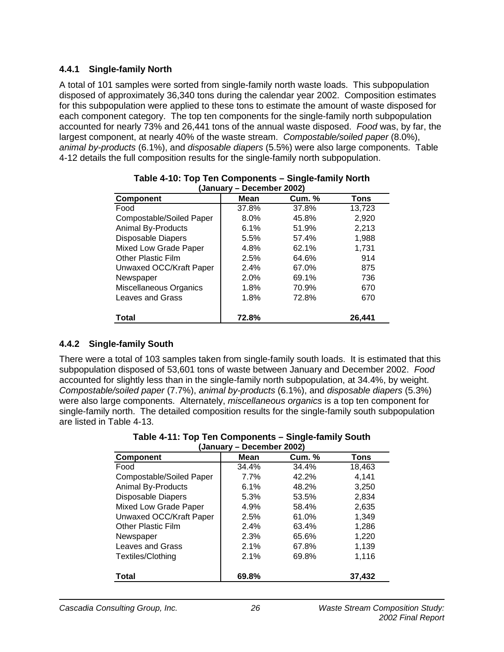### **4.4.1 Single-family North**

A total of 101 samples were sorted from single-family north waste loads. This subpopulation disposed of approximately 36,340 tons during the calendar year 2002. Composition estimates for this subpopulation were applied to these tons to estimate the amount of waste disposed for each component category. The top ten components for the single-family north subpopulation accounted for nearly 73% and 26,441 tons of the annual waste disposed. *Food* was, by far, the largest component, at nearly 40% of the waste stream. *Compostable/soiled paper* (8.0%), *animal by-products* (6.1%), and *disposable diapers* (5.5%) were also large components. Table 4-12 details the full composition results for the single-family north subpopulation.

| (January – December 2002) |             |               |        |  |  |  |  |  |  |
|---------------------------|-------------|---------------|--------|--|--|--|--|--|--|
| <b>Component</b>          | <b>Mean</b> | <b>Cum. %</b> | Tons   |  |  |  |  |  |  |
| Food                      | 37.8%       | 37.8%         | 13,723 |  |  |  |  |  |  |
| Compostable/Soiled Paper  | 8.0%        | 45.8%         | 2,920  |  |  |  |  |  |  |
| <b>Animal By-Products</b> | 6.1%        | 51.9%         | 2,213  |  |  |  |  |  |  |
| <b>Disposable Diapers</b> | 5.5%        | 57.4%         | 1,988  |  |  |  |  |  |  |
| Mixed Low Grade Paper     | 4.8%        | 62.1%         | 1,731  |  |  |  |  |  |  |
| <b>Other Plastic Film</b> | 2.5%        | 64.6%         | 914    |  |  |  |  |  |  |
| Unwaxed OCC/Kraft Paper   | 2.4%        | 67.0%         | 875    |  |  |  |  |  |  |
| Newspaper                 | 2.0%        | 69.1%         | 736    |  |  |  |  |  |  |
| Miscellaneous Organics    | 1.8%        | 70.9%         | 670    |  |  |  |  |  |  |
| Leaves and Grass          | 1.8%        | 72.8%         | 670    |  |  |  |  |  |  |
| Total                     | 72.8%       |               | 26,441 |  |  |  |  |  |  |

|  |                           | Table 4-10: Top Ten Components – Single-family North |  |
|--|---------------------------|------------------------------------------------------|--|
|  | (January – December 2002) |                                                      |  |

### **4.4.2 Single-family South**

There were a total of 103 samples taken from single-family south loads. It is estimated that this subpopulation disposed of 53,601 tons of waste between January and December 2002. *Food* accounted for slightly less than in the single-family north subpopulation, at 34.4%, by weight. *Compostable/soiled paper* (7.7%), *animal by-products* (6.1%), and *disposable diapers* (5.3%) were also large components. Alternately, *miscellaneous organics* is a top ten component for single-family north. The detailed composition results for the single-family south subpopulation are listed in Table 4-13.

**Table 4-11: Top Ten Components – Single-family South (January – December 2002)** 

| January,<br>DECEITING LAUVE |             |               |        |  |  |  |  |
|-----------------------------|-------------|---------------|--------|--|--|--|--|
| <b>Component</b>            | <b>Mean</b> | <b>Cum.</b> % | Tons   |  |  |  |  |
| Food                        | 34.4%       | 34.4%         | 18,463 |  |  |  |  |
| Compostable/Soiled Paper    | 7.7%        | 42.2%         | 4,141  |  |  |  |  |
| <b>Animal By-Products</b>   | 6.1%        | 48.2%         | 3,250  |  |  |  |  |
| Disposable Diapers          | 5.3%        | 53.5%         | 2,834  |  |  |  |  |
| Mixed Low Grade Paper       | 4.9%        | 58.4%         | 2,635  |  |  |  |  |
| Unwaxed OCC/Kraft Paper     | 2.5%        | 61.0%         | 1,349  |  |  |  |  |
| <b>Other Plastic Film</b>   | 2.4%        | 63.4%         | 1,286  |  |  |  |  |
| Newspaper                   | 2.3%        | 65.6%         | 1,220  |  |  |  |  |
| Leaves and Grass            | 2.1%        | 67.8%         | 1,139  |  |  |  |  |
| Textiles/Clothing           | 2.1%        | 69.8%         | 1,116  |  |  |  |  |
| Total                       | 69.8%       |               | 37.432 |  |  |  |  |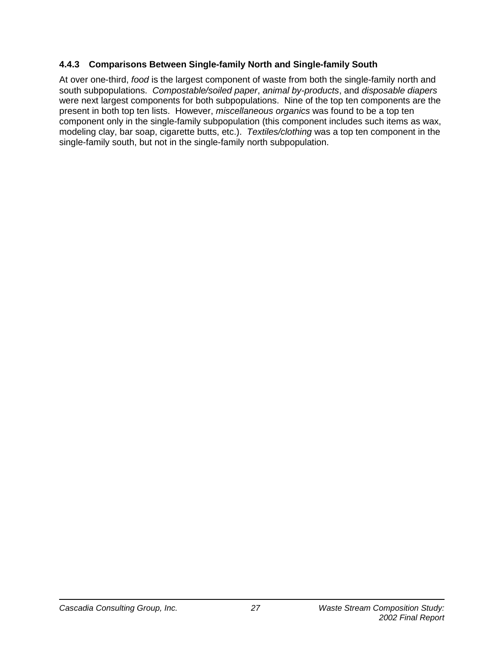### **4.4.3 Comparisons Between Single-family North and Single-family South**

At over one-third, *food* is the largest component of waste from both the single-family north and south subpopulations. *Compostable/soiled paper*, *animal by-products*, and *disposable diapers* were next largest components for both subpopulations. Nine of the top ten components are the present in both top ten lists. However, *miscellaneous organics* was found to be a top ten component only in the single-family subpopulation (this component includes such items as wax, modeling clay, bar soap, cigarette butts, etc.). *Textiles/clothing* was a top ten component in the single-family south, but not in the single-family north subpopulation.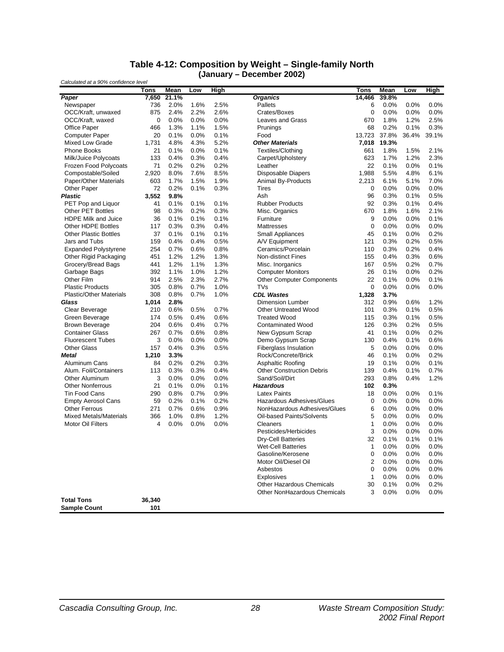#### **Table 4-12: Composition by Weight – Single-family North (January – December 2002)**

| Calculated at a 90% confidence level |             |       |      |             | PVVVIIINVI EVVE <i> </i>         |              |       |         |             |
|--------------------------------------|-------------|-------|------|-------------|----------------------------------|--------------|-------|---------|-------------|
|                                      | <b>Tons</b> | Mean  | Low  | <b>High</b> |                                  | Tons         | Mean  | Low     | <b>High</b> |
| Paper                                | 7,650       | 21.1% |      |             | <b>Organics</b>                  | 14,466       | 39.8% |         |             |
| Newspaper                            | 736         | 2.0%  | 1.6% | 2.5%        | Pallets                          | 6            | 0.0%  | 0.0%    | 0.0%        |
| OCC/Kraft, unwaxed                   | 875         | 2.4%  | 2.2% | 2.6%        | Crates/Boxes                     | 0            | 0.0%  | 0.0%    | 0.0%        |
| OCC/Kraft, waxed                     | 0           | 0.0%  | 0.0% | 0.0%        | <b>Leaves and Grass</b>          | 670          | 1.8%  | 1.2%    | 2.5%        |
| <b>Office Paper</b>                  | 466         | 1.3%  | 1.1% | 1.5%        | Prunings                         | 68           | 0.2%  | 0.1%    | 0.3%        |
| <b>Computer Paper</b>                | 20          | 0.1%  | 0.0% | 0.1%        | Food                             | 13,723       | 37.8% | 36.4%   | 39.1%       |
| Mixed Low Grade                      | 1,731       | 4.8%  | 4.3% | 5.2%        | <b>Other Materials</b>           | 7,018        | 19.3% |         |             |
| <b>Phone Books</b>                   | 21          | 0.1%  | 0.0% | 0.1%        | Textiles/Clothing                | 661          | 1.8%  | 1.5%    | 2.1%        |
| Milk/Juice Polycoats                 | 133         | 0.4%  | 0.3% | 0.4%        | Carpet/Upholstery                | 623          | 1.7%  | 1.2%    | 2.3%        |
| Frozen Food Polycoats                | 71          | 0.2%  | 0.2% | 0.2%        | Leather                          | 22           | 0.1%  | 0.0%    | 0.1%        |
| Compostable/Soiled                   | 2,920       | 8.0%  | 7.6% | 8.5%        | Disposable Diapers               | 1,988        | 5.5%  | 4.8%    | 6.1%        |
| Paper/Other Materials                | 603         | 1.7%  | 1.5% | 1.9%        | Animal By-Products               | 2,213        | 6.1%  | 5.1%    | 7.0%        |
| Other Paper                          | 72          | 0.2%  | 0.1% | 0.3%        | Tires                            | 0            | 0.0%  | 0.0%    | 0.0%        |
| Plastic                              | 3,552       | 9.8%  |      |             | Ash                              | 96           | 0.3%  | 0.1%    | 0.5%        |
| PET Pop and Liquor                   | 41          | 0.1%  | 0.1% | 0.1%        | <b>Rubber Products</b>           | 92           | 0.3%  | 0.1%    | 0.4%        |
| <b>Other PET Bottles</b>             | 98          | 0.3%  | 0.2% | 0.3%        | Misc. Organics                   | 670          | 1.8%  | 1.6%    | 2.1%        |
| <b>HDPE Milk and Juice</b>           | 36          | 0.1%  | 0.1% | 0.1%        | Furniture                        | 9            | 0.0%  | 0.0%    | 0.1%        |
| Other HDPE Bottles                   | 117         | 0.3%  | 0.3% | 0.4%        | Mattresses                       | 0            | 0.0%  | 0.0%    | 0.0%        |
| <b>Other Plastic Bottles</b>         | 37          | 0.1%  | 0.1% | 0.1%        | Small Appliances                 | 45           | 0.1%  | 0.0%    | 0.2%        |
| Jars and Tubs                        | 159         | 0.4%  | 0.4% | 0.5%        | A/V Equipment                    | 121          | 0.3%  | 0.2%    | 0.5%        |
| <b>Expanded Polystyrene</b>          | 254         | 0.7%  | 0.6% | 0.8%        | Ceramics/Porcelain               | 110          | 0.3%  | 0.2%    | 0.4%        |
| Other Rigid Packaging                | 451         | 1.2%  | 1.2% | 1.3%        | <b>Non-distinct Fines</b>        | 155          | 0.4%  | 0.3%    | 0.6%        |
| Grocery/Bread Bags                   | 441         | 1.2%  | 1.1% | 1.3%        | Misc. Inorganics                 | 167          | 0.5%  | 0.2%    | 0.7%        |
| Garbage Bags                         | 392         | 1.1%  | 1.0% | 1.2%        | <b>Computer Monitors</b>         | 26           | 0.1%  | 0.0%    | 0.2%        |
| Other Film                           | 914         | 2.5%  | 2.3% | 2.7%        | <b>Other Computer Components</b> | 22           | 0.1%  | 0.0%    | 0.1%        |
| <b>Plastic Products</b>              | 305         | 0.8%  | 0.7% | 1.0%        | <b>TVs</b>                       | 0            | 0.0%  | 0.0%    | 0.0%        |
| <b>Plastic/Other Materials</b>       | 308         | 0.8%  | 0.7% | 1.0%        | <b>CDL Wastes</b>                | 1,328        | 3.7%  |         |             |
| Glass                                | 1,014       | 2.8%  |      |             | <b>Dimension Lumber</b>          | 312          | 0.9%  | 0.6%    | 1.2%        |
| Clear Beverage                       | 210         | 0.6%  | 0.5% | 0.7%        | <b>Other Untreated Wood</b>      | 101          | 0.3%  | 0.1%    | 0.5%        |
| Green Beverage                       | 174         | 0.5%  | 0.4% | 0.6%        | <b>Treated Wood</b>              | 115          | 0.3%  | 0.1%    | 0.5%        |
| <b>Brown Beverage</b>                | 204         | 0.6%  | 0.4% | 0.7%        | <b>Contaminated Wood</b>         | 126          | 0.3%  | 0.2%    | 0.5%        |
| <b>Container Glass</b>               | 267         | 0.7%  | 0.6% | 0.8%        | New Gypsum Scrap                 | 41           | 0.1%  | 0.0%    | 0.2%        |
| <b>Fluorescent Tubes</b>             | 3           | 0.0%  | 0.0% | 0.0%        | Demo Gypsum Scrap                | 130          | 0.4%  | 0.1%    | 0.6%        |
| <b>Other Glass</b>                   | 157         | 0.4%  | 0.3% | 0.5%        | <b>Fiberglass Insulation</b>     | 5            | 0.0%  | 0.0%    | 0.0%        |
| <b>Metal</b>                         | 1,210       | 3.3%  |      |             | Rock/Concrete/Brick              | 46           | 0.1%  | 0.0%    | 0.2%        |
| Aluminum Cans                        | 84          | 0.2%  | 0.2% | 0.3%        | Asphaltic Roofing                | 19           | 0.1%  | 0.0%    | 0.1%        |
| Alum. Foil/Containers                | 113         | 0.3%  | 0.3% | 0.4%        | <b>Other Construction Debris</b> | 139          | 0.4%  | 0.1%    | 0.7%        |
| Other Aluminum                       | 3           | 0.0%  | 0.0% | 0.0%        | Sand/Soil/Dirt                   | 293          | 0.8%  | 0.4%    | 1.2%        |
| <b>Other Nonferrous</b>              | 21          | 0.1%  | 0.0% | 0.1%        | <b>Hazardous</b>                 | 102          | 0.3%  |         |             |
| <b>Tin Food Cans</b>                 | 290         | 0.8%  | 0.7% | 0.9%        | <b>Latex Paints</b>              | 18           | 0.0%  | $0.0\%$ | 0.1%        |
| <b>Empty Aerosol Cans</b>            | 59          | 0.2%  | 0.1% | 0.2%        | Hazardous Adhesives/Glues        | 0            | 0.0%  | 0.0%    | 0.0%        |
| <b>Other Ferrous</b>                 | 271         | 0.7%  | 0.6% | 0.9%        | NonHazardous Adhesives/Glues     | 6            | 0.0%  | 0.0%    | 0.0%        |
| <b>Mixed Metals/Materials</b>        | 366         | 1.0%  | 0.8% | 1.2%        | Oil-based Paints/Solvents        | 5            | 0.0%  | 0.0%    | 0.0%        |
| <b>Motor Oil Filters</b>             | 4           | 0.0%  | 0.0% | 0.0%        | Cleaners                         | 1            | 0.0%  | 0.0%    | 0.0%        |
|                                      |             |       |      |             | Pesticides/Herbicides            | 3            | 0.0%  | 0.0%    | 0.0%        |
|                                      |             |       |      |             | Dry-Cell Batteries               | 32           | 0.1%  | 0.1%    | 0.1%        |
|                                      |             |       |      |             | Wet-Cell Batteries               | 1            | 0.0%  | 0.0%    | 0.0%        |
|                                      |             |       |      |             | Gasoline/Kerosene                | 0            | 0.0%  | 0.0%    | $0.0\%$     |
|                                      |             |       |      |             | Motor Oil/Diesel Oil             | 2            | 0.0%  | 0.0%    | 0.0%        |
|                                      |             |       |      |             | Asbestos                         | 0            | 0.0%  | 0.0%    | 0.0%        |
|                                      |             |       |      |             | Explosives                       | $\mathbf{1}$ | 0.0%  | 0.0%    | 0.0%        |
|                                      |             |       |      |             | <b>Other Hazardous Chemicals</b> | 30           | 0.1%  | 0.0%    | 0.2%        |
|                                      |             |       |      |             | Other NonHazardous Chemicals     | 3            | 0.0%  | 0.0%    | 0.0%        |
| <b>Total Tons</b>                    | 36,340      |       |      |             |                                  |              |       |         |             |
| <b>Sample Count</b>                  | 101         |       |      |             |                                  |              |       |         |             |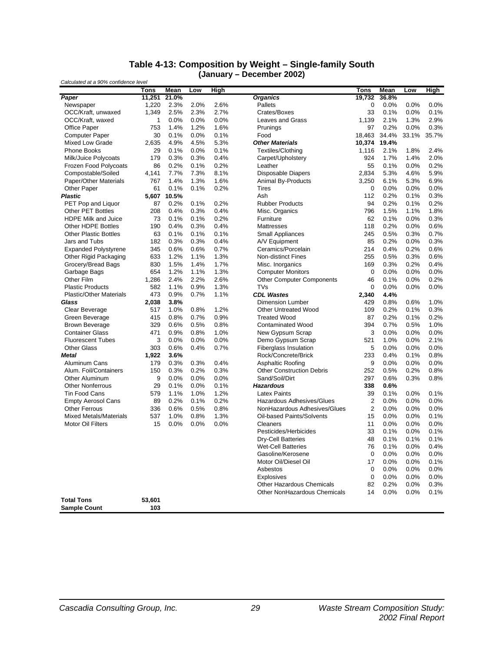#### **Table 4-13: Composition by Weight – Single-family South (January – December 2002)**

| Tons<br>Mean<br>High<br>Tons<br>Mean<br>High<br>Low<br>Low<br>21.0%<br><b>Organics</b><br>36.8%<br>Paper<br>11.251<br>19,732<br>1,220<br>2.3%<br>2.0%<br>2.6%<br>Pallets<br>0<br>0.0%<br>0.0%<br>0.0%<br>Newspaper<br>2.5%<br>2.3%<br>2.7%<br>Crates/Boxes<br>33<br>0.1%<br>OCC/Kraft, unwaxed<br>1,349<br>0.1%<br>0.0%<br>2.9%<br>OCC/Kraft, waxed<br>1<br>0.0%<br>0.0%<br>0.0%<br>Leaves and Grass<br>1,139<br>2.1%<br>1.3%<br>1.4%<br>0.2%<br>0.3%<br><b>Office Paper</b><br>753<br>1.2%<br>1.6%<br>97<br>0.0%<br>Prunings<br>0.1%<br>0.0%<br>0.1%<br>18,463<br>34.4%<br>35.7%<br>30<br>Food<br>33.1%<br><b>Computer Paper</b><br>4.5%<br>5.3%<br>19.4%<br><b>Mixed Low Grade</b><br>2,635<br>4.9%<br><b>Other Materials</b><br>10,374<br><b>Phone Books</b><br>0.1%<br>0.0%<br>0.1%<br>Textiles/Clothing<br>2.1%<br>1.8%<br>2.4%<br>29<br>1,116<br>2.0%<br>Milk/Juice Polycoats<br>179<br>0.3%<br>0.3%<br>0.4%<br>Carpet/Upholstery<br>924<br>1.7%<br>1.4%<br>0.2%<br>0.2%<br>Frozen Food Polycoats<br>86<br>0.2%<br>0.1%<br>Leather<br>55<br>0.1%<br>0.0%<br>5.9%<br>Compostable/Soiled<br>7.7%<br>7.3%<br>8.1%<br><b>Disposable Diapers</b><br>2,834<br>5.3%<br>4.6%<br>4,141<br>1.4%<br>6.9%<br>Paper/Other Materials<br>767<br>1.3%<br>1.6%<br><b>Animal By-Products</b><br>3,250<br>6.1%<br>5.3%<br>0.0%<br><b>Other Paper</b><br>61<br>0.1%<br>0.1%<br>0.2%<br>Tires<br>0<br>0.0%<br>0.0%<br>10.5%<br>0.2%<br>0.3%<br><b>Plastic</b><br>5,607<br>Ash<br>112<br>0.1%<br>94<br>0.2%<br>0.2%<br>PET Pop and Liquor<br>87<br>0.2%<br>0.1%<br>0.2%<br><b>Rubber Products</b><br>0.1%<br>1.8%<br><b>Other PET Bottles</b><br>208<br>0.4%<br>0.3%<br>0.4%<br>Misc. Organics<br>796<br>1.5%<br>1.1%<br>0.1%<br>0.2%<br>62<br>0.3%<br><b>HDPE Milk and Juice</b><br>73<br>0.1%<br>Furniture<br>0.1%<br>0.0%<br>0.4%<br>0.2%<br>0.6%<br><b>Other HDPE Bottles</b><br>190<br>0.3%<br>0.4%<br>118<br>0.0%<br><b>Mattresses</b><br>63<br>0.1%<br>0.7%<br><b>Other Plastic Bottles</b><br>0.1%<br>0.1%<br><b>Small Appliances</b><br>245<br>0.5%<br>0.3%<br>0.3%<br>182<br>0.3%<br>0.3%<br>0.4%<br>85<br>0.2%<br>0.0%<br>Jars and Tubs<br>A/V Equipment<br>0.6%<br><b>Expanded Polystyrene</b><br>345<br>0.6%<br>0.6%<br>0.7%<br>Ceramics/Porcelain<br>214<br>0.4%<br>0.2%<br>Other Rigid Packaging<br>633<br>1.2%<br>1.1%<br>1.3%<br><b>Non-distinct Fines</b><br>255<br>0.5%<br>0.3%<br>0.6%<br>Grocery/Bread Bags<br>830<br>1.5%<br>1.4%<br>1.7%<br>Misc. Inorganics<br>169<br>0.3%<br>0.2%<br>0.4%<br>1.2%<br>1.3%<br>0.0%<br>Garbage Bags<br>654<br>1.1%<br><b>Computer Monitors</b><br>0<br>0.0%<br>0.0%<br>Other Film<br>2.4%<br>2.2%<br>2.6%<br>46<br>0.2%<br>1,286<br><b>Other Computer Components</b><br>0.1%<br>0.0%<br>582<br>1.3%<br><b>TVs</b><br>0<br>0.0%<br><b>Plastic Products</b><br>1.1%<br>0.9%<br>0.0%<br>0.0%<br>473<br>0.7%<br>1.1%<br><b>CDL Wastes</b><br><b>Plastic/Other Materials</b><br>0.9%<br>2,340<br>4.4%<br><b>Dimension Lumber</b><br>429<br>0.8%<br>1.0%<br>Glass<br>2,038<br>3.8%<br>0.6%<br>0.3%<br>Clear Beverage<br>517<br>1.0%<br>0.8%<br>1.2%<br><b>Other Untreated Wood</b><br>109<br>0.2%<br>0.1%<br>0.9%<br>0.2%<br>0.2%<br>Green Beverage<br>415<br>0.8%<br>0.7%<br><b>Treated Wood</b><br>87<br>0.1%<br>394<br>1.0%<br><b>Brown Beverage</b><br>329<br>0.6%<br>0.5%<br>0.8%<br><b>Contaminated Wood</b><br>0.7%<br>0.5%<br>0.8%<br>1.0%<br>3<br>0.0%<br><b>Container Glass</b><br>471<br>0.9%<br>New Gypsum Scrap<br>0.0%<br>0.0%<br>3<br>0.0%<br>2.1%<br>0.0%<br>0.0%<br>Demo Gypsum Scrap<br>521<br>1.0%<br>0.0%<br><b>Fluorescent Tubes</b><br>0.4%<br>5<br>0.0%<br><b>Other Glass</b><br>303<br>0.6%<br>0.7%<br>Fiberglass Insulation<br>0.0%<br>0.0%<br>Rock/Concrete/Brick<br>233<br>0.4%<br>0.1%<br>0.8%<br><b>Metal</b><br>1,922<br>3.6%<br>0.0%<br>Aluminum Cans<br>0.3%<br>0.3%<br>0.4%<br>Asphaltic Roofing<br>9<br>0.0%<br>0.0%<br>179<br>0.8%<br>Alum. Foil/Containers<br>150<br>0.3%<br>0.2%<br>0.3%<br><b>Other Construction Debris</b><br>252<br>0.5%<br>0.2%<br>Other Aluminum<br>9<br>0.0%<br>0.0%<br>0.0%<br>Sand/Soil/Dirt<br>297<br>0.6%<br>0.3%<br>0.8%<br>29<br><b>Other Nonferrous</b><br>0.1%<br>0.0%<br>0.1%<br><b>Hazardous</b><br>338<br>0.6%<br>1.2%<br>39<br><b>Tin Food Cans</b><br>579<br>1.1%<br>1.0%<br><b>Latex Paints</b><br>0.1%<br>0.0%<br>0.1%<br>2<br>0.0%<br><b>Empty Aerosol Cans</b><br>89<br>0.2%<br>0.1%<br>0.2%<br>Hazardous Adhesives/Glues<br>0.0%<br>0.0%<br>$\overline{2}$<br>0.0%<br><b>Other Ferrous</b><br>336<br>0.6%<br>0.5%<br>0.8%<br>NonHazardous Adhesives/Glues<br>0.0%<br>0.0%<br>0.1%<br><b>Mixed Metals/Materials</b><br>537<br>1.0%<br>0.8%<br>1.3%<br>Oil-based Paints/Solvents<br>15<br>0.0%<br>0.0%<br>0.0%<br>0.0%<br>0.0%<br><b>Motor Oil Filters</b><br>15<br>0.0%<br>Cleaners<br>11<br>0.0%<br>0.0%<br>0.1%<br>Pesticides/Herbicides<br>33<br>0.1%<br>0.0%<br>48<br>0.1%<br>0.1%<br>0.1%<br><b>Dry-Cell Batteries</b><br><b>Wet-Cell Batteries</b><br>76<br>0.1%<br>$0.0\%$<br>0.4%<br>Gasoline/Kerosene<br>0<br>0.0%<br>0.0%<br>0.0%<br>Motor Oil/Diesel Oil<br>0.0%<br>0.0%<br>0.1%<br>17<br>Asbestos<br>0.0%<br>0.0%<br>0<br>0.0%<br>Explosives<br>0.0%<br>0.0%<br>0.0%<br>0<br>0.2%<br><b>Other Hazardous Chemicals</b><br>82<br>0.0%<br>0.3%<br><b>Other NonHazardous Chemicals</b><br>14<br>0.0%<br>0.0%<br>0.1%<br><b>Total Tons</b><br>53,601<br><b>Sample Count</b><br>103 | Calculated at a 90% confidence level |  |  | (January – Decenner Zuuz) |  |  |
|--------------------------------------------------------------------------------------------------------------------------------------------------------------------------------------------------------------------------------------------------------------------------------------------------------------------------------------------------------------------------------------------------------------------------------------------------------------------------------------------------------------------------------------------------------------------------------------------------------------------------------------------------------------------------------------------------------------------------------------------------------------------------------------------------------------------------------------------------------------------------------------------------------------------------------------------------------------------------------------------------------------------------------------------------------------------------------------------------------------------------------------------------------------------------------------------------------------------------------------------------------------------------------------------------------------------------------------------------------------------------------------------------------------------------------------------------------------------------------------------------------------------------------------------------------------------------------------------------------------------------------------------------------------------------------------------------------------------------------------------------------------------------------------------------------------------------------------------------------------------------------------------------------------------------------------------------------------------------------------------------------------------------------------------------------------------------------------------------------------------------------------------------------------------------------------------------------------------------------------------------------------------------------------------------------------------------------------------------------------------------------------------------------------------------------------------------------------------------------------------------------------------------------------------------------------------------------------------------------------------------------------------------------------------------------------------------------------------------------------------------------------------------------------------------------------------------------------------------------------------------------------------------------------------------------------------------------------------------------------------------------------------------------------------------------------------------------------------------------------------------------------------------------------------------------------------------------------------------------------------------------------------------------------------------------------------------------------------------------------------------------------------------------------------------------------------------------------------------------------------------------------------------------------------------------------------------------------------------------------------------------------------------------------------------------------------------------------------------------------------------------------------------------------------------------------------------------------------------------------------------------------------------------------------------------------------------------------------------------------------------------------------------------------------------------------------------------------------------------------------------------------------------------------------------------------------------------------------------------------------------------------------------------------------------------------------------------------------------------------------------------------------------------------------------------------------------------------------------------------------------------------------------------------------------------------------------------------------------------------------------------------------------------------------------------------------------------------------------------------------------------------------------------------------------------------------------------------------------------------------------------------------------------------------------------------------------------------------------------------------------------------------------------------------------------------------------------------------------------------------------------------------------------------------------------------------------------------------------------------------------------------------------------------------------------------------------------------------------------------------------------------------------------|--------------------------------------|--|--|---------------------------|--|--|
|                                                                                                                                                                                                                                                                                                                                                                                                                                                                                                                                                                                                                                                                                                                                                                                                                                                                                                                                                                                                                                                                                                                                                                                                                                                                                                                                                                                                                                                                                                                                                                                                                                                                                                                                                                                                                                                                                                                                                                                                                                                                                                                                                                                                                                                                                                                                                                                                                                                                                                                                                                                                                                                                                                                                                                                                                                                                                                                                                                                                                                                                                                                                                                                                                                                                                                                                                                                                                                                                                                                                                                                                                                                                                                                                                                                                                                                                                                                                                                                                                                                                                                                                                                                                                                                                                                                                                                                                                                                                                                                                                                                                                                                                                                                                                                                                                                                                                                                                                                                                                                                                                                                                                                                                                                                                                                                                                                                                        |                                      |  |  |                           |  |  |
|                                                                                                                                                                                                                                                                                                                                                                                                                                                                                                                                                                                                                                                                                                                                                                                                                                                                                                                                                                                                                                                                                                                                                                                                                                                                                                                                                                                                                                                                                                                                                                                                                                                                                                                                                                                                                                                                                                                                                                                                                                                                                                                                                                                                                                                                                                                                                                                                                                                                                                                                                                                                                                                                                                                                                                                                                                                                                                                                                                                                                                                                                                                                                                                                                                                                                                                                                                                                                                                                                                                                                                                                                                                                                                                                                                                                                                                                                                                                                                                                                                                                                                                                                                                                                                                                                                                                                                                                                                                                                                                                                                                                                                                                                                                                                                                                                                                                                                                                                                                                                                                                                                                                                                                                                                                                                                                                                                                                        |                                      |  |  |                           |  |  |
|                                                                                                                                                                                                                                                                                                                                                                                                                                                                                                                                                                                                                                                                                                                                                                                                                                                                                                                                                                                                                                                                                                                                                                                                                                                                                                                                                                                                                                                                                                                                                                                                                                                                                                                                                                                                                                                                                                                                                                                                                                                                                                                                                                                                                                                                                                                                                                                                                                                                                                                                                                                                                                                                                                                                                                                                                                                                                                                                                                                                                                                                                                                                                                                                                                                                                                                                                                                                                                                                                                                                                                                                                                                                                                                                                                                                                                                                                                                                                                                                                                                                                                                                                                                                                                                                                                                                                                                                                                                                                                                                                                                                                                                                                                                                                                                                                                                                                                                                                                                                                                                                                                                                                                                                                                                                                                                                                                                                        |                                      |  |  |                           |  |  |
|                                                                                                                                                                                                                                                                                                                                                                                                                                                                                                                                                                                                                                                                                                                                                                                                                                                                                                                                                                                                                                                                                                                                                                                                                                                                                                                                                                                                                                                                                                                                                                                                                                                                                                                                                                                                                                                                                                                                                                                                                                                                                                                                                                                                                                                                                                                                                                                                                                                                                                                                                                                                                                                                                                                                                                                                                                                                                                                                                                                                                                                                                                                                                                                                                                                                                                                                                                                                                                                                                                                                                                                                                                                                                                                                                                                                                                                                                                                                                                                                                                                                                                                                                                                                                                                                                                                                                                                                                                                                                                                                                                                                                                                                                                                                                                                                                                                                                                                                                                                                                                                                                                                                                                                                                                                                                                                                                                                                        |                                      |  |  |                           |  |  |
|                                                                                                                                                                                                                                                                                                                                                                                                                                                                                                                                                                                                                                                                                                                                                                                                                                                                                                                                                                                                                                                                                                                                                                                                                                                                                                                                                                                                                                                                                                                                                                                                                                                                                                                                                                                                                                                                                                                                                                                                                                                                                                                                                                                                                                                                                                                                                                                                                                                                                                                                                                                                                                                                                                                                                                                                                                                                                                                                                                                                                                                                                                                                                                                                                                                                                                                                                                                                                                                                                                                                                                                                                                                                                                                                                                                                                                                                                                                                                                                                                                                                                                                                                                                                                                                                                                                                                                                                                                                                                                                                                                                                                                                                                                                                                                                                                                                                                                                                                                                                                                                                                                                                                                                                                                                                                                                                                                                                        |                                      |  |  |                           |  |  |
|                                                                                                                                                                                                                                                                                                                                                                                                                                                                                                                                                                                                                                                                                                                                                                                                                                                                                                                                                                                                                                                                                                                                                                                                                                                                                                                                                                                                                                                                                                                                                                                                                                                                                                                                                                                                                                                                                                                                                                                                                                                                                                                                                                                                                                                                                                                                                                                                                                                                                                                                                                                                                                                                                                                                                                                                                                                                                                                                                                                                                                                                                                                                                                                                                                                                                                                                                                                                                                                                                                                                                                                                                                                                                                                                                                                                                                                                                                                                                                                                                                                                                                                                                                                                                                                                                                                                                                                                                                                                                                                                                                                                                                                                                                                                                                                                                                                                                                                                                                                                                                                                                                                                                                                                                                                                                                                                                                                                        |                                      |  |  |                           |  |  |
|                                                                                                                                                                                                                                                                                                                                                                                                                                                                                                                                                                                                                                                                                                                                                                                                                                                                                                                                                                                                                                                                                                                                                                                                                                                                                                                                                                                                                                                                                                                                                                                                                                                                                                                                                                                                                                                                                                                                                                                                                                                                                                                                                                                                                                                                                                                                                                                                                                                                                                                                                                                                                                                                                                                                                                                                                                                                                                                                                                                                                                                                                                                                                                                                                                                                                                                                                                                                                                                                                                                                                                                                                                                                                                                                                                                                                                                                                                                                                                                                                                                                                                                                                                                                                                                                                                                                                                                                                                                                                                                                                                                                                                                                                                                                                                                                                                                                                                                                                                                                                                                                                                                                                                                                                                                                                                                                                                                                        |                                      |  |  |                           |  |  |
|                                                                                                                                                                                                                                                                                                                                                                                                                                                                                                                                                                                                                                                                                                                                                                                                                                                                                                                                                                                                                                                                                                                                                                                                                                                                                                                                                                                                                                                                                                                                                                                                                                                                                                                                                                                                                                                                                                                                                                                                                                                                                                                                                                                                                                                                                                                                                                                                                                                                                                                                                                                                                                                                                                                                                                                                                                                                                                                                                                                                                                                                                                                                                                                                                                                                                                                                                                                                                                                                                                                                                                                                                                                                                                                                                                                                                                                                                                                                                                                                                                                                                                                                                                                                                                                                                                                                                                                                                                                                                                                                                                                                                                                                                                                                                                                                                                                                                                                                                                                                                                                                                                                                                                                                                                                                                                                                                                                                        |                                      |  |  |                           |  |  |
|                                                                                                                                                                                                                                                                                                                                                                                                                                                                                                                                                                                                                                                                                                                                                                                                                                                                                                                                                                                                                                                                                                                                                                                                                                                                                                                                                                                                                                                                                                                                                                                                                                                                                                                                                                                                                                                                                                                                                                                                                                                                                                                                                                                                                                                                                                                                                                                                                                                                                                                                                                                                                                                                                                                                                                                                                                                                                                                                                                                                                                                                                                                                                                                                                                                                                                                                                                                                                                                                                                                                                                                                                                                                                                                                                                                                                                                                                                                                                                                                                                                                                                                                                                                                                                                                                                                                                                                                                                                                                                                                                                                                                                                                                                                                                                                                                                                                                                                                                                                                                                                                                                                                                                                                                                                                                                                                                                                                        |                                      |  |  |                           |  |  |
|                                                                                                                                                                                                                                                                                                                                                                                                                                                                                                                                                                                                                                                                                                                                                                                                                                                                                                                                                                                                                                                                                                                                                                                                                                                                                                                                                                                                                                                                                                                                                                                                                                                                                                                                                                                                                                                                                                                                                                                                                                                                                                                                                                                                                                                                                                                                                                                                                                                                                                                                                                                                                                                                                                                                                                                                                                                                                                                                                                                                                                                                                                                                                                                                                                                                                                                                                                                                                                                                                                                                                                                                                                                                                                                                                                                                                                                                                                                                                                                                                                                                                                                                                                                                                                                                                                                                                                                                                                                                                                                                                                                                                                                                                                                                                                                                                                                                                                                                                                                                                                                                                                                                                                                                                                                                                                                                                                                                        |                                      |  |  |                           |  |  |
|                                                                                                                                                                                                                                                                                                                                                                                                                                                                                                                                                                                                                                                                                                                                                                                                                                                                                                                                                                                                                                                                                                                                                                                                                                                                                                                                                                                                                                                                                                                                                                                                                                                                                                                                                                                                                                                                                                                                                                                                                                                                                                                                                                                                                                                                                                                                                                                                                                                                                                                                                                                                                                                                                                                                                                                                                                                                                                                                                                                                                                                                                                                                                                                                                                                                                                                                                                                                                                                                                                                                                                                                                                                                                                                                                                                                                                                                                                                                                                                                                                                                                                                                                                                                                                                                                                                                                                                                                                                                                                                                                                                                                                                                                                                                                                                                                                                                                                                                                                                                                                                                                                                                                                                                                                                                                                                                                                                                        |                                      |  |  |                           |  |  |
|                                                                                                                                                                                                                                                                                                                                                                                                                                                                                                                                                                                                                                                                                                                                                                                                                                                                                                                                                                                                                                                                                                                                                                                                                                                                                                                                                                                                                                                                                                                                                                                                                                                                                                                                                                                                                                                                                                                                                                                                                                                                                                                                                                                                                                                                                                                                                                                                                                                                                                                                                                                                                                                                                                                                                                                                                                                                                                                                                                                                                                                                                                                                                                                                                                                                                                                                                                                                                                                                                                                                                                                                                                                                                                                                                                                                                                                                                                                                                                                                                                                                                                                                                                                                                                                                                                                                                                                                                                                                                                                                                                                                                                                                                                                                                                                                                                                                                                                                                                                                                                                                                                                                                                                                                                                                                                                                                                                                        |                                      |  |  |                           |  |  |
|                                                                                                                                                                                                                                                                                                                                                                                                                                                                                                                                                                                                                                                                                                                                                                                                                                                                                                                                                                                                                                                                                                                                                                                                                                                                                                                                                                                                                                                                                                                                                                                                                                                                                                                                                                                                                                                                                                                                                                                                                                                                                                                                                                                                                                                                                                                                                                                                                                                                                                                                                                                                                                                                                                                                                                                                                                                                                                                                                                                                                                                                                                                                                                                                                                                                                                                                                                                                                                                                                                                                                                                                                                                                                                                                                                                                                                                                                                                                                                                                                                                                                                                                                                                                                                                                                                                                                                                                                                                                                                                                                                                                                                                                                                                                                                                                                                                                                                                                                                                                                                                                                                                                                                                                                                                                                                                                                                                                        |                                      |  |  |                           |  |  |
|                                                                                                                                                                                                                                                                                                                                                                                                                                                                                                                                                                                                                                                                                                                                                                                                                                                                                                                                                                                                                                                                                                                                                                                                                                                                                                                                                                                                                                                                                                                                                                                                                                                                                                                                                                                                                                                                                                                                                                                                                                                                                                                                                                                                                                                                                                                                                                                                                                                                                                                                                                                                                                                                                                                                                                                                                                                                                                                                                                                                                                                                                                                                                                                                                                                                                                                                                                                                                                                                                                                                                                                                                                                                                                                                                                                                                                                                                                                                                                                                                                                                                                                                                                                                                                                                                                                                                                                                                                                                                                                                                                                                                                                                                                                                                                                                                                                                                                                                                                                                                                                                                                                                                                                                                                                                                                                                                                                                        |                                      |  |  |                           |  |  |
|                                                                                                                                                                                                                                                                                                                                                                                                                                                                                                                                                                                                                                                                                                                                                                                                                                                                                                                                                                                                                                                                                                                                                                                                                                                                                                                                                                                                                                                                                                                                                                                                                                                                                                                                                                                                                                                                                                                                                                                                                                                                                                                                                                                                                                                                                                                                                                                                                                                                                                                                                                                                                                                                                                                                                                                                                                                                                                                                                                                                                                                                                                                                                                                                                                                                                                                                                                                                                                                                                                                                                                                                                                                                                                                                                                                                                                                                                                                                                                                                                                                                                                                                                                                                                                                                                                                                                                                                                                                                                                                                                                                                                                                                                                                                                                                                                                                                                                                                                                                                                                                                                                                                                                                                                                                                                                                                                                                                        |                                      |  |  |                           |  |  |
|                                                                                                                                                                                                                                                                                                                                                                                                                                                                                                                                                                                                                                                                                                                                                                                                                                                                                                                                                                                                                                                                                                                                                                                                                                                                                                                                                                                                                                                                                                                                                                                                                                                                                                                                                                                                                                                                                                                                                                                                                                                                                                                                                                                                                                                                                                                                                                                                                                                                                                                                                                                                                                                                                                                                                                                                                                                                                                                                                                                                                                                                                                                                                                                                                                                                                                                                                                                                                                                                                                                                                                                                                                                                                                                                                                                                                                                                                                                                                                                                                                                                                                                                                                                                                                                                                                                                                                                                                                                                                                                                                                                                                                                                                                                                                                                                                                                                                                                                                                                                                                                                                                                                                                                                                                                                                                                                                                                                        |                                      |  |  |                           |  |  |
|                                                                                                                                                                                                                                                                                                                                                                                                                                                                                                                                                                                                                                                                                                                                                                                                                                                                                                                                                                                                                                                                                                                                                                                                                                                                                                                                                                                                                                                                                                                                                                                                                                                                                                                                                                                                                                                                                                                                                                                                                                                                                                                                                                                                                                                                                                                                                                                                                                                                                                                                                                                                                                                                                                                                                                                                                                                                                                                                                                                                                                                                                                                                                                                                                                                                                                                                                                                                                                                                                                                                                                                                                                                                                                                                                                                                                                                                                                                                                                                                                                                                                                                                                                                                                                                                                                                                                                                                                                                                                                                                                                                                                                                                                                                                                                                                                                                                                                                                                                                                                                                                                                                                                                                                                                                                                                                                                                                                        |                                      |  |  |                           |  |  |
|                                                                                                                                                                                                                                                                                                                                                                                                                                                                                                                                                                                                                                                                                                                                                                                                                                                                                                                                                                                                                                                                                                                                                                                                                                                                                                                                                                                                                                                                                                                                                                                                                                                                                                                                                                                                                                                                                                                                                                                                                                                                                                                                                                                                                                                                                                                                                                                                                                                                                                                                                                                                                                                                                                                                                                                                                                                                                                                                                                                                                                                                                                                                                                                                                                                                                                                                                                                                                                                                                                                                                                                                                                                                                                                                                                                                                                                                                                                                                                                                                                                                                                                                                                                                                                                                                                                                                                                                                                                                                                                                                                                                                                                                                                                                                                                                                                                                                                                                                                                                                                                                                                                                                                                                                                                                                                                                                                                                        |                                      |  |  |                           |  |  |
|                                                                                                                                                                                                                                                                                                                                                                                                                                                                                                                                                                                                                                                                                                                                                                                                                                                                                                                                                                                                                                                                                                                                                                                                                                                                                                                                                                                                                                                                                                                                                                                                                                                                                                                                                                                                                                                                                                                                                                                                                                                                                                                                                                                                                                                                                                                                                                                                                                                                                                                                                                                                                                                                                                                                                                                                                                                                                                                                                                                                                                                                                                                                                                                                                                                                                                                                                                                                                                                                                                                                                                                                                                                                                                                                                                                                                                                                                                                                                                                                                                                                                                                                                                                                                                                                                                                                                                                                                                                                                                                                                                                                                                                                                                                                                                                                                                                                                                                                                                                                                                                                                                                                                                                                                                                                                                                                                                                                        |                                      |  |  |                           |  |  |
|                                                                                                                                                                                                                                                                                                                                                                                                                                                                                                                                                                                                                                                                                                                                                                                                                                                                                                                                                                                                                                                                                                                                                                                                                                                                                                                                                                                                                                                                                                                                                                                                                                                                                                                                                                                                                                                                                                                                                                                                                                                                                                                                                                                                                                                                                                                                                                                                                                                                                                                                                                                                                                                                                                                                                                                                                                                                                                                                                                                                                                                                                                                                                                                                                                                                                                                                                                                                                                                                                                                                                                                                                                                                                                                                                                                                                                                                                                                                                                                                                                                                                                                                                                                                                                                                                                                                                                                                                                                                                                                                                                                                                                                                                                                                                                                                                                                                                                                                                                                                                                                                                                                                                                                                                                                                                                                                                                                                        |                                      |  |  |                           |  |  |
|                                                                                                                                                                                                                                                                                                                                                                                                                                                                                                                                                                                                                                                                                                                                                                                                                                                                                                                                                                                                                                                                                                                                                                                                                                                                                                                                                                                                                                                                                                                                                                                                                                                                                                                                                                                                                                                                                                                                                                                                                                                                                                                                                                                                                                                                                                                                                                                                                                                                                                                                                                                                                                                                                                                                                                                                                                                                                                                                                                                                                                                                                                                                                                                                                                                                                                                                                                                                                                                                                                                                                                                                                                                                                                                                                                                                                                                                                                                                                                                                                                                                                                                                                                                                                                                                                                                                                                                                                                                                                                                                                                                                                                                                                                                                                                                                                                                                                                                                                                                                                                                                                                                                                                                                                                                                                                                                                                                                        |                                      |  |  |                           |  |  |
|                                                                                                                                                                                                                                                                                                                                                                                                                                                                                                                                                                                                                                                                                                                                                                                                                                                                                                                                                                                                                                                                                                                                                                                                                                                                                                                                                                                                                                                                                                                                                                                                                                                                                                                                                                                                                                                                                                                                                                                                                                                                                                                                                                                                                                                                                                                                                                                                                                                                                                                                                                                                                                                                                                                                                                                                                                                                                                                                                                                                                                                                                                                                                                                                                                                                                                                                                                                                                                                                                                                                                                                                                                                                                                                                                                                                                                                                                                                                                                                                                                                                                                                                                                                                                                                                                                                                                                                                                                                                                                                                                                                                                                                                                                                                                                                                                                                                                                                                                                                                                                                                                                                                                                                                                                                                                                                                                                                                        |                                      |  |  |                           |  |  |
|                                                                                                                                                                                                                                                                                                                                                                                                                                                                                                                                                                                                                                                                                                                                                                                                                                                                                                                                                                                                                                                                                                                                                                                                                                                                                                                                                                                                                                                                                                                                                                                                                                                                                                                                                                                                                                                                                                                                                                                                                                                                                                                                                                                                                                                                                                                                                                                                                                                                                                                                                                                                                                                                                                                                                                                                                                                                                                                                                                                                                                                                                                                                                                                                                                                                                                                                                                                                                                                                                                                                                                                                                                                                                                                                                                                                                                                                                                                                                                                                                                                                                                                                                                                                                                                                                                                                                                                                                                                                                                                                                                                                                                                                                                                                                                                                                                                                                                                                                                                                                                                                                                                                                                                                                                                                                                                                                                                                        |                                      |  |  |                           |  |  |
|                                                                                                                                                                                                                                                                                                                                                                                                                                                                                                                                                                                                                                                                                                                                                                                                                                                                                                                                                                                                                                                                                                                                                                                                                                                                                                                                                                                                                                                                                                                                                                                                                                                                                                                                                                                                                                                                                                                                                                                                                                                                                                                                                                                                                                                                                                                                                                                                                                                                                                                                                                                                                                                                                                                                                                                                                                                                                                                                                                                                                                                                                                                                                                                                                                                                                                                                                                                                                                                                                                                                                                                                                                                                                                                                                                                                                                                                                                                                                                                                                                                                                                                                                                                                                                                                                                                                                                                                                                                                                                                                                                                                                                                                                                                                                                                                                                                                                                                                                                                                                                                                                                                                                                                                                                                                                                                                                                                                        |                                      |  |  |                           |  |  |
|                                                                                                                                                                                                                                                                                                                                                                                                                                                                                                                                                                                                                                                                                                                                                                                                                                                                                                                                                                                                                                                                                                                                                                                                                                                                                                                                                                                                                                                                                                                                                                                                                                                                                                                                                                                                                                                                                                                                                                                                                                                                                                                                                                                                                                                                                                                                                                                                                                                                                                                                                                                                                                                                                                                                                                                                                                                                                                                                                                                                                                                                                                                                                                                                                                                                                                                                                                                                                                                                                                                                                                                                                                                                                                                                                                                                                                                                                                                                                                                                                                                                                                                                                                                                                                                                                                                                                                                                                                                                                                                                                                                                                                                                                                                                                                                                                                                                                                                                                                                                                                                                                                                                                                                                                                                                                                                                                                                                        |                                      |  |  |                           |  |  |
|                                                                                                                                                                                                                                                                                                                                                                                                                                                                                                                                                                                                                                                                                                                                                                                                                                                                                                                                                                                                                                                                                                                                                                                                                                                                                                                                                                                                                                                                                                                                                                                                                                                                                                                                                                                                                                                                                                                                                                                                                                                                                                                                                                                                                                                                                                                                                                                                                                                                                                                                                                                                                                                                                                                                                                                                                                                                                                                                                                                                                                                                                                                                                                                                                                                                                                                                                                                                                                                                                                                                                                                                                                                                                                                                                                                                                                                                                                                                                                                                                                                                                                                                                                                                                                                                                                                                                                                                                                                                                                                                                                                                                                                                                                                                                                                                                                                                                                                                                                                                                                                                                                                                                                                                                                                                                                                                                                                                        |                                      |  |  |                           |  |  |
|                                                                                                                                                                                                                                                                                                                                                                                                                                                                                                                                                                                                                                                                                                                                                                                                                                                                                                                                                                                                                                                                                                                                                                                                                                                                                                                                                                                                                                                                                                                                                                                                                                                                                                                                                                                                                                                                                                                                                                                                                                                                                                                                                                                                                                                                                                                                                                                                                                                                                                                                                                                                                                                                                                                                                                                                                                                                                                                                                                                                                                                                                                                                                                                                                                                                                                                                                                                                                                                                                                                                                                                                                                                                                                                                                                                                                                                                                                                                                                                                                                                                                                                                                                                                                                                                                                                                                                                                                                                                                                                                                                                                                                                                                                                                                                                                                                                                                                                                                                                                                                                                                                                                                                                                                                                                                                                                                                                                        |                                      |  |  |                           |  |  |
|                                                                                                                                                                                                                                                                                                                                                                                                                                                                                                                                                                                                                                                                                                                                                                                                                                                                                                                                                                                                                                                                                                                                                                                                                                                                                                                                                                                                                                                                                                                                                                                                                                                                                                                                                                                                                                                                                                                                                                                                                                                                                                                                                                                                                                                                                                                                                                                                                                                                                                                                                                                                                                                                                                                                                                                                                                                                                                                                                                                                                                                                                                                                                                                                                                                                                                                                                                                                                                                                                                                                                                                                                                                                                                                                                                                                                                                                                                                                                                                                                                                                                                                                                                                                                                                                                                                                                                                                                                                                                                                                                                                                                                                                                                                                                                                                                                                                                                                                                                                                                                                                                                                                                                                                                                                                                                                                                                                                        |                                      |  |  |                           |  |  |
|                                                                                                                                                                                                                                                                                                                                                                                                                                                                                                                                                                                                                                                                                                                                                                                                                                                                                                                                                                                                                                                                                                                                                                                                                                                                                                                                                                                                                                                                                                                                                                                                                                                                                                                                                                                                                                                                                                                                                                                                                                                                                                                                                                                                                                                                                                                                                                                                                                                                                                                                                                                                                                                                                                                                                                                                                                                                                                                                                                                                                                                                                                                                                                                                                                                                                                                                                                                                                                                                                                                                                                                                                                                                                                                                                                                                                                                                                                                                                                                                                                                                                                                                                                                                                                                                                                                                                                                                                                                                                                                                                                                                                                                                                                                                                                                                                                                                                                                                                                                                                                                                                                                                                                                                                                                                                                                                                                                                        |                                      |  |  |                           |  |  |
|                                                                                                                                                                                                                                                                                                                                                                                                                                                                                                                                                                                                                                                                                                                                                                                                                                                                                                                                                                                                                                                                                                                                                                                                                                                                                                                                                                                                                                                                                                                                                                                                                                                                                                                                                                                                                                                                                                                                                                                                                                                                                                                                                                                                                                                                                                                                                                                                                                                                                                                                                                                                                                                                                                                                                                                                                                                                                                                                                                                                                                                                                                                                                                                                                                                                                                                                                                                                                                                                                                                                                                                                                                                                                                                                                                                                                                                                                                                                                                                                                                                                                                                                                                                                                                                                                                                                                                                                                                                                                                                                                                                                                                                                                                                                                                                                                                                                                                                                                                                                                                                                                                                                                                                                                                                                                                                                                                                                        |                                      |  |  |                           |  |  |
|                                                                                                                                                                                                                                                                                                                                                                                                                                                                                                                                                                                                                                                                                                                                                                                                                                                                                                                                                                                                                                                                                                                                                                                                                                                                                                                                                                                                                                                                                                                                                                                                                                                                                                                                                                                                                                                                                                                                                                                                                                                                                                                                                                                                                                                                                                                                                                                                                                                                                                                                                                                                                                                                                                                                                                                                                                                                                                                                                                                                                                                                                                                                                                                                                                                                                                                                                                                                                                                                                                                                                                                                                                                                                                                                                                                                                                                                                                                                                                                                                                                                                                                                                                                                                                                                                                                                                                                                                                                                                                                                                                                                                                                                                                                                                                                                                                                                                                                                                                                                                                                                                                                                                                                                                                                                                                                                                                                                        |                                      |  |  |                           |  |  |
|                                                                                                                                                                                                                                                                                                                                                                                                                                                                                                                                                                                                                                                                                                                                                                                                                                                                                                                                                                                                                                                                                                                                                                                                                                                                                                                                                                                                                                                                                                                                                                                                                                                                                                                                                                                                                                                                                                                                                                                                                                                                                                                                                                                                                                                                                                                                                                                                                                                                                                                                                                                                                                                                                                                                                                                                                                                                                                                                                                                                                                                                                                                                                                                                                                                                                                                                                                                                                                                                                                                                                                                                                                                                                                                                                                                                                                                                                                                                                                                                                                                                                                                                                                                                                                                                                                                                                                                                                                                                                                                                                                                                                                                                                                                                                                                                                                                                                                                                                                                                                                                                                                                                                                                                                                                                                                                                                                                                        |                                      |  |  |                           |  |  |
|                                                                                                                                                                                                                                                                                                                                                                                                                                                                                                                                                                                                                                                                                                                                                                                                                                                                                                                                                                                                                                                                                                                                                                                                                                                                                                                                                                                                                                                                                                                                                                                                                                                                                                                                                                                                                                                                                                                                                                                                                                                                                                                                                                                                                                                                                                                                                                                                                                                                                                                                                                                                                                                                                                                                                                                                                                                                                                                                                                                                                                                                                                                                                                                                                                                                                                                                                                                                                                                                                                                                                                                                                                                                                                                                                                                                                                                                                                                                                                                                                                                                                                                                                                                                                                                                                                                                                                                                                                                                                                                                                                                                                                                                                                                                                                                                                                                                                                                                                                                                                                                                                                                                                                                                                                                                                                                                                                                                        |                                      |  |  |                           |  |  |
|                                                                                                                                                                                                                                                                                                                                                                                                                                                                                                                                                                                                                                                                                                                                                                                                                                                                                                                                                                                                                                                                                                                                                                                                                                                                                                                                                                                                                                                                                                                                                                                                                                                                                                                                                                                                                                                                                                                                                                                                                                                                                                                                                                                                                                                                                                                                                                                                                                                                                                                                                                                                                                                                                                                                                                                                                                                                                                                                                                                                                                                                                                                                                                                                                                                                                                                                                                                                                                                                                                                                                                                                                                                                                                                                                                                                                                                                                                                                                                                                                                                                                                                                                                                                                                                                                                                                                                                                                                                                                                                                                                                                                                                                                                                                                                                                                                                                                                                                                                                                                                                                                                                                                                                                                                                                                                                                                                                                        |                                      |  |  |                           |  |  |
|                                                                                                                                                                                                                                                                                                                                                                                                                                                                                                                                                                                                                                                                                                                                                                                                                                                                                                                                                                                                                                                                                                                                                                                                                                                                                                                                                                                                                                                                                                                                                                                                                                                                                                                                                                                                                                                                                                                                                                                                                                                                                                                                                                                                                                                                                                                                                                                                                                                                                                                                                                                                                                                                                                                                                                                                                                                                                                                                                                                                                                                                                                                                                                                                                                                                                                                                                                                                                                                                                                                                                                                                                                                                                                                                                                                                                                                                                                                                                                                                                                                                                                                                                                                                                                                                                                                                                                                                                                                                                                                                                                                                                                                                                                                                                                                                                                                                                                                                                                                                                                                                                                                                                                                                                                                                                                                                                                                                        |                                      |  |  |                           |  |  |
|                                                                                                                                                                                                                                                                                                                                                                                                                                                                                                                                                                                                                                                                                                                                                                                                                                                                                                                                                                                                                                                                                                                                                                                                                                                                                                                                                                                                                                                                                                                                                                                                                                                                                                                                                                                                                                                                                                                                                                                                                                                                                                                                                                                                                                                                                                                                                                                                                                                                                                                                                                                                                                                                                                                                                                                                                                                                                                                                                                                                                                                                                                                                                                                                                                                                                                                                                                                                                                                                                                                                                                                                                                                                                                                                                                                                                                                                                                                                                                                                                                                                                                                                                                                                                                                                                                                                                                                                                                                                                                                                                                                                                                                                                                                                                                                                                                                                                                                                                                                                                                                                                                                                                                                                                                                                                                                                                                                                        |                                      |  |  |                           |  |  |
|                                                                                                                                                                                                                                                                                                                                                                                                                                                                                                                                                                                                                                                                                                                                                                                                                                                                                                                                                                                                                                                                                                                                                                                                                                                                                                                                                                                                                                                                                                                                                                                                                                                                                                                                                                                                                                                                                                                                                                                                                                                                                                                                                                                                                                                                                                                                                                                                                                                                                                                                                                                                                                                                                                                                                                                                                                                                                                                                                                                                                                                                                                                                                                                                                                                                                                                                                                                                                                                                                                                                                                                                                                                                                                                                                                                                                                                                                                                                                                                                                                                                                                                                                                                                                                                                                                                                                                                                                                                                                                                                                                                                                                                                                                                                                                                                                                                                                                                                                                                                                                                                                                                                                                                                                                                                                                                                                                                                        |                                      |  |  |                           |  |  |
|                                                                                                                                                                                                                                                                                                                                                                                                                                                                                                                                                                                                                                                                                                                                                                                                                                                                                                                                                                                                                                                                                                                                                                                                                                                                                                                                                                                                                                                                                                                                                                                                                                                                                                                                                                                                                                                                                                                                                                                                                                                                                                                                                                                                                                                                                                                                                                                                                                                                                                                                                                                                                                                                                                                                                                                                                                                                                                                                                                                                                                                                                                                                                                                                                                                                                                                                                                                                                                                                                                                                                                                                                                                                                                                                                                                                                                                                                                                                                                                                                                                                                                                                                                                                                                                                                                                                                                                                                                                                                                                                                                                                                                                                                                                                                                                                                                                                                                                                                                                                                                                                                                                                                                                                                                                                                                                                                                                                        |                                      |  |  |                           |  |  |
|                                                                                                                                                                                                                                                                                                                                                                                                                                                                                                                                                                                                                                                                                                                                                                                                                                                                                                                                                                                                                                                                                                                                                                                                                                                                                                                                                                                                                                                                                                                                                                                                                                                                                                                                                                                                                                                                                                                                                                                                                                                                                                                                                                                                                                                                                                                                                                                                                                                                                                                                                                                                                                                                                                                                                                                                                                                                                                                                                                                                                                                                                                                                                                                                                                                                                                                                                                                                                                                                                                                                                                                                                                                                                                                                                                                                                                                                                                                                                                                                                                                                                                                                                                                                                                                                                                                                                                                                                                                                                                                                                                                                                                                                                                                                                                                                                                                                                                                                                                                                                                                                                                                                                                                                                                                                                                                                                                                                        |                                      |  |  |                           |  |  |
|                                                                                                                                                                                                                                                                                                                                                                                                                                                                                                                                                                                                                                                                                                                                                                                                                                                                                                                                                                                                                                                                                                                                                                                                                                                                                                                                                                                                                                                                                                                                                                                                                                                                                                                                                                                                                                                                                                                                                                                                                                                                                                                                                                                                                                                                                                                                                                                                                                                                                                                                                                                                                                                                                                                                                                                                                                                                                                                                                                                                                                                                                                                                                                                                                                                                                                                                                                                                                                                                                                                                                                                                                                                                                                                                                                                                                                                                                                                                                                                                                                                                                                                                                                                                                                                                                                                                                                                                                                                                                                                                                                                                                                                                                                                                                                                                                                                                                                                                                                                                                                                                                                                                                                                                                                                                                                                                                                                                        |                                      |  |  |                           |  |  |
|                                                                                                                                                                                                                                                                                                                                                                                                                                                                                                                                                                                                                                                                                                                                                                                                                                                                                                                                                                                                                                                                                                                                                                                                                                                                                                                                                                                                                                                                                                                                                                                                                                                                                                                                                                                                                                                                                                                                                                                                                                                                                                                                                                                                                                                                                                                                                                                                                                                                                                                                                                                                                                                                                                                                                                                                                                                                                                                                                                                                                                                                                                                                                                                                                                                                                                                                                                                                                                                                                                                                                                                                                                                                                                                                                                                                                                                                                                                                                                                                                                                                                                                                                                                                                                                                                                                                                                                                                                                                                                                                                                                                                                                                                                                                                                                                                                                                                                                                                                                                                                                                                                                                                                                                                                                                                                                                                                                                        |                                      |  |  |                           |  |  |
|                                                                                                                                                                                                                                                                                                                                                                                                                                                                                                                                                                                                                                                                                                                                                                                                                                                                                                                                                                                                                                                                                                                                                                                                                                                                                                                                                                                                                                                                                                                                                                                                                                                                                                                                                                                                                                                                                                                                                                                                                                                                                                                                                                                                                                                                                                                                                                                                                                                                                                                                                                                                                                                                                                                                                                                                                                                                                                                                                                                                                                                                                                                                                                                                                                                                                                                                                                                                                                                                                                                                                                                                                                                                                                                                                                                                                                                                                                                                                                                                                                                                                                                                                                                                                                                                                                                                                                                                                                                                                                                                                                                                                                                                                                                                                                                                                                                                                                                                                                                                                                                                                                                                                                                                                                                                                                                                                                                                        |                                      |  |  |                           |  |  |
|                                                                                                                                                                                                                                                                                                                                                                                                                                                                                                                                                                                                                                                                                                                                                                                                                                                                                                                                                                                                                                                                                                                                                                                                                                                                                                                                                                                                                                                                                                                                                                                                                                                                                                                                                                                                                                                                                                                                                                                                                                                                                                                                                                                                                                                                                                                                                                                                                                                                                                                                                                                                                                                                                                                                                                                                                                                                                                                                                                                                                                                                                                                                                                                                                                                                                                                                                                                                                                                                                                                                                                                                                                                                                                                                                                                                                                                                                                                                                                                                                                                                                                                                                                                                                                                                                                                                                                                                                                                                                                                                                                                                                                                                                                                                                                                                                                                                                                                                                                                                                                                                                                                                                                                                                                                                                                                                                                                                        |                                      |  |  |                           |  |  |
|                                                                                                                                                                                                                                                                                                                                                                                                                                                                                                                                                                                                                                                                                                                                                                                                                                                                                                                                                                                                                                                                                                                                                                                                                                                                                                                                                                                                                                                                                                                                                                                                                                                                                                                                                                                                                                                                                                                                                                                                                                                                                                                                                                                                                                                                                                                                                                                                                                                                                                                                                                                                                                                                                                                                                                                                                                                                                                                                                                                                                                                                                                                                                                                                                                                                                                                                                                                                                                                                                                                                                                                                                                                                                                                                                                                                                                                                                                                                                                                                                                                                                                                                                                                                                                                                                                                                                                                                                                                                                                                                                                                                                                                                                                                                                                                                                                                                                                                                                                                                                                                                                                                                                                                                                                                                                                                                                                                                        |                                      |  |  |                           |  |  |
|                                                                                                                                                                                                                                                                                                                                                                                                                                                                                                                                                                                                                                                                                                                                                                                                                                                                                                                                                                                                                                                                                                                                                                                                                                                                                                                                                                                                                                                                                                                                                                                                                                                                                                                                                                                                                                                                                                                                                                                                                                                                                                                                                                                                                                                                                                                                                                                                                                                                                                                                                                                                                                                                                                                                                                                                                                                                                                                                                                                                                                                                                                                                                                                                                                                                                                                                                                                                                                                                                                                                                                                                                                                                                                                                                                                                                                                                                                                                                                                                                                                                                                                                                                                                                                                                                                                                                                                                                                                                                                                                                                                                                                                                                                                                                                                                                                                                                                                                                                                                                                                                                                                                                                                                                                                                                                                                                                                                        |                                      |  |  |                           |  |  |
|                                                                                                                                                                                                                                                                                                                                                                                                                                                                                                                                                                                                                                                                                                                                                                                                                                                                                                                                                                                                                                                                                                                                                                                                                                                                                                                                                                                                                                                                                                                                                                                                                                                                                                                                                                                                                                                                                                                                                                                                                                                                                                                                                                                                                                                                                                                                                                                                                                                                                                                                                                                                                                                                                                                                                                                                                                                                                                                                                                                                                                                                                                                                                                                                                                                                                                                                                                                                                                                                                                                                                                                                                                                                                                                                                                                                                                                                                                                                                                                                                                                                                                                                                                                                                                                                                                                                                                                                                                                                                                                                                                                                                                                                                                                                                                                                                                                                                                                                                                                                                                                                                                                                                                                                                                                                                                                                                                                                        |                                      |  |  |                           |  |  |
|                                                                                                                                                                                                                                                                                                                                                                                                                                                                                                                                                                                                                                                                                                                                                                                                                                                                                                                                                                                                                                                                                                                                                                                                                                                                                                                                                                                                                                                                                                                                                                                                                                                                                                                                                                                                                                                                                                                                                                                                                                                                                                                                                                                                                                                                                                                                                                                                                                                                                                                                                                                                                                                                                                                                                                                                                                                                                                                                                                                                                                                                                                                                                                                                                                                                                                                                                                                                                                                                                                                                                                                                                                                                                                                                                                                                                                                                                                                                                                                                                                                                                                                                                                                                                                                                                                                                                                                                                                                                                                                                                                                                                                                                                                                                                                                                                                                                                                                                                                                                                                                                                                                                                                                                                                                                                                                                                                                                        |                                      |  |  |                           |  |  |
|                                                                                                                                                                                                                                                                                                                                                                                                                                                                                                                                                                                                                                                                                                                                                                                                                                                                                                                                                                                                                                                                                                                                                                                                                                                                                                                                                                                                                                                                                                                                                                                                                                                                                                                                                                                                                                                                                                                                                                                                                                                                                                                                                                                                                                                                                                                                                                                                                                                                                                                                                                                                                                                                                                                                                                                                                                                                                                                                                                                                                                                                                                                                                                                                                                                                                                                                                                                                                                                                                                                                                                                                                                                                                                                                                                                                                                                                                                                                                                                                                                                                                                                                                                                                                                                                                                                                                                                                                                                                                                                                                                                                                                                                                                                                                                                                                                                                                                                                                                                                                                                                                                                                                                                                                                                                                                                                                                                                        |                                      |  |  |                           |  |  |
|                                                                                                                                                                                                                                                                                                                                                                                                                                                                                                                                                                                                                                                                                                                                                                                                                                                                                                                                                                                                                                                                                                                                                                                                                                                                                                                                                                                                                                                                                                                                                                                                                                                                                                                                                                                                                                                                                                                                                                                                                                                                                                                                                                                                                                                                                                                                                                                                                                                                                                                                                                                                                                                                                                                                                                                                                                                                                                                                                                                                                                                                                                                                                                                                                                                                                                                                                                                                                                                                                                                                                                                                                                                                                                                                                                                                                                                                                                                                                                                                                                                                                                                                                                                                                                                                                                                                                                                                                                                                                                                                                                                                                                                                                                                                                                                                                                                                                                                                                                                                                                                                                                                                                                                                                                                                                                                                                                                                        |                                      |  |  |                           |  |  |
|                                                                                                                                                                                                                                                                                                                                                                                                                                                                                                                                                                                                                                                                                                                                                                                                                                                                                                                                                                                                                                                                                                                                                                                                                                                                                                                                                                                                                                                                                                                                                                                                                                                                                                                                                                                                                                                                                                                                                                                                                                                                                                                                                                                                                                                                                                                                                                                                                                                                                                                                                                                                                                                                                                                                                                                                                                                                                                                                                                                                                                                                                                                                                                                                                                                                                                                                                                                                                                                                                                                                                                                                                                                                                                                                                                                                                                                                                                                                                                                                                                                                                                                                                                                                                                                                                                                                                                                                                                                                                                                                                                                                                                                                                                                                                                                                                                                                                                                                                                                                                                                                                                                                                                                                                                                                                                                                                                                                        |                                      |  |  |                           |  |  |
|                                                                                                                                                                                                                                                                                                                                                                                                                                                                                                                                                                                                                                                                                                                                                                                                                                                                                                                                                                                                                                                                                                                                                                                                                                                                                                                                                                                                                                                                                                                                                                                                                                                                                                                                                                                                                                                                                                                                                                                                                                                                                                                                                                                                                                                                                                                                                                                                                                                                                                                                                                                                                                                                                                                                                                                                                                                                                                                                                                                                                                                                                                                                                                                                                                                                                                                                                                                                                                                                                                                                                                                                                                                                                                                                                                                                                                                                                                                                                                                                                                                                                                                                                                                                                                                                                                                                                                                                                                                                                                                                                                                                                                                                                                                                                                                                                                                                                                                                                                                                                                                                                                                                                                                                                                                                                                                                                                                                        |                                      |  |  |                           |  |  |
|                                                                                                                                                                                                                                                                                                                                                                                                                                                                                                                                                                                                                                                                                                                                                                                                                                                                                                                                                                                                                                                                                                                                                                                                                                                                                                                                                                                                                                                                                                                                                                                                                                                                                                                                                                                                                                                                                                                                                                                                                                                                                                                                                                                                                                                                                                                                                                                                                                                                                                                                                                                                                                                                                                                                                                                                                                                                                                                                                                                                                                                                                                                                                                                                                                                                                                                                                                                                                                                                                                                                                                                                                                                                                                                                                                                                                                                                                                                                                                                                                                                                                                                                                                                                                                                                                                                                                                                                                                                                                                                                                                                                                                                                                                                                                                                                                                                                                                                                                                                                                                                                                                                                                                                                                                                                                                                                                                                                        |                                      |  |  |                           |  |  |
|                                                                                                                                                                                                                                                                                                                                                                                                                                                                                                                                                                                                                                                                                                                                                                                                                                                                                                                                                                                                                                                                                                                                                                                                                                                                                                                                                                                                                                                                                                                                                                                                                                                                                                                                                                                                                                                                                                                                                                                                                                                                                                                                                                                                                                                                                                                                                                                                                                                                                                                                                                                                                                                                                                                                                                                                                                                                                                                                                                                                                                                                                                                                                                                                                                                                                                                                                                                                                                                                                                                                                                                                                                                                                                                                                                                                                                                                                                                                                                                                                                                                                                                                                                                                                                                                                                                                                                                                                                                                                                                                                                                                                                                                                                                                                                                                                                                                                                                                                                                                                                                                                                                                                                                                                                                                                                                                                                                                        |                                      |  |  |                           |  |  |
|                                                                                                                                                                                                                                                                                                                                                                                                                                                                                                                                                                                                                                                                                                                                                                                                                                                                                                                                                                                                                                                                                                                                                                                                                                                                                                                                                                                                                                                                                                                                                                                                                                                                                                                                                                                                                                                                                                                                                                                                                                                                                                                                                                                                                                                                                                                                                                                                                                                                                                                                                                                                                                                                                                                                                                                                                                                                                                                                                                                                                                                                                                                                                                                                                                                                                                                                                                                                                                                                                                                                                                                                                                                                                                                                                                                                                                                                                                                                                                                                                                                                                                                                                                                                                                                                                                                                                                                                                                                                                                                                                                                                                                                                                                                                                                                                                                                                                                                                                                                                                                                                                                                                                                                                                                                                                                                                                                                                        |                                      |  |  |                           |  |  |
|                                                                                                                                                                                                                                                                                                                                                                                                                                                                                                                                                                                                                                                                                                                                                                                                                                                                                                                                                                                                                                                                                                                                                                                                                                                                                                                                                                                                                                                                                                                                                                                                                                                                                                                                                                                                                                                                                                                                                                                                                                                                                                                                                                                                                                                                                                                                                                                                                                                                                                                                                                                                                                                                                                                                                                                                                                                                                                                                                                                                                                                                                                                                                                                                                                                                                                                                                                                                                                                                                                                                                                                                                                                                                                                                                                                                                                                                                                                                                                                                                                                                                                                                                                                                                                                                                                                                                                                                                                                                                                                                                                                                                                                                                                                                                                                                                                                                                                                                                                                                                                                                                                                                                                                                                                                                                                                                                                                                        |                                      |  |  |                           |  |  |
|                                                                                                                                                                                                                                                                                                                                                                                                                                                                                                                                                                                                                                                                                                                                                                                                                                                                                                                                                                                                                                                                                                                                                                                                                                                                                                                                                                                                                                                                                                                                                                                                                                                                                                                                                                                                                                                                                                                                                                                                                                                                                                                                                                                                                                                                                                                                                                                                                                                                                                                                                                                                                                                                                                                                                                                                                                                                                                                                                                                                                                                                                                                                                                                                                                                                                                                                                                                                                                                                                                                                                                                                                                                                                                                                                                                                                                                                                                                                                                                                                                                                                                                                                                                                                                                                                                                                                                                                                                                                                                                                                                                                                                                                                                                                                                                                                                                                                                                                                                                                                                                                                                                                                                                                                                                                                                                                                                                                        |                                      |  |  |                           |  |  |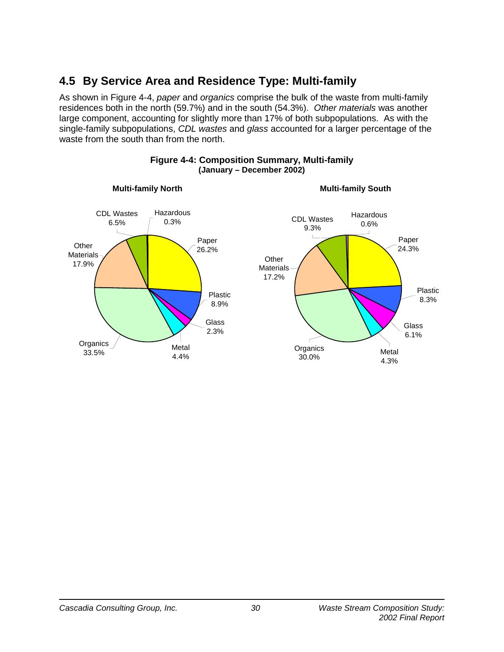# **4.5 By Service Area and Residence Type: Multi-family**

As shown in Figure 4-4, *paper* and *organics* comprise the bulk of the waste from multi-family residences both in the north (59.7%) and in the south (54.3%). *Other materials* was another large component, accounting for slightly more than 17% of both subpopulations. As with the single-family subpopulations, *CDL wastes* and *glass* accounted for a larger percentage of the waste from the south than from the north.



#### **Figure 4-4: Composition Summary, Multi-family (January – December 2002)**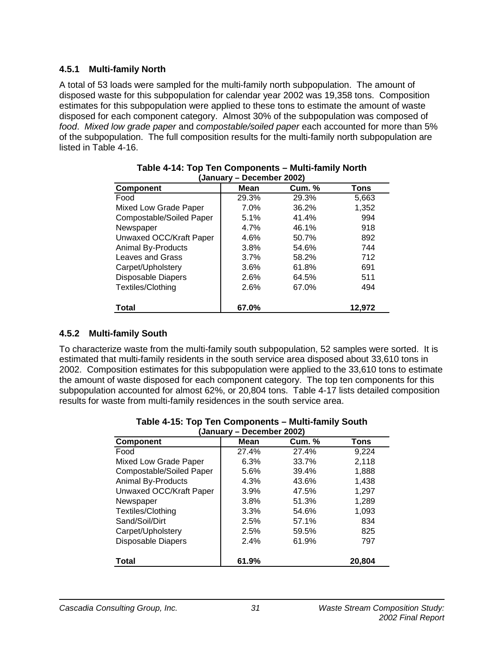### **4.5.1 Multi-family North**

A total of 53 loads were sampled for the multi-family north subpopulation. The amount of disposed waste for this subpopulation for calendar year 2002 was 19,358 tons. Composition estimates for this subpopulation were applied to these tons to estimate the amount of waste disposed for each component category. Almost 30% of the subpopulation was composed of *food*. *Mixed low grade paper* and *compostable/soiled paper* each accounted for more than 5% of the subpopulation. The full composition results for the multi-family north subpopulation are listed in Table 4-16.

| . <b>.</b><br>P000.11.001 E0021 |             |               |        |  |  |  |
|---------------------------------|-------------|---------------|--------|--|--|--|
| <b>Component</b>                | <b>Mean</b> | <b>Cum. %</b> | Tons   |  |  |  |
| Food                            | 29.3%       | 29.3%         | 5,663  |  |  |  |
| Mixed Low Grade Paper           | $7.0\%$     | 36.2%         | 1,352  |  |  |  |
| Compostable/Soiled Paper        | 5.1%        | 41.4%         | 994    |  |  |  |
| Newspaper                       | 4.7%        | 46.1%         | 918    |  |  |  |
| Unwaxed OCC/Kraft Paper         | 4.6%        | 50.7%         | 892    |  |  |  |
| <b>Animal By-Products</b>       | 3.8%        | 54.6%         | 744    |  |  |  |
| Leaves and Grass                | 3.7%        | 58.2%         | 712    |  |  |  |
| Carpet/Upholstery               | 3.6%        | 61.8%         | 691    |  |  |  |
| <b>Disposable Diapers</b>       | 2.6%        | 64.5%         | 511    |  |  |  |
| Textiles/Clothing               | 2.6%        | 67.0%         | 494    |  |  |  |
| <b>Total</b>                    | 67.0%       |               | 12,972 |  |  |  |

#### **Table 4-14: Top Ten Components – Multi-family North (January – December 2002)**

### **4.5.2 Multi-family South**

To characterize waste from the multi-family south subpopulation, 52 samples were sorted. It is estimated that multi-family residents in the south service area disposed about 33,610 tons in 2002. Composition estimates for this subpopulation were applied to the 33,610 tons to estimate the amount of waste disposed for each component category. The top ten components for this subpopulation accounted for almost 62%, or 20,804 tons. Table 4-17 lists detailed composition results for waste from multi-family residences in the south service area.

| (January – December 2002) |             |               |        |  |  |  |  |
|---------------------------|-------------|---------------|--------|--|--|--|--|
| <b>Component</b>          | <b>Mean</b> | <b>Cum.</b> % | Tons   |  |  |  |  |
| Food                      | 27.4%       | 27.4%         | 9,224  |  |  |  |  |
| Mixed Low Grade Paper     | 6.3%        | 33.7%         | 2,118  |  |  |  |  |
| Compostable/Soiled Paper  | 5.6%        | 39.4%         | 1,888  |  |  |  |  |
| <b>Animal By-Products</b> | 4.3%        | 43.6%         | 1,438  |  |  |  |  |
| Unwaxed OCC/Kraft Paper   | 3.9%        | 47.5%         | 1,297  |  |  |  |  |
| Newspaper                 | 3.8%        | 51.3%         | 1,289  |  |  |  |  |
| Textiles/Clothing         | 3.3%        | 54.6%         | 1,093  |  |  |  |  |
| Sand/Soil/Dirt            | 2.5%        | 57.1%         | 834    |  |  |  |  |
| Carpet/Upholstery         | 2.5%        | 59.5%         | 825    |  |  |  |  |
| <b>Disposable Diapers</b> | 2.4%        | 61.9%         | 797    |  |  |  |  |
| <b>Total</b>              | 61.9%       |               | 20,804 |  |  |  |  |

#### **Table 4-15: Top Ten Components – Multi-family South (January – December 2002)**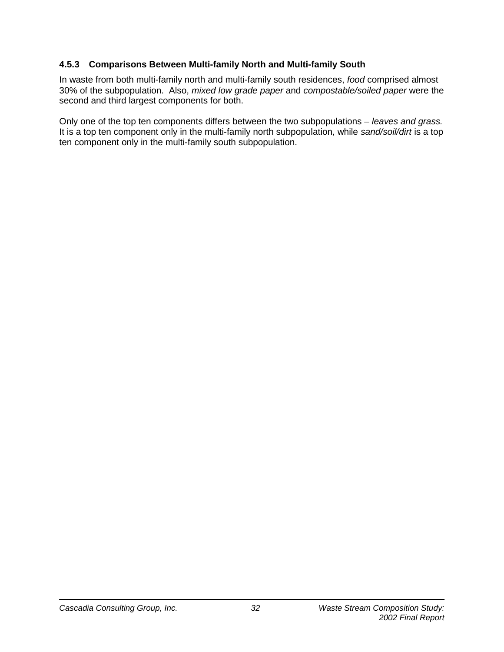### **4.5.3 Comparisons Between Multi-family North and Multi-family South**

In waste from both multi-family north and multi-family south residences, *food* comprised almost 30% of the subpopulation. Also, *mixed low grade paper* and *compostable/soiled paper* were the second and third largest components for both.

Only one of the top ten components differs between the two subpopulations – *leaves and grass.* It is a top ten component only in the multi-family north subpopulation, while *sand/soil/dirt* is a top ten component only in the multi-family south subpopulation.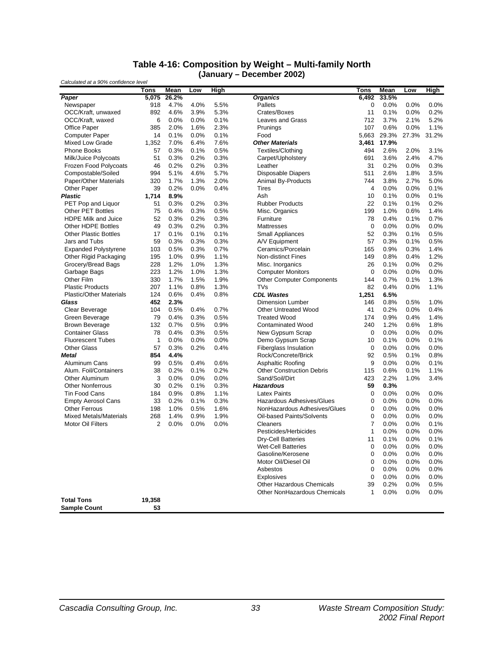#### **Table 4-16: Composition by Weight – Multi-family North (January – December 2002)**

| Calculated at a 90% confidence level |             |       |      |             | PVVVIINVI EVVEJ                  |             |       |       |       |
|--------------------------------------|-------------|-------|------|-------------|----------------------------------|-------------|-------|-------|-------|
|                                      | <b>Tons</b> | Mean  | Low  | <b>High</b> |                                  | Tons        | Mean  | Low   | High  |
| Paper                                | 5,075       | 26.2% |      |             | <b>Organics</b>                  | 6,492       | 33.5% |       |       |
| Newspaper                            | 918         | 4.7%  | 4.0% | 5.5%        | Pallets                          | 0           | 0.0%  | 0.0%  | 0.0%  |
| OCC/Kraft, unwaxed                   | 892         | 4.6%  | 3.9% | 5.3%        | Crates/Boxes                     | 11          | 0.1%  | 0.0%  | 0.2%  |
| OCC/Kraft, waxed                     | 6           | 0.0%  | 0.0% | 0.1%        | Leaves and Grass                 | 712         | 3.7%  | 2.1%  | 5.2%  |
| <b>Office Paper</b>                  | 385         | 2.0%  | 1.6% | 2.3%        | Prunings                         | 107         | 0.6%  | 0.0%  | 1.1%  |
| <b>Computer Paper</b>                | 14          | 0.1%  | 0.0% | 0.1%        | Food                             | 5,663       | 29.3% | 27.3% | 31.2% |
| Mixed Low Grade                      | 1,352       | 7.0%  | 6.4% | 7.6%        | <b>Other Materials</b>           | 3,461       | 17.9% |       |       |
| <b>Phone Books</b>                   | 57          | 0.3%  | 0.1% | 0.5%        | Textiles/Clothing                | 494         | 2.6%  | 2.0%  | 3.1%  |
| Milk/Juice Polycoats                 | 51          | 0.3%  | 0.2% | 0.3%        | Carpet/Upholstery                | 691         | 3.6%  | 2.4%  | 4.7%  |
| Frozen Food Polycoats                | 46          | 0.2%  | 0.2% | 0.3%        | Leather                          | 31          | 0.2%  | 0.0%  | 0.3%  |
| Compostable/Soiled                   | 994         | 5.1%  | 4.6% | 5.7%        | <b>Disposable Diapers</b>        | 511         | 2.6%  | 1.8%  | 3.5%  |
| Paper/Other Materials                | 320         | 1.7%  | 1.3% | 2.0%        | Animal By-Products               | 744         | 3.8%  | 2.7%  | 5.0%  |
| Other Paper                          | 39          | 0.2%  | 0.0% | 0.4%        | <b>Tires</b>                     | 4           | 0.0%  | 0.0%  | 0.1%  |
| Plastic                              | 1,714       | 8.9%  |      |             | Ash                              | 10          | 0.1%  | 0.0%  | 0.1%  |
| PET Pop and Liquor                   | 51          | 0.3%  | 0.2% | 0.3%        | <b>Rubber Products</b>           | 22          | 0.1%  | 0.1%  | 0.2%  |
| <b>Other PET Bottles</b>             | 75          | 0.4%  | 0.3% | 0.5%        | Misc. Organics                   | 199         | 1.0%  | 0.6%  | 1.4%  |
| <b>HDPE Milk and Juice</b>           | 52          | 0.3%  | 0.2% | 0.3%        | Furniture                        | 78          | 0.4%  | 0.1%  | 0.7%  |
| Other HDPE Bottles                   | 49          | 0.3%  | 0.2% | 0.3%        | Mattresses                       | 0           | 0.0%  | 0.0%  | 0.0%  |
| <b>Other Plastic Bottles</b>         | 17          | 0.1%  | 0.1% | 0.1%        | <b>Small Appliances</b>          | 52          | 0.3%  | 0.1%  | 0.5%  |
| Jars and Tubs                        | 59          | 0.3%  | 0.3% | 0.3%        | A/V Equipment                    | 57          | 0.3%  | 0.1%  | 0.5%  |
| <b>Expanded Polystyrene</b>          | 103         | 0.5%  | 0.3% | 0.7%        | Ceramics/Porcelain               | 165         | 0.9%  | 0.3%  | 1.4%  |
| Other Rigid Packaging                | 195         | 1.0%  | 0.9% | 1.1%        | <b>Non-distinct Fines</b>        | 149         | 0.8%  | 0.4%  | 1.2%  |
| Grocery/Bread Bags                   | 228         | 1.2%  | 1.0% | 1.3%        | Misc. Inorganics                 | 26          | 0.1%  | 0.0%  | 0.2%  |
| Garbage Bags                         | 223         | 1.2%  | 1.0% | 1.3%        | <b>Computer Monitors</b>         | $\mathbf 0$ | 0.0%  | 0.0%  | 0.0%  |
| Other Film                           | 330         | 1.7%  | 1.5% | 1.9%        | <b>Other Computer Components</b> | 144         | 0.7%  | 0.1%  | 1.3%  |
| <b>Plastic Products</b>              | 207         | 1.1%  | 0.8% | 1.3%        | <b>TVs</b>                       | 82          | 0.4%  | 0.0%  | 1.1%  |
| <b>Plastic/Other Materials</b>       | 124         | 0.6%  | 0.4% | 0.8%        | <b>CDL Wastes</b>                | 1,251       | 6.5%  |       |       |
| Glass                                | 452         | 2.3%  |      |             | Dimension Lumber                 | 146         | 0.8%  | 0.5%  | 1.0%  |
| Clear Beverage                       | 104         | 0.5%  | 0.4% | 0.7%        | <b>Other Untreated Wood</b>      | 41          | 0.2%  | 0.0%  | 0.4%  |
| Green Beverage                       | 79          | 0.4%  | 0.3% | 0.5%        | <b>Treated Wood</b>              | 174         | 0.9%  | 0.4%  | 1.4%  |
| <b>Brown Beverage</b>                | 132         | 0.7%  | 0.5% | 0.9%        | <b>Contaminated Wood</b>         | 240         | 1.2%  | 0.6%  | 1.8%  |
| <b>Container Glass</b>               | 78          | 0.4%  | 0.3% | 0.5%        | New Gypsum Scrap                 | 0           | 0.0%  | 0.0%  | 0.0%  |
| <b>Fluorescent Tubes</b>             | 1           | 0.0%  | 0.0% | 0.0%        | Demo Gypsum Scrap                | 10          | 0.1%  | 0.0%  | 0.1%  |
| <b>Other Glass</b>                   | 57          | 0.3%  | 0.2% | 0.4%        | <b>Fiberglass Insulation</b>     | 0           | 0.0%  | 0.0%  | 0.0%  |
| <b>Metal</b>                         | 854         | 4.4%  |      |             | Rock/Concrete/Brick              | 92          | 0.5%  | 0.1%  | 0.8%  |
| Aluminum Cans                        | 99          | 0.5%  | 0.4% | 0.6%        | Asphaltic Roofing                | 9           | 0.0%  | 0.0%  | 0.1%  |
| Alum. Foil/Containers                | 38          | 0.2%  | 0.1% | 0.2%        | <b>Other Construction Debris</b> | 115         | 0.6%  | 0.1%  | 1.1%  |
| Other Aluminum                       | 3           | 0.0%  | 0.0% | 0.0%        | Sand/Soil/Dirt                   | 423         | 2.2%  | 1.0%  | 3.4%  |
| <b>Other Nonferrous</b>              | 30          | 0.2%  | 0.1% | 0.3%        | <b>Hazardous</b>                 | 59          | 0.3%  |       |       |
| <b>Tin Food Cans</b>                 | 184         | 0.9%  | 0.8% | 1.1%        | <b>Latex Paints</b>              | 0           | 0.0%  | 0.0%  | 0.0%  |
| <b>Empty Aerosol Cans</b>            | 33          | 0.2%  | 0.1% | 0.3%        | Hazardous Adhesives/Glues        | 0           | 0.0%  | 0.0%  | 0.0%  |
| <b>Other Ferrous</b>                 | 198         | 1.0%  | 0.5% | 1.6%        | NonHazardous Adhesives/Glues     | 0           | 0.0%  | 0.0%  | 0.0%  |
| <b>Mixed Metals/Materials</b>        | 268         | 1.4%  | 0.9% | 1.9%        | Oil-based Paints/Solvents        | 0           | 0.0%  | 0.0%  | 0.0%  |
| <b>Motor Oil Filters</b>             | 2           | 0.0%  | 0.0% | 0.0%        | Cleaners                         | 7           | 0.0%  | 0.0%  | 0.1%  |
|                                      |             |       |      |             | Pesticides/Herbicides            | 1           | 0.0%  | 0.0%  | 0.0%  |
|                                      |             |       |      |             | <b>Dry-Cell Batteries</b>        | 11          | 0.1%  | 0.0%  | 0.1%  |
|                                      |             |       |      |             | <b>Wet-Cell Batteries</b>        | 0           | 0.0%  | 0.0%  | 0.0%  |
|                                      |             |       |      |             | Gasoline/Kerosene                | 0           | 0.0%  | 0.0%  | 0.0%  |
|                                      |             |       |      |             | Motor Oil/Diesel Oil             | 0           | 0.0%  | 0.0%  | 0.0%  |
|                                      |             |       |      |             | Asbestos                         | 0           | 0.0%  | 0.0%  | 0.0%  |
|                                      |             |       |      |             | Explosives                       | 0           | 0.0%  | 0.0%  | 0.0%  |
|                                      |             |       |      |             | <b>Other Hazardous Chemicals</b> | 39          | 0.2%  | 0.0%  | 0.5%  |
|                                      |             |       |      |             | Other NonHazardous Chemicals     | 1           | 0.0%  | 0.0%  | 0.0%  |
| <b>Total Tons</b>                    | 19,358      |       |      |             |                                  |             |       |       |       |
| <b>Sample Count</b>                  | 53          |       |      |             |                                  |             |       |       |       |
|                                      |             |       |      |             |                                  |             |       |       |       |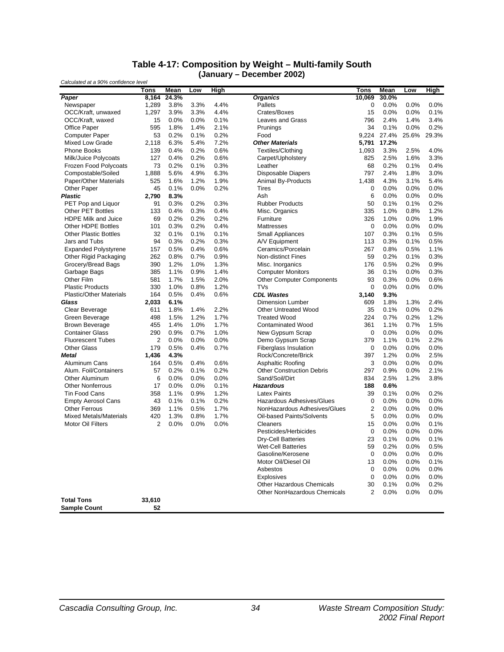#### **Table 4-17: Composition by Weight – Multi-family South (January – December 2002)**

| Calculated at a 90% confidence level |             |       |      |             |                                  |                |       |       |         |
|--------------------------------------|-------------|-------|------|-------------|----------------------------------|----------------|-------|-------|---------|
|                                      | <b>Tons</b> | Mean  | Low  | <b>High</b> |                                  | <b>Tons</b>    | Mean  | Low   | High    |
| Paper                                | 8,164       | 24.3% |      |             | <b>Organics</b>                  | 10,069         | 30.0% |       |         |
| Newspaper                            | 1,289       | 3.8%  | 3.3% | 4.4%        | Pallets                          | 0              | 0.0%  | 0.0%  | 0.0%    |
| OCC/Kraft, unwaxed                   | 1,297       | 3.9%  | 3.3% | 4.4%        | Crates/Boxes                     | 15             | 0.0%  | 0.0%  | 0.1%    |
| OCC/Kraft, waxed                     | 15          | 0.0%  | 0.0% | 0.1%        | Leaves and Grass                 | 796            | 2.4%  | 1.4%  | 3.4%    |
| <b>Office Paper</b>                  | 595         | 1.8%  | 1.4% | 2.1%        | Prunings                         | 34             | 0.1%  | 0.0%  | 0.2%    |
| <b>Computer Paper</b>                | 53          | 0.2%  | 0.1% | 0.2%        | Food                             | 9,224          | 27.4% | 25.6% | 29.3%   |
| Mixed Low Grade                      | 2,118       | 6.3%  | 5.4% | 7.2%        | <b>Other Materials</b>           | 5,791          | 17.2% |       |         |
| <b>Phone Books</b>                   | 139         | 0.4%  | 0.2% | 0.6%        | Textiles/Clothing                | 1,093          | 3.3%  | 2.5%  | 4.0%    |
| Milk/Juice Polycoats                 | 127         | 0.4%  | 0.2% | 0.6%        | Carpet/Upholstery                | 825            | 2.5%  | 1.6%  | 3.3%    |
| Frozen Food Polycoats                | 73          | 0.2%  | 0.1% | 0.3%        | Leather                          | 68             | 0.2%  | 0.1%  | 0.4%    |
| Compostable/Soiled                   | 1,888       | 5.6%  | 4.9% | 6.3%        | <b>Disposable Diapers</b>        | 797            | 2.4%  | 1.8%  | 3.0%    |
| Paper/Other Materials                | 525         | 1.6%  | 1.2% | 1.9%        | Animal By-Products               | 1.438          | 4.3%  | 3.1%  | 5.4%    |
| Other Paper                          | 45          | 0.1%  | 0.0% | 0.2%        | <b>Tires</b>                     | 0              | 0.0%  | 0.0%  | 0.0%    |
| <b>Plastic</b>                       | 2,790       | 8.3%  |      |             | Ash                              | 6              | 0.0%  | 0.0%  | 0.0%    |
| PET Pop and Liquor                   | 91          | 0.3%  | 0.2% | 0.3%        | <b>Rubber Products</b>           | 50             | 0.1%  | 0.1%  | 0.2%    |
| <b>Other PET Bottles</b>             | 133         | 0.4%  | 0.3% | 0.4%        | Misc. Organics                   | 335            | 1.0%  | 0.8%  | 1.2%    |
| <b>HDPE Milk and Juice</b>           | 69          | 0.2%  | 0.2% | 0.2%        | Furniture                        | 326            | 1.0%  | 0.0%  | 1.9%    |
| Other HDPE Bottles                   | 101         | 0.3%  | 0.2% | 0.4%        | Mattresses                       | 0              | 0.0%  | 0.0%  | 0.0%    |
| <b>Other Plastic Bottles</b>         | 32          | 0.1%  | 0.1% | 0.1%        | Small Appliances                 | 107            | 0.3%  | 0.1%  | 0.5%    |
| Jars and Tubs                        | 94          | 0.3%  | 0.2% | 0.3%        | A/V Equipment                    | 113            | 0.3%  | 0.1%  | 0.5%    |
| <b>Expanded Polystyrene</b>          | 157         | 0.5%  | 0.4% | 0.6%        | Ceramics/Porcelain               | 267            | 0.8%  | 0.5%  | 1.1%    |
| Other Rigid Packaging                | 262         | 0.8%  | 0.7% | 0.9%        | <b>Non-distinct Fines</b>        | 59             | 0.2%  | 0.1%  | 0.3%    |
| Grocery/Bread Bags                   | 390         | 1.2%  | 1.0% | 1.3%        | Misc. Inorganics                 | 176            | 0.5%  | 0.2%  | 0.9%    |
| Garbage Bags                         | 385         | 1.1%  | 0.9% | 1.4%        | <b>Computer Monitors</b>         | 36             | 0.1%  | 0.0%  | 0.3%    |
| Other Film                           | 581         | 1.7%  | 1.5% | 2.0%        | <b>Other Computer Components</b> | 93             | 0.3%  | 0.0%  | 0.6%    |
| <b>Plastic Products</b>              | 330         | 1.0%  | 0.8% | 1.2%        | TVs                              | 0              | 0.0%  | 0.0%  | 0.0%    |
| <b>Plastic/Other Materials</b>       | 164         | 0.5%  | 0.4% | 0.6%        | <b>CDL Wastes</b>                | 3.140          | 9.3%  |       |         |
| Glass                                | 2,033       | 6.1%  |      |             | Dimension Lumber                 | 609            | 1.8%  | 1.3%  | 2.4%    |
| Clear Beverage                       | 611         | 1.8%  | 1.4% | 2.2%        | <b>Other Untreated Wood</b>      | 35             | 0.1%  | 0.0%  | 0.2%    |
| Green Beverage                       | 498         | 1.5%  | 1.2% | 1.7%        | <b>Treated Wood</b>              | 224            | 0.7%  | 0.2%  | 1.2%    |
| <b>Brown Beverage</b>                | 455         | 1.4%  | 1.0% | 1.7%        | <b>Contaminated Wood</b>         | 361            | 1.1%  | 0.7%  | 1.5%    |
| <b>Container Glass</b>               | 290         | 0.9%  | 0.7% | 1.0%        | New Gypsum Scrap                 | 0              | 0.0%  | 0.0%  | 0.0%    |
| <b>Fluorescent Tubes</b>             | 2           | 0.0%  | 0.0% | 0.0%        | Demo Gypsum Scrap                | 379            | 1.1%  | 0.1%  | 2.2%    |
| <b>Other Glass</b>                   | 179         | 0.5%  | 0.4% | 0.7%        | <b>Fiberglass Insulation</b>     | 0              | 0.0%  | 0.0%  | 0.0%    |
| <b>Metal</b>                         | 1,436       | 4.3%  |      |             | Rock/Concrete/Brick              | 397            | 1.2%  | 0.0%  | 2.5%    |
| Aluminum Cans                        | 164         | 0.5%  | 0.4% | 0.6%        | Asphaltic Roofing                | 3              | 0.0%  | 0.0%  | 0.0%    |
| Alum. Foil/Containers                | 57          | 0.2%  | 0.1% | 0.2%        | <b>Other Construction Debris</b> | 297            | 0.9%  | 0.0%  | 2.1%    |
| Other Aluminum                       | 6           | 0.0%  | 0.0% | 0.0%        | Sand/Soil/Dirt                   | 834            | 2.5%  | 1.2%  | 3.8%    |
| <b>Other Nonferrous</b>              | 17          | 0.0%  | 0.0% | 0.1%        | <b>Hazardous</b>                 | 188            | 0.6%  |       |         |
| <b>Tin Food Cans</b>                 | 358         | 1.1%  | 0.9% | 1.2%        | <b>Latex Paints</b>              | 39             | 0.1%  | 0.0%  | 0.2%    |
| <b>Empty Aerosol Cans</b>            | 43          | 0.1%  | 0.1% | 0.2%        | Hazardous Adhesives/Glues        | 0              | 0.0%  | 0.0%  | 0.0%    |
| <b>Other Ferrous</b>                 | 369         | 1.1%  | 0.5% | 1.7%        | NonHazardous Adhesives/Glues     | $\overline{2}$ | 0.0%  | 0.0%  | 0.0%    |
| <b>Mixed Metals/Materials</b>        | 420         | 1.3%  | 0.8% | 1.7%        | Oil-based Paints/Solvents        | 5              | 0.0%  | 0.0%  | 0.0%    |
| <b>Motor Oil Filters</b>             | 2           | 0.0%  | 0.0% | 0.0%        | Cleaners                         | 15             | 0.0%  | 0.0%  | 0.1%    |
|                                      |             |       |      |             | Pesticides/Herbicides            | 0              | 0.0%  | 0.0%  | 0.0%    |
|                                      |             |       |      |             | <b>Dry-Cell Batteries</b>        | 23             | 0.1%  | 0.0%  | 0.1%    |
|                                      |             |       |      |             | <b>Wet-Cell Batteries</b>        | 59             | 0.2%  | 0.0%  | 0.5%    |
|                                      |             |       |      |             | Gasoline/Kerosene                | 0              | 0.0%  | 0.0%  | 0.0%    |
|                                      |             |       |      |             | Motor Oil/Diesel Oil             | 13             | 0.0%  | 0.0%  | 0.1%    |
|                                      |             |       |      |             | Asbestos                         | 0              | 0.0%  | 0.0%  | 0.0%    |
|                                      |             |       |      |             | <b>Explosives</b>                | 0              | 0.0%  | 0.0%  | 0.0%    |
|                                      |             |       |      |             | <b>Other Hazardous Chemicals</b> | 30             | 0.1%  | 0.0%  | 0.2%    |
|                                      |             |       |      |             | Other NonHazardous Chemicals     | 2              | 0.0%  | 0.0%  | $0.0\%$ |
| <b>Total Tons</b>                    | 33,610      |       |      |             |                                  |                |       |       |         |
| <b>Sample Count</b>                  | 52          |       |      |             |                                  |                |       |       |         |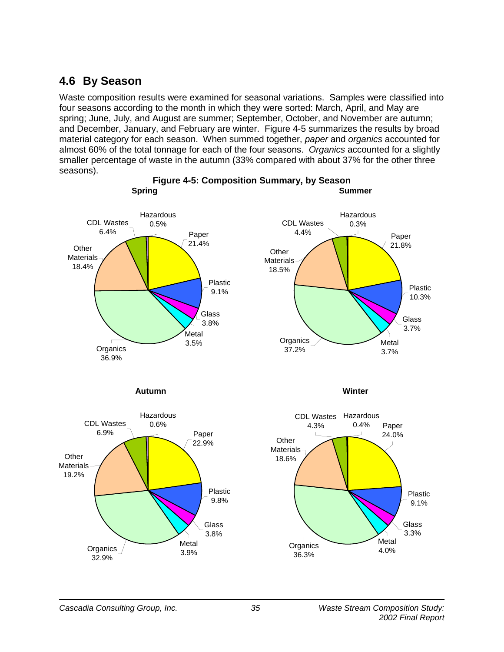## **4.6 By Season**

Waste composition results were examined for seasonal variations. Samples were classified into four seasons according to the month in which they were sorted: March, April, and May are spring; June, July, and August are summer; September, October, and November are autumn; and December, January, and February are winter. Figure 4-5 summarizes the results by broad material category for each season. When summed together, *paper* and *organics* accounted for almost 60% of the total tonnage for each of the four seasons. *Organics* accounted for a slightly smaller percentage of waste in the autumn (33% compared with about 37% for the other three seasons).









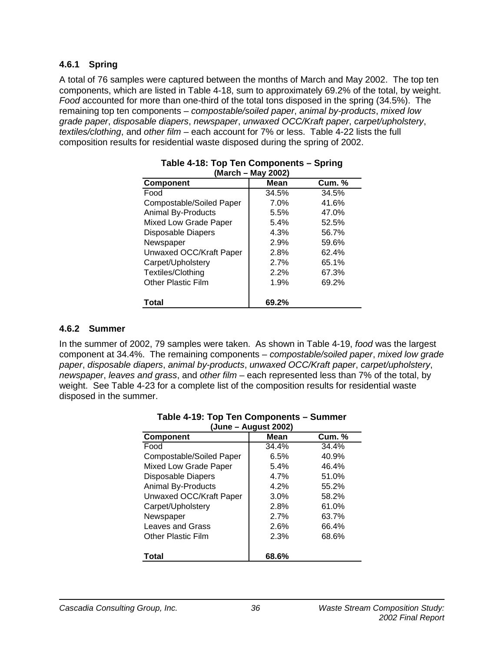#### **4.6.1 Spring**

A total of 76 samples were captured between the months of March and May 2002. The top ten components, which are listed in Table 4-18, sum to approximately 69.2% of the total, by weight. *Food* accounted for more than one-third of the total tons disposed in the spring (34.5%). The remaining top ten components – *compostable/soiled paper*, *animal by-products*, *mixed low grade paper*, *disposable diapers*, *newspaper*, *unwaxed OCC/Kraft paper*, *carpet/upholstery*, *textiles/clothing*, and *other film* – each account for 7% or less. Table 4-22 lists the full composition results for residential waste disposed during the spring of 2002.

| (March - May 2002)        |       |               |  |  |  |  |  |  |  |  |
|---------------------------|-------|---------------|--|--|--|--|--|--|--|--|
| <b>Component</b>          | Mean  | <b>Cum. %</b> |  |  |  |  |  |  |  |  |
| Food                      | 34.5% | 34.5%         |  |  |  |  |  |  |  |  |
| Compostable/Soiled Paper  | 7.0%  | 41.6%         |  |  |  |  |  |  |  |  |
| <b>Animal By-Products</b> | 5.5%  | 47.0%         |  |  |  |  |  |  |  |  |
| Mixed Low Grade Paper     | 5.4%  | 52.5%         |  |  |  |  |  |  |  |  |
| <b>Disposable Diapers</b> | 4.3%  | 56.7%         |  |  |  |  |  |  |  |  |
| Newspaper                 | 2.9%  | 59.6%         |  |  |  |  |  |  |  |  |
| Unwaxed OCC/Kraft Paper   | 2.8%  | 62.4%         |  |  |  |  |  |  |  |  |
| Carpet/Upholstery         | 2.7%  | 65.1%         |  |  |  |  |  |  |  |  |
| Textiles/Clothing         | 2.2%  | 67.3%         |  |  |  |  |  |  |  |  |
| <b>Other Plastic Film</b> | 1.9%  | 69.2%         |  |  |  |  |  |  |  |  |
| Total                     | 69.2% |               |  |  |  |  |  |  |  |  |

# **Table 4-18: Top Ten Components – Spring**

### **4.6.2 Summer**

In the summer of 2002, 79 samples were taken. As shown in Table 4-19, *food* was the largest component at 34.4%. The remaining components – *compostable/soiled paper*, *mixed low grade paper*, *disposable diapers*, *animal by-products*, *unwaxed OCC/Kraft paper*, *carpet/upholstery*, *newspaper*, *leaves and grass*, and *other film* – each represented less than 7% of the total, by weight. See Table 4-23 for a complete list of the composition results for residential waste disposed in the summer.

| (June – August 2002)      |       |               |  |  |  |  |  |  |  |
|---------------------------|-------|---------------|--|--|--|--|--|--|--|
| Component                 | Mean  | <b>Cum.</b> % |  |  |  |  |  |  |  |
| Food                      | 34.4% | 34.4%         |  |  |  |  |  |  |  |
| Compostable/Soiled Paper  | 6.5%  | 40.9%         |  |  |  |  |  |  |  |
| Mixed Low Grade Paper     | 5.4%  | 46.4%         |  |  |  |  |  |  |  |
| <b>Disposable Diapers</b> | 4.7%  | 51.0%         |  |  |  |  |  |  |  |
| <b>Animal By-Products</b> | 4.2%  | 55.2%         |  |  |  |  |  |  |  |
| Unwaxed OCC/Kraft Paper   | 3.0%  | 58.2%         |  |  |  |  |  |  |  |
| Carpet/Upholstery         | 2.8%  | 61.0%         |  |  |  |  |  |  |  |
| Newspaper                 | 2.7%  | 63.7%         |  |  |  |  |  |  |  |
| Leaves and Grass          | 2.6%  | 66.4%         |  |  |  |  |  |  |  |
| <b>Other Plastic Film</b> | 2.3%  | 68.6%         |  |  |  |  |  |  |  |
| Total                     | 68.6% |               |  |  |  |  |  |  |  |

## **Table 4-19: Top Ten Components – Summer**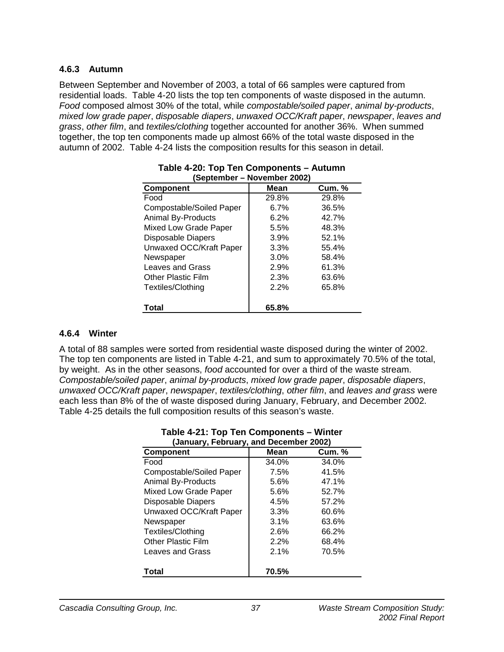#### **4.6.3 Autumn**

Between September and November of 2003, a total of 66 samples were captured from residential loads. Table 4-20 lists the top ten components of waste disposed in the autumn. *Food* composed almost 30% of the total, while *compostable/soiled paper*, *animal by-products*, *mixed low grade paper*, *disposable diapers*, *unwaxed OCC/Kraft paper*, *newspaper*, *leaves and grass*, *other film*, and *textiles/clothing* together accounted for another 36%. When summed together, the top ten components made up almost 66% of the total waste disposed in the autumn of 2002. Table 4-24 lists the composition results for this season in detail.

| (September – November ZUUZ) |       |               |  |  |  |  |  |  |  |  |  |
|-----------------------------|-------|---------------|--|--|--|--|--|--|--|--|--|
| <b>Component</b>            | Mean  | <b>Cum.</b> % |  |  |  |  |  |  |  |  |  |
| Food                        | 29.8% | 29.8%         |  |  |  |  |  |  |  |  |  |
| Compostable/Soiled Paper    | 6.7%  | 36.5%         |  |  |  |  |  |  |  |  |  |
| Animal By-Products          | 6.2%  | 42.7%         |  |  |  |  |  |  |  |  |  |
| Mixed Low Grade Paper       | 5.5%  | 48.3%         |  |  |  |  |  |  |  |  |  |
| <b>Disposable Diapers</b>   | 3.9%  | 52.1%         |  |  |  |  |  |  |  |  |  |
| Unwaxed OCC/Kraft Paper     | 3.3%  | 55.4%         |  |  |  |  |  |  |  |  |  |
| Newspaper                   | 3.0%  | 58.4%         |  |  |  |  |  |  |  |  |  |
| Leaves and Grass            | 2.9%  | 61.3%         |  |  |  |  |  |  |  |  |  |
| <b>Other Plastic Film</b>   | 2.3%  | 63.6%         |  |  |  |  |  |  |  |  |  |
| Textiles/Clothing           | 2.2%  | 65.8%         |  |  |  |  |  |  |  |  |  |
| <b>Total</b>                | 65.8% |               |  |  |  |  |  |  |  |  |  |

#### **Table 4-20: Top Ten Components – Autumn (September – November 2002)**

#### **4.6.4 Winter**

A total of 88 samples were sorted from residential waste disposed during the winter of 2002. The top ten components are listed in Table 4-21, and sum to approximately 70.5% of the total, by weight. As in the other seasons, *food* accounted for over a third of the waste stream. *Compostable/soiled paper*, *animal by-products*, *mixed low grade paper*, *disposable diapers*, *unwaxed OCC/Kraft paper*, *newspaper*, *textiles/clothing*, *other film*, and *leaves and grass* were each less than 8% of the of waste disposed during January, February, and December 2002. Table 4-25 details the full composition results of this season's waste.

| (January, February, and December 2002) |             |               |  |  |  |  |  |  |  |  |
|----------------------------------------|-------------|---------------|--|--|--|--|--|--|--|--|
| <b>Component</b>                       | <b>Mean</b> | <b>Cum.</b> % |  |  |  |  |  |  |  |  |
| Food                                   | 34.0%       | 34.0%         |  |  |  |  |  |  |  |  |
| Compostable/Soiled Paper               | 7.5%        | 41.5%         |  |  |  |  |  |  |  |  |
| Animal By-Products                     | 5.6%        | 47.1%         |  |  |  |  |  |  |  |  |
| Mixed Low Grade Paper                  | 5.6%        | 52.7%         |  |  |  |  |  |  |  |  |
| <b>Disposable Diapers</b>              | 4.5%        | 57.2%         |  |  |  |  |  |  |  |  |
| Unwaxed OCC/Kraft Paper                | 3.3%        | 60.6%         |  |  |  |  |  |  |  |  |
| Newspaper                              | 3.1%        | 63.6%         |  |  |  |  |  |  |  |  |
| Textiles/Clothing                      | 2.6%        | 66.2%         |  |  |  |  |  |  |  |  |
| Other Plastic Film                     | 2.2%        | 68.4%         |  |  |  |  |  |  |  |  |
| Leaves and Grass                       | 2.1%        | 70.5%         |  |  |  |  |  |  |  |  |
| <b>Total</b>                           | 70.5%       |               |  |  |  |  |  |  |  |  |

|  | Table 4-21: Top Ten Components – Winter |
|--|-----------------------------------------|
|  | (January February and December 2002)    |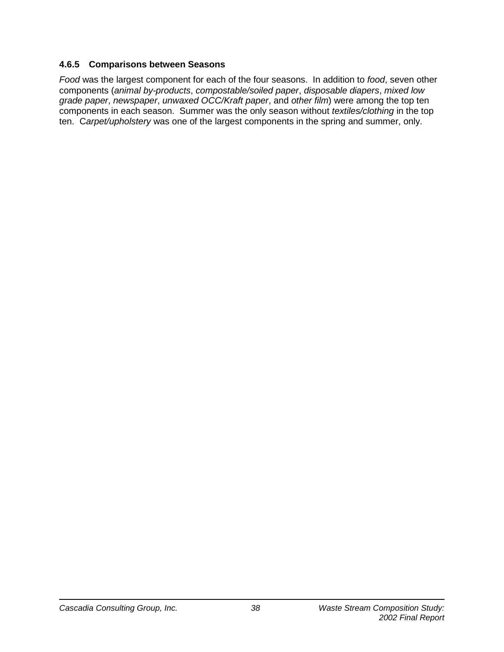#### **4.6.5 Comparisons between Seasons**

*Food* was the largest component for each of the four seasons. In addition to *food*, seven other components (*animal by-products*, *compostable/soiled paper*, *disposable diapers*, *mixed low grade paper*, *newspaper*, *unwaxed OCC/Kraft paper*, and *other film*) were among the top ten components in each season. Summer was the only season without *textiles/clothing* in the top ten. C*arpet/upholstery* was one of the largest components in the spring and summer, only.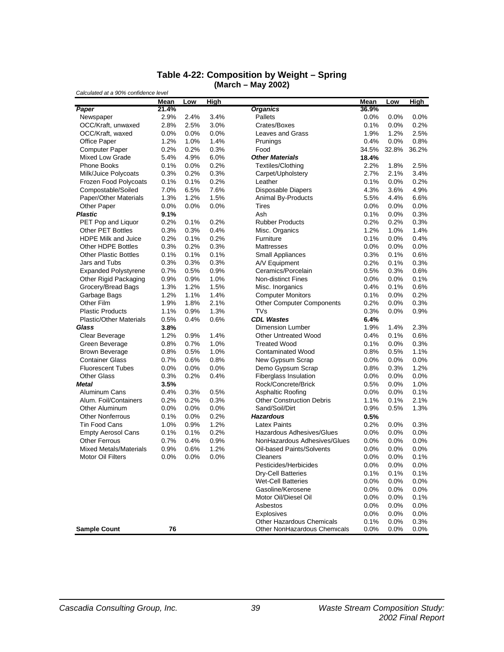| Calculated at a 90% confidence level | Mean  | Low  | <b>High</b> |                                                                  | <b>Mean</b>  | Low             | <b>High</b>  |
|--------------------------------------|-------|------|-------------|------------------------------------------------------------------|--------------|-----------------|--------------|
| Paper                                | 21.4% |      |             | <b>Organics</b>                                                  | 36.9%        |                 |              |
| Newspaper                            | 2.9%  | 2.4% | 3.4%        | Pallets                                                          | $0.0\%$      | 0.0%            | $0.0\%$      |
| OCC/Kraft, unwaxed                   | 2.8%  | 2.5% | 3.0%        | Crates/Boxes                                                     | 0.1%         | 0.0%            | 0.2%         |
| OCC/Kraft, waxed                     | 0.0%  | 0.0% | 0.0%        | Leaves and Grass                                                 | 1.9%         | 1.2%            | 2.5%         |
| Office Paper                         | 1.2%  | 1.0% | 1.4%        | Prunings                                                         | 0.4%         | 0.0%            | 0.8%         |
| <b>Computer Paper</b>                | 0.2%  | 0.2% | 0.3%        | Food                                                             | 34.5%        | 32.8%           | 36.2%        |
| <b>Mixed Low Grade</b>               | 5.4%  | 4.9% | 6.0%        | <b>Other Materials</b>                                           | 18.4%        |                 |              |
| Phone Books                          | 0.1%  | 0.0% | 0.2%        | Textiles/Clothing                                                | 2.2%         | 1.8%            | 2.5%         |
| Milk/Juice Polycoats                 | 0.3%  | 0.2% | 0.3%        | Carpet/Upholstery                                                | 2.7%         | 2.1%            | 3.4%         |
| Frozen Food Polycoats                | 0.1%  | 0.1% | 0.2%        | Leather                                                          | 0.1%         | 0.0%            | 0.2%         |
| Compostable/Soiled                   | 7.0%  | 6.5% | 7.6%        | <b>Disposable Diapers</b>                                        | 4.3%         | 3.6%            | 4.9%         |
| Paper/Other Materials                | 1.3%  | 1.2% | 1.5%        | Animal By-Products                                               | 5.5%         | 4.4%            | 6.6%         |
| <b>Other Paper</b>                   | 0.0%  | 0.0% | 0.0%        | Tires                                                            | $0.0\%$      | 0.0%            | 0.0%         |
| <b>Plastic</b>                       | 9.1%  |      |             | Ash                                                              | 0.1%         | 0.0%            | 0.3%         |
| PET Pop and Liquor                   | 0.2%  | 0.1% | 0.2%        | <b>Rubber Products</b>                                           | 0.2%         | 0.2%            | 0.3%         |
| <b>Other PET Bottles</b>             | 0.3%  | 0.3% | 0.4%        | Misc. Organics                                                   | 1.2%         | 1.0%            | 1.4%         |
| <b>HDPE Milk and Juice</b>           | 0.2%  | 0.1% | 0.2%        | Furniture                                                        | 0.1%         | 0.0%            | 0.4%         |
| Other HDPE Bottles                   | 0.3%  | 0.2% | 0.3%        | <b>Mattresses</b>                                                | 0.0%         | 0.0%            | 0.0%         |
|                                      |       |      |             |                                                                  |              |                 |              |
| <b>Other Plastic Bottles</b>         | 0.1%  | 0.1% | 0.1%        | <b>Small Appliances</b>                                          | 0.3%         | 0.1%            | 0.6%         |
| Jars and Tubs                        | 0.3%  | 0.3% | 0.3%        | A/V Equipment<br>Ceramics/Porcelain                              | 0.2%         | 0.1%            | 0.3%         |
| <b>Expanded Polystyrene</b>          | 0.7%  | 0.5% | 0.9%        |                                                                  | 0.5%         | 0.3%            | 0.6%         |
| Other Rigid Packaging                | 0.9%  | 0.9% | 1.0%        | <b>Non-distinct Fines</b>                                        | 0.0%         | 0.0%            | 0.1%         |
| Grocery/Bread Bags                   | 1.3%  | 1.2% | 1.5%        | Misc. Inorganics                                                 | 0.4%         | 0.1%            | 0.6%         |
| Garbage Bags                         | 1.2%  | 1.1% | 1.4%        | <b>Computer Monitors</b>                                         | 0.1%         | 0.0%            | 0.2%         |
| Other Film                           | 1.9%  | 1.8% | 2.1%        | <b>Other Computer Components</b>                                 | 0.2%         | 0.0%            | 0.3%         |
| <b>Plastic Products</b>              | 1.1%  | 0.9% | 1.3%        | TVs                                                              | 0.3%         | 0.0%            | 0.9%         |
| <b>Plastic/Other Materials</b>       | 0.5%  | 0.4% | 0.6%        | <b>CDL Wastes</b>                                                | 6.4%         |                 |              |
| Glass                                | 3.8%  |      |             | <b>Dimension Lumber</b>                                          | 1.9%         | 1.4%            | 2.3%         |
| Clear Beverage                       | 1.2%  | 0.9% | 1.4%        | <b>Other Untreated Wood</b>                                      | 0.4%         | 0.1%            | 0.6%         |
| Green Beverage                       | 0.8%  | 0.7% | 1.0%        | <b>Treated Wood</b>                                              | $0.1\%$      | 0.0%            | 0.3%         |
| <b>Brown Beverage</b>                | 0.8%  | 0.5% | 1.0%        | <b>Contaminated Wood</b>                                         | 0.8%         | 0.5%            | 1.1%         |
| <b>Container Glass</b>               | 0.7%  | 0.6% | 0.8%        | New Gypsum Scrap                                                 | $0.0\%$      | 0.0%            | 0.0%         |
| <b>Fluorescent Tubes</b>             | 0.0%  | 0.0% | 0.0%        | Demo Gypsum Scrap                                                | 0.8%         | 0.3%            | 1.2%         |
| <b>Other Glass</b>                   | 0.3%  | 0.2% | 0.4%        | <b>Fiberglass Insulation</b>                                     | $0.0\%$      | 0.0%            | $0.0\%$      |
| Metal                                | 3.5%  |      |             | Rock/Concrete/Brick                                              | 0.5%         | 0.0%            | 1.0%         |
| Aluminum Cans                        | 0.4%  | 0.3% | 0.5%        | Asphaltic Roofing                                                | $0.0\%$      | 0.0%            | 0.1%         |
| Alum. Foil/Containers                | 0.2%  | 0.2% | 0.3%        | <b>Other Construction Debris</b>                                 | 1.1%         | 0.1%            | 2.1%         |
| Other Aluminum                       | 0.0%  | 0.0% | 0.0%        | Sand/Soil/Dirt                                                   | 0.9%         | 0.5%            | 1.3%         |
| <b>Other Nonferrous</b>              | 0.1%  | 0.0% | 0.2%        | <b>Hazardous</b>                                                 | 0.5%         |                 |              |
| Tin Food Cans                        | 1.0%  | 0.9% | 1.2%        | <b>Latex Paints</b>                                              | 0.2%         | $0.0\%$         | 0.3%         |
| <b>Empty Aerosol Cans</b>            | 0.1%  | 0.1% | 0.2%        | Hazardous Adhesives/Glues                                        | $0.0\%$      | 0.0%            | $0.0\%$      |
| <b>Other Ferrous</b>                 | 0.7%  | 0.4% | 0.9%        | NonHazardous Adhesives/Glues                                     | 0.0%         | 0.0%            | $0.0\%$      |
| <b>Mixed Metals/Materials</b>        | 0.9%  | 0.6% | 1.2%        | Oil-based Paints/Solvents                                        | 0.0%         | 0.0%            | $0.0\%$      |
| Motor Oil Filters                    | 0.0%  | 0.0% | 0.0%        | Cleaners                                                         | 0.0%         | 0.0%            | 0.1%         |
|                                      |       |      |             | Pesticides/Herbicides                                            | 0.0%         | 0.0%            | $0.0\%$      |
|                                      |       |      |             | Dry-Cell Batteries                                               | 0.1%         | 0.1%            | 0.1%         |
|                                      |       |      |             | <b>Wet-Cell Batteries</b>                                        | 0.0%         | 0.0%            | 0.0%         |
|                                      |       |      |             | Gasoline/Kerosene                                                | 0.0%         | $0.0\%$         | 0.0%         |
|                                      |       |      |             | Motor Oil/Diesel Oil                                             | $0.0\%$      | $0.0\%$         | 0.1%         |
|                                      |       |      |             | Asbestos                                                         | 0.0%         | $0.0\%$         | 0.0%         |
|                                      |       |      |             | Explosives                                                       | 0.0%         | 0.0%            | 0.0%         |
| <b>Sample Count</b>                  | 76    |      |             | <b>Other Hazardous Chemicals</b><br>Other NonHazardous Chemicals | 0.1%<br>0.0% | $0.0\%$<br>0.0% | 0.3%<br>0.0% |

#### **Table 4-22: Composition by Weight – Spring (March – May 2002)**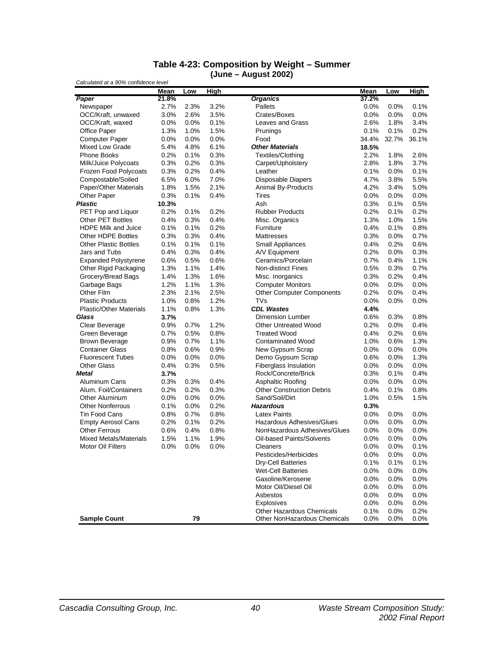#### **Table 4-23: Composition by Weight – Summer (June – August 2002)**

|                                | Mean  | Low     | <b>High</b> |                                                                  | <b>Mean</b>  | Low             | <b>High</b>     |
|--------------------------------|-------|---------|-------------|------------------------------------------------------------------|--------------|-----------------|-----------------|
| Paper                          | 21.8% |         |             | <b>Organics</b>                                                  | 37.2%        |                 |                 |
| Newspaper                      | 2.7%  | 2.3%    | 3.2%        | Pallets                                                          | 0.0%         | 0.0%            | 0.1%            |
| OCC/Kraft, unwaxed             | 3.0%  | 2.6%    | 3.5%        | Crates/Boxes                                                     | 0.0%         | 0.0%            | 0.0%            |
| OCC/Kraft, waxed               | 0.0%  | 0.0%    | 0.1%        | Leaves and Grass                                                 | 2.6%         | 1.8%            | 3.4%            |
| <b>Office Paper</b>            | 1.3%  | 1.0%    | 1.5%        | Prunings                                                         | 0.1%         | 0.1%            | 0.2%            |
| <b>Computer Paper</b>          | 0.0%  | 0.0%    | 0.0%        | Food                                                             | 34.4%        | 32.7%           | 36.1%           |
| Mixed Low Grade                | 5.4%  | 4.8%    | 6.1%        | <b>Other Materials</b>                                           | 18.5%        |                 |                 |
| <b>Phone Books</b>             | 0.2%  | 0.1%    | 0.3%        | Textiles/Clothing                                                | 2.2%         | 1.8%            | 2.6%            |
| Milk/Juice Polycoats           | 0.3%  | 0.2%    | 0.3%        | Carpet/Upholstery                                                | 2.8%         | 1.8%            | 3.7%            |
| Frozen Food Polycoats          | 0.3%  | 0.2%    | 0.4%        | Leather                                                          | 0.1%         | 0.0%            | 0.1%            |
| Compostable/Soiled             | 6.5%  | 6.0%    | 7.0%        | Disposable Diapers                                               | 4.7%         | 3.8%            | 5.5%            |
| Paper/Other Materials          | 1.8%  | 1.5%    | 2.1%        | Animal By-Products                                               | 4.2%         | 3.4%            | 5.0%            |
| <b>Other Paper</b>             | 0.3%  | 0.1%    | 0.4%        | Tires                                                            | 0.0%         | 0.0%            | $0.0\%$         |
| Plastic                        | 10.3% |         |             | Ash                                                              | 0.3%         | 0.1%            | 0.5%            |
| PET Pop and Liquor             | 0.2%  | 0.1%    | 0.2%        | <b>Rubber Products</b>                                           | 0.2%         | 0.1%            | 0.2%            |
| <b>Other PET Bottles</b>       | 0.4%  | 0.3%    | 0.4%        | Misc. Organics                                                   | 1.3%         | 1.0%            | 1.5%            |
| <b>HDPE Milk and Juice</b>     | 0.1%  | 0.1%    | 0.2%        | Furniture                                                        | 0.4%         | 0.1%            | 0.8%            |
| <b>Other HDPE Bottles</b>      | 0.3%  | 0.3%    | 0.4%        | Mattresses                                                       | 0.3%         | 0.0%            | 0.7%            |
| <b>Other Plastic Bottles</b>   | 0.1%  | 0.1%    | 0.1%        | <b>Small Appliances</b>                                          | 0.4%         | 0.2%            | 0.6%            |
| Jars and Tubs                  | 0.4%  | 0.3%    | 0.4%        | A/V Equipment                                                    | 0.2%         | 0.0%            | 0.3%            |
| <b>Expanded Polystyrene</b>    | 0.6%  | 0.5%    | 0.6%        | Ceramics/Porcelain                                               | 0.7%         | 0.4%            | 1.1%            |
| Other Rigid Packaging          | 1.3%  | 1.1%    | 1.4%        | <b>Non-distinct Fines</b>                                        | 0.5%         | 0.3%            | 0.7%            |
| Grocery/Bread Bags             | 1.4%  | 1.3%    | 1.6%        | Misc. Inorganics                                                 | 0.3%         | 0.2%            | 0.4%            |
| Garbage Bags                   | 1.2%  | 1.1%    | 1.3%        | <b>Computer Monitors</b>                                         | 0.0%         | 0.0%            | 0.0%            |
| Other Film                     | 2.3%  | 2.1%    | 2.5%        | <b>Other Computer Components</b>                                 | 0.2%         | 0.0%            | 0.4%            |
| <b>Plastic Products</b>        | 1.0%  | 0.8%    | 1.2%        | TVs                                                              | 0.0%         | 0.0%            | 0.0%            |
| <b>Plastic/Other Materials</b> | 1.1%  | 0.8%    | 1.3%        | <b>CDL Wastes</b>                                                | 4.4%         |                 |                 |
| Glass                          | 3.7%  |         |             | <b>Dimension Lumber</b>                                          | 0.6%         | 0.3%            | 0.8%            |
| Clear Beverage                 | 0.9%  | 0.7%    | 1.2%        | <b>Other Untreated Wood</b>                                      | 0.2%         | 0.0%            | 0.4%            |
| Green Beverage                 | 0.7%  | 0.5%    | 0.8%        | <b>Treated Wood</b>                                              | 0.4%         | 0.2%            | 0.6%            |
| <b>Brown Beverage</b>          | 0.9%  | 0.7%    | 1.1%        | <b>Contaminated Wood</b>                                         | 1.0%         | 0.6%            | 1.3%            |
| <b>Container Glass</b>         | 0.8%  | 0.6%    | 0.9%        | New Gypsum Scrap                                                 | $0.0\%$      | 0.0%            | 0.0%            |
| <b>Fluorescent Tubes</b>       | 0.0%  | 0.0%    | 0.0%        | Demo Gypsum Scrap                                                | 0.6%         | 0.0%            | 1.3%            |
| <b>Other Glass</b>             | 0.4%  | 0.3%    | 0.5%        | <b>Fiberglass Insulation</b>                                     | $0.0\%$      | 0.0%            | 0.0%            |
| Metal                          | 3.7%  |         |             | Rock/Concrete/Brick                                              | 0.3%         | 0.1%            | 0.4%            |
| Aluminum Cans                  | 0.3%  | 0.3%    | 0.4%        | Asphaltic Roofing                                                | 0.0%         | 0.0%            | 0.0%            |
| Alum. Foil/Containers          | 0.2%  | 0.2%    | 0.3%        | <b>Other Construction Debris</b>                                 | 0.4%         | 0.1%            | 0.8%            |
| <b>Other Aluminum</b>          | 0.0%  | 0.0%    | 0.0%        | Sand/Soil/Dirt                                                   | 1.0%         | 0.5%            | 1.5%            |
| <b>Other Nonferrous</b>        | 0.1%  | $0.0\%$ | 0.2%        | <b>Hazardous</b>                                                 | 0.3%         |                 |                 |
| Tin Food Cans                  | 0.8%  | 0.7%    | 0.8%        | <b>Latex Paints</b>                                              | $0.0\%$      | 0.0%            | 0.0%            |
| <b>Empty Aerosol Cans</b>      | 0.2%  | 0.1%    | 0.2%        | <b>Hazardous Adhesives/Glues</b>                                 | 0.0%         | 0.0%            | $0.0\%$         |
| <b>Other Ferrous</b>           | 0.6%  | 0.4%    | 0.8%        | NonHazardous Adhesives/Glues                                     | 0.0%         | 0.0%            | 0.0%            |
| <b>Mixed Metals/Materials</b>  | 1.5%  | 1.1%    | 1.9%        | Oil-based Paints/Solvents                                        | $0.0\%$      | 0.0%            | 0.0%            |
| Motor Oil Filters              | 0.0%  | 0.0%    | 0.0%        | Cleaners                                                         | 0.0%         | 0.0%            | 0.1%            |
|                                |       |         |             | Pesticides/Herbicides                                            | 0.0%         | 0.0%            | 0.0%            |
|                                |       |         |             | <b>Dry-Cell Batteries</b>                                        | 0.1%         | 0.1%            | $0.1\%$         |
|                                |       |         |             | <b>Wet-Cell Batteries</b>                                        | 0.0%         | 0.0%            | 0.0%            |
|                                |       |         |             | Gasoline/Kerosene                                                | 0.0%         | 0.0%            | 0.0%            |
|                                |       |         |             | Motor Oil/Diesel Oil                                             | 0.0%         | 0.0%            | 0.0%            |
|                                |       |         |             | Asbestos                                                         | 0.0%         | $0.0\%$         | 0.0%            |
|                                |       |         |             | Explosives                                                       | 0.0%         | 0.0%            | 0.0%            |
| <b>Sample Count</b>            |       | 79      |             | <b>Other Hazardous Chemicals</b><br>Other NonHazardous Chemicals | 0.1%<br>0.0% | 0.0%<br>$0.0\%$ | 0.2%<br>$0.0\%$ |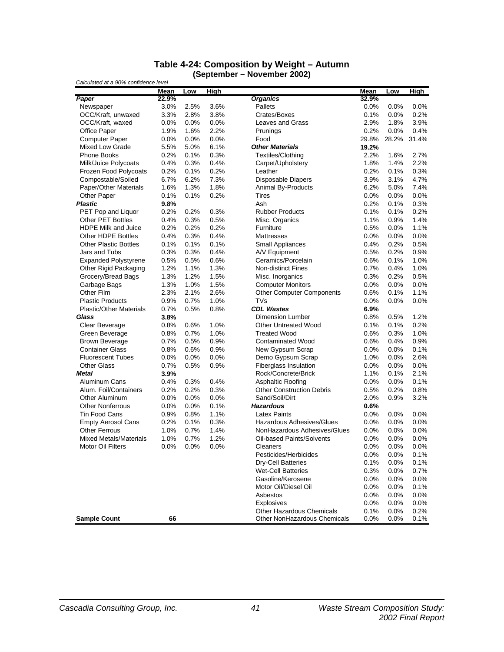| Table 4-24: Composition by Weight – Autumn |  |
|--------------------------------------------|--|
| (September – November 2002)                |  |

|                                | <b>Mean</b> | Low     | <b>High</b> |                                                                         | Mean         | Low          | <b>High</b>  |
|--------------------------------|-------------|---------|-------------|-------------------------------------------------------------------------|--------------|--------------|--------------|
| Paper                          | 22.9%       |         |             | <b>Organics</b>                                                         | 32.9%        |              |              |
| Newspaper                      | 3.0%        | 2.5%    | 3.6%        | Pallets                                                                 | $0.0\%$      | 0.0%         | $0.0\%$      |
| OCC/Kraft, unwaxed             | 3.3%        | 2.8%    | 3.8%        | Crates/Boxes                                                            | 0.1%         | 0.0%         | 0.2%         |
| OCC/Kraft, waxed               | 0.0%        | $0.0\%$ | 0.0%        | Leaves and Grass                                                        | 2.9%         | 1.8%         | 3.9%         |
| Office Paper                   | 1.9%        | 1.6%    | 2.2%        | Prunings                                                                | 0.2%         | 0.0%         | 0.4%         |
| <b>Computer Paper</b>          | 0.0%        | 0.0%    | 0.0%        | Food                                                                    | 29.8%        | 28.2%        | 31.4%        |
| <b>Mixed Low Grade</b>         | 5.5%        | 5.0%    | 6.1%        | <b>Other Materials</b>                                                  | 19.2%        |              |              |
| Phone Books                    | 0.2%        | 0.1%    | 0.3%        | Textiles/Clothing                                                       | 2.2%         | 1.6%         | 2.7%         |
| Milk/Juice Polycoats           | 0.4%        | 0.3%    | 0.4%        | Carpet/Upholstery                                                       | 1.8%         | 1.4%         | 2.2%         |
| <b>Frozen Food Polycoats</b>   | 0.2%        | 0.1%    | 0.2%        | Leather                                                                 | 0.2%         | 0.1%         | 0.3%         |
| Compostable/Soiled             | 6.7%        | 6.2%    | 7.3%        | Disposable Diapers                                                      | 3.9%         | 3.1%         | 4.7%         |
| Paper/Other Materials          | 1.6%        | 1.3%    | 1.8%        | Animal By-Products                                                      | 6.2%         | 5.0%         | 7.4%         |
| <b>Other Paper</b>             | 0.1%        | 0.1%    | 0.2%        | Tires                                                                   | $0.0\%$      | 0.0%         | 0.0%         |
| <b>Plastic</b>                 | 9.8%        |         |             | Ash                                                                     | 0.2%         | 0.1%         | 0.3%         |
| PET Pop and Liquor             | 0.2%        | 0.2%    | 0.3%        | <b>Rubber Products</b>                                                  | 0.1%         | 0.1%         | 0.2%         |
| Other PET Bottles              | 0.4%        | 0.3%    | 0.5%        | Misc. Organics                                                          | 1.1%         | 0.9%         | 1.4%         |
| <b>HDPE Milk and Juice</b>     | 0.2%        | 0.2%    | 0.2%        | Furniture                                                               | 0.5%         | 0.0%         | 1.1%         |
| Other HDPE Bottles             | 0.4%        | 0.3%    | 0.4%        | Mattresses                                                              | $0.0\%$      | 0.0%         | $0.0\%$      |
| <b>Other Plastic Bottles</b>   | 0.1%        | 0.1%    | 0.1%        | <b>Small Appliances</b>                                                 | 0.4%         | 0.2%         | 0.5%         |
| Jars and Tubs                  | 0.3%        | 0.3%    | 0.4%        | A/V Equipment                                                           | 0.5%         | 0.2%         | 0.9%         |
| <b>Expanded Polystyrene</b>    | 0.5%        | 0.5%    | 0.6%        | Ceramics/Porcelain                                                      | 0.6%         | 0.1%         | 1.0%         |
| Other Rigid Packaging          | 1.2%        | 1.1%    | 1.3%        | <b>Non-distinct Fines</b>                                               | 0.7%         | 0.4%         | 1.0%         |
| Grocery/Bread Bags             | 1.3%        | 1.2%    | 1.5%        | Misc. Inorganics                                                        | 0.3%         | 0.2%         | 0.5%         |
| Garbage Bags                   | 1.3%        | 1.0%    | 1.5%        | <b>Computer Monitors</b>                                                | 0.0%         | 0.0%         | 0.0%         |
| Other Film                     | 2.3%        | 2.1%    | 2.6%        | <b>Other Computer Components</b>                                        | 0.6%         | 0.1%         | 1.1%         |
| <b>Plastic Products</b>        | 0.9%        | 0.7%    | 1.0%        | TVs                                                                     | 0.0%         | 0.0%         | 0.0%         |
| <b>Plastic/Other Materials</b> | 0.7%        | 0.5%    | 0.8%        | <b>CDL Wastes</b>                                                       | 6.9%         |              |              |
| Glass                          | 3.8%        |         |             | <b>Dimension Lumber</b>                                                 | 0.8%         | 0.5%         | 1.2%         |
| Clear Beverage                 | 0.8%        | 0.6%    | 1.0%        | <b>Other Untreated Wood</b>                                             | 0.1%         | 0.1%         | 0.2%         |
| Green Beverage                 | 0.8%        | 0.7%    | 1.0%        | <b>Treated Wood</b>                                                     | 0.6%         | 0.3%         | 1.0%         |
| <b>Brown Beverage</b>          | 0.7%        | 0.5%    | 0.9%        | <b>Contaminated Wood</b>                                                | 0.6%         | 0.4%         | 0.9%         |
| <b>Container Glass</b>         | 0.8%        | 0.6%    | 0.9%        | New Gypsum Scrap                                                        | $0.0\%$      | 0.0%         | 0.1%         |
| <b>Fluorescent Tubes</b>       | 0.0%        | 0.0%    | 0.0%        | Demo Gypsum Scrap                                                       | 1.0%         | 0.0%         | 2.6%         |
| <b>Other Glass</b>             | 0.7%        | 0.5%    | 0.9%        | Fiberglass Insulation                                                   | $0.0\%$      | 0.0%         | 0.0%         |
| Metal                          | 3.9%        |         |             | Rock/Concrete/Brick                                                     | 1.1%         | 0.1%         | 2.1%         |
| Aluminum Cans                  | 0.4%        | 0.3%    | 0.4%        | Asphaltic Roofing                                                       | 0.0%         | 0.0%         | 0.1%         |
| Alum. Foil/Containers          | 0.2%        | 0.2%    | 0.3%        | <b>Other Construction Debris</b>                                        | 0.5%         | 0.2%         | 0.8%         |
| <b>Other Aluminum</b>          | 0.0%        | $0.0\%$ | 0.0%        | Sand/Soil/Dirt                                                          | 2.0%         | 0.9%         | 3.2%         |
| <b>Other Nonferrous</b>        | 0.0%        | 0.0%    | 0.1%        | <b>Hazardous</b>                                                        | 0.6%         |              |              |
| <b>Tin Food Cans</b>           | 0.9%        | 0.8%    | 1.1%        | <b>Latex Paints</b>                                                     | $0.0\%$      | 0.0%         | 0.0%         |
| <b>Empty Aerosol Cans</b>      | 0.2%        | 0.1%    | 0.3%        | Hazardous Adhesives/Glues                                               | 0.0%         | 0.0%         | 0.0%         |
| <b>Other Ferrous</b>           | 1.0%        | 0.7%    | 1.4%        | NonHazardous Adhesives/Glues                                            | 0.0%         | 0.0%         | 0.0%         |
| <b>Mixed Metals/Materials</b>  | 1.0%        | 0.7%    | 1.2%        | Oil-based Paints/Solvents                                               | 0.0%         | 0.0%         | 0.0%         |
| Motor Oil Filters              | 0.0%        | 0.0%    | 0.0%        | Cleaners                                                                | 0.0%         | 0.0%         | $0.0\%$      |
|                                |             |         |             | Pesticides/Herbicides                                                   | 0.0%         | 0.0%         | 0.1%         |
|                                |             |         |             | <b>Dry-Cell Batteries</b>                                               | 0.1%         | 0.0%         | 0.1%         |
|                                |             |         |             | <b>Wet-Cell Batteries</b>                                               | 0.3%         | 0.0%         | 0.7%         |
|                                |             |         |             | Gasoline/Kerosene                                                       | 0.0%         | 0.0%         | 0.0%         |
|                                |             |         |             | Motor Oil/Diesel Oil                                                    | 0.0%         | 0.0%         | 0.1%         |
|                                |             |         |             | Asbestos                                                                | 0.0%         | 0.0%         | 0.0%         |
|                                |             |         |             | <b>Explosives</b>                                                       | 0.0%         | 0.0%         | $0.0\%$      |
| <b>Sample Count</b>            | 66          |         |             | <b>Other Hazardous Chemicals</b><br><b>Other NonHazardous Chemicals</b> | 0.1%<br>0.0% | 0.0%<br>0.0% | 0.2%<br>0.1% |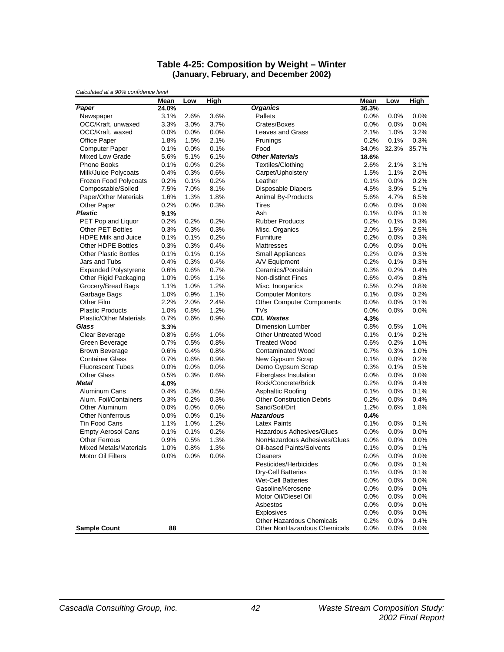#### **Table 4-25: Composition by Weight – Winter (January, February, and December 2002)**

|                                | Mean  | Low  | <b>High</b> |                                                                  | Mean         | Low          | <b>High</b>     |
|--------------------------------|-------|------|-------------|------------------------------------------------------------------|--------------|--------------|-----------------|
| Paper                          | 24.0% |      |             | <b>Organics</b>                                                  | 36.3%        |              |                 |
| Newspaper                      | 3.1%  | 2.6% | 3.6%        | Pallets                                                          | 0.0%         | 0.0%         | 0.0%            |
| OCC/Kraft, unwaxed             | 3.3%  | 3.0% | 3.7%        | Crates/Boxes                                                     | 0.0%         | 0.0%         | 0.0%            |
| OCC/Kraft, waxed               | 0.0%  | 0.0% | 0.0%        | Leaves and Grass                                                 | 2.1%         | 1.0%         | 3.2%            |
| Office Paper                   | 1.8%  | 1.5% | 2.1%        | Prunings                                                         | 0.2%         | 0.1%         | 0.3%            |
| <b>Computer Paper</b>          | 0.1%  | 0.0% | 0.1%        | Food                                                             | 34.0%        | 32.3%        | 35.7%           |
| <b>Mixed Low Grade</b>         | 5.6%  | 5.1% | 6.1%        | <b>Other Materials</b>                                           | 18.6%        |              |                 |
| <b>Phone Books</b>             | 0.1%  | 0.0% | 0.2%        | Textiles/Clothing                                                | 2.6%         | 2.1%         | 3.1%            |
| Milk/Juice Polycoats           | 0.4%  | 0.3% | 0.6%        | Carpet/Upholstery                                                | 1.5%         | 1.1%         | 2.0%            |
| Frozen Food Polycoats          | 0.2%  | 0.1% | 0.2%        | Leather                                                          | 0.1%         | $0.0\%$      | 0.2%            |
| Compostable/Soiled             | 7.5%  | 7.0% | 8.1%        | Disposable Diapers                                               | 4.5%         | 3.9%         | 5.1%            |
| Paper/Other Materials          | 1.6%  | 1.3% | 1.8%        | Animal By-Products                                               | 5.6%         | 4.7%         | 6.5%            |
| <b>Other Paper</b>             | 0.2%  | 0.0% | 0.3%        | Tires                                                            | 0.0%         | $0.0\%$      | 0.0%            |
| <b>Plastic</b>                 | 9.1%  |      |             | Ash                                                              | 0.1%         | 0.0%         | 0.1%            |
| PET Pop and Liquor             | 0.2%  | 0.2% | 0.2%        | <b>Rubber Products</b>                                           | 0.2%         | 0.1%         | 0.3%            |
| Other PET Bottles              | 0.3%  | 0.3% | 0.3%        | Misc. Organics                                                   | 2.0%         | 1.5%         | 2.5%            |
| <b>HDPE Milk and Juice</b>     | 0.1%  | 0.1% | 0.2%        | Furniture                                                        | 0.2%         | 0.0%         | 0.3%            |
| Other HDPE Bottles             | 0.3%  | 0.3% | 0.4%        | <b>Mattresses</b>                                                | 0.0%         | 0.0%         | 0.0%            |
| <b>Other Plastic Bottles</b>   | 0.1%  | 0.1% | 0.1%        | <b>Small Appliances</b>                                          | 0.2%         | 0.0%         | 0.3%            |
| Jars and Tubs                  | 0.4%  | 0.3% | 0.4%        | A/V Equipment                                                    | 0.2%         | 0.1%         | 0.3%            |
| <b>Expanded Polystyrene</b>    | 0.6%  | 0.6% | 0.7%        | Ceramics/Porcelain                                               | 0.3%         | 0.2%         | 0.4%            |
| Other Rigid Packaging          | 1.0%  | 0.9% | 1.1%        | <b>Non-distinct Fines</b>                                        | 0.6%         | 0.4%         | 0.8%            |
| Grocery/Bread Bags             | 1.1%  | 1.0% | 1.2%        | Misc. Inorganics                                                 | 0.5%         | 0.2%         | 0.8%            |
| Garbage Bags                   | 1.0%  | 0.9% | 1.1%        | <b>Computer Monitors</b>                                         | 0.1%         | $0.0\%$      | 0.2%            |
| Other Film                     | 2.2%  | 2.0% | 2.4%        | <b>Other Computer Components</b>                                 | 0.0%         | 0.0%         | 0.1%            |
| <b>Plastic Products</b>        | 1.0%  | 0.8% | 1.2%        | <b>TVs</b>                                                       | 0.0%         | 0.0%         | 0.0%            |
| <b>Plastic/Other Materials</b> | 0.7%  | 0.6% | 0.9%        | <b>CDL Wastes</b>                                                | 4.3%         |              |                 |
| Glass                          | 3.3%  |      |             | <b>Dimension Lumber</b>                                          | 0.8%         | 0.5%         | 1.0%            |
| Clear Beverage                 | 0.8%  | 0.6% | 1.0%        | <b>Other Untreated Wood</b>                                      | 0.1%         | 0.1%         | 0.2%            |
| Green Beverage                 | 0.7%  | 0.5% | 0.8%        | <b>Treated Wood</b>                                              | 0.6%         | 0.2%         | 1.0%            |
| <b>Brown Beverage</b>          | 0.6%  | 0.4% | 0.8%        | <b>Contaminated Wood</b>                                         | 0.7%         | 0.3%         | 1.0%            |
| <b>Container Glass</b>         | 0.7%  | 0.6% | 0.9%        | New Gypsum Scrap                                                 | 0.1%         | 0.0%         | 0.2%            |
| <b>Fluorescent Tubes</b>       | 0.0%  | 0.0% | 0.0%        | Demo Gypsum Scrap                                                | 0.3%         | 0.1%         | 0.5%            |
| <b>Other Glass</b>             | 0.5%  | 0.3% | 0.6%        | <b>Fiberglass Insulation</b>                                     | 0.0%         | 0.0%         | 0.0%            |
| <b>Metal</b>                   | 4.0%  |      |             | Rock/Concrete/Brick                                              | 0.2%         | 0.0%         | 0.4%            |
| Aluminum Cans                  | 0.4%  | 0.3% | 0.5%        | Asphaltic Roofing                                                | 0.1%         | 0.0%         | 0.1%            |
| Alum. Foil/Containers          | 0.3%  | 0.2% | 0.3%        | <b>Other Construction Debris</b>                                 | 0.2%         | 0.0%         | 0.4%            |
| <b>Other Aluminum</b>          | 0.0%  | 0.0% | 0.0%        | Sand/Soil/Dirt                                                   | 1.2%         | 0.6%         | 1.8%            |
| <b>Other Nonferrous</b>        | 0.0%  | 0.0% | 0.1%        | <b>Hazardous</b>                                                 | 0.4%         |              |                 |
| <b>Tin Food Cans</b>           | 1.1%  | 1.0% | 1.2%        | <b>Latex Paints</b>                                              | 0.1%         | $0.0\%$      | 0.1%            |
| <b>Empty Aerosol Cans</b>      | 0.1%  | 0.1% | 0.2%        | Hazardous Adhesives/Glues                                        | 0.0%         | 0.0%         | 0.0%            |
| <b>Other Ferrous</b>           | 0.9%  | 0.5% | 1.3%        | NonHazardous Adhesives/Glues                                     | 0.0%         | $0.0\%$      | 0.0%            |
| <b>Mixed Metals/Materials</b>  | 1.0%  | 0.8% | 1.3%        | Oil-based Paints/Solvents                                        | 0.1%         | 0.0%         | 0.1%            |
| <b>Motor Oil Filters</b>       | 0.0%  | 0.0% | 0.0%        | Cleaners                                                         | 0.0%         | 0.0%         | 0.0%            |
|                                |       |      |             | Pesticides/Herbicides                                            | 0.0%         | 0.0%         | 0.1%            |
|                                |       |      |             | <b>Dry-Cell Batteries</b>                                        | 0.1%         | 0.0%         | 0.1%            |
|                                |       |      |             | <b>Wet-Cell Batteries</b>                                        | 0.0%         | 0.0%         | $0.0\%$         |
|                                |       |      |             | Gasoline/Kerosene                                                | 0.0%         | 0.0%         | 0.0%            |
|                                |       |      |             | Motor Oil/Diesel Oil                                             | 0.0%         | $0.0\%$      | 0.0%            |
|                                |       |      |             | Asbestos                                                         | 0.0%         | 0.0%         | $0.0\%$         |
|                                |       |      |             | <b>Explosives</b>                                                | 0.0%         | $0.0\%$      | 0.0%            |
| <b>Sample Count</b>            | 88    |      |             | <b>Other Hazardous Chemicals</b><br>Other NonHazardous Chemicals | 0.2%<br>0.0% | 0.0%<br>0.0% | $0.4\%$<br>0.0% |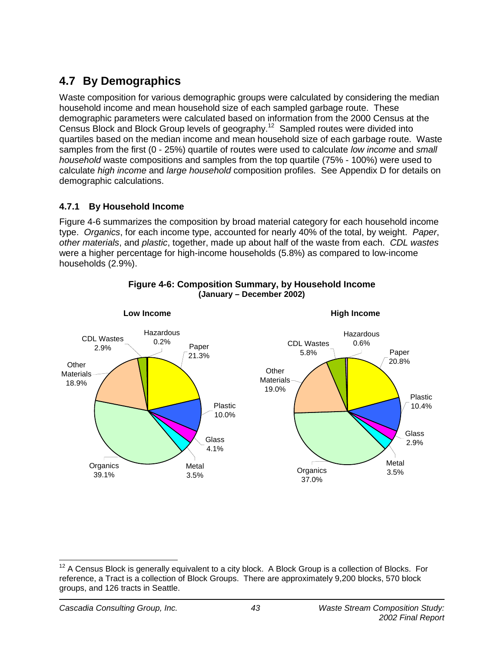# **4.7 By Demographics**

Waste composition for various demographic groups were calculated by considering the median household income and mean household size of each sampled garbage route. These demographic parameters were calculated based on information from the 2000 Census at the Census Block and Block Group levels of geography.12 Sampled routes were divided into quartiles based on the median income and mean household size of each garbage route. Waste samples from the first (0 - 25%) quartile of routes were used to calculate *low income* and *small household* waste compositions and samples from the top quartile (75% - 100%) were used to calculate *high income* and *large household* composition profiles. See Appendix D for details on demographic calculations.

### **4.7.1 By Household Income**

Figure 4-6 summarizes the composition by broad material category for each household income type. *Organics*, for each income type, accounted for nearly 40% of the total, by weight. *Paper*, *other materials*, and *plastic*, together, made up about half of the waste from each. *CDL wastes*  were a higher percentage for high-income households (5.8%) as compared to low-income households (2.9%).



#### **Figure 4-6: Composition Summary, by Household Income (January – December 2002)**

 $\overline{\phantom{a}}$  $12$  A Census Block is generally equivalent to a city block. A Block Group is a collection of Blocks. For reference, a Tract is a collection of Block Groups. There are approximately 9,200 blocks, 570 block groups, and 126 tracts in Seattle.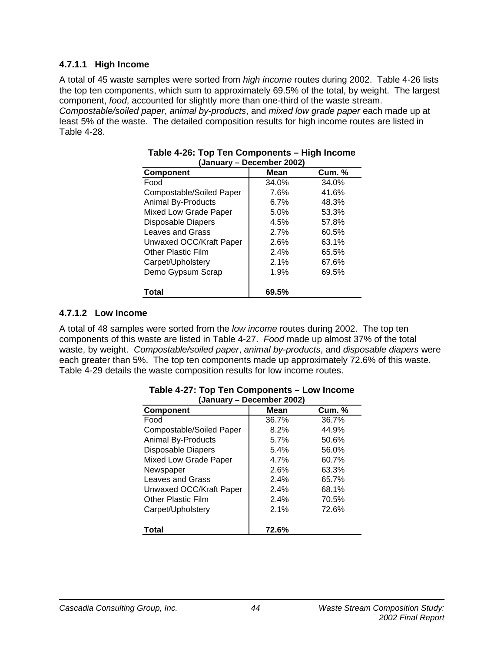#### **4.7.1.1 High Income**

A total of 45 waste samples were sorted from *high income* routes during 2002. Table 4-26 lists the top ten components, which sum to approximately 69.5% of the total, by weight. The largest component, *food*, accounted for slightly more than one-third of the waste stream.

*Compostable/soiled paper*, *animal by-products*, and *mixed low grade paper* each made up at least 5% of the waste. The detailed composition results for high income routes are listed in Table 4-28.

| January – Deceniber Zuuzj |       |               |  |  |  |  |  |  |
|---------------------------|-------|---------------|--|--|--|--|--|--|
| <b>Component</b>          | Mean  | <b>Cum.</b> % |  |  |  |  |  |  |
| Food                      | 34.0% | 34.0%         |  |  |  |  |  |  |
| Compostable/Soiled Paper  | 7.6%  | 41.6%         |  |  |  |  |  |  |
| <b>Animal By-Products</b> | 6.7%  | 48.3%         |  |  |  |  |  |  |
| Mixed Low Grade Paper     | 5.0%  | 53.3%         |  |  |  |  |  |  |
| <b>Disposable Diapers</b> | 4.5%  | 57.8%         |  |  |  |  |  |  |
| <b>Leaves and Grass</b>   | 2.7%  | 60.5%         |  |  |  |  |  |  |
| Unwaxed OCC/Kraft Paper   | 2.6%  | 63.1%         |  |  |  |  |  |  |
| <b>Other Plastic Film</b> | 2.4%  | 65.5%         |  |  |  |  |  |  |
| Carpet/Upholstery         | 2.1%  | 67.6%         |  |  |  |  |  |  |
| Demo Gypsum Scrap         | 1.9%  | 69.5%         |  |  |  |  |  |  |
| Total                     | 69.5% |               |  |  |  |  |  |  |

#### **Table 4-26: Top Ten Components – High Income (January – December 2002)**

### **4.7.1.2 Low Income**

A total of 48 samples were sorted from the *low income* routes during 2002. The top ten components of this waste are listed in Table 4-27. *Food* made up almost 37% of the total waste, by weight. *Compostable/soiled paper*, *animal by-products*, and *disposable diapers* were each greater than 5%. The top ten components made up approximately 72.6% of this waste. Table 4-29 details the waste composition results for low income routes.

| (January – Deceniber Zuuz) |       |               |  |  |  |  |  |
|----------------------------|-------|---------------|--|--|--|--|--|
| Component                  | Mean  | <b>Cum.</b> % |  |  |  |  |  |
| Food                       | 36.7% | 36.7%         |  |  |  |  |  |
| Compostable/Soiled Paper   | 8.2%  | 44.9%         |  |  |  |  |  |
| <b>Animal By-Products</b>  | 5.7%  | 50.6%         |  |  |  |  |  |
| <b>Disposable Diapers</b>  | 5.4%  | 56.0%         |  |  |  |  |  |
| Mixed Low Grade Paper      | 4.7%  | 60.7%         |  |  |  |  |  |
| Newspaper                  | 2.6%  | 63.3%         |  |  |  |  |  |
| Leaves and Grass           | 2.4%  | 65.7%         |  |  |  |  |  |
| Unwaxed OCC/Kraft Paper    | 2.4%  | 68.1%         |  |  |  |  |  |
| Other Plastic Film         | 2.4%  | 70.5%         |  |  |  |  |  |
| Carpet/Upholstery          | 2.1%  | 72.6%         |  |  |  |  |  |
| Total                      | 72.6% |               |  |  |  |  |  |

#### **Table 4-27: Top Ten Components – Low Income (January – December 2002)**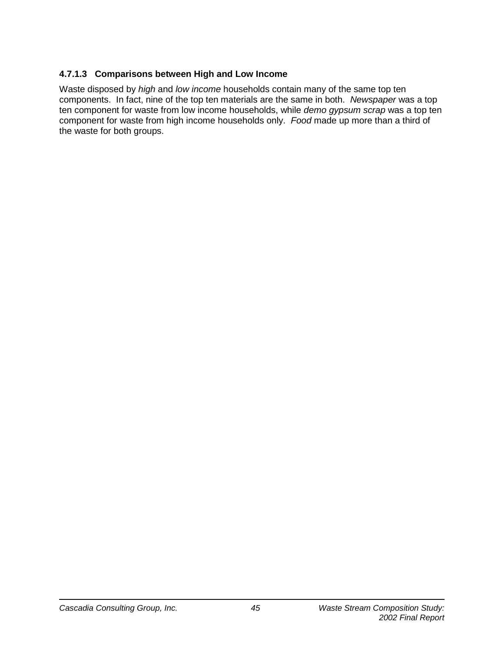### **4.7.1.3 Comparisons between High and Low Income**

Waste disposed by *high* and *low income* households contain many of the same top ten components. In fact, nine of the top ten materials are the same in both. *Newspaper* was a top ten component for waste from low income households, while *demo gypsum scrap* was a top ten component for waste from high income households only. *Food* made up more than a third of the waste for both groups.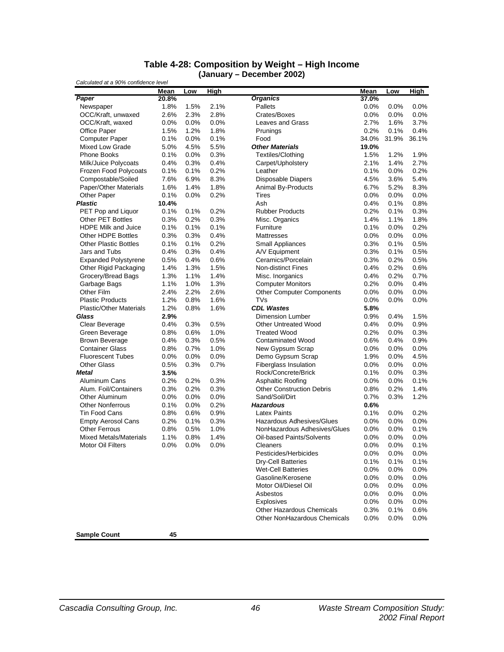#### **Table 4-28: Composition by Weight – High Income (January – December 2002)**

|                                | Mean    | Low  | <b>High</b> |                                  | Mean    | Low     | <b>High</b> |
|--------------------------------|---------|------|-------------|----------------------------------|---------|---------|-------------|
| Paper                          | 20.8%   |      |             | <b>Organics</b>                  | 37.0%   |         |             |
| Newspaper                      | 1.8%    | 1.5% | 2.1%        | Pallets                          | 0.0%    | 0.0%    | $0.0\%$     |
| OCC/Kraft, unwaxed             | 2.6%    | 2.3% | 2.8%        | Crates/Boxes                     | 0.0%    | 0.0%    | 0.0%        |
| OCC/Kraft, waxed               | 0.0%    | 0.0% | 0.0%        | Leaves and Grass                 | 2.7%    | 1.6%    | 3.7%        |
| Office Paper                   | 1.5%    | 1.2% | 1.8%        | Prunings                         | 0.2%    | 0.1%    | 0.4%        |
| <b>Computer Paper</b>          | 0.1%    | 0.0% | 0.1%        | Food                             | 34.0%   | 31.9%   | 36.1%       |
| Mixed Low Grade                | 5.0%    | 4.5% | 5.5%        | <b>Other Materials</b>           | 19.0%   |         |             |
| <b>Phone Books</b>             | 0.1%    | 0.0% | 0.3%        | Textiles/Clothing                | 1.5%    | 1.2%    | 1.9%        |
| Milk/Juice Polycoats           | 0.4%    | 0.3% | 0.4%        | Carpet/Upholstery                | 2.1%    | 1.4%    | 2.7%        |
| Frozen Food Polycoats          | 0.1%    | 0.1% | 0.2%        | Leather                          | 0.1%    | $0.0\%$ | 0.2%        |
| Compostable/Soiled             | 7.6%    | 6.9% | 8.3%        | <b>Disposable Diapers</b>        | 4.5%    | 3.6%    | 5.4%        |
| Paper/Other Materials          | 1.6%    | 1.4% | 1.8%        | Animal By-Products               | 6.7%    | 5.2%    | 8.3%        |
| Other Paper                    | 0.1%    | 0.0% | 0.2%        | <b>Tires</b>                     | 0.0%    | 0.0%    | 0.0%        |
| <b>Plastic</b>                 | 10.4%   |      |             | Ash                              | 0.4%    | 0.1%    | 0.8%        |
| PET Pop and Liquor             | 0.1%    | 0.1% | 0.2%        | <b>Rubber Products</b>           | 0.2%    | 0.1%    | 0.3%        |
| <b>Other PET Bottles</b>       | 0.3%    | 0.2% | 0.3%        | Misc. Organics                   | 1.4%    | 1.1%    | 1.8%        |
| <b>HDPE Milk and Juice</b>     | 0.1%    | 0.1% | 0.1%        | Furniture                        | 0.1%    | 0.0%    | 0.2%        |
| Other HDPE Bottles             | 0.3%    | 0.3% | 0.4%        | <b>Mattresses</b>                | 0.0%    | 0.0%    | 0.0%        |
| <b>Other Plastic Bottles</b>   | 0.1%    | 0.1% | 0.2%        | Small Appliances                 | 0.3%    | 0.1%    | 0.5%        |
| Jars and Tubs                  | 0.4%    | 0.3% | 0.4%        | A/V Equipment                    | 0.3%    | 0.1%    | 0.5%        |
| <b>Expanded Polystyrene</b>    | 0.5%    | 0.4% | 0.6%        | Ceramics/Porcelain               | 0.3%    | 0.2%    | 0.5%        |
| Other Rigid Packaging          | 1.4%    | 1.3% | 1.5%        | <b>Non-distinct Fines</b>        | 0.4%    | 0.2%    | 0.6%        |
| Grocery/Bread Bags             | 1.3%    | 1.1% | 1.4%        | Misc. Inorganics                 | 0.4%    | 0.2%    | 0.7%        |
| Garbage Bags                   | 1.1%    | 1.0% | 1.3%        | <b>Computer Monitors</b>         | 0.2%    | 0.0%    | 0.4%        |
| Other Film                     | 2.4%    | 2.2% | 2.6%        | <b>Other Computer Components</b> | 0.0%    | 0.0%    | 0.0%        |
| <b>Plastic Products</b>        | 1.2%    | 0.8% | 1.6%        | TVs                              | 0.0%    | 0.0%    | 0.0%        |
| <b>Plastic/Other Materials</b> | 1.2%    | 0.8% | 1.6%        | <b>CDL Wastes</b>                | 5.8%    |         |             |
| Glass                          | 2.9%    |      |             | <b>Dimension Lumber</b>          | 0.9%    | 0.4%    | 1.5%        |
| Clear Beverage                 | 0.4%    | 0.3% | 0.5%        | <b>Other Untreated Wood</b>      | 0.4%    | $0.0\%$ | 0.9%        |
| Green Beverage                 | 0.8%    | 0.6% | 1.0%        | <b>Treated Wood</b>              | 0.2%    | 0.0%    | 0.3%        |
| <b>Brown Beverage</b>          | 0.4%    | 0.3% | 0.5%        | <b>Contaminated Wood</b>         | 0.6%    | 0.4%    | 0.9%        |
| <b>Container Glass</b>         | 0.8%    | 0.7% | 1.0%        | New Gypsum Scrap                 | 0.0%    | 0.0%    | 0.0%        |
| <b>Fluorescent Tubes</b>       | 0.0%    | 0.0% | 0.0%        | Demo Gypsum Scrap                | 1.9%    | 0.0%    | 4.5%        |
| <b>Other Glass</b>             | 0.5%    | 0.3% | 0.7%        | <b>Fiberglass Insulation</b>     | $0.0\%$ | $0.0\%$ | 0.0%        |
| <b>Metal</b>                   | 3.5%    |      |             | Rock/Concrete/Brick              | 0.1%    | 0.0%    | 0.3%        |
| Aluminum Cans                  | 0.2%    | 0.2% | 0.3%        | Asphaltic Roofing                | $0.0\%$ | $0.0\%$ | 0.1%        |
| Alum. Foil/Containers          | 0.3%    | 0.2% | 0.3%        | <b>Other Construction Debris</b> | 0.8%    | 0.2%    | 1.4%        |
| <b>Other Aluminum</b>          | 0.0%    | 0.0% | 0.0%        | Sand/Soil/Dirt                   | 0.7%    | 0.3%    | 1.2%        |
| <b>Other Nonferrous</b>        | 0.1%    | 0.0% | 0.2%        | <b>Hazardous</b>                 | 0.6%    |         |             |
| Tin Food Cans                  | $0.8\%$ | 0.6% | 0.9%        | <b>Latex Paints</b>              | 0.1%    | 0.0%    | 0.2%        |
| <b>Empty Aerosol Cans</b>      | 0.2%    | 0.1% | 0.3%        | Hazardous Adhesives/Glues        | 0.0%    | 0.0%    | 0.0%        |
| <b>Other Ferrous</b>           | 0.8%    | 0.5% | 1.0%        | NonHazardous Adhesives/Glues     | 0.0%    | 0.0%    | 0.1%        |
| <b>Mixed Metals/Materials</b>  | 1.1%    | 0.8% | 1.4%        | Oil-based Paints/Solvents        | 0.0%    | 0.0%    | 0.0%        |
| <b>Motor Oil Filters</b>       | 0.0%    | 0.0% | 0.0%        | Cleaners                         | 0.0%    | $0.0\%$ | 0.1%        |
|                                |         |      |             | Pesticides/Herbicides            | 0.0%    | 0.0%    | 0.0%        |
|                                |         |      |             | <b>Dry-Cell Batteries</b>        | 0.1%    | 0.1%    | 0.1%        |
|                                |         |      |             | <b>Wet-Cell Batteries</b>        | 0.0%    | 0.0%    | 0.0%        |
|                                |         |      |             | Gasoline/Kerosene                | 0.0%    | 0.0%    | 0.0%        |
|                                |         |      |             | Motor Oil/Diesel Oil             | $0.0\%$ | $0.0\%$ | 0.0%        |
|                                |         |      |             | Asbestos                         | 0.0%    | $0.0\%$ | 0.0%        |
|                                |         |      |             | Explosives                       | 0.0%    | 0.0%    | 0.0%        |
|                                |         |      |             | Other Hazardous Chemicals        | 0.3%    | 0.1%    | 0.6%        |
|                                |         |      |             | Other NonHazardous Chemicals     | $0.0\%$ | $0.0\%$ | 0.0%        |
| <b>Sample Count</b>            | 45      |      |             |                                  |         |         |             |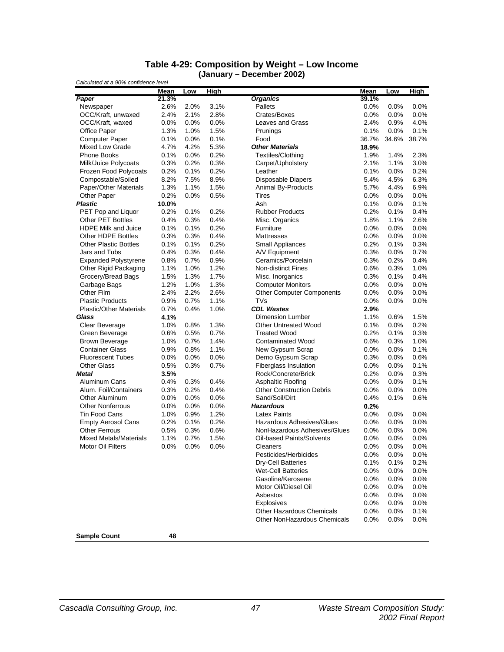#### **Table 4-29: Composition by Weight – Low Income (January – December 2002)**

|                                | <b>Mean</b> | Low  | <b>High</b> |                                  | <b>Mean</b> | Low     | <u>High</u> |
|--------------------------------|-------------|------|-------------|----------------------------------|-------------|---------|-------------|
| Paper                          | 21.3%       |      |             | <b>Organics</b>                  | 39.1%       |         |             |
| Newspaper                      | 2.6%        | 2.0% | 3.1%        | Pallets                          | 0.0%        | 0.0%    | $0.0\%$     |
| OCC/Kraft, unwaxed             | 2.4%        | 2.1% | 2.8%        | Crates/Boxes                     | 0.0%        | 0.0%    | 0.0%        |
| OCC/Kraft, waxed               | 0.0%        | 0.0% | 0.0%        | Leaves and Grass                 | 2.4%        | 0.9%    | 4.0%        |
| <b>Office Paper</b>            | 1.3%        | 1.0% | 1.5%        | Prunings                         | 0.1%        | $0.0\%$ | 0.1%        |
| <b>Computer Paper</b>          | 0.1%        | 0.0% | 0.1%        | Food                             | 36.7%       | 34.6%   | 38.7%       |
| Mixed Low Grade                | 4.7%        | 4.2% | 5.3%        | <b>Other Materials</b>           | 18.9%       |         |             |
| <b>Phone Books</b>             | 0.1%        | 0.0% | 0.2%        | Textiles/Clothing                | 1.9%        | 1.4%    | 2.3%        |
| Milk/Juice Polycoats           | 0.3%        | 0.2% | 0.3%        | Carpet/Upholstery                | 2.1%        | 1.1%    | 3.0%        |
| <b>Frozen Food Polycoats</b>   | 0.2%        | 0.1% | 0.2%        | Leather                          | 0.1%        | 0.0%    | 0.2%        |
| Compostable/Soiled             | 8.2%        | 7.5% | 8.9%        | <b>Disposable Diapers</b>        | 5.4%        | 4.5%    | 6.3%        |
| Paper/Other Materials          | 1.3%        | 1.1% | 1.5%        | Animal By-Products               | 5.7%        | 4.4%    | 6.9%        |
| Other Paper                    | 0.2%        | 0.0% | 0.5%        | <b>Tires</b>                     | 0.0%        | 0.0%    | 0.0%        |
| <b>Plastic</b>                 | 10.0%       |      |             | Ash                              | 0.1%        | 0.0%    | 0.1%        |
| PET Pop and Liquor             | 0.2%        | 0.1% | 0.2%        | <b>Rubber Products</b>           | 0.2%        | 0.1%    | 0.4%        |
| Other PET Bottles              | 0.4%        | 0.3% | 0.4%        | Misc. Organics                   | 1.8%        | 1.1%    | 2.6%        |
| <b>HDPE Milk and Juice</b>     | 0.1%        | 0.1% | 0.2%        | Furniture                        | 0.0%        | 0.0%    | 0.0%        |
| Other HDPE Bottles             | 0.3%        | 0.3% | 0.4%        | Mattresses                       | 0.0%        | 0.0%    | 0.0%        |
| <b>Other Plastic Bottles</b>   | 0.1%        | 0.1% | 0.2%        | Small Appliances                 | 0.2%        | 0.1%    | 0.3%        |
| Jars and Tubs                  | 0.4%        | 0.3% | 0.4%        | A/V Equipment                    | 0.3%        | $0.0\%$ | 0.7%        |
| <b>Expanded Polystyrene</b>    | 0.8%        | 0.7% | 0.9%        | Ceramics/Porcelain               | 0.3%        | 0.2%    | 0.4%        |
| Other Rigid Packaging          | 1.1%        | 1.0% | 1.2%        | <b>Non-distinct Fines</b>        | 0.6%        | 0.3%    | 1.0%        |
| Grocery/Bread Bags             | 1.5%        | 1.3% | 1.7%        | Misc. Inorganics                 | 0.3%        | 0.1%    | 0.4%        |
|                                |             |      |             |                                  |             |         |             |
| Garbage Bags                   | 1.2%        | 1.0% | 1.3%        | <b>Computer Monitors</b>         | 0.0%        | 0.0%    | 0.0%        |
| Other Film                     | 2.4%        | 2.2% | 2.6%        | <b>Other Computer Components</b> | $0.0\%$     | 0.0%    | 0.0%        |
| <b>Plastic Products</b>        | 0.9%        | 0.7% | 1.1%        | <b>TVs</b>                       | 0.0%        | 0.0%    | 0.0%        |
| <b>Plastic/Other Materials</b> | 0.7%        | 0.4% | 1.0%        | <b>CDL Wastes</b>                | 2.9%        |         |             |
| Glass                          | 4.1%        |      |             | Dimension Lumber                 | 1.1%        | 0.6%    | 1.5%        |
| Clear Beverage                 | 1.0%        | 0.8% | 1.3%        | <b>Other Untreated Wood</b>      | 0.1%        | 0.0%    | 0.2%        |
| Green Beverage                 | 0.6%        | 0.5% | 0.7%        | <b>Treated Wood</b>              | 0.2%        | 0.1%    | 0.3%        |
| <b>Brown Beverage</b>          | 1.0%        | 0.7% | 1.4%        | <b>Contaminated Wood</b>         | 0.6%        | 0.3%    | 1.0%        |
| <b>Container Glass</b>         | 0.9%        | 0.8% | 1.1%        | New Gypsum Scrap                 | 0.0%        | $0.0\%$ | 0.1%        |
| <b>Fluorescent Tubes</b>       | 0.0%        | 0.0% | 0.0%        | Demo Gypsum Scrap                | 0.3%        | 0.0%    | 0.6%        |
| <b>Other Glass</b>             | 0.5%        | 0.3% | 0.7%        | <b>Fiberglass Insulation</b>     | 0.0%        | 0.0%    | 0.1%        |
| <b>Metal</b>                   | 3.5%        |      |             | Rock/Concrete/Brick              | 0.2%        | 0.0%    | 0.3%        |
| Aluminum Cans                  | 0.4%        | 0.3% | 0.4%        | <b>Asphaltic Roofing</b>         | 0.0%        | 0.0%    | 0.1%        |
| Alum. Foil/Containers          | 0.3%        | 0.2% | 0.4%        | <b>Other Construction Debris</b> | 0.0%        | 0.0%    | 0.0%        |
| <b>Other Aluminum</b>          | 0.0%        | 0.0% | 0.0%        | Sand/Soil/Dirt                   | 0.4%        | 0.1%    | 0.6%        |
| <b>Other Nonferrous</b>        | 0.0%        | 0.0% | 0.0%        | <b>Hazardous</b>                 | 0.2%        |         |             |
| <b>Tin Food Cans</b>           | 1.0%        | 0.9% | 1.2%        | <b>Latex Paints</b>              | 0.0%        | 0.0%    | 0.0%        |
| <b>Empty Aerosol Cans</b>      | 0.2%        | 0.1% | 0.2%        | Hazardous Adhesives/Glues        | 0.0%        | 0.0%    | 0.0%        |
| <b>Other Ferrous</b>           | 0.5%        | 0.3% | 0.6%        | NonHazardous Adhesives/Glues     | 0.0%        | 0.0%    | $0.0\%$     |
| <b>Mixed Metals/Materials</b>  | 1.1%        | 0.7% | 1.5%        | Oil-based Paints/Solvents        | 0.0%        | $0.0\%$ | 0.0%        |
| Motor Oil Filters              | 0.0%        | 0.0% | 0.0%        | Cleaners                         | 0.0%        | 0.0%    | 0.0%        |
|                                |             |      |             | Pesticides/Herbicides            | $0.0\%$     | 0.0%    | 0.0%        |
|                                |             |      |             | <b>Dry-Cell Batteries</b>        | 0.1%        | 0.1%    | 0.2%        |
|                                |             |      |             | <b>Wet-Cell Batteries</b>        | 0.0%        | $0.0\%$ | $0.0\%$     |
|                                |             |      |             | Gasoline/Kerosene                | 0.0%        | 0.0%    | 0.0%        |
|                                |             |      |             | Motor Oil/Diesel Oil             | 0.0%        | $0.0\%$ | $0.0\%$     |
|                                |             |      |             | Asbestos                         | $0.0\%$     | $0.0\%$ | $0.0\%$     |
|                                |             |      |             | Explosives                       | 0.0%        | $0.0\%$ | $0.0\%$     |
|                                |             |      |             | Other Hazardous Chemicals        | 0.0%        | $0.0\%$ | 0.1%        |
|                                |             |      |             | Other NonHazardous Chemicals     | 0.0%        | $0.0\%$ | $0.0\%$     |
|                                |             |      |             |                                  |             |         |             |
| <b>Sample Count</b>            | 48          |      |             |                                  |             |         |             |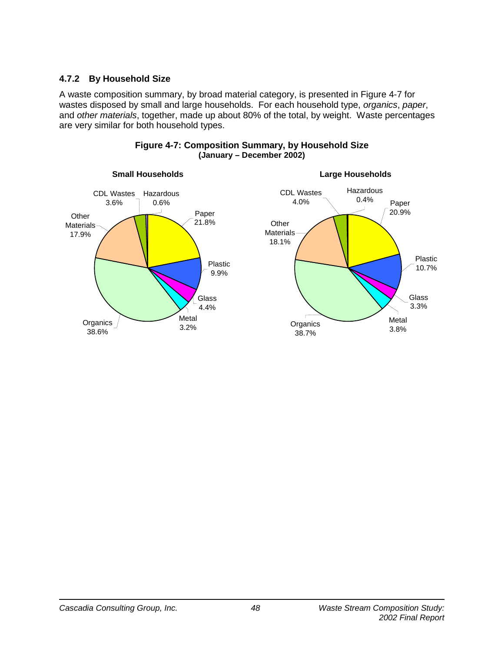### **4.7.2 By Household Size**

A waste composition summary, by broad material category, is presented in Figure 4-7 for wastes disposed by small and large households. For each household type, *organics*, *paper*, and *other materials*, together, made up about 80% of the total, by weight. Waste percentages are very similar for both household types.



#### **Figure 4-7: Composition Summary, by Household Size (January – December 2002)**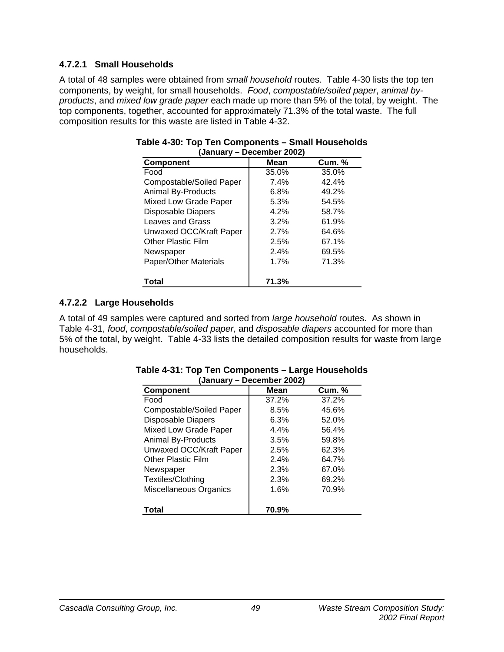### **4.7.2.1 Small Households**

A total of 48 samples were obtained from *small household* routes. Table 4-30 lists the top ten components, by weight, for small households. *Food*, *compostable/soiled paper*, *animal byproducts*, and *mixed low grade paper* each made up more than 5% of the total, by weight. The top components, together, accounted for approximately 71.3% of the total waste. The full composition results for this waste are listed in Table 4-32.

| laannaal A<br>PUUUIINUI LUULI |         |               |  |  |  |  |  |
|-------------------------------|---------|---------------|--|--|--|--|--|
| <b>Component</b>              | Mean    | <b>Cum.</b> % |  |  |  |  |  |
| Food                          | 35.0%   | 35.0%         |  |  |  |  |  |
| Compostable/Soiled Paper      | 7.4%    | 42.4%         |  |  |  |  |  |
| <b>Animal By-Products</b>     | $6.8\%$ | 49.2%         |  |  |  |  |  |
| Mixed Low Grade Paper         | 5.3%    | 54.5%         |  |  |  |  |  |
| <b>Disposable Diapers</b>     | 4.2%    | 58.7%         |  |  |  |  |  |
| Leaves and Grass              | 3.2%    | 61.9%         |  |  |  |  |  |
| Unwaxed OCC/Kraft Paper       | 2.7%    | 64.6%         |  |  |  |  |  |
| <b>Other Plastic Film</b>     | 2.5%    | 67.1%         |  |  |  |  |  |
| Newspaper                     | 2.4%    | 69.5%         |  |  |  |  |  |
| Paper/Other Materials         | 1.7%    | 71.3%         |  |  |  |  |  |
|                               |         |               |  |  |  |  |  |
| Total                         | 71.3%   |               |  |  |  |  |  |

#### **Table 4-30: Top Ten Components – Small Households (January – December 2002)**

### **4.7.2.2 Large Households**

A total of 49 samples were captured and sorted from *large household* routes. As shown in Table 4-31, *food*, *compostable/soiled paper*, and *disposable diapers* accounted for more than 5% of the total, by weight. Table 4-33 lists the detailed composition results for waste from large households.

| <b>Component</b>          | Mean  | <b>Cum.</b> % |
|---------------------------|-------|---------------|
| Food                      | 37.2% | 37.2%         |
| Compostable/Soiled Paper  | 8.5%  | 45.6%         |
| <b>Disposable Diapers</b> | 6.3%  | 52.0%         |
| Mixed Low Grade Paper     | 4.4%  | 56.4%         |
| <b>Animal By-Products</b> | 3.5%  | 59.8%         |
| Unwaxed OCC/Kraft Paper   | 2.5%  | 62.3%         |
| Other Plastic Film        | 2.4%  | 64.7%         |
| Newspaper                 | 2.3%  | 67.0%         |
| Textiles/Clothing         | 2.3%  | 69.2%         |
| Miscellaneous Organics    | 1.6%  | 70.9%         |
| Total                     | 70.9% |               |

#### **Table 4-31: Top Ten Components – Large Households (January – December 2002)**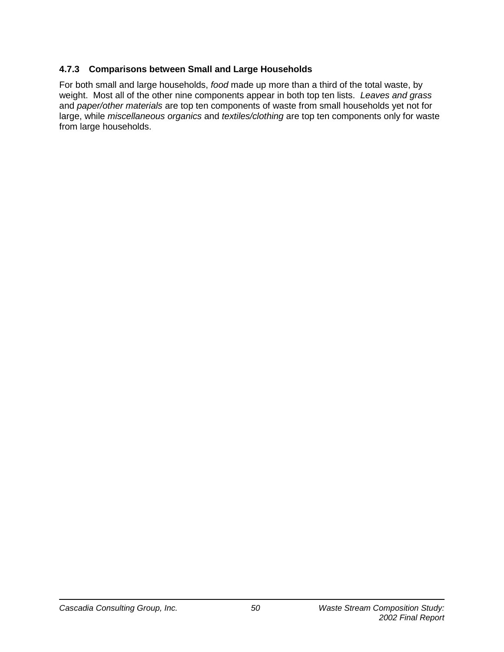### **4.7.3 Comparisons between Small and Large Households**

For both small and large households, *food* made up more than a third of the total waste, by weight. Most all of the other nine components appear in both top ten lists. *Leaves and grass* and *paper/other materials* are top ten components of waste from small households yet not for large, while *miscellaneous organics* and *textiles/clothing* are top ten components only for waste from large households.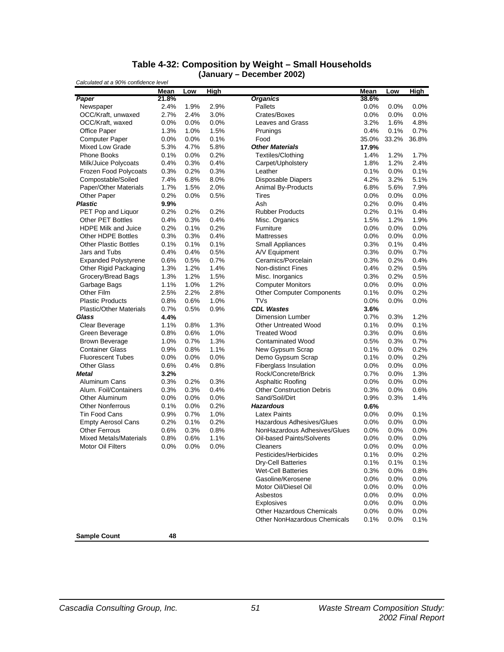#### **Table 4-32: Composition by Weight – Small Households (January – December 2002)**

|                                | Mean  | Low     | High |                                  | Mean    | Low     | <b>High</b> |
|--------------------------------|-------|---------|------|----------------------------------|---------|---------|-------------|
| Paper                          | 21.8% |         |      | <b>Organics</b>                  | 38.6%   |         |             |
| Newspaper                      | 2.4%  | 1.9%    | 2.9% | Pallets                          | $0.0\%$ | 0.0%    | 0.0%        |
| OCC/Kraft, unwaxed             | 2.7%  | 2.4%    | 3.0% | Crates/Boxes                     | 0.0%    | 0.0%    | 0.0%        |
| OCC/Kraft, waxed               | 0.0%  | 0.0%    | 0.0% | Leaves and Grass                 | 3.2%    | 1.6%    | 4.8%        |
| <b>Office Paper</b>            | 1.3%  | 1.0%    | 1.5% | Prunings                         | 0.4%    | 0.1%    | 0.7%        |
| <b>Computer Paper</b>          | 0.0%  | 0.0%    | 0.1% | Food                             | 35.0%   | 33.2%   | 36.8%       |
| Mixed Low Grade                | 5.3%  | 4.7%    | 5.8% | <b>Other Materials</b>           | 17.9%   |         |             |
| <b>Phone Books</b>             | 0.1%  | 0.0%    | 0.2% | Textiles/Clothing                | 1.4%    | 1.2%    | 1.7%        |
| Milk/Juice Polycoats           | 0.4%  | 0.3%    | 0.4% | Carpet/Upholstery                | 1.8%    | 1.2%    | 2.4%        |
| <b>Frozen Food Polycoats</b>   | 0.3%  | 0.2%    | 0.3% | Leather                          | 0.1%    | 0.0%    | 0.1%        |
| Compostable/Soiled             | 7.4%  | 6.8%    | 8.0% | <b>Disposable Diapers</b>        | 4.2%    | 3.2%    | 5.1%        |
| Paper/Other Materials          | 1.7%  | 1.5%    | 2.0% | Animal By-Products               | 6.8%    | 5.6%    | 7.9%        |
| Other Paper                    | 0.2%  | $0.0\%$ | 0.5% | Tires                            | $0.0\%$ | 0.0%    | 0.0%        |
| <b>Plastic</b>                 | 9.9%  |         |      | Ash                              | 0.2%    | 0.0%    | 0.4%        |
| PET Pop and Liquor             | 0.2%  | 0.2%    | 0.2% | <b>Rubber Products</b>           | 0.2%    | 0.1%    | 0.4%        |
| <b>Other PET Bottles</b>       | 0.4%  | 0.3%    | 0.4% | Misc. Organics                   | 1.5%    | 1.2%    | 1.9%        |
| <b>HDPE Milk and Juice</b>     | 0.2%  | 0.1%    | 0.2% | Furniture                        | $0.0\%$ | 0.0%    | 0.0%        |
| Other HDPE Bottles             | 0.3%  | 0.3%    | 0.4% | Mattresses                       | 0.0%    | 0.0%    | $0.0\%$     |
| <b>Other Plastic Bottles</b>   | 0.1%  | 0.1%    | 0.1% | <b>Small Appliances</b>          | 0.3%    | 0.1%    | 0.4%        |
| Jars and Tubs                  | 0.4%  | 0.4%    | 0.5% | A/V Equipment                    | 0.3%    | 0.0%    | 0.7%        |
| <b>Expanded Polystyrene</b>    | 0.6%  | 0.5%    | 0.7% | Ceramics/Porcelain               | 0.3%    | 0.2%    | 0.4%        |
| Other Rigid Packaging          | 1.3%  | 1.2%    | 1.4% | <b>Non-distinct Fines</b>        | 0.4%    | 0.2%    | 0.5%        |
| Grocery/Bread Bags             | 1.3%  | 1.2%    | 1.5% | Misc. Inorganics                 | 0.3%    | 0.2%    | 0.5%        |
| Garbage Bags                   | 1.1%  | 1.0%    | 1.2% | <b>Computer Monitors</b>         | $0.0\%$ | 0.0%    | 0.0%        |
| Other Film                     | 2.5%  | 2.2%    | 2.8% | <b>Other Computer Components</b> | 0.1%    | 0.0%    | 0.2%        |
| <b>Plastic Products</b>        | 0.8%  | 0.6%    | 1.0% | TVs                              | 0.0%    | 0.0%    | 0.0%        |
| <b>Plastic/Other Materials</b> | 0.7%  | 0.5%    | 0.9% | <b>CDL Wastes</b>                | 3.6%    |         |             |
| Glass                          | 4.4%  |         |      | <b>Dimension Lumber</b>          | 0.7%    | 0.3%    | 1.2%        |
| Clear Beverage                 | 1.1%  | 0.8%    | 1.3% | <b>Other Untreated Wood</b>      | 0.1%    | 0.0%    | 0.1%        |
| Green Beverage                 | 0.8%  | 0.6%    | 1.0% | <b>Treated Wood</b>              | 0.3%    | 0.0%    | 0.6%        |
| <b>Brown Beverage</b>          | 1.0%  | 0.7%    | 1.3% | <b>Contaminated Wood</b>         | 0.5%    | 0.3%    | 0.7%        |
| <b>Container Glass</b>         | 0.9%  | 0.8%    | 1.1% | New Gypsum Scrap                 | 0.1%    | 0.0%    | 0.2%        |
| <b>Fluorescent Tubes</b>       | 0.0%  | $0.0\%$ | 0.0% | Demo Gypsum Scrap                | 0.1%    | 0.0%    | 0.2%        |
| <b>Other Glass</b>             | 0.6%  | 0.4%    | 0.8% | Fiberglass Insulation            | 0.0%    | 0.0%    | 0.0%        |
| <b>Metal</b>                   | 3.2%  |         |      | Rock/Concrete/Brick              | 0.7%    | 0.0%    | 1.3%        |
| Aluminum Cans                  | 0.3%  | 0.2%    | 0.3% | Asphaltic Roofing                | 0.0%    | 0.0%    | 0.0%        |
| Alum. Foil/Containers          | 0.3%  | 0.3%    | 0.4% | <b>Other Construction Debris</b> | 0.3%    | 0.0%    | 0.6%        |
| <b>Other Aluminum</b>          | 0.0%  | $0.0\%$ | 0.0% | Sand/Soil/Dirt                   | 0.9%    | 0.3%    | 1.4%        |
| <b>Other Nonferrous</b>        | 0.1%  | 0.0%    | 0.2% | <b>Hazardous</b>                 | 0.6%    |         |             |
| <b>Tin Food Cans</b>           | 0.9%  | 0.7%    | 1.0% | <b>Latex Paints</b>              | $0.0\%$ | 0.0%    | 0.1%        |
| <b>Empty Aerosol Cans</b>      | 0.2%  | 0.1%    | 0.2% | Hazardous Adhesives/Glues        | 0.0%    | 0.0%    | 0.0%        |
| <b>Other Ferrous</b>           | 0.6%  | 0.3%    | 0.8% | NonHazardous Adhesives/Glues     | 0.0%    | $0.0\%$ | 0.0%        |
| <b>Mixed Metals/Materials</b>  | 0.8%  | 0.6%    | 1.1% | Oil-based Paints/Solvents        | 0.0%    | 0.0%    | $0.0\%$     |
| Motor Oil Filters              | 0.0%  | 0.0%    | 0.0% | Cleaners                         | $0.0\%$ | 0.0%    | 0.0%        |
|                                |       |         |      | Pesticides/Herbicides            | 0.1%    | 0.0%    | 0.2%        |
|                                |       |         |      | <b>Dry-Cell Batteries</b>        | 0.1%    | 0.1%    | 0.1%        |
|                                |       |         |      | <b>Wet-Cell Batteries</b>        | 0.3%    | 0.0%    | $0.8\%$     |
|                                |       |         |      | Gasoline/Kerosene                | 0.0%    | 0.0%    | 0.0%        |
|                                |       |         |      | Motor Oil/Diesel Oil             | $0.0\%$ | 0.0%    | 0.0%        |
|                                |       |         |      | Asbestos                         | $0.0\%$ | $0.0\%$ | $0.0\%$     |
|                                |       |         |      | Explosives                       | $0.0\%$ | 0.0%    | $0.0\%$     |
|                                |       |         |      | Other Hazardous Chemicals        | 0.0%    | 0.0%    | 0.0%        |
|                                |       |         |      | Other NonHazardous Chemicals     | 0.1%    | $0.0\%$ | 0.1%        |
|                                |       |         |      |                                  |         |         |             |
| <b>Sample Count</b>            | 48    |         |      |                                  |         |         |             |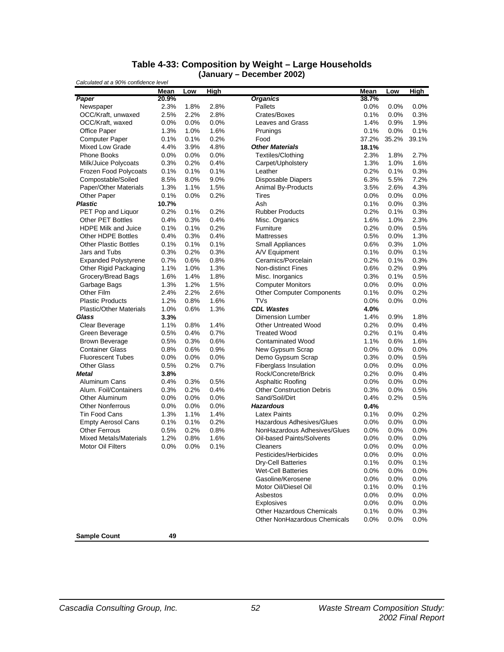#### **Table 4-33: Composition by Weight – Large Households (January – December 2002)**

|                                | Mean  | Low  | High |                                  | <b>Mean</b> | Low     | High    |
|--------------------------------|-------|------|------|----------------------------------|-------------|---------|---------|
| Paper                          | 20.9% |      |      | <b>Organics</b>                  | 38.7%       |         |         |
| Newspaper                      | 2.3%  | 1.8% | 2.8% | Pallets                          | 0.0%        | 0.0%    | 0.0%    |
| OCC/Kraft, unwaxed             | 2.5%  | 2.2% | 2.8% | Crates/Boxes                     | 0.1%        | 0.0%    | 0.3%    |
| OCC/Kraft, waxed               | 0.0%  | 0.0% | 0.0% | Leaves and Grass                 | 1.4%        | 0.9%    | 1.9%    |
| <b>Office Paper</b>            | 1.3%  | 1.0% | 1.6% | Prunings                         | 0.1%        | 0.0%    | 0.1%    |
| <b>Computer Paper</b>          | 0.1%  | 0.1% | 0.2% | Food                             | 37.2%       | 35.2%   | 39.1%   |
| <b>Mixed Low Grade</b>         | 4.4%  | 3.9% | 4.8% | <b>Other Materials</b>           | 18.1%       |         |         |
| Phone Books                    | 0.0%  | 0.0% | 0.0% | Textiles/Clothing                | 2.3%        | 1.8%    | 2.7%    |
| Milk/Juice Polycoats           | 0.3%  | 0.2% | 0.4% | Carpet/Upholstery                | 1.3%        | 1.0%    | 1.6%    |
| Frozen Food Polycoats          | 0.1%  | 0.1% | 0.1% | Leather                          | 0.2%        | 0.1%    | 0.3%    |
| Compostable/Soiled             | 8.5%  | 8.0% | 9.0% | <b>Disposable Diapers</b>        | 6.3%        | 5.5%    | 7.2%    |
| Paper/Other Materials          | 1.3%  | 1.1% | 1.5% | Animal By-Products               | 3.5%        | 2.6%    | 4.3%    |
| <b>Other Paper</b>             | 0.1%  | 0.0% | 0.2% | Tires                            | 0.0%        | 0.0%    | 0.0%    |
| <b>Plastic</b>                 | 10.7% |      |      | Ash                              | 0.1%        | 0.0%    | 0.3%    |
| PET Pop and Liquor             | 0.2%  | 0.1% | 0.2% | <b>Rubber Products</b>           | 0.2%        | 0.1%    | 0.3%    |
| <b>Other PET Bottles</b>       | 0.4%  | 0.3% | 0.4% | Misc. Organics                   | 1.6%        | 1.0%    | 2.3%    |
| <b>HDPE Milk and Juice</b>     | 0.1%  | 0.1% | 0.2% | Furniture                        | 0.2%        | 0.0%    | 0.5%    |
| Other HDPE Bottles             | 0.4%  | 0.3% | 0.4% | <b>Mattresses</b>                | 0.5%        | 0.0%    | 1.3%    |
| <b>Other Plastic Bottles</b>   | 0.1%  | 0.1% | 0.1% | <b>Small Appliances</b>          | 0.6%        | 0.3%    | 1.0%    |
| Jars and Tubs                  | 0.3%  | 0.2% | 0.3% | A/V Equipment                    | 0.1%        | 0.0%    | 0.1%    |
| <b>Expanded Polystyrene</b>    | 0.7%  | 0.6% | 0.8% | Ceramics/Porcelain               | 0.2%        | 0.1%    | 0.3%    |
| Other Rigid Packaging          | 1.1%  | 1.0% | 1.3% | <b>Non-distinct Fines</b>        | 0.6%        | 0.2%    | 0.9%    |
| Grocery/Bread Bags             | 1.6%  | 1.4% | 1.8% | Misc. Inorganics                 | 0.3%        | 0.1%    | 0.5%    |
| Garbage Bags                   | 1.3%  | 1.2% | 1.5% | <b>Computer Monitors</b>         | 0.0%        | 0.0%    | 0.0%    |
| Other Film                     | 2.4%  | 2.2% | 2.6% | <b>Other Computer Components</b> | 0.1%        | 0.0%    | 0.2%    |
| <b>Plastic Products</b>        | 1.2%  | 0.8% | 1.6% | TVs                              | 0.0%        | 0.0%    | 0.0%    |
| <b>Plastic/Other Materials</b> | 1.0%  | 0.6% | 1.3% | <b>CDL Wastes</b>                | 4.0%        |         |         |
| Glass                          | 3.3%  |      |      | <b>Dimension Lumber</b>          | 1.4%        | 0.9%    | 1.8%    |
| Clear Beverage                 | 1.1%  | 0.8% | 1.4% | <b>Other Untreated Wood</b>      | 0.2%        | 0.0%    | 0.4%    |
| Green Beverage                 | 0.5%  | 0.4% | 0.7% | <b>Treated Wood</b>              | 0.2%        | 0.1%    | 0.4%    |
| <b>Brown Beverage</b>          | 0.5%  | 0.3% | 0.6% | <b>Contaminated Wood</b>         | 1.1%        | 0.6%    | 1.6%    |
| <b>Container Glass</b>         | 0.8%  | 0.6% | 0.9% | New Gypsum Scrap                 | 0.0%        | 0.0%    | $0.0\%$ |
| <b>Fluorescent Tubes</b>       | 0.0%  | 0.0% | 0.0% | Demo Gypsum Scrap                | 0.3%        | 0.0%    | 0.5%    |
| <b>Other Glass</b>             | 0.5%  | 0.2% | 0.7% | Fiberglass Insulation            | 0.0%        | 0.0%    | 0.0%    |
| <b>Metal</b>                   | 3.8%  |      |      | Rock/Concrete/Brick              | 0.2%        | 0.0%    | 0.4%    |
| Aluminum Cans                  | 0.4%  | 0.3% | 0.5% | Asphaltic Roofing                | $0.0\%$     | 0.0%    | 0.0%    |
| Alum. Foil/Containers          | 0.3%  | 0.2% | 0.4% | <b>Other Construction Debris</b> | 0.3%        | 0.0%    | 0.5%    |
| Other Aluminum                 | 0.0%  | 0.0% | 0.0% | Sand/Soil/Dirt                   | 0.4%        | 0.2%    | 0.5%    |
| <b>Other Nonferrous</b>        | 0.0%  | 0.0% | 0.0% | <b>Hazardous</b>                 | 0.4%        |         |         |
| <b>Tin Food Cans</b>           | 1.3%  | 1.1% | 1.4% | <b>Latex Paints</b>              | 0.1%        | 0.0%    | 0.2%    |
| <b>Empty Aerosol Cans</b>      | 0.1%  | 0.1% | 0.2% | <b>Hazardous Adhesives/Glues</b> | 0.0%        | 0.0%    | $0.0\%$ |
| <b>Other Ferrous</b>           | 0.5%  | 0.2% | 0.8% | NonHazardous Adhesives/Glues     | 0.0%        | 0.0%    | 0.0%    |
| <b>Mixed Metals/Materials</b>  | 1.2%  | 0.8% | 1.6% | Oil-based Paints/Solvents        | $0.0\%$     | 0.0%    | 0.0%    |
| <b>Motor Oil Filters</b>       | 0.0%  | 0.0% | 0.1% | Cleaners                         | 0.0%        | 0.0%    | 0.0%    |
|                                |       |      |      | Pesticides/Herbicides            | 0.0%        | $0.0\%$ | $0.0\%$ |
|                                |       |      |      | Dry-Cell Batteries               | 0.1%        | 0.0%    | 0.1%    |
|                                |       |      |      | <b>Wet-Cell Batteries</b>        | 0.0%        | 0.0%    | $0.0\%$ |
|                                |       |      |      | Gasoline/Kerosene                | 0.0%        | 0.0%    | $0.0\%$ |
|                                |       |      |      | Motor Oil/Diesel Oil             | 0.1%        | 0.0%    | 0.1%    |
|                                |       |      |      | Asbestos                         | 0.0%        | 0.0%    | $0.0\%$ |
|                                |       |      |      | <b>Explosives</b>                | 0.0%        | 0.0%    | 0.0%    |
|                                |       |      |      | Other Hazardous Chemicals        | 0.1%        | 0.0%    | 0.3%    |
|                                |       |      |      | Other NonHazardous Chemicals     | 0.0%        | 0.0%    | 0.0%    |
|                                |       |      |      |                                  |             |         |         |
| <b>Sample Count</b>            | 49    |      |      |                                  |             |         |         |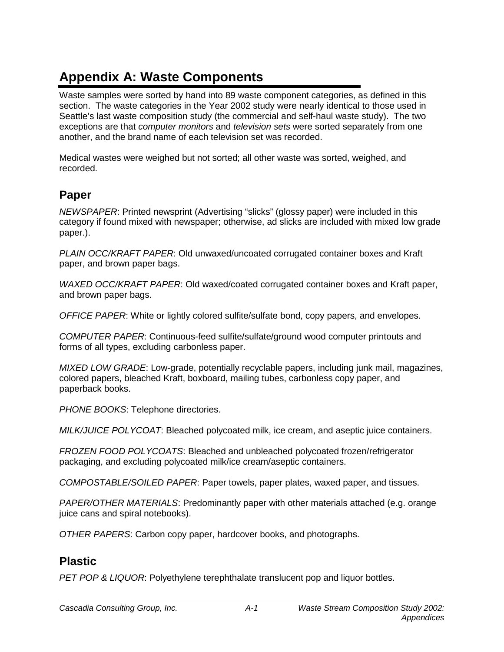# **Appendix A: Waste Components**

Waste samples were sorted by hand into 89 waste component categories, as defined in this section. The waste categories in the Year 2002 study were nearly identical to those used in Seattle's last waste composition study (the commercial and self-haul waste study). The two exceptions are that *computer monitors* and *television sets* were sorted separately from one another, and the brand name of each television set was recorded.

Medical wastes were weighed but not sorted; all other waste was sorted, weighed, and recorded.

## **Paper**

*NEWSPAPER*: Printed newsprint (Advertising "slicks" (glossy paper) were included in this category if found mixed with newspaper; otherwise, ad slicks are included with mixed low grade paper.).

*PLAIN OCC/KRAFT PAPER*: Old unwaxed/uncoated corrugated container boxes and Kraft paper, and brown paper bags.

*WAXED OCC/KRAFT PAPER*: Old waxed/coated corrugated container boxes and Kraft paper, and brown paper bags.

*OFFICE PAPER*: White or lightly colored sulfite/sulfate bond, copy papers, and envelopes.

*COMPUTER PAPER*: Continuous-feed sulfite/sulfate/ground wood computer printouts and forms of all types, excluding carbonless paper.

*MIXED LOW GRADE*: Low-grade, potentially recyclable papers, including junk mail, magazines, colored papers, bleached Kraft, boxboard, mailing tubes, carbonless copy paper, and paperback books.

*PHONE BOOKS*: Telephone directories.

*MILK/JUICE POLYCOAT*: Bleached polycoated milk, ice cream, and aseptic juice containers.

*FROZEN FOOD POLYCOATS*: Bleached and unbleached polycoated frozen/refrigerator packaging, and excluding polycoated milk/ice cream/aseptic containers.

*COMPOSTABLE/SOILED PAPER*: Paper towels, paper plates, waxed paper, and tissues.

*PAPER/OTHER MATERIALS*: Predominantly paper with other materials attached (e.g. orange juice cans and spiral notebooks).

*OTHER PAPERS*: Carbon copy paper, hardcover books, and photographs.

## **Plastic**

*PET POP & LIQUOR*: Polyethylene terephthalate translucent pop and liquor bottles.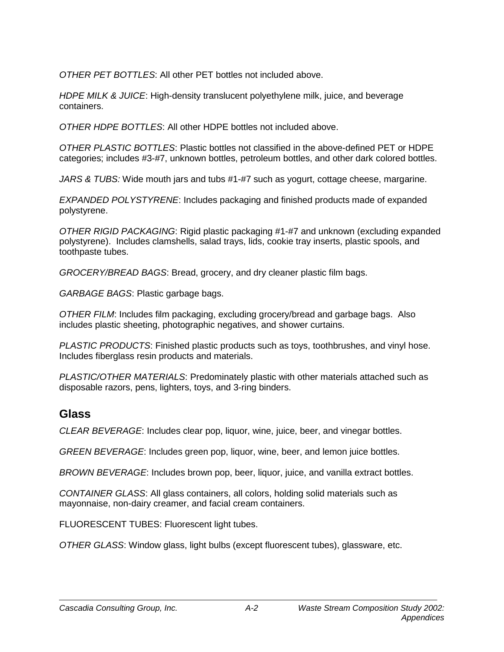*OTHER PET BOTTLES*: All other PET bottles not included above.

*HDPE MILK & JUICE*: High-density translucent polyethylene milk, juice, and beverage containers.

*OTHER HDPE BOTTLES*: All other HDPE bottles not included above.

*OTHER PLASTIC BOTTLES*: Plastic bottles not classified in the above-defined PET or HDPE categories; includes #3-#7, unknown bottles, petroleum bottles, and other dark colored bottles.

*JARS & TUBS:* Wide mouth jars and tubs #1-#7 such as yogurt, cottage cheese, margarine.

*EXPANDED POLYSTYRENE*: Includes packaging and finished products made of expanded polystyrene.

*OTHER RIGID PACKAGING*: Rigid plastic packaging #1-#7 and unknown (excluding expanded polystyrene). Includes clamshells, salad trays, lids, cookie tray inserts, plastic spools, and toothpaste tubes.

*GROCERY/BREAD BAGS*: Bread, grocery, and dry cleaner plastic film bags.

*GARBAGE BAGS*: Plastic garbage bags.

*OTHER FILM*: Includes film packaging, excluding grocery/bread and garbage bags. Also includes plastic sheeting, photographic negatives, and shower curtains.

*PLASTIC PRODUCTS*: Finished plastic products such as toys, toothbrushes, and vinyl hose. Includes fiberglass resin products and materials.

*PLASTIC/OTHER MATERIALS*: Predominately plastic with other materials attached such as disposable razors, pens, lighters, toys, and 3-ring binders.

### **Glass**

*CLEAR BEVERAGE*: Includes clear pop, liquor, wine, juice, beer, and vinegar bottles.

*GREEN BEVERAGE*: Includes green pop, liquor, wine, beer, and lemon juice bottles.

*BROWN BEVERAGE*: Includes brown pop, beer, liquor, juice, and vanilla extract bottles.

*CONTAINER GLASS*: All glass containers, all colors, holding solid materials such as mayonnaise, non-dairy creamer, and facial cream containers.

FLUORESCENT TUBES: Fluorescent light tubes.

*OTHER GLASS*: Window glass, light bulbs (except fluorescent tubes), glassware, etc.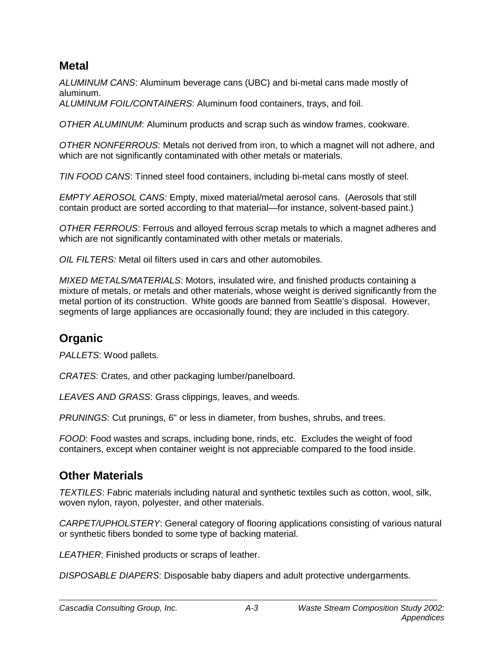### **Metal**

*ALUMINUM CANS*: Aluminum beverage cans (UBC) and bi-metal cans made mostly of aluminum.

*ALUMINUM FOIL/CONTAINERS*: Aluminum food containers, trays, and foil.

*OTHER ALUMINUM*: Aluminum products and scrap such as window frames, cookware.

*OTHER NONFERROUS*: Metals not derived from iron, to which a magnet will not adhere, and which are not significantly contaminated with other metals or materials.

*TIN FOOD CANS*: Tinned steel food containers, including bi-metal cans mostly of steel.

*EMPTY AEROSOL CANS:* Empty, mixed material/metal aerosol cans. (Aerosols that still contain product are sorted according to that material—for instance, solvent-based paint.)

*OTHER FERROUS*: Ferrous and alloyed ferrous scrap metals to which a magnet adheres and which are not significantly contaminated with other metals or materials.

*OIL FILTERS:* Metal oil filters used in cars and other automobiles.

*MIXED METALS/MATERIALS*: Motors, insulated wire, and finished products containing a mixture of metals, or metals and other materials, whose weight is derived significantly from the metal portion of its construction. White goods are banned from Seattle's disposal. However, segments of large appliances are occasionally found; they are included in this category.

## **Organic**

*PALLETS*: Wood pallets.

*CRATES*: Crates, and other packaging lumber/panelboard.

*LEAVES AND GRASS*: Grass clippings, leaves, and weeds.

*PRUNINGS*: Cut prunings, 6" or less in diameter, from bushes, shrubs, and trees.

*FOOD*: Food wastes and scraps, including bone, rinds, etc. Excludes the weight of food containers, except when container weight is not appreciable compared to the food inside.

## **Other Materials**

*TEXTILES*: Fabric materials including natural and synthetic textiles such as cotton, wool, silk, woven nylon, rayon, polyester, and other materials.

*CARPET/UPHOLSTERY*: General category of flooring applications consisting of various natural or synthetic fibers bonded to some type of backing material.

*LEATHER*: Finished products or scraps of leather.

*DISPOSABLE DIAPERS*: Disposable baby diapers and adult protective undergarments.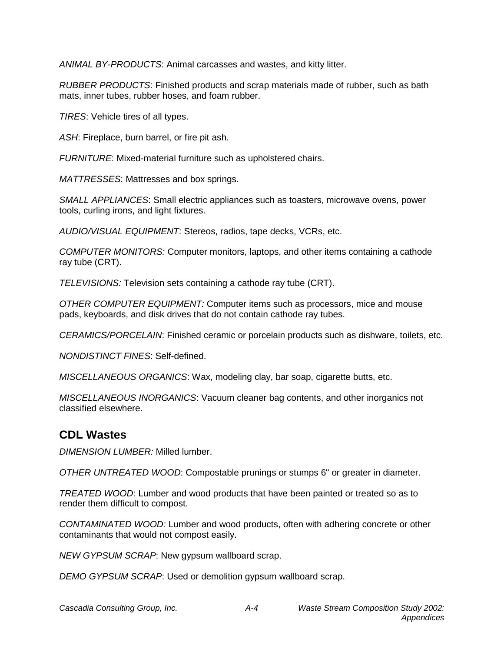*ANIMAL BY-PRODUCTS*: Animal carcasses and wastes, and kitty litter.

*RUBBER PRODUCTS*: Finished products and scrap materials made of rubber, such as bath mats, inner tubes, rubber hoses, and foam rubber.

*TIRES*: Vehicle tires of all types.

*ASH*: Fireplace, burn barrel, or fire pit ash.

*FURNITURE*: Mixed-material furniture such as upholstered chairs.

*MATTRESSES*: Mattresses and box springs.

*SMALL APPLIANCES*: Small electric appliances such as toasters, microwave ovens, power tools, curling irons, and light fixtures.

*AUDIO/VISUAL EQUIPMENT*: Stereos, radios, tape decks, VCRs, etc.

*COMPUTER MONITORS:* Computer monitors, laptops, and other items containing a cathode ray tube (CRT).

*TELEVISIONS:* Television sets containing a cathode ray tube (CRT).

*OTHER COMPUTER EQUIPMENT:* Computer items such as processors, mice and mouse pads, keyboards, and disk drives that do not contain cathode ray tubes.

*CERAMICS/PORCELAIN*: Finished ceramic or porcelain products such as dishware, toilets, etc.

*NONDISTINCT FINES*: Self-defined.

*MISCELLANEOUS ORGANICS*: Wax, modeling clay, bar soap, cigarette butts, etc.

*MISCELLANEOUS INORGANICS*: Vacuum cleaner bag contents, and other inorganics not classified elsewhere.

## **CDL Wastes**

*DIMENSION LUMBER:* Milled lumber.

*OTHER UNTREATED WOOD*: Compostable prunings or stumps 6" or greater in diameter.

*TREATED WOOD*: Lumber and wood products that have been painted or treated so as to render them difficult to compost.

*CONTAMINATED WOOD:* Lumber and wood products, often with adhering concrete or other contaminants that would not compost easily.

*NEW GYPSUM SCRAP*: New gypsum wallboard scrap.

*DEMO GYPSUM SCRAP*: Used or demolition gypsum wallboard scrap.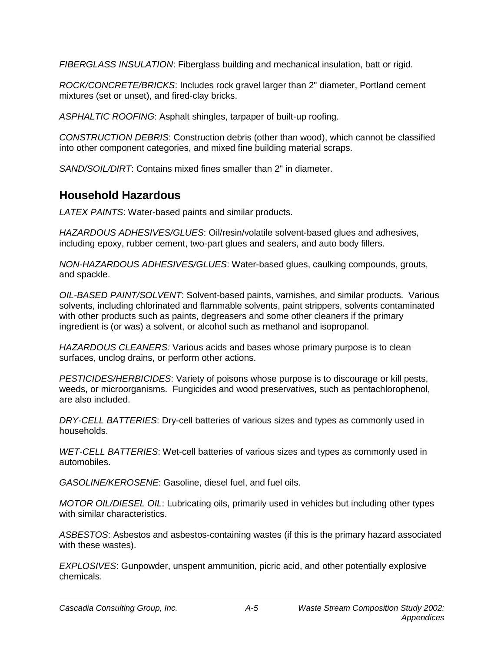*FIBERGLASS INSULATION*: Fiberglass building and mechanical insulation, batt or rigid.

*ROCK/CONCRETE/BRICKS*: Includes rock gravel larger than 2" diameter, Portland cement mixtures (set or unset), and fired-clay bricks.

*ASPHALTIC ROOFING*: Asphalt shingles, tarpaper of built-up roofing.

*CONSTRUCTION DEBRIS*: Construction debris (other than wood), which cannot be classified into other component categories, and mixed fine building material scraps.

*SAND/SOIL/DIRT*: Contains mixed fines smaller than 2" in diameter.

## **Household Hazardous**

*LATEX PAINTS*: Water-based paints and similar products.

*HAZARDOUS ADHESIVES/GLUES*: Oil/resin/volatile solvent-based glues and adhesives, including epoxy, rubber cement, two-part glues and sealers, and auto body fillers.

*NON-HAZARDOUS ADHESIVES/GLUES*: Water-based glues, caulking compounds, grouts, and spackle.

*OIL-BASED PAINT/SOLVENT*: Solvent-based paints, varnishes, and similar products. Various solvents, including chlorinated and flammable solvents, paint strippers, solvents contaminated with other products such as paints, degreasers and some other cleaners if the primary ingredient is (or was) a solvent, or alcohol such as methanol and isopropanol.

*HAZARDOUS CLEANERS:* Various acids and bases whose primary purpose is to clean surfaces, unclog drains, or perform other actions.

*PESTICIDES/HERBICIDES*: Variety of poisons whose purpose is to discourage or kill pests, weeds, or microorganisms. Fungicides and wood preservatives, such as pentachlorophenol, are also included.

*DRY-CELL BATTERIES*: Dry-cell batteries of various sizes and types as commonly used in households.

*WET-CELL BATTERIES*: Wet-cell batteries of various sizes and types as commonly used in automobiles.

*GASOLINE/KEROSENE*: Gasoline, diesel fuel, and fuel oils.

*MOTOR OIL/DIESEL OIL*: Lubricating oils, primarily used in vehicles but including other types with similar characteristics.

*ASBESTOS*: Asbestos and asbestos-containing wastes (if this is the primary hazard associated with these wastes).

*EXPLOSIVES*: Gunpowder, unspent ammunition, picric acid, and other potentially explosive chemicals.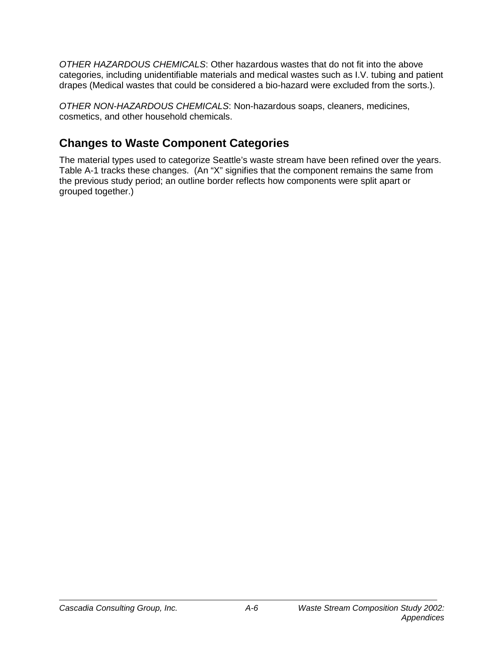*OTHER HAZARDOUS CHEMICALS*: Other hazardous wastes that do not fit into the above categories, including unidentifiable materials and medical wastes such as I.V. tubing and patient drapes (Medical wastes that could be considered a bio-hazard were excluded from the sorts.).

*OTHER NON-HAZARDOUS CHEMICALS*: Non-hazardous soaps, cleaners, medicines, cosmetics, and other household chemicals.

## **Changes to Waste Component Categories**

The material types used to categorize Seattle's waste stream have been refined over the years. Table A-1 tracks these changes. (An "X" signifies that the component remains the same from the previous study period; an outline border reflects how components were split apart or grouped together.)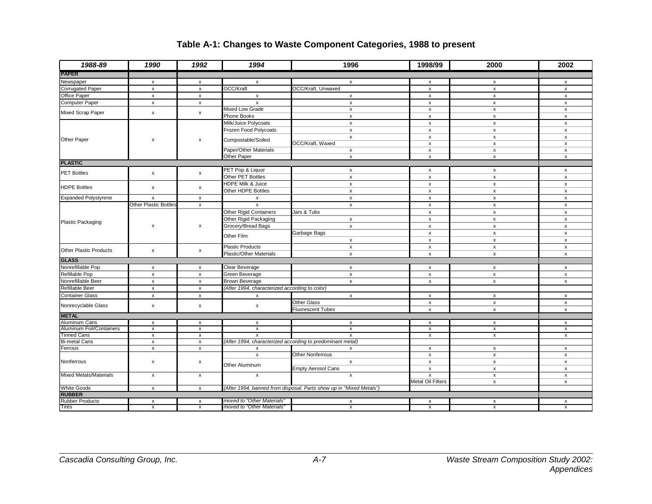| 1988-89                                 | 1990                  | 1992                      | 1994                                           | 1996                                                                | 1998/99                   | 2000                      | 2002                      |
|-----------------------------------------|-----------------------|---------------------------|------------------------------------------------|---------------------------------------------------------------------|---------------------------|---------------------------|---------------------------|
| <b>PAPER</b>                            |                       |                           |                                                |                                                                     |                           |                           |                           |
| Newspaper                               | $\pmb{\times}$        | $\pmb{\mathsf{x}}$        | $\pmb{\mathsf{x}}$                             | $\boldsymbol{\mathsf{x}}$                                           | x                         | $\pmb{\mathsf{x}}$        | $\pmb{\mathsf{x}}$        |
| <b>Corrugated Paper</b>                 | $\pmb{\chi}$          | $\pmb{\mathsf{x}}$        | OCC/Kraft                                      | OCC/Kraft, Unwaxed                                                  | $\pmb{\times}$            | $\pmb{\mathsf{x}}$        | $\pmb{\mathsf{x}}$        |
| Office Paper                            | $\pmb{\chi}$          | $\pmb{\times}$            | $\pmb{\mathsf{x}}$                             | $\pmb{\mathsf{x}}$                                                  | $\pmb{\times}$            | $\pmb{\mathsf{x}}$        | $\pmb{\mathsf{x}}$        |
| <b>Computer Paper</b>                   | $\pmb{\chi}$          | $\pmb{\mathsf{x}}$        | $\mathsf{x}$                                   | $\pmb{\chi}$                                                        | $\pmb{\mathsf{x}}$        | $\pmb{\mathsf{x}}$        | $\pmb{\mathsf{x}}$        |
|                                         |                       |                           | Mixed Low Grade                                | $\pmb{\mathsf{x}}$                                                  | $\pmb{\mathsf{x}}$        | $\pmb{\mathsf{x}}$        | $\pmb{\mathsf{x}}$        |
| Mixed Scrap Paper                       | $\pmb{\times}$        | $\pmb{\mathsf{x}}$        | Phone Books                                    | $\boldsymbol{\mathsf{x}}$                                           | $\boldsymbol{\mathsf{x}}$ | $\boldsymbol{\mathsf{x}}$ | $\boldsymbol{\mathsf{x}}$ |
|                                         |                       |                           | Milk/Juice Polycoats                           | $\mathsf{x}$                                                        | $\boldsymbol{\mathsf{x}}$ | $\pmb{\mathsf{x}}$        | $\boldsymbol{\mathsf{x}}$ |
|                                         |                       |                           | Frozen Food Polycoats                          | $\boldsymbol{\mathsf{x}}$                                           | $\pmb{\chi}$              | $\pmb{\chi}$              | $\boldsymbol{\mathsf{x}}$ |
|                                         |                       |                           |                                                | $\mathsf{x}$                                                        | $\mathsf{x}$              | $\pmb{\mathsf{x}}$        | $\mathsf{x}$              |
| Other Paper                             | $\pmb{\mathsf{x}}$    | x                         | Compostable/Soiled                             | OCC/Kraft, Waxed                                                    | $\pmb{\times}$            | $\pmb{\times}$            | $\pmb{\mathsf{x}}$        |
|                                         |                       |                           | Paper/Other Materials                          | $\boldsymbol{\mathsf{x}}$                                           | x                         | $\pmb{\mathsf{x}}$        | $\boldsymbol{\mathsf{x}}$ |
|                                         |                       |                           | Other Paper                                    | $\pmb{\mathsf{x}}$                                                  | $\mathsf{x}$              | $\pmb{\mathsf{x}}$        | $\pmb{\mathsf{x}}$        |
| <b>PLASTIC</b>                          |                       |                           |                                                |                                                                     |                           |                           |                           |
| <b>PET Bottles</b>                      |                       |                           | PET Pop & Liquor                               | $\mathsf{x}$                                                        | $\boldsymbol{\mathsf{x}}$ | $\boldsymbol{\mathsf{x}}$ | $\boldsymbol{\mathsf{x}}$ |
|                                         | $\pmb{\mathsf{x}}$    | x                         | Other PET Bottles                              | $\boldsymbol{\mathsf{x}}$                                           | $\pmb{\mathsf{x}}$        | $\pmb{\mathsf{x}}$        | $\pmb{\mathsf{x}}$        |
|                                         |                       |                           | HDPE Milk & Juice                              | $\mathsf{x}$                                                        | $\pmb{\mathsf{x}}$        | $\pmb{\mathsf{x}}$        | $\pmb{\mathsf{x}}$        |
| <b>HDPE Bottles</b>                     | $\pmb{\mathsf{x}}$    | x                         | Other HDPE Bottles                             | $\boldsymbol{\mathsf{x}}$                                           | $\pmb{\mathsf{x}}$        | $\pmb{\mathsf{x}}$        | $\pmb{\mathsf{x}}$        |
| <b>Expanded Polystyrene</b>             | $\pmb{\chi}$          | $\pmb{\mathsf{x}}$        | $\pmb{\mathsf{x}}$                             | $\pmb{\mathsf{x}}$                                                  | $\pmb{\mathsf{x}}$        | $\pmb{\mathsf{x}}$        | $\pmb{\mathsf{x}}$        |
|                                         | Other Plastic Bottles | $\pmb{\mathsf{x}}$        | $\mathsf{x}$                                   | $\pmb{\mathsf{x}}$                                                  | $\pmb{\mathsf{x}}$        | $\pmb{\mathsf{x}}$        | $\pmb{\mathsf{x}}$        |
|                                         |                       |                           | Other Rigid Containers                         | Jars & Tubs                                                         | $\pmb{\chi}$              | $\pmb{\mathsf{x}}$        | $\pmb{\mathsf{x}}$        |
|                                         |                       |                           | Other Rigid Packaging                          | $\mathsf{x}$                                                        | $\pmb{\chi}$              | $\pmb{\mathsf{x}}$        | $\pmb{\chi}$              |
| Plastic Packaging<br>$\pmb{\mathsf{x}}$ | x                     | Grocery/Bread Bags        | $\boldsymbol{\mathsf{x}}$                      | X                                                                   | X                         | X                         |                           |
|                                         |                       |                           |                                                | Garbage Bags                                                        | $\pmb{\mathsf{x}}$        | $\pmb{\mathsf{x}}$        | $\boldsymbol{\mathsf{x}}$ |
|                                         |                       |                           | Other Film                                     | $\pmb{\mathsf{x}}$                                                  | x                         | $\pmb{\mathsf{x}}$        | $\pmb{\mathsf{x}}$        |
|                                         |                       |                           | <b>Plastic Products</b>                        | $\pmb{\mathsf{x}}$                                                  | $\pmb{\chi}$              | $\pmb{\times}$            | $\pmb{\mathsf{x}}$        |
| <b>Other Plastic Products</b>           | $\mathsf{x}$          | x                         | <b>Plastic/Other Materials</b>                 | X                                                                   | x                         | $\pmb{\mathsf{x}}$        | $\pmb{\mathsf{x}}$        |
| <b>GLASS</b>                            |                       |                           |                                                |                                                                     |                           |                           |                           |
| Nonrefillable Pop                       | $\pmb{\mathsf{x}}$    | x                         | Clear Beverage                                 | $\pmb{\mathsf{x}}$                                                  | $\pmb{\mathsf{x}}$        | $\pmb{\mathsf{x}}$        | $\pmb{\mathsf{x}}$        |
| Refillable Pop                          | $\pmb{\chi}$          | $\pmb{\mathsf{x}}$        | Green Beverage                                 | $\pmb{\mathsf{x}}$                                                  | $\pmb{\mathsf{x}}$        | $\pmb{\mathsf{x}}$        | $\pmb{\mathsf{x}}$        |
| Nonrefillable Beer                      | $\pmb{\chi}$          | $\pmb{\mathsf{x}}$        | <b>Brown Beverage</b>                          | $\pmb{\mathsf{x}}$                                                  | $\pmb{\mathsf{x}}$        | $\pmb{\mathsf{x}}$        | $\pmb{\mathsf{x}}$        |
| Refillable Beer                         | $\mathsf{x}$          | $\pmb{\mathsf{x}}$        | (After 1994, characterized according to color) |                                                                     |                           |                           |                           |
| <b>Container Glass</b>                  | $\pmb{\times}$        | $\boldsymbol{\mathsf{x}}$ | x                                              | $\boldsymbol{\mathsf{x}}$                                           | $\pmb{\chi}$              | $\pmb{\times}$            | $\boldsymbol{\mathsf{x}}$ |
|                                         |                       |                           |                                                | <b>Other Glass</b>                                                  |                           |                           |                           |
| Nonrecyclable Glass                     | $\pmb{\times}$        | x                         | x                                              |                                                                     | $\pmb{\mathsf{x}}$        | $\pmb{\mathsf{x}}$        | $\pmb{\mathsf{x}}$        |
| <b>METAL</b>                            |                       |                           |                                                | <b>Fluorescent Tubes</b>                                            | $\pmb{\chi}$              | $\pmb{\mathsf{x}}$        | $\pmb{\mathsf{x}}$        |
| Aluminum Cans                           | $\pmb{\times}$        | x                         | x                                              |                                                                     | $\pmb{\times}$            | $\pmb{\chi}$              |                           |
| Aluminum Foil/Containers                | $\pmb{\mathsf{x}}$    | $\pmb{\times}$            | $\pmb{\mathsf{x}}$                             | $\boldsymbol{\mathsf{x}}$<br>$\pmb{\mathsf{x}}$                     | $\pmb{\times}$            | $\pmb{\mathsf{x}}$        | X<br>$\pmb{\mathsf{x}}$   |
| <b>Tinned Cans</b>                      | $\mathsf{x}$          | $\overline{\mathbf{x}}$   | $\overline{\mathbf{x}}$                        | $\overline{\mathbf{x}}$                                             | $\overline{\mathbf{x}}$   | $\pmb{\mathsf{x}}$        | $\overline{\mathbf{x}}$   |
| <b>Bi-metal Cans</b>                    | $\pmb{\mathsf{x}}$    | $\pmb{\times}$            |                                                | (After 1994, characterized according to predominant metal)          |                           |                           |                           |
| Ferrous                                 | $\pmb{\chi}$          | $\pmb{\times}$            | x                                              | $\boldsymbol{\mathsf{x}}$                                           | x                         | $\boldsymbol{\mathsf{x}}$ | $\boldsymbol{\mathsf{x}}$ |
|                                         |                       |                           | $\mathsf{x}$                                   | Other Nonferrous                                                    | $\pmb{\mathsf{x}}$        | $\pmb{\mathsf{x}}$        | $\pmb{\times}$            |
| Nonferrous                              | $\pmb{\mathsf{x}}$    | $\pmb{\mathsf{x}}$        |                                                | $\pmb{\mathsf{x}}$                                                  | $\pmb{\mathsf{x}}$        | $\pmb{\mathsf{x}}$        | $\pmb{\mathsf{x}}$        |
|                                         |                       |                           | Other Aluminum                                 | <b>Empty Aerosol Cans</b>                                           | $\pmb{\mathsf{x}}$        | $\pmb{\mathsf{x}}$        | $\pmb{\mathsf{x}}$        |
| <b>Mixed Metals/Materials</b>           | $\pmb{\mathsf{x}}$    | $\pmb{\mathsf{x}}$        | $\pmb{\mathsf{x}}$                             | $\pmb{\mathsf{x}}$                                                  | $\pmb{\mathsf{x}}$        | $\pmb{\mathsf{x}}$        | $\pmb{\mathsf{x}}$        |
|                                         |                       |                           |                                                |                                                                     | <b>Metal Oil Filters</b>  | $\pmb{\mathsf{x}}$        | $\pmb{\mathsf{x}}$        |
| <b>White Goods</b>                      | $\pmb{\mathsf{x}}$    | $\pmb{\mathsf{x}}$        |                                                | (After 1994, banned from disposal. Parts show up in "Mixed Metals") |                           |                           |                           |
| <b>RUBBER</b>                           |                       |                           |                                                |                                                                     |                           |                           |                           |
| <b>Rubber Products</b>                  | $\mathsf{x}$          | $\pmb{\mathsf{x}}$        | moved to "Other Materials"                     | $\boldsymbol{\mathsf{x}}$                                           | X                         | $\pmb{\mathsf{x}}$        | X                         |
| <b>Tires</b>                            | $\mathbf{x}$          | X                         | moved to "Other Materials"                     | X                                                                   | X                         | $\overline{\mathbf{x}}$   | $\mathbf{x}$              |
|                                         |                       |                           |                                                |                                                                     |                           |                           |                           |

### **Table A-1: Changes to Waste Component Categories, 1988 to present**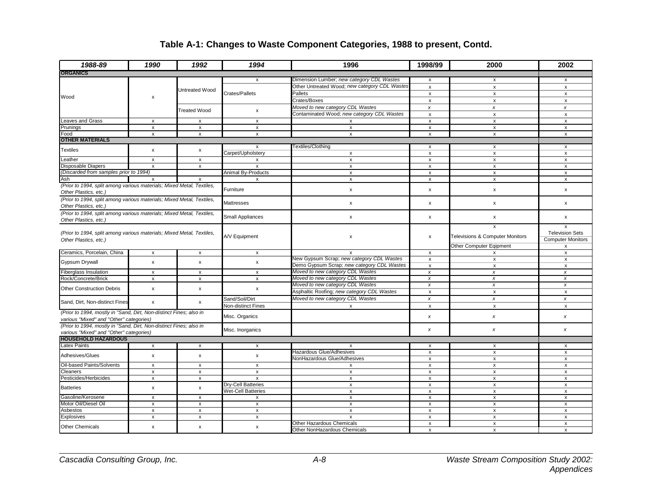### **Table A-1: Changes to Waste Component Categories, 1988 to present, Contd.**

| 1988-89                                                                                                       | 1990                      | 1992                      | 1994                      | 1996                                                      | 1998/99                   | 2000                                            | 2002                                                    |
|---------------------------------------------------------------------------------------------------------------|---------------------------|---------------------------|---------------------------|-----------------------------------------------------------|---------------------------|-------------------------------------------------|---------------------------------------------------------|
| <b>ORGANICS</b>                                                                                               |                           |                           |                           |                                                           |                           |                                                 |                                                         |
|                                                                                                               |                           |                           | $\mathsf{x}$              | Dimension Lumber; new category CDL Wastes                 | X                         | $\mathsf{x}$                                    | $\mathsf{x}$                                            |
|                                                                                                               |                           | Untreated Wood            |                           | Other Untreated Wood; new category CDL Wastes             | $\pmb{\mathsf{x}}$        | $\pmb{\mathsf{x}}$                              | $\pmb{\mathsf{x}}$                                      |
| Wood                                                                                                          | x                         |                           | Crates/Pallets            | <b>Pallets</b>                                            | x                         | x                                               | x                                                       |
|                                                                                                               |                           |                           |                           | Crates/Boxes                                              | $\mathsf{x}$              | $\pmb{\mathsf{x}}$                              | $\pmb{\mathsf{x}}$                                      |
|                                                                                                               |                           | <b>Treated Wood</b>       | $\pmb{\mathsf{x}}$        | Moved to new category CDL Wastes                          | $\boldsymbol{x}$          | $\boldsymbol{x}$                                | x                                                       |
|                                                                                                               |                           |                           |                           | Contaminated Wood; new category CDL Wastes                | $\pmb{\mathsf{x}}$        | $\pmb{\times}$                                  | $\pmb{\times}$                                          |
| <b>Leaves and Grass</b>                                                                                       | x                         | x                         | x                         | X                                                         | $\pmb{\mathsf{x}}$        | $\pmb{\mathsf{x}}$                              | $\pmb{\mathsf{x}}$                                      |
| Prunings                                                                                                      | $\mathsf{x}$              | $\mathsf{x}$              | $\pmb{\chi}$              | $\overline{x}$                                            | $\pmb{\mathsf{x}}$        | $\pmb{\mathsf{x}}$                              | $\pmb{\mathsf{x}}$                                      |
| Food                                                                                                          | $\mathsf{x}$              | x                         | x                         | $\mathsf{x}$                                              | X                         | $\mathsf{x}$                                    | $\mathsf{x}$                                            |
| <b>OTHER MATERIALS</b>                                                                                        |                           |                           |                           |                                                           |                           |                                                 |                                                         |
|                                                                                                               |                           |                           | x                         | <b>Textiles/Clothing</b>                                  | X                         | x                                               | x                                                       |
| Textiles                                                                                                      | x                         | x                         | Carpet/Upholstery         | $\pmb{\mathsf{x}}$                                        | x                         | $\pmb{\mathsf{x}}$                              | $\pmb{\mathsf{x}}$                                      |
| Leather                                                                                                       | $\boldsymbol{\mathsf{x}}$ | x                         | x                         | $\boldsymbol{\mathsf{x}}$                                 | $\pmb{\times}$            | x                                               | x                                                       |
| <b>Disposable Diapers</b>                                                                                     | $\pmb{\mathsf{x}}$        | $\pmb{\mathsf{x}}$        | $\overline{\mathbf{x}}$   | x                                                         | x                         | $\pmb{\mathsf{x}}$                              | $\pmb{\mathsf{x}}$                                      |
| (Discarded from samples prior to 1994)                                                                        |                           |                           | Animal By-Products        | $\boldsymbol{\mathsf{x}}$                                 | $\boldsymbol{\mathsf{x}}$ | $\mathsf{x}$                                    | $\mathsf{x}$                                            |
| Ash                                                                                                           | x                         | x                         | x                         | x                                                         | $\pmb{\mathsf{x}}$        | x                                               | x                                                       |
| (Prior to 1994, split among various materials; Mixed Metal, Textiles,<br>Other Plastics, etc.)                |                           |                           | Furniture                 | x                                                         | x                         | $\pmb{\mathsf{x}}$                              | $\pmb{\mathsf{x}}$                                      |
| (Prior to 1994, split among various materials; Mixed Metal, Textiles,<br>Other Plastics, etc.)                |                           |                           | <b>Mattresses</b>         | x                                                         | x                         | $\pmb{\mathsf{x}}$                              | x                                                       |
| (Prior to 1994, split among various materials; Mixed Metal, Textiles,<br>Other Plastics, etc.)                |                           |                           | <b>Small Appliances</b>   | x                                                         | $\pmb{\mathsf{x}}$        | x                                               | x                                                       |
| (Prior to 1994, split among various materials; Mixed Metal, Textiles,<br>Other Plastics, etc.)                |                           |                           | A/V Equipment             | x                                                         | X                         | x<br><b>Televisions &amp; Computer Monitors</b> | x<br><b>Television Sets</b><br><b>Computer Monitors</b> |
|                                                                                                               |                           |                           |                           |                                                           |                           | Other Computer Eqipment                         | x                                                       |
| Ceramics, Porcelain, China                                                                                    | $\mathsf{x}$              | $\mathsf{x}$              | $\pmb{\mathsf{x}}$        | $\mathsf{x}$                                              | $\boldsymbol{\mathsf{x}}$ | x                                               | $\pmb{\mathsf{x}}$                                      |
| Gypsum Drywall                                                                                                | X                         | $\mathsf{x}$              | $\pmb{\mathsf{x}}$        | New Gypsum Scrap; new category CDL Wastes                 | $\pmb{\chi}$              | $\pmb{\mathsf{x}}$                              | x                                                       |
|                                                                                                               |                           |                           |                           | Demo Gypsum Scrap; new category CDL Wastes                | $\pmb{\mathsf{x}}$        | $\pmb{\mathsf{x}}$                              | $\pmb{\mathsf{x}}$                                      |
| Fiberglass Insulation                                                                                         | x                         | x                         | x                         | Moved to new category CDL Wastes                          | $\pmb{\chi}$              | $\pmb{\chi}$                                    | $\pmb{\chi}$                                            |
| Rock/Concrete/Brick                                                                                           | $\pmb{\mathsf{x}}$        | x                         | x                         | Moved to new category CDL Wastes                          | $\pmb{\chi}$              | x                                               | x                                                       |
| <b>Other Construction Debris</b>                                                                              | $\mathsf{x}$              | $\pmb{\mathsf{x}}$        | $\pmb{\mathsf{x}}$        | Moved to new category CDL Wastes                          | $\pmb{\chi}$              | $\pmb{\chi}$                                    | $\pmb{\chi}$                                            |
|                                                                                                               |                           |                           |                           | Asphaltic Roofing; new category CDL Wastes                | $\pmb{\mathsf{x}}$        | $\pmb{\mathsf{x}}$                              | $\pmb{\mathsf{x}}$                                      |
|                                                                                                               |                           |                           | Sand/Soil/Dirt            | Moved to new category CDL Wastes                          | $\pmb{\times}$            | x                                               | $\pmb{\times}$                                          |
| Sand, Dirt, Non-distinct Fines                                                                                | $\pmb{\chi}$              | x                         | Non-distinct Fines        | X                                                         | x                         | $\pmb{\mathsf{x}}$                              | $\pmb{\mathsf{x}}$                                      |
| (Prior to 1994, mostly in "Sand, Dirt, Non-distinct Fines; also in<br>various "Mixed" and "Other" categories) |                           |                           | Misc. Organics            |                                                           | $\pmb{\times}$            | x                                               | x                                                       |
| (Prior to 1994, mostly in "Sand, Dirt, Non-distinct Fines; also in<br>various "Mixed" and "Other" categories) |                           |                           | Misc. Inorganics          |                                                           | x                         | x                                               | x                                                       |
| <b>HOUSEHOLD HAZARDOUS</b>                                                                                    |                           |                           |                           |                                                           |                           |                                                 |                                                         |
| <b>Latex Paints</b>                                                                                           | $\boldsymbol{\mathsf{x}}$ | x                         | x                         | X                                                         | х                         | х                                               | x                                                       |
|                                                                                                               |                           |                           |                           | Hazardous Glue/Adhesives                                  | $\pmb{\mathsf{x}}$        | $\pmb{\mathsf{x}}$                              | $\pmb{\mathsf{x}}$                                      |
| Adhesives/Glues                                                                                               | x                         | $\pmb{\mathsf{x}}$        | x                         | NonHazardous Glue/Adhesives                               | X                         | x                                               | x                                                       |
| Oil-based Paints/Solvents                                                                                     | $\pmb{\times}$            | x                         | x                         | x                                                         | x                         | x                                               | x                                                       |
| Cleaners                                                                                                      | $\pmb{\times}$            | $\boldsymbol{\mathsf{x}}$ | $\boldsymbol{\mathsf{x}}$ | $\pmb{\mathsf{x}}$                                        | $\boldsymbol{\mathsf{x}}$ | x                                               | x                                                       |
| Pesticides/Herbicides                                                                                         | $\pmb{\mathsf{x}}$        | $\pmb{\mathsf{x}}$        | $\pmb{\mathsf{x}}$        | $\pmb{\mathsf{x}}$                                        | $\pmb{\mathsf{x}}$        | $\pmb{\mathsf{x}}$                              | $\pmb{\mathsf{x}}$                                      |
|                                                                                                               |                           |                           | Dry-Cell Batteries        | x                                                         | $\pmb{\times}$            | x                                               | x                                                       |
| <b>Batteries</b>                                                                                              | x                         | $\pmb{\mathsf{x}}$        | <b>Wet-Cell Batteries</b> | x                                                         | x                         | x                                               | x                                                       |
| Gasoline/Kerosene                                                                                             | $\mathsf{x}$              |                           |                           | $\pmb{\mathsf{X}}$                                        | $\pmb{\mathsf{x}}$        | $\pmb{\chi}$                                    | $\pmb{\chi}$                                            |
| Motor Oil/Diesel Oil                                                                                          |                           | $\boldsymbol{\mathsf{x}}$ | $\pmb{\mathsf{x}}$        |                                                           |                           |                                                 |                                                         |
|                                                                                                               | $\pmb{\mathsf{x}}$        | x                         | x                         | x                                                         | x                         | x                                               | $\pmb{\times}$                                          |
| Asbestos                                                                                                      | $\pmb{\mathsf{x}}$        | $\pmb{\mathsf{x}}$        | $\pmb{\mathsf{x}}$        | X                                                         | x                         | X                                               | $\pmb{\times}$                                          |
| Explosives                                                                                                    | $\boldsymbol{\mathsf{x}}$ | $\mathsf{x}$              | $\pmb{\mathsf{x}}$        | $\pmb{\mathsf{X}}$                                        | $\boldsymbol{\mathsf{x}}$ | X                                               | X                                                       |
| <b>Other Chemicals</b>                                                                                        | $\pmb{\times}$            | x                         | x                         | Other Hazardous Chemicals<br>Other NonHazardous Chemicals | X<br>X                    | $\mathsf{x}$<br>$\mathsf{x}$                    | $\mathsf{x}$<br>$\mathsf{x}$                            |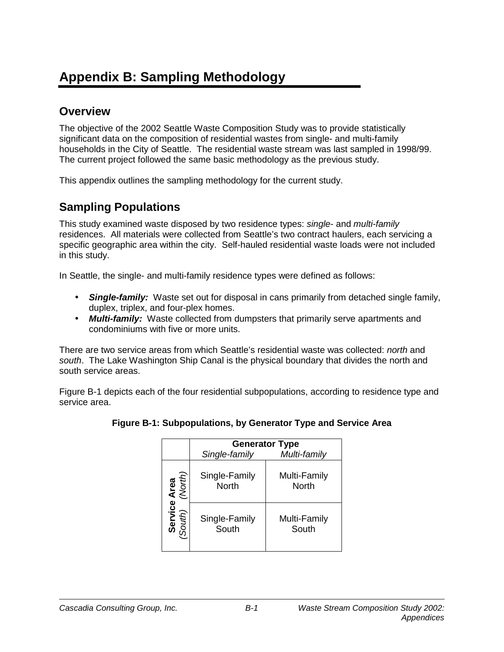# **Appendix B: Sampling Methodology**

## **Overview**

The objective of the 2002 Seattle Waste Composition Study was to provide statistically significant data on the composition of residential wastes from single- and multi-family households in the City of Seattle. The residential waste stream was last sampled in 1998/99. The current project followed the same basic methodology as the previous study.

This appendix outlines the sampling methodology for the current study.

## **Sampling Populations**

This study examined waste disposed by two residence types: *single*- and *multi-family* residences. All materials were collected from Seattle's two contract haulers, each servicing a specific geographic area within the city. Self-hauled residential waste loads were not included in this study.

In Seattle, the single- and multi-family residence types were defined as follows:

- *Single-family:* Waste set out for disposal in cans primarily from detached single family, duplex, triplex, and four-plex homes.
- *Multi-family:* Waste collected from dumpsters that primarily serve apartments and condominiums with five or more units.

There are two service areas from which Seattle's residential waste was collected: *north* and *south*. The Lake Washington Ship Canal is the physical boundary that divides the north and south service areas.

Figure B-1 depicts each of the four residential subpopulations, according to residence type and service area.

|                   | <b>Generator Type</b>         |                              |  |  |  |  |  |  |
|-------------------|-------------------------------|------------------------------|--|--|--|--|--|--|
|                   | Single-family                 | Multi-family                 |  |  |  |  |  |  |
| Area<br>(North)   | Single-Family<br><b>North</b> | Multi-Family<br><b>North</b> |  |  |  |  |  |  |
| Service<br>South) | Single-Family<br>South        | Multi-Family<br>South        |  |  |  |  |  |  |

### **Figure B-1: Subpopulations, by Generator Type and Service Area**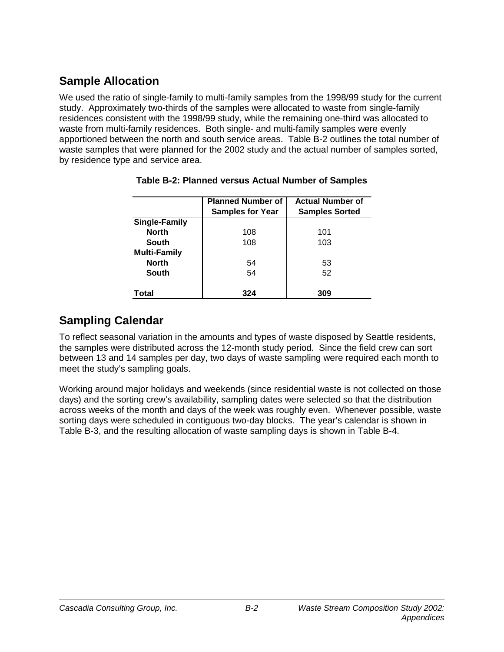## **Sample Allocation**

We used the ratio of single-family to multi-family samples from the 1998/99 study for the current study. Approximately two-thirds of the samples were allocated to waste from single-family residences consistent with the 1998/99 study, while the remaining one-third was allocated to waste from multi-family residences. Both single- and multi-family samples were evenly apportioned between the north and south service areas. Table B-2 outlines the total number of waste samples that were planned for the 2002 study and the actual number of samples sorted, by residence type and service area.

|                      | <b>Planned Number of</b><br><b>Samples for Year</b> | <b>Actual Number of</b><br><b>Samples Sorted</b> |
|----------------------|-----------------------------------------------------|--------------------------------------------------|
| <b>Single-Family</b> |                                                     |                                                  |
| <b>North</b>         | 108                                                 | 101                                              |
| <b>South</b>         | 108                                                 | 103                                              |
| <b>Multi-Family</b>  |                                                     |                                                  |
| <b>North</b>         | 54                                                  | 53                                               |
| <b>South</b>         | 54                                                  | 52                                               |
|                      |                                                     |                                                  |
| Total                | 324                                                 | 309                                              |

**Table B-2: Planned versus Actual Number of Samples** 

## **Sampling Calendar**

To reflect seasonal variation in the amounts and types of waste disposed by Seattle residents, the samples were distributed across the 12-month study period. Since the field crew can sort between 13 and 14 samples per day, two days of waste sampling were required each month to meet the study's sampling goals.

Working around major holidays and weekends (since residential waste is not collected on those days) and the sorting crew's availability, sampling dates were selected so that the distribution across weeks of the month and days of the week was roughly even. Whenever possible, waste sorting days were scheduled in contiguous two-day blocks. The year's calendar is shown in Table B-3, and the resulting allocation of waste sampling days is shown in Table B-4.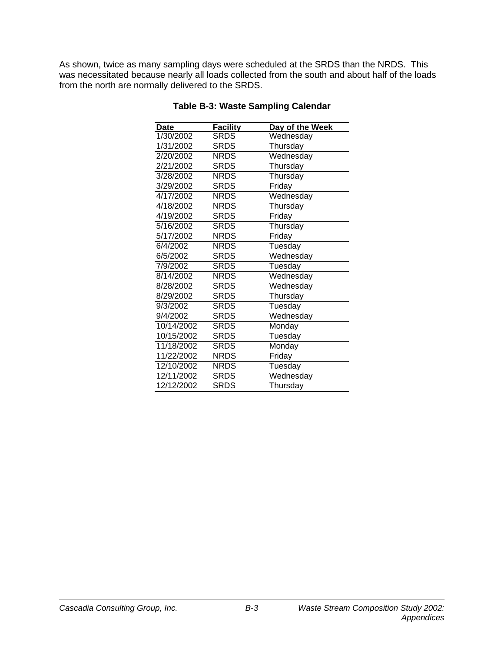As shown, twice as many sampling days were scheduled at the SRDS than the NRDS. This was necessitated because nearly all loads collected from the south and about half of the loads from the north are normally delivered to the SRDS.

| <b>Date</b> | <b>Facility</b> | Day of the Week |
|-------------|-----------------|-----------------|
| 1/30/2002   | <b>SRDS</b>     | Wednesday       |
| 1/31/2002   | SRDS            | Thursday        |
| 2/20/2002   | <b>NRDS</b>     | Wednesday       |
| 2/21/2002   | <b>SRDS</b>     | Thursday        |
| 3/28/2002   | <b>NRDS</b>     | Thursday        |
| 3/29/2002   | <b>SRDS</b>     | Friday          |
| 4/17/2002   | <b>NRDS</b>     | Wednesday       |
| 4/18/2002   | <b>NRDS</b>     | Thursday        |
| 4/19/2002   | SRDS            | Friday          |
| 5/16/2002   | <b>SRDS</b>     | Thursday        |
| 5/17/2002   | <b>NRDS</b>     | Friday          |
| 6/4/2002    | <b>NRDS</b>     | Tuesday         |
| 6/5/2002    | SRDS            | Wednesday       |
| 7/9/2002    | <b>SRDS</b>     | Tuesday         |
| 8/14/2002   | <b>NRDS</b>     | Wednesday       |
| 8/28/2002   | <b>SRDS</b>     | Wednesday       |
| 8/29/2002   | SRDS            | Thursday        |
| 9/3/2002    | SRDS            | Tuesday         |
| 9/4/2002    | <b>SRDS</b>     | Wednesday       |
| 10/14/2002  | <b>SRDS</b>     | Monday          |
| 10/15/2002  | <b>SRDS</b>     | Tuesday         |
| 11/18/2002  | <b>SRDS</b>     | Monday          |
| 11/22/2002  | <b>NRDS</b>     | Friday          |
| 12/10/2002  | <b>NRDS</b>     | Tuesday         |
| 12/11/2002  | SRDS            | Wednesday       |
| 12/12/2002  | SRDS            | Thursday        |

#### **Table B-3: Waste Sampling Calendar**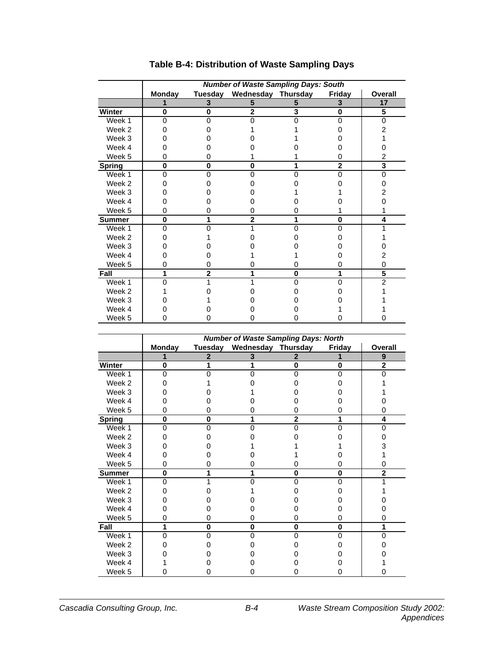|               | <b>Number of Waste Sampling Days: South</b> |                |                    |   |                |                         |  |  |  |
|---------------|---------------------------------------------|----------------|--------------------|---|----------------|-------------------------|--|--|--|
|               | <b>Monday</b>                               | Tuesday        | Wednesday Thursday |   | Friday         | <b>Overall</b>          |  |  |  |
|               |                                             | 3              | 5                  | 5 | 3              | 17                      |  |  |  |
| Winter        | 0                                           | 0              | $\overline{2}$     | 3 | 0              | $\overline{\mathbf{5}}$ |  |  |  |
| Week 1        | $\Omega$                                    | n              |                    |   | 0              | $\Omega$                |  |  |  |
| Week 2        | Ω                                           |                |                    |   |                | 2                       |  |  |  |
| Week 3        |                                             |                |                    |   |                |                         |  |  |  |
| Week 4        |                                             |                |                    |   |                |                         |  |  |  |
| Week 5        | 0                                           |                |                    |   | 0              | 2                       |  |  |  |
| <b>Spring</b> | 0                                           | O              | 0                  |   | $\overline{2}$ | 3                       |  |  |  |
| Week 1        | $\Omega$                                    |                | ი                  |   | 0              | 0                       |  |  |  |
| Week 2        | Ω                                           |                |                    |   |                |                         |  |  |  |
| Week 3        |                                             |                |                    |   |                | 2                       |  |  |  |
| Week 4        |                                             |                |                    |   |                |                         |  |  |  |
| Week 5        | 0                                           |                | 0                  |   |                |                         |  |  |  |
| <b>Summer</b> | 0                                           |                | 2                  |   | 0              | 4                       |  |  |  |
| Week 1        | $\Omega$                                    |                |                    |   | 0              |                         |  |  |  |
| Week 2        |                                             |                |                    |   |                |                         |  |  |  |
| Week 3        |                                             |                |                    |   |                |                         |  |  |  |
| Week 4        |                                             |                |                    |   |                |                         |  |  |  |
| Week 5        | 0                                           |                | 0                  | O | 0              | 0                       |  |  |  |
| Fall          | 1                                           | $\overline{2}$ |                    | 0 | 1              | 5                       |  |  |  |
| Week 1        | U                                           |                |                    | n | $\Omega$       | $\overline{2}$          |  |  |  |
| Week 2        |                                             |                |                    |   |                |                         |  |  |  |
| Week 3        |                                             |                |                    |   |                |                         |  |  |  |
| Week 4        |                                             |                |                    |   |                |                         |  |  |  |
| Week 5        |                                             |                |                    |   |                |                         |  |  |  |

### **Table B-4: Distribution of Waste Sampling Days**

|               | <b>Number of Waste Sampling Days: North</b> |                |                    |              |          |                |  |  |  |
|---------------|---------------------------------------------|----------------|--------------------|--------------|----------|----------------|--|--|--|
|               | <b>Monday</b>                               | <b>Tuesday</b> | Wednesday Thursday |              | Friday   | Overall        |  |  |  |
|               |                                             | 2              | 3                  | 2            |          | 9              |  |  |  |
| Winter        | 0                                           |                |                    | 0            | $\bf{0}$ | $\overline{2}$ |  |  |  |
| Week 1        | 0                                           |                |                    | n            | ი        | n              |  |  |  |
| Week 2        |                                             |                |                    |              |          |                |  |  |  |
| Week 3        |                                             |                |                    |              |          |                |  |  |  |
| Week 4        |                                             |                |                    |              |          |                |  |  |  |
| Week 5        | 0                                           |                |                    |              |          |                |  |  |  |
| <b>Spring</b> | $\bf{0}$                                    | N              |                    | $\mathbf{2}$ |          | 4              |  |  |  |
| Week 1        | $\Omega$                                    | n              |                    | ი            | 0        | 0              |  |  |  |
| Week 2        |                                             |                |                    |              |          |                |  |  |  |
| Week 3        |                                             |                |                    |              |          |                |  |  |  |
| Week 4        |                                             |                |                    |              |          |                |  |  |  |
| Week 5        | O                                           |                |                    |              |          |                |  |  |  |
| <b>Summer</b> | $\bf{0}$                                    |                |                    | 0            | 0        | 2              |  |  |  |
| Week 1        | 0                                           |                |                    | n            | O        |                |  |  |  |
| Week 2        |                                             |                |                    |              |          |                |  |  |  |
| Week 3        |                                             |                |                    |              |          |                |  |  |  |
| Week 4        |                                             |                |                    |              |          |                |  |  |  |
| Week 5        | 0                                           |                |                    | 0            | 0        |                |  |  |  |
| Fall          | 1                                           | 0              | 0                  | 0            | 0        | 1              |  |  |  |
| Week 1        | $\Omega$                                    | ი              |                    | $\Omega$     | 0        | 0              |  |  |  |
| Week 2        |                                             |                |                    |              |          |                |  |  |  |
| Week 3        |                                             |                |                    |              |          |                |  |  |  |
| Week 4        |                                             |                |                    |              |          |                |  |  |  |
| Week 5        |                                             |                |                    |              |          |                |  |  |  |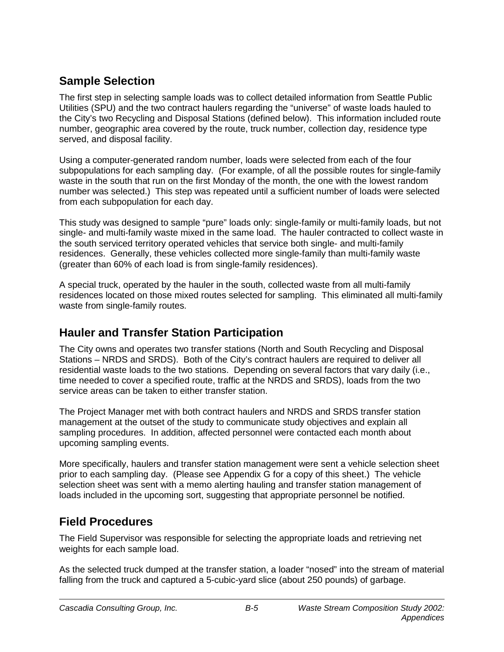## **Sample Selection**

The first step in selecting sample loads was to collect detailed information from Seattle Public Utilities (SPU) and the two contract haulers regarding the "universe" of waste loads hauled to the City's two Recycling and Disposal Stations (defined below). This information included route number, geographic area covered by the route, truck number, collection day, residence type served, and disposal facility.

Using a computer-generated random number, loads were selected from each of the four subpopulations for each sampling day. (For example, of all the possible routes for single-family waste in the south that run on the first Monday of the month, the one with the lowest random number was selected.) This step was repeated until a sufficient number of loads were selected from each subpopulation for each day.

This study was designed to sample "pure" loads only: single-family or multi-family loads, but not single- and multi-family waste mixed in the same load. The hauler contracted to collect waste in the south serviced territory operated vehicles that service both single- and multi-family residences. Generally, these vehicles collected more single-family than multi-family waste (greater than 60% of each load is from single-family residences).

A special truck, operated by the hauler in the south, collected waste from all multi-family residences located on those mixed routes selected for sampling. This eliminated all multi-family waste from single-family routes.

## **Hauler and Transfer Station Participation**

The City owns and operates two transfer stations (North and South Recycling and Disposal Stations – NRDS and SRDS). Both of the City's contract haulers are required to deliver all residential waste loads to the two stations. Depending on several factors that vary daily (i.e., time needed to cover a specified route, traffic at the NRDS and SRDS), loads from the two service areas can be taken to either transfer station.

The Project Manager met with both contract haulers and NRDS and SRDS transfer station management at the outset of the study to communicate study objectives and explain all sampling procedures. In addition, affected personnel were contacted each month about upcoming sampling events.

More specifically, haulers and transfer station management were sent a vehicle selection sheet prior to each sampling day. (Please see Appendix G for a copy of this sheet.) The vehicle selection sheet was sent with a memo alerting hauling and transfer station management of loads included in the upcoming sort, suggesting that appropriate personnel be notified.

## **Field Procedures**

The Field Supervisor was responsible for selecting the appropriate loads and retrieving net weights for each sample load.

As the selected truck dumped at the transfer station, a loader "nosed" into the stream of material falling from the truck and captured a 5-cubic-yard slice (about 250 pounds) of garbage.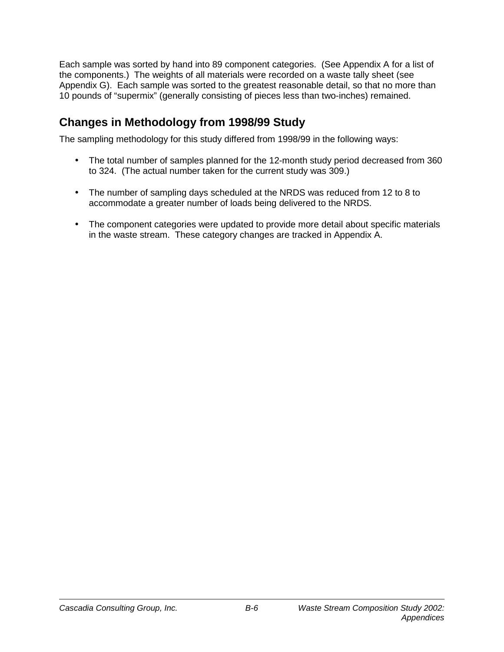Each sample was sorted by hand into 89 component categories. (See Appendix A for a list of the components.) The weights of all materials were recorded on a waste tally sheet (see Appendix G). Each sample was sorted to the greatest reasonable detail, so that no more than 10 pounds of "supermix" (generally consisting of pieces less than two-inches) remained.

## **Changes in Methodology from 1998/99 Study**

The sampling methodology for this study differed from 1998/99 in the following ways:

- The total number of samples planned for the 12-month study period decreased from 360 to 324. (The actual number taken for the current study was 309.)
- The number of sampling days scheduled at the NRDS was reduced from 12 to 8 to accommodate a greater number of loads being delivered to the NRDS.
- The component categories were updated to provide more detail about specific materials in the waste stream. These category changes are tracked in Appendix A.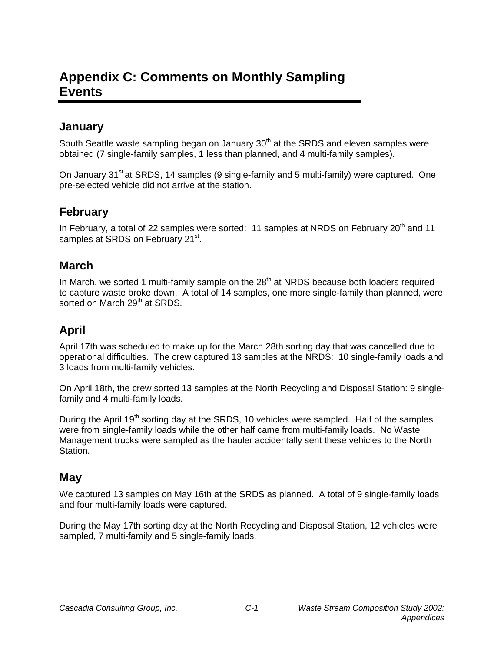# **Appendix C: Comments on Monthly Sampling Events**

### **January**

South Seattle waste sampling began on January  $30<sup>th</sup>$  at the SRDS and eleven samples were obtained (7 single-family samples, 1 less than planned, and 4 multi-family samples).

On January 31<sup>st</sup> at SRDS, 14 samples (9 single-family and 5 multi-family) were captured. One pre-selected vehicle did not arrive at the station.

## **February**

In February, a total of 22 samples were sorted: 11 samples at NRDS on February  $20<sup>th</sup>$  and 11 samples at SRDS on February 21<sup>st</sup>.

### **March**

In March, we sorted 1 multi-family sample on the  $28<sup>th</sup>$  at NRDS because both loaders required to capture waste broke down. A total of 14 samples, one more single-family than planned, were sorted on March 29<sup>th</sup> at SRDS.

## **April**

April 17th was scheduled to make up for the March 28th sorting day that was cancelled due to operational difficulties. The crew captured 13 samples at the NRDS: 10 single-family loads and 3 loads from multi-family vehicles.

On April 18th, the crew sorted 13 samples at the North Recycling and Disposal Station: 9 singlefamily and 4 multi-family loads.

During the April 19<sup>th</sup> sorting day at the SRDS, 10 vehicles were sampled. Half of the samples were from single-family loads while the other half came from multi-family loads. No Waste Management trucks were sampled as the hauler accidentally sent these vehicles to the North **Station** 

### **May**

We captured 13 samples on May 16th at the SRDS as planned. A total of 9 single-family loads and four multi-family loads were captured.

During the May 17th sorting day at the North Recycling and Disposal Station, 12 vehicles were sampled, 7 multi-family and 5 single-family loads.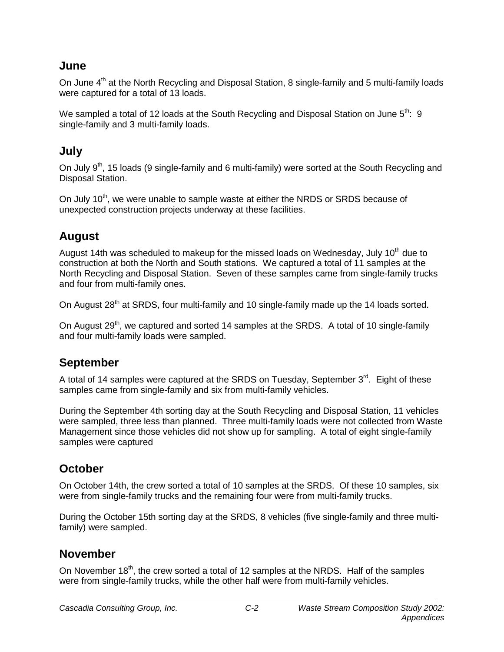### **June**

On June 4<sup>th</sup> at the North Recycling and Disposal Station, 8 single-family and 5 multi-family loads were captured for a total of 13 loads.

We sampled a total of 12 loads at the South Recycling and Disposal Station on June  $5^{th}$ : 9 single-family and 3 multi-family loads.

### **July**

On July 9<sup>th</sup>, 15 loads (9 single-family and 6 multi-family) were sorted at the South Recycling and Disposal Station.

On July 10<sup>th</sup>, we were unable to sample waste at either the NRDS or SRDS because of unexpected construction projects underway at these facilities.

### **August**

August 14th was scheduled to makeup for the missed loads on Wednesday, July  $10<sup>th</sup>$  due to construction at both the North and South stations. We captured a total of 11 samples at the North Recycling and Disposal Station. Seven of these samples came from single-family trucks and four from multi-family ones.

On August 28<sup>th</sup> at SRDS, four multi-family and 10 single-family made up the 14 loads sorted.

On August  $29<sup>th</sup>$ , we captured and sorted 14 samples at the SRDS. A total of 10 single-family and four multi-family loads were sampled.

### **September**

A total of 14 samples were captured at the SRDS on Tuesday, September  $3<sup>rd</sup>$ . Eight of these samples came from single-family and six from multi-family vehicles.

During the September 4th sorting day at the South Recycling and Disposal Station, 11 vehicles were sampled, three less than planned. Three multi-family loads were not collected from Waste Management since those vehicles did not show up for sampling. A total of eight single-family samples were captured

### **October**

On October 14th, the crew sorted a total of 10 samples at the SRDS. Of these 10 samples, six were from single-family trucks and the remaining four were from multi-family trucks.

During the October 15th sorting day at the SRDS, 8 vehicles (five single-family and three multifamily) were sampled.

### **November**

On November 18<sup>th</sup>, the crew sorted a total of 12 samples at the NRDS. Half of the samples were from single-family trucks, while the other half were from multi-family vehicles.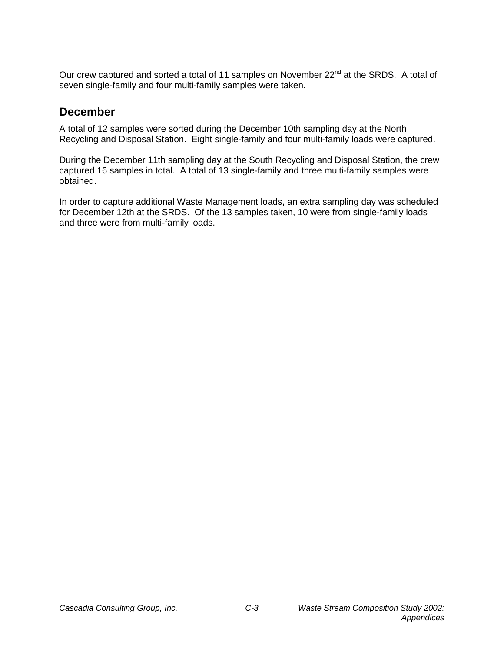Our crew captured and sorted a total of 11 samples on November 22<sup>nd</sup> at the SRDS. A total of seven single-family and four multi-family samples were taken.

### **December**

A total of 12 samples were sorted during the December 10th sampling day at the North Recycling and Disposal Station. Eight single-family and four multi-family loads were captured.

During the December 11th sampling day at the South Recycling and Disposal Station, the crew captured 16 samples in total. A total of 13 single-family and three multi-family samples were obtained.

In order to capture additional Waste Management loads, an extra sampling day was scheduled for December 12th at the SRDS. Of the 13 samples taken, 10 were from single-family loads and three were from multi-family loads.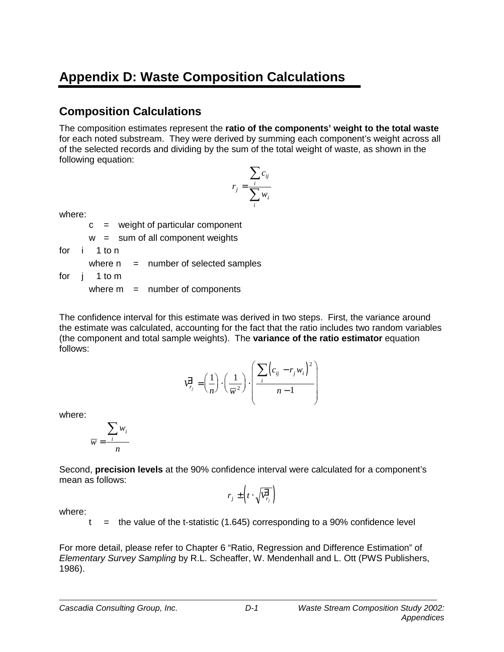# **Appendix D: Waste Composition Calculations**

### **Composition Calculations**

The composition estimates represent the **ratio of the components' weight to the total waste** for each noted substream. They were derived by summing each component's weight across all of the selected records and dividing by the sum of the total weight of waste, as shown in the following equation:

$$
r_j = \frac{\sum_i c_{ij}}{\sum_i w_i}
$$

where:

 $c =$  weight of particular component

 $w = sum of all component weights$ 

for i 1 to n

where  $n =$  number of selected samples

for j 1 to m

where  $m =$  number of components

The confidence interval for this estimate was derived in two steps. First, the variance around the estimate was calculated, accounting for the fact that the ratio includes two random variables (the component and total sample weights). The **variance of the ratio estimator** equation follows:

$$
\overrightarrow{V}_{r_j} = \left(\frac{1}{n}\right) \cdot \left(\frac{1}{\overline{w}^2}\right) \cdot \left(\frac{\sum_i \left(c_{ij} - r_j w_i\right)^2}{n - 1}\right)
$$

where:

$$
\overline{w} = \frac{\sum_{i} w_i}{n}
$$

Second, **precision levels** at the 90% confidence interval were calculated for a component's mean as follows:

$$
r_j \pm \left(t \cdot \sqrt{\overline{v_{r_j}^2}}\right)
$$

where:

t  $=$  the value of the t-statistic (1.645) corresponding to a 90% confidence level

For more detail, please refer to Chapter 6 "Ratio, Regression and Difference Estimation" of *Elementary Survey Sampling* by R.L. Scheaffer, W. Mendenhall and L. Ott (PWS Publishers, 1986).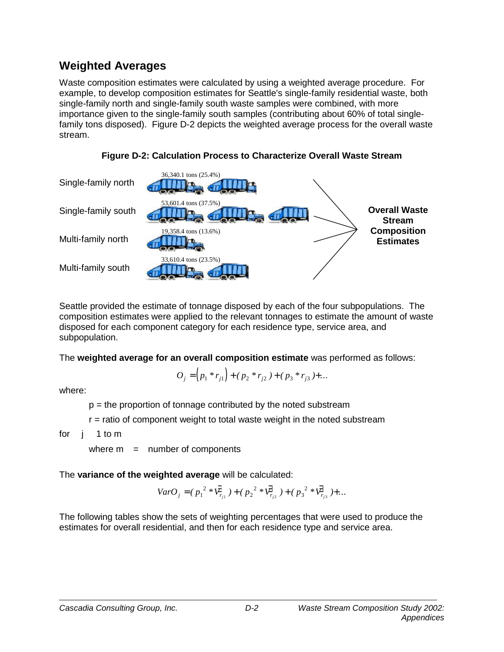### **Weighted Averages**

Waste composition estimates were calculated by using a weighted average procedure. For example, to develop composition estimates for Seattle's single-family residential waste, both single-family north and single-family south waste samples were combined, with more importance given to the single-family south samples (contributing about 60% of total singlefamily tons disposed). Figure D-2 depicts the weighted average process for the overall waste stream.



**Figure D-2: Calculation Process to Characterize Overall Waste Stream**

Seattle provided the estimate of tonnage disposed by each of the four subpopulations. The composition estimates were applied to the relevant tonnages to estimate the amount of waste disposed for each component category for each residence type, service area, and subpopulation.

The **weighted average for an overall composition estimate** was performed as follows:

$$
O_j = (p_1 * r_{j1}) + (p_2 * r_{j2}) + (p_3 * r_{j3}) + \dots
$$

where:

 $p =$  the proportion of tonnage contributed by the noted substream

r = ratio of component weight to total waste weight in the noted substream

for j 1 to m

where  $m =$  number of components

The **variance of the weighted average** will be calculated:

$$
VarO_j = (p_1^2 * \overline{V}_{r_{j1}}^2) + (p_2^2 * \overline{V}_{r_{j2}}^2) + (p_3^2 * \overline{V}_{r_{j3}}^2) + \dots
$$

The following tables show the sets of weighting percentages that were used to produce the estimates for overall residential, and then for each residence type and service area.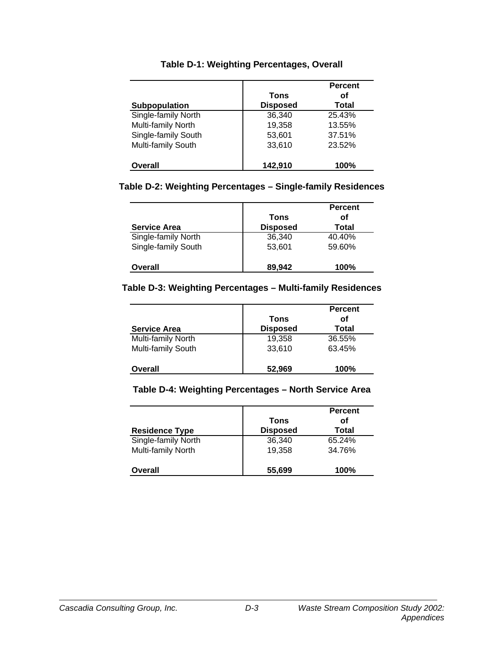| <b>Subpopulation</b> | Tons<br><b>Disposed</b> | <b>Percent</b><br>οf<br>Total |
|----------------------|-------------------------|-------------------------------|
| Single-family North  | 36,340                  | 25.43%                        |
| Multi-family North   | 19,358                  | 13.55%                        |
| Single-family South  | 53,601                  | 37.51%                        |
| Multi-family South   | 33,610                  | 23.52%                        |
| Overall              | 142,910                 | 100%                          |

#### **Table D-1: Weighting Percentages, Overall**

#### **Table D-2: Weighting Percentages – Single-family Residences**

|                     |                 | <b>Percent</b> |
|---------------------|-----------------|----------------|
|                     | Tons            | οf             |
| <b>Service Area</b> | <b>Disposed</b> | Total          |
| Single-family North | 36,340          | 40.40%         |
| Single-family South | 53,601          | 59.60%         |
| Overall             | 89,942          | 100%           |

#### **Table D-3: Weighting Percentages – Multi-family Residences**

| <b>Service Area</b> | Tons<br><b>Disposed</b> | <b>Percent</b><br>οf<br>Total |  |
|---------------------|-------------------------|-------------------------------|--|
| Multi-family North  | 19,358                  | 36.55%                        |  |
| Multi-family South  | 33,610                  | 63.45%                        |  |
| <b>Overall</b>      | 52,969                  | 100%                          |  |

#### **Table D-4: Weighting Percentages – North Service Area**

| <b>Residence Type</b> | Tons<br><b>Disposed</b> | <b>Percent</b><br>οf<br>Total |  |
|-----------------------|-------------------------|-------------------------------|--|
| Single-family North   | 36,340                  | 65.24%                        |  |
| Multi-family North    | 19,358                  | 34.76%                        |  |
| Overall               | 55,699                  | 100%                          |  |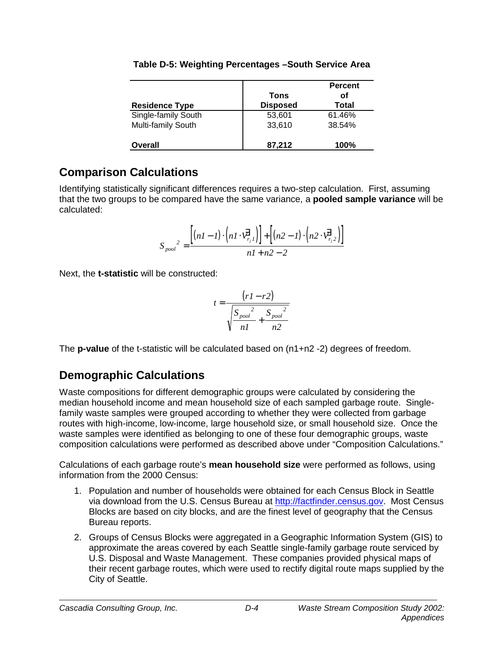|                       | Tons            | <b>Percent</b><br>οf |
|-----------------------|-----------------|----------------------|
| <b>Residence Type</b> | <b>Disposed</b> | Total                |
| Single-family South   | 53,601          | 61.46%               |
| Multi-family South    | 33,610          | 38.54%               |
| <b>Overall</b>        | 87,212          | 100%                 |

### **Table D-5: Weighting Percentages –South Service Area**

### **Comparison Calculations**

Identifying statistically significant differences requires a two-step calculation. First, assuming that the two groups to be compared have the same variance, a **pooled sample variance** will be calculated:

$$
S_{pool}^2 = \frac{\left[ (nI - I) \cdot \left( nI \cdot \overrightarrow{V_{r_j}}_I \right) \right] + \left[ (n2 - I) \cdot \left( n2 \cdot \overrightarrow{V_{r_j}}_2 \right) \right]}{nI + n2 - 2}
$$

Next, the **t-statistic** will be constructed:

$$
t = \frac{(r1 - r2)}{\sqrt{\frac{S_{pool}^2}{n1} + \frac{S_{pool}^2}{n2}}}
$$

The **p-value** of the t-statistic will be calculated based on (n1+n2 -2) degrees of freedom.

### **Demographic Calculations**

Waste compositions for different demographic groups were calculated by considering the median household income and mean household size of each sampled garbage route. Singlefamily waste samples were grouped according to whether they were collected from garbage routes with high-income, low-income, large household size, or small household size. Once the waste samples were identified as belonging to one of these four demographic groups, waste composition calculations were performed as described above under "Composition Calculations."

Calculations of each garbage route's **mean household size** were performed as follows, using information from the 2000 Census:

- 1. Population and number of households were obtained for each Census Block in Seattle via download from the U.S. Census Bureau at http://factfinder.census.gov. Most Census Blocks are based on city blocks, and are the finest level of geography that the Census Bureau reports.
- 2. Groups of Census Blocks were aggregated in a Geographic Information System (GIS) to approximate the areas covered by each Seattle single-family garbage route serviced by U.S. Disposal and Waste Management. These companies provided physical maps of their recent garbage routes, which were used to rectify digital route maps supplied by the City of Seattle.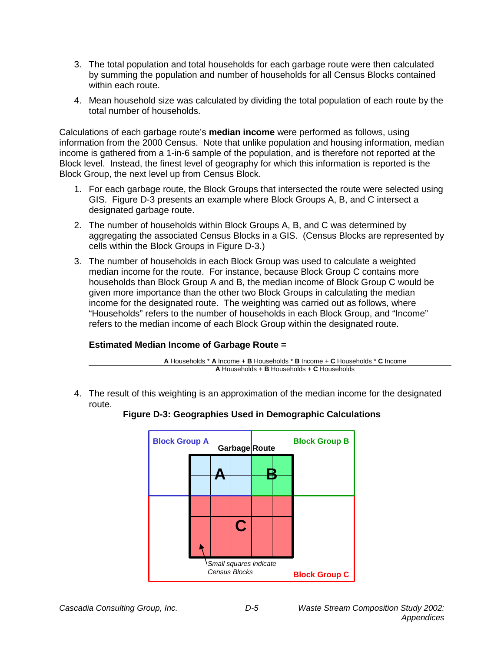- 3. The total population and total households for each garbage route were then calculated by summing the population and number of households for all Census Blocks contained within each route.
- 4. Mean household size was calculated by dividing the total population of each route by the total number of households.

Calculations of each garbage route's **median income** were performed as follows, using information from the 2000 Census. Note that unlike population and housing information, median income is gathered from a 1-in-6 sample of the population, and is therefore not reported at the Block level. Instead, the finest level of geography for which this information is reported is the Block Group, the next level up from Census Block.

- 1. For each garbage route, the Block Groups that intersected the route were selected using GIS. Figure D-3 presents an example where Block Groups A, B, and C intersect a designated garbage route.
- 2. The number of households within Block Groups A, B, and C was determined by aggregating the associated Census Blocks in a GIS. (Census Blocks are represented by cells within the Block Groups in Figure D-3.)
- 3. The number of households in each Block Group was used to calculate a weighted median income for the route. For instance, because Block Group C contains more households than Block Group A and B, the median income of Block Group C would be given more importance than the other two Block Groups in calculating the median income for the designated route. The weighting was carried out as follows, where "Households" refers to the number of households in each Block Group, and "Income" refers to the median income of each Block Group within the designated route.

#### **Estimated Median Income of Garbage Route =**

|                                                                 | A Households * A Income + B Households * B Income + C Households * C Income |  |
|-----------------------------------------------------------------|-----------------------------------------------------------------------------|--|
| <b>A</b> Households + <b>B</b> Households + <b>C</b> Households |                                                                             |  |

4. The result of this weighting is an approximation of the median income for the designated route.



### **Figure D-3: Geographies Used in Demographic Calculations**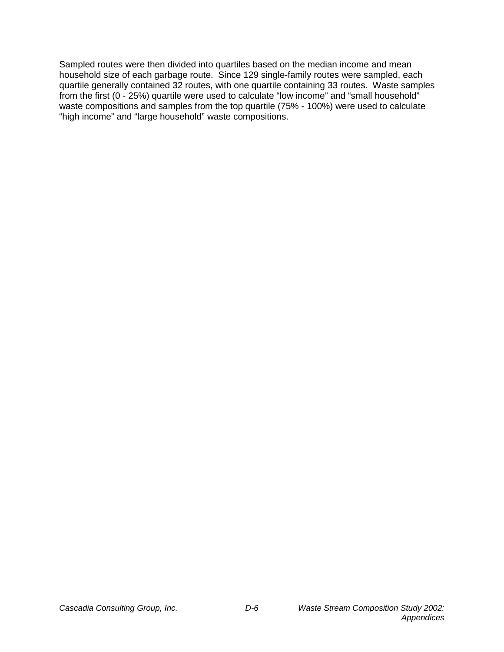Sampled routes were then divided into quartiles based on the median income and mean household size of each garbage route. Since 129 single-family routes were sampled, each quartile generally contained 32 routes, with one quartile containing 33 routes. Waste samples from the first (0 - 25%) quartile were used to calculate "low income" and "small household" waste compositions and samples from the top quartile (75% - 100%) were used to calculate "high income" and "large household" waste compositions.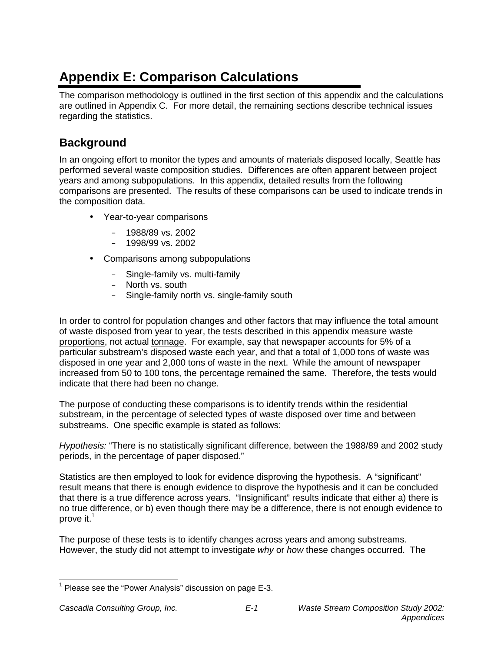## **Appendix E: Comparison Calculations**

The comparison methodology is outlined in the first section of this appendix and the calculations are outlined in Appendix C. For more detail, the remaining sections describe technical issues regarding the statistics.

### **Background**

In an ongoing effort to monitor the types and amounts of materials disposed locally, Seattle has performed several waste composition studies. Differences are often apparent between project years and among subpopulations. In this appendix, detailed results from the following comparisons are presented. The results of these comparisons can be used to indicate trends in the composition data.

- Year-to-year comparisons
	- 1988/89 vs. 2002
	- 1998/99 vs. 2002
- Comparisons among subpopulations
	- Single-family vs. multi-family
	- North vs. south
	- Single-family north vs. single-family south

In order to control for population changes and other factors that may influence the total amount of waste disposed from year to year, the tests described in this appendix measure waste proportions, not actual tonnage. For example, say that newspaper accounts for 5% of a particular substream's disposed waste each year, and that a total of 1,000 tons of waste was disposed in one year and 2,000 tons of waste in the next. While the amount of newspaper increased from 50 to 100 tons, the percentage remained the same. Therefore, the tests would indicate that there had been no change.

The purpose of conducting these comparisons is to identify trends within the residential substream, in the percentage of selected types of waste disposed over time and between substreams. One specific example is stated as follows:

*Hypothesis:* "There is no statistically significant difference, between the 1988/89 and 2002 study periods, in the percentage of paper disposed."

Statistics are then employed to look for evidence disproving the hypothesis. A "significant" result means that there is enough evidence to disprove the hypothesis and it can be concluded that there is a true difference across years. "Insignificant" results indicate that either a) there is no true difference, or b) even though there may be a difference, there is not enough evidence to prove it.<sup>1</sup>

The purpose of these tests is to identify changes across years and among substreams. However, the study did not attempt to investigate *why* or *how* these changes occurred. The

j  $1$  Please see the "Power Analysis" discussion on page E-3.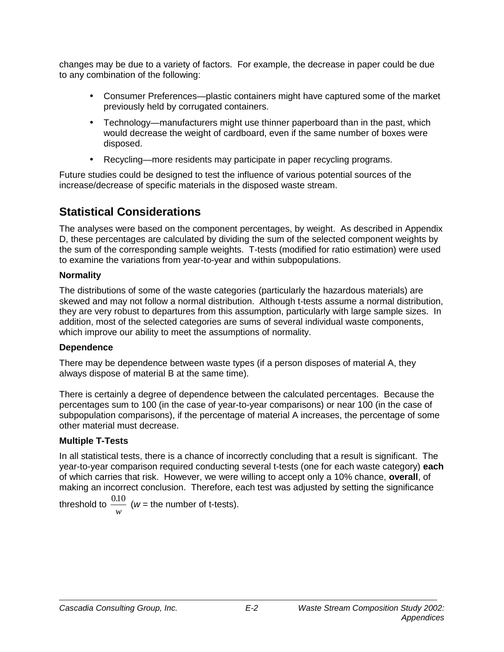changes may be due to a variety of factors. For example, the decrease in paper could be due to any combination of the following:

- Consumer Preferences—plastic containers might have captured some of the market previously held by corrugated containers.
- Technology—manufacturers might use thinner paperboard than in the past, which would decrease the weight of cardboard, even if the same number of boxes were disposed.
- Recycling—more residents may participate in paper recycling programs.

Future studies could be designed to test the influence of various potential sources of the increase/decrease of specific materials in the disposed waste stream.

### **Statistical Considerations**

The analyses were based on the component percentages, by weight. As described in Appendix D, these percentages are calculated by dividing the sum of the selected component weights by the sum of the corresponding sample weights. T-tests (modified for ratio estimation) were used to examine the variations from year-to-year and within subpopulations.

### **Normality**

The distributions of some of the waste categories (particularly the hazardous materials) are skewed and may not follow a normal distribution. Although t-tests assume a normal distribution, they are very robust to departures from this assumption, particularly with large sample sizes. In addition, most of the selected categories are sums of several individual waste components, which improve our ability to meet the assumptions of normality.

### **Dependence**

There may be dependence between waste types (if a person disposes of material A, they always dispose of material B at the same time).

There is certainly a degree of dependence between the calculated percentages. Because the percentages sum to 100 (in the case of year-to-year comparisons) or near 100 (in the case of subpopulation comparisons), if the percentage of material A increases, the percentage of some other material must decrease.

### **Multiple T-Tests**

In all statistical tests, there is a chance of incorrectly concluding that a result is significant. The year-to-year comparison required conducting several t-tests (one for each waste category) **each** of which carries that risk. However, we were willing to accept only a 10% chance, **overall**, of making an incorrect conclusion. Therefore, each test was adjusted by setting the significance

threshold to  $\frac{0.10}{1}$ *w* ( $w =$  the number of t-tests).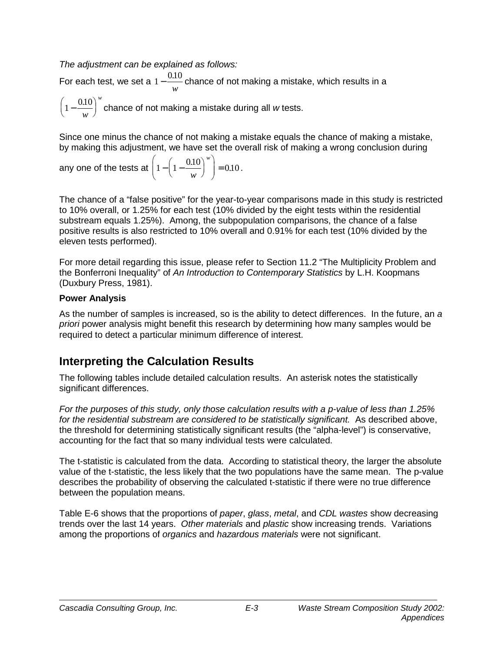*The adjustment can be explained as follows:* 

For each test, we set a  $1 - \frac{0.10}{...}$ *w* chance of not making a mistake, which results in a *w*

 $\left(1-\frac{0.10}{w}\right)$ *w* chance of not making a mistake during all *w* tests.

Since one minus the chance of not making a mistake equals the chance of making a mistake, by making this adjustment, we have set the overall risk of making a wrong conclusion during

any one of the tests at 
$$
\left(1 - \left(1 - \frac{0.10}{w}\right)^w\right) = 0.10
$$
.

The chance of a "false positive" for the year-to-year comparisons made in this study is restricted to 10% overall, or 1.25% for each test (10% divided by the eight tests within the residential substream equals 1.25%). Among, the subpopulation comparisons, the chance of a false positive results is also restricted to 10% overall and 0.91% for each test (10% divided by the eleven tests performed).

For more detail regarding this issue, please refer to Section 11.2 "The Multiplicity Problem and the Bonferroni Inequality" of *An Introduction to Contemporary Statistics* by L.H. Koopmans (Duxbury Press, 1981).

### **Power Analysis**

As the number of samples is increased, so is the ability to detect differences. In the future, an *a priori* power analysis might benefit this research by determining how many samples would be required to detect a particular minimum difference of interest.

### **Interpreting the Calculation Results**

The following tables include detailed calculation results. An asterisk notes the statistically significant differences.

*For the purposes of this study, only those calculation results with a p-value of less than 1.25%*  for the residential substream are considered to be statistically significant. As described above, the threshold for determining statistically significant results (the "alpha-level") is conservative, accounting for the fact that so many individual tests were calculated.

The t-statistic is calculated from the data. According to statistical theory, the larger the absolute value of the t-statistic, the less likely that the two populations have the same mean. The p-value describes the probability of observing the calculated t-statistic if there were no true difference between the population means.

Table E-6 shows that the proportions of *paper*, *glass*, *metal*, and *CDL wastes* show decreasing trends over the last 14 years. *Other materials* and *plastic* show increasing trends. Variations among the proportions of *organics* and *hazardous materials* were not significant.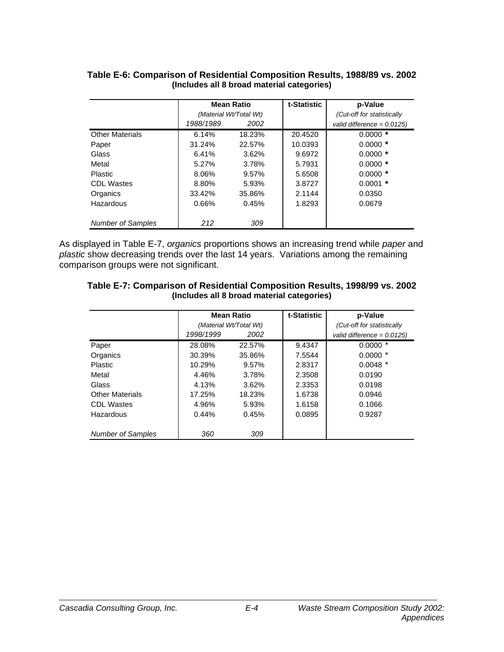|                          | <b>Mean Ratio</b>      |        | t-Statistic | p-Value                       |
|--------------------------|------------------------|--------|-------------|-------------------------------|
|                          | (Material Wt/Total Wt) |        |             | (Cut-off for statistically    |
|                          | 1988/1989              | 2002   |             | valid difference = $0.0125$ ) |
| <b>Other Materials</b>   | 6.14%                  | 18.23% | 20.4520     | $0.0000*$                     |
| Paper                    | 31.24%                 | 22.57% | 10.0393     | $0.0000*$                     |
| Glass                    | 6.41%                  | 3.62%  | 9.6972      | $0.0000*$                     |
| Metal                    | 5.27%                  | 3.78%  | 5.7931      | $0.0000*$                     |
| <b>Plastic</b>           | 8.06%                  | 9.57%  | 5.6508      | $0.0000*$                     |
| <b>CDL Wastes</b>        | 8.80%                  | 5.93%  | 3.8727      | $0.0001$ *                    |
| Organics                 | 33.42%                 | 35.86% | 2.1144      | 0.0350                        |
| Hazardous                | 0.66%                  | 0.45%  | 1.8293      | 0.0679                        |
|                          |                        |        |             |                               |
| <b>Number of Samples</b> | 212                    | 309    |             |                               |

#### **Table E-6: Comparison of Residential Composition Results, 1988/89 vs. 2002 (Includes all 8 broad material categories)**

As displayed in Table E-7, *organics* proportions shows an increasing trend while *paper* and *plastic* show decreasing trends over the last 14 years. Variations among the remaining comparison groups were not significant.

| Table E-7: Comparison of Residential Composition Results, 1998/99 vs. 2002 |  |
|----------------------------------------------------------------------------|--|
| (Includes all 8 broad material categories)                                 |  |

|                          | <b>Mean Ratio</b>      |        | t-Statistic | p-Value                       |
|--------------------------|------------------------|--------|-------------|-------------------------------|
|                          | (Material Wt/Total Wt) |        |             | (Cut-off for statistically    |
|                          | 1998/1999              | 2002   |             | valid difference = $0.0125$ ) |
| Paper                    | 28.08%                 | 22.57% | 9.4347      | $0.0000*$                     |
| Organics                 | 30.39%                 | 35.86% | 7.5544      | $0.0000*$                     |
| Plastic                  | 10.29%                 | 9.57%  | 2.8317      | $0.0048$ *                    |
| Metal                    | 4.46%                  | 3.78%  | 2.3508      | 0.0190                        |
| Glass                    | 4.13%                  | 3.62%  | 2.3353      | 0.0198                        |
| <b>Other Materials</b>   | 17.25%                 | 18.23% | 1.6738      | 0.0946                        |
| <b>CDL Wastes</b>        | 4.96%                  | 5.93%  | 1.6158      | 0.1066                        |
| Hazardous                | 0.44%                  | 0.45%  | 0.0895      | 0.9287                        |
|                          |                        |        |             |                               |
| <b>Number of Samples</b> | 360                    | 309    |             |                               |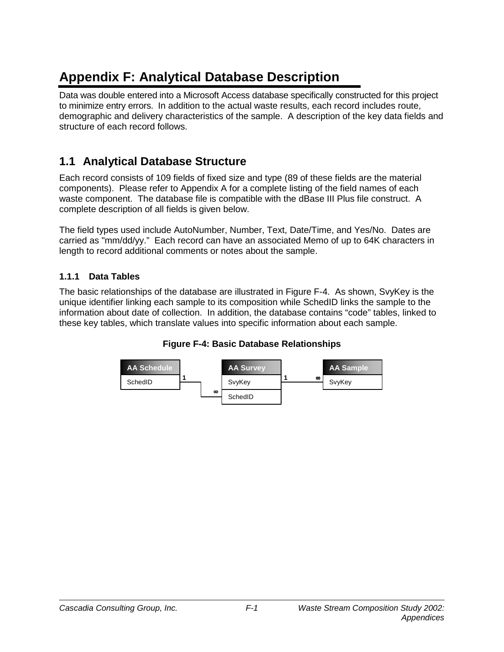# **Appendix F: Analytical Database Description**

Data was double entered into a Microsoft Access database specifically constructed for this project to minimize entry errors. In addition to the actual waste results, each record includes route, demographic and delivery characteristics of the sample. A description of the key data fields and structure of each record follows.

### **1.1 Analytical Database Structure**

Each record consists of 109 fields of fixed size and type (89 of these fields are the material components). Please refer to Appendix A for a complete listing of the field names of each waste component. The database file is compatible with the dBase III Plus file construct. A complete description of all fields is given below.

The field types used include AutoNumber, Number, Text, Date/Time, and Yes/No. Dates are carried as "mm/dd/yy." Each record can have an associated Memo of up to 64K characters in length to record additional comments or notes about the sample.

### **1.1.1 Data Tables**

The basic relationships of the database are illustrated in Figure F-4. As shown, SvyKey is the unique identifier linking each sample to its composition while SchedID links the sample to the information about date of collection. In addition, the database contains "code" tables, linked to these key tables, which translate values into specific information about each sample.



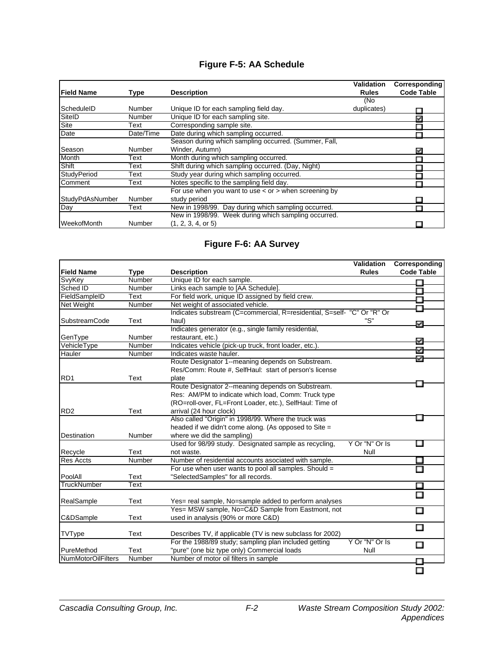### **Figure F-5: AA Schedule**

|                    |               |                                                             | Validation   | Corresponding     |
|--------------------|---------------|-------------------------------------------------------------|--------------|-------------------|
| <b>Field Name</b>  | Type          | <b>Description</b>                                          | <b>Rules</b> | <b>Code Table</b> |
|                    |               |                                                             | (No          |                   |
| ScheduleID         | <b>Number</b> | Unique ID for each sampling field day.                      | duplicates)  |                   |
| SitelD             | Number        | Unique ID for each sampling site.                           |              | k.                |
| Site               | Text          | Corresponding sample site.                                  |              |                   |
| Date               | Date/Time     | Date during which sampling occurred.                        |              |                   |
|                    |               | Season during which sampling occurred. (Summer, Fall,       |              |                   |
| Season             | Number        | Winder, Autumn)                                             |              | P.                |
| Month              | Text          | Month during which sampling occurred.                       |              |                   |
| Shift              | Text          | Shift during which sampling occurred. (Day, Night)          |              |                   |
| <b>StudyPeriod</b> | Text          | Study year during which sampling occurred.                  |              |                   |
| Comment            | Text          | Notes specific to the sampling field day.                   |              |                   |
|                    |               | For use when you want to use $\lt$ or $>$ when screening by |              |                   |
| StudyPdAsNumber    | Number        | study period                                                |              |                   |
| Day                | Text          | New in 1998/99. Day during which sampling occurred.         |              |                   |
|                    |               | New in 1998/99. Week during which sampling occurred.        |              |                   |
| WeekofMonth        | Number        | (1, 2, 3, 4, or 5)                                          |              |                   |

### **Figure F-6: AA Survey**

|                           |        |                                                                         | <b>Validation</b> | Corresponding     |
|---------------------------|--------|-------------------------------------------------------------------------|-------------------|-------------------|
| <b>Field Name</b>         | Type   | <b>Description</b>                                                      | <b>Rules</b>      | <b>Code Table</b> |
| SvyKey                    | Number | Unique ID for each sample.                                              |                   | П                 |
| Sched ID                  | Number | Links each sample to [AA Schedule].                                     |                   |                   |
| FieldSampleID             | Text   | For field work, unique ID assigned by field crew.                       |                   | П                 |
| <b>Net Weight</b>         | Number | Net weight of associated vehicle.                                       |                   |                   |
|                           |        | Indicates substream (C=commercial, R=residential, S=self- "C" Or "R" Or |                   |                   |
| <b>SubstreamCode</b>      | Text   | haul)                                                                   | "S"               | Ī.                |
|                           |        | Indicates generator (e.g., single family residential,                   |                   |                   |
| GenType                   | Number | restaurant, etc.)                                                       |                   | k.                |
| VehicleType               | Number | Indicates vehicle (pick-up truck, front loader, etc.).                  |                   |                   |
| Hauler                    | Number | Indicates waste hauler.                                                 |                   | ¥.                |
|                           |        | Route Designator 1--meaning depends on Substream.                       |                   |                   |
|                           |        | Res/Comm: Route #, SelfHaul: start of person's license                  |                   |                   |
| RD <sub>1</sub>           | Text   | plate                                                                   |                   |                   |
|                           |        | Route Designator 2--meaning depends on Substream.                       |                   |                   |
|                           |        | Res: AM/PM to indicate which load, Comm: Truck type                     |                   |                   |
|                           |        | (RO=roll-over, FL=Front Loader, etc.), SelfHaul: Time of                |                   |                   |
| RD <sub>2</sub>           | Text   | arrival (24 hour clock)                                                 |                   |                   |
|                           |        | Also called "Origin" in 1998/99. Where the truck was                    |                   |                   |
|                           |        | headed if we didn't come along. (As opposed to Site =                   |                   |                   |
| <b>Destination</b>        | Number | where we did the sampling)                                              |                   |                   |
|                           |        | Used for 98/99 study. Designated sample as recycling,                   | Y Or "N" Or Is    | П                 |
| Recycle                   | Text   | not waste.                                                              | Null              |                   |
| <b>Res Accts</b>          | Number | Number of residential accounts asociated with sample.                   |                   | Ξ                 |
|                           |        | For use when user wants to pool all samples. Should =                   |                   | П                 |
| PoolAll                   | Text   | "SelectedSamples" for all records.                                      |                   |                   |
| <b>TruckNumber</b>        | Text   |                                                                         |                   | П                 |
|                           |        |                                                                         |                   | П                 |
| RealSample                | Text   | Yes= real sample, No=sample added to perform analyses                   |                   |                   |
|                           |        | Yes= MSW sample, No=C&D Sample from Eastmont, not                       |                   | Ξ                 |
| C&DSample                 | Text   | used in analysis (90% or more C&D)                                      |                   |                   |
|                           |        |                                                                         |                   | П                 |
| TVType                    | Text   | Describes TV, if applicable (TV is new subclass for 2002)               |                   |                   |
|                           |        | For the 1988/89 study; sampling plan included getting                   | Y Or "N" Or Is    | □                 |
| PureMethod                | Text   | "pure" (one biz type only) Commercial loads                             | Null              |                   |
| <b>NumMotorOilFilters</b> | Number | Number of motor oil filters in sample                                   |                   |                   |
|                           |        |                                                                         |                   | П                 |
|                           |        |                                                                         |                   |                   |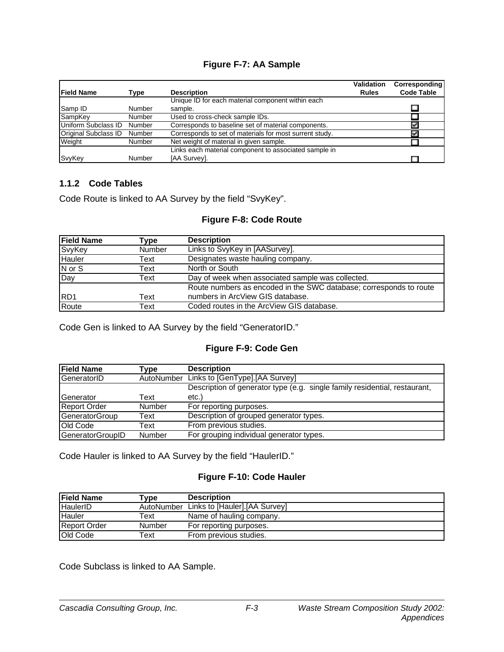#### **Figure F-7: AA Sample**

| <b>Field Name</b>           | Type          | <b>Description</b>                                      | <b>Validation</b><br><b>Rules</b> | Corresponding<br><b>Code Table</b> |
|-----------------------------|---------------|---------------------------------------------------------|-----------------------------------|------------------------------------|
|                             |               | Unique ID for each material component within each       |                                   |                                    |
| Samp ID                     | Number        | sample.                                                 |                                   |                                    |
| SampKey                     | Number        | Used to cross-check sample IDs.                         |                                   |                                    |
| Uniform Subclass ID         | Number        | Corresponds to baseline set of material components.     |                                   |                                    |
| <b>Original Subclass ID</b> | Number        | Corresponds to set of materials for most surrent study. |                                   |                                    |
| Weight                      | <b>Number</b> | Net weight of material in given sample.                 |                                   |                                    |
|                             |               | Links each material component to associated sample in   |                                   |                                    |
| SvyKey                      | Number        | [AA Survey].                                            |                                   |                                    |

#### **1.1.2 Code Tables**

Code Route is linked to AA Survey by the field "SvyKey".

#### **Figure F-8: Code Route**

| <b>Field Name</b> | Type          | <b>Description</b>                                                 |
|-------------------|---------------|--------------------------------------------------------------------|
| SvyKey            | <b>Number</b> | Links to SvyKey in [AASurvey].                                     |
| Hauler            | Text          | Designates waste hauling company.                                  |
| N or S            | Text          | North or South                                                     |
| Day               | Text          | Day of week when associated sample was collected.                  |
|                   |               | Route numbers as encoded in the SWC database; corresponds to route |
| RD1               | Text          | numbers in ArcView GIS database.                                   |
| Route             | Text          | Coded routes in the ArcView GIS database.                          |

Code Gen is linked to AA Survey by the field "GeneratorID."

#### **Figure F-9: Code Gen**

| <b>Field Name</b>     | Tvpe          | <b>Description</b>                                                         |
|-----------------------|---------------|----------------------------------------------------------------------------|
| GeneratorID           | AutoNumber    | Links to [GenType].[AA Survey]                                             |
|                       |               | Description of generator type (e.g. single family residential, restaurant, |
| Generator             | Text          | etc.)                                                                      |
| <b>Report Order</b>   | Number        | For reporting purposes.                                                    |
| <b>GeneratorGroup</b> | Text          | Description of grouped generator types.                                    |
| Old Code              | Text          | From previous studies.                                                     |
| GeneratorGroupID      | <b>Number</b> | For grouping individual generator types.                                   |

Code Hauler is linked to AA Survey by the field "HaulerID."

#### **Figure F-10: Code Hauler**

| <b>Field Name</b>   | Type       | <b>Description</b>             |
|---------------------|------------|--------------------------------|
| HaulerID            | AutoNumber | Links to [Hauler]. [AA Survey] |
| Hauler              | Text       | Name of hauling company.       |
| <b>Report Order</b> | Number     | For reporting purposes.        |
| Old Code            | Гехt       | From previous studies.         |

Code Subclass is linked to AA Sample.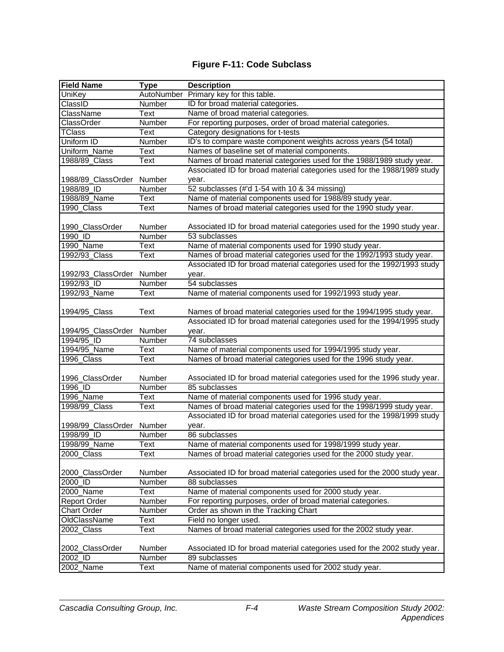### **Figure F-11: Code Subclass**

| <b>Field Name</b>         | <b>Type</b> | <b>Description</b>                                                        |  |  |
|---------------------------|-------------|---------------------------------------------------------------------------|--|--|
| UniKey                    | AutoNumber  | Primary key for this table.                                               |  |  |
| ClassID                   | Number      | ID for broad material categories.                                         |  |  |
| ClassName                 | Text        | Name of broad material categories.                                        |  |  |
| ClassOrder                | Number      | For reporting purposes, order of broad material categories.               |  |  |
| <b>TClass</b>             | Text        | Category designations for t-tests                                         |  |  |
| Uniform ID                | Number      | ID's to compare waste component weights across years (54 total)           |  |  |
| Uniform_Name              | Text        | Names of baseline set of material components.                             |  |  |
| 1988/89 Class             | Text        | Names of broad material categories used for the 1988/1989 study year.     |  |  |
|                           |             | Associated ID for broad material categories used for the 1988/1989 study  |  |  |
| 1988/89_ClassOrder Number |             | year.                                                                     |  |  |
| 1988/89 ID                | Number      | 52 subclasses (#'d 1-54 with 10 & 34 missing)                             |  |  |
| 1988/89 Name              | Text        | Name of material components used for 1988/89 study year.                  |  |  |
| 1990_Class                | Text        | Names of broad material categories used for the 1990 study year.          |  |  |
|                           |             |                                                                           |  |  |
| 1990_ClassOrder           | Number      | Associated ID for broad material categories used for the 1990 study year. |  |  |
| $1990$ <sub>_ID</sub>     | Number      | 53 subclasses                                                             |  |  |
| 1990_Name                 | Text        | Name of material components used for 1990 study year.                     |  |  |
| 1992/93_Class             | Text        | Names of broad material categories used for the 1992/1993 study year.     |  |  |
|                           |             | Associated ID for broad material categories used for the 1992/1993 study  |  |  |
| 1992/93_ClassOrder Number |             | year.                                                                     |  |  |
| 1992/93_ID                | Number      | 54 subclasses                                                             |  |  |
| 1992/93_Name              | <b>Text</b> | Name of material components used for 1992/1993 study year.                |  |  |
|                           |             |                                                                           |  |  |
| 1994/95_Class             | <b>Text</b> | Names of broad material categories used for the 1994/1995 study year.     |  |  |
|                           |             | Associated ID for broad material categories used for the 1994/1995 study  |  |  |
| 1994/95_ClassOrder Number |             | year.                                                                     |  |  |
| 1994/95 ID                | Number      | 74 subclasses                                                             |  |  |
| 1994/95_Name              | Text        | Name of material components used for 1994/1995 study year.                |  |  |
| 1996_Class                | Text        | Names of broad material categories used for the 1996 study year.          |  |  |
|                           |             |                                                                           |  |  |
| 1996_ClassOrder           | Number      | Associated ID for broad material categories used for the 1996 study year. |  |  |
| 1996_ID                   | Number      | 85 subclasses                                                             |  |  |
| 1996_Name                 | Text        | Name of material components used for 1996 study year.                     |  |  |
| 1998/99_Class             | Text        | Names of broad material categories used for the 1998/1999 study year.     |  |  |
|                           |             | Associated ID for broad material categories used for the 1998/1999 study  |  |  |
| 1998/99_ClassOrder Number |             | year.                                                                     |  |  |
| 1998/99 ID                | Number      | 86 subclasses                                                             |  |  |
| 1998/99_Name              | Text        | Name of material components used for 1998/1999 study year.                |  |  |
| 2000_Class                | Text        | Names of broad material categories used for the 2000 study year.          |  |  |
|                           |             |                                                                           |  |  |
| 2000_ClassOrder           | Number      | Associated ID for broad material categories used for the 2000 study year. |  |  |
| 2000 ID                   | Number      | 88 subclasses                                                             |  |  |
| 2000_Name                 | Text        | Name of material components used for 2000 study year.                     |  |  |
| <b>Report Order</b>       | Number      | For reporting purposes, order of broad material categories.               |  |  |
| <b>Chart Order</b>        | Number      | Order as shown in the Tracking Chart                                      |  |  |
| OldClassName              | Text        | Field no longer used.                                                     |  |  |
| 2002 Class                | Text        | Names of broad material categories used for the 2002 study year.          |  |  |
|                           |             |                                                                           |  |  |
| 2002_ClassOrder           | Number      | Associated ID for broad material categories used for the 2002 study year. |  |  |
| 2002_ID                   | Number      | 89 subclasses                                                             |  |  |
| 2002_Name                 | Text        | Name of material components used for 2002 study year.                     |  |  |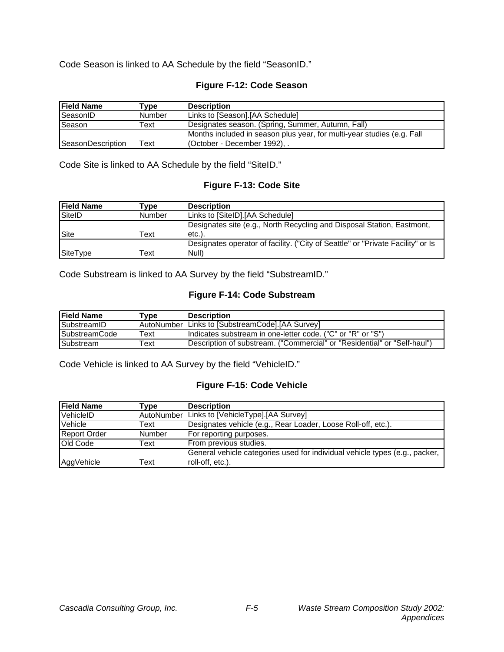Code Season is linked to AA Schedule by the field "SeasonID."

#### **Figure F-12: Code Season**

| <b>Field Name</b>         | Type          | <b>Description</b>                                                     |  |
|---------------------------|---------------|------------------------------------------------------------------------|--|
| SeasonID                  | <b>Number</b> | Links to [Season].[AA Schedule]                                        |  |
| <b>Season</b>             | Text          | Designates season. (Spring, Summer, Autumn, Fall)                      |  |
|                           |               | Months included in season plus year, for multi-year studies (e.g. Fall |  |
| <b>ISeasonDescription</b> | Text          | (October - December 1992), .                                           |  |

Code Site is linked to AA Schedule by the field "SiteID."

#### **Figure F-13: Code Site**

| <b>IField Name</b> | $\mathsf{Type}$ | <b>Description</b>                                                              |
|--------------------|-----------------|---------------------------------------------------------------------------------|
| SiteID             | Number          | Links to [SiteID].[AA Schedule]                                                 |
|                    |                 | Designates site (e.g., North Recycling and Disposal Station, Eastmont,          |
| Site               | Text            | $etc.$ ).                                                                       |
|                    |                 | Designates operator of facility. ("City of Seattle" or "Private Facility" or Is |
| SiteType           | Text            | Null)                                                                           |

Code Substream is linked to AA Survey by the field "SubstreamID."

#### **Figure F-14: Code Substream**

| <b>Field Name</b>     | $\mathsf{Type}$ | <b>Description</b>                                                       |
|-----------------------|-----------------|--------------------------------------------------------------------------|
| SubstreamID           |                 | AutoNumber Links to [SubstreamCode]. [AA Survey]                         |
| <b>ISubstreamCode</b> | ⊤ext            | Indicates substream in one-letter code. ("C" or "R" or "S")              |
| Substream             | Гехt            | Description of substream. ("Commercial" or "Residential" or "Self-haul") |

Code Vehicle is linked to AA Survey by the field "VehicleID."

#### **Figure F-15: Code Vehicle**

| <b>Field Name</b>   | Tvpe          | <b>Description</b>                                                          |
|---------------------|---------------|-----------------------------------------------------------------------------|
| VehicleID           | AutoNumber    | Links to [VehicleType].[AA Survey]                                          |
| Vehicle             | Text          | Designates vehicle (e.g., Rear Loader, Loose Roll-off, etc.).               |
| <b>Report Order</b> | <b>Number</b> | For reporting purposes.                                                     |
| Old Code            | Text          | From previous studies.                                                      |
|                     |               | General vehicle categories used for individual vehicle types (e.g., packer, |
| AggVehicle          | Text          | roll-off, etc.).                                                            |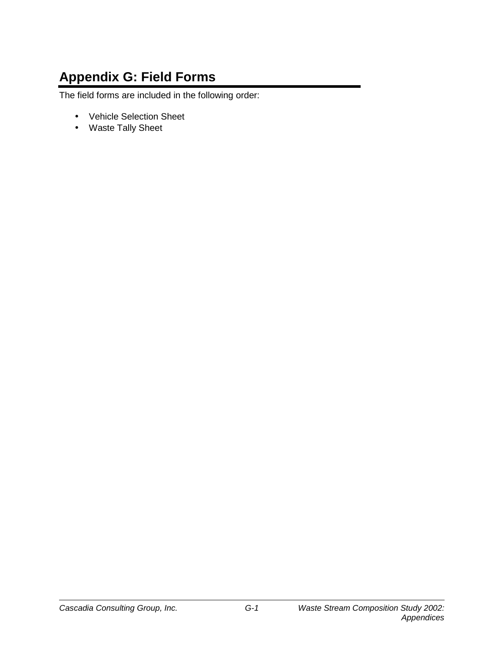# **Appendix G: Field Forms**

The field forms are included in the following order:

- Vehicle Selection Sheet
- Waste Tally Sheet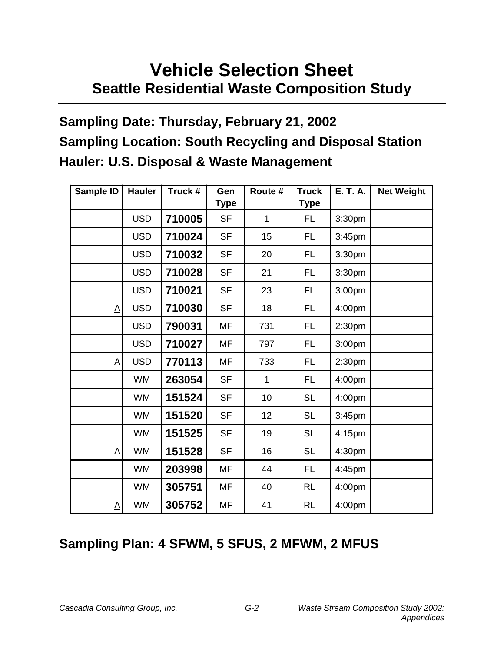# **Vehicle Selection Sheet Seattle Residential Waste Composition Study**

# **Sampling Date: Thursday, February 21, 2002 Sampling Location: South Recycling and Disposal Station Hauler: U.S. Disposal & Waste Management**

| Sample ID | <b>Hauler</b> | Truck # | Gen<br><b>Type</b> | Route #      | <b>Truck</b><br><b>Type</b> | <b>E. T. A.</b> | <b>Net Weight</b> |
|-----------|---------------|---------|--------------------|--------------|-----------------------------|-----------------|-------------------|
|           | <b>USD</b>    | 710005  | <b>SF</b>          | 1            | FL.                         | 3:30pm          |                   |
|           | <b>USD</b>    | 710024  | <b>SF</b>          | 15           | FL.                         | 3:45pm          |                   |
|           | <b>USD</b>    | 710032  | <b>SF</b>          | 20           | FL.                         | 3:30pm          |                   |
|           | <b>USD</b>    | 710028  | <b>SF</b>          | 21           | FL                          | 3:30pm          |                   |
|           | <b>USD</b>    | 710021  | <b>SF</b>          | 23           | FL.                         | 3:00pm          |                   |
| <u>A</u>  | <b>USD</b>    | 710030  | <b>SF</b>          | 18           | FL.                         | 4:00pm          |                   |
|           | <b>USD</b>    | 790031  | MF                 | 731          | FL                          | 2:30pm          |                   |
|           | <b>USD</b>    | 710027  | <b>MF</b>          | 797          | FL                          | 3:00pm          |                   |
| <u>A</u>  | <b>USD</b>    | 770113  | <b>MF</b>          | 733          | FL                          | 2:30pm          |                   |
|           | <b>WM</b>     | 263054  | <b>SF</b>          | $\mathbf{1}$ | FL.                         | 4:00pm          |                   |
|           | <b>WM</b>     | 151524  | <b>SF</b>          | 10           | <b>SL</b>                   | 4:00pm          |                   |
|           | <b>WM</b>     | 151520  | <b>SF</b>          | 12           | <b>SL</b>                   | 3:45pm          |                   |
|           | <b>WM</b>     | 151525  | <b>SF</b>          | 19           | <b>SL</b>                   | 4:15pm          |                   |
| Α         | <b>WM</b>     | 151528  | <b>SF</b>          | 16           | <b>SL</b>                   | 4:30pm          |                   |
|           | <b>WM</b>     | 203998  | <b>MF</b>          | 44           | FL                          | 4:45pm          |                   |
|           | <b>WM</b>     | 305751  | <b>MF</b>          | 40           | <b>RL</b>                   | 4:00pm          |                   |
| <u>A</u>  | <b>WM</b>     | 305752  | MF                 | 41           | <b>RL</b>                   | 4:00pm          |                   |

# **Sampling Plan: 4 SFWM, 5 SFUS, 2 MFWM, 2 MFUS**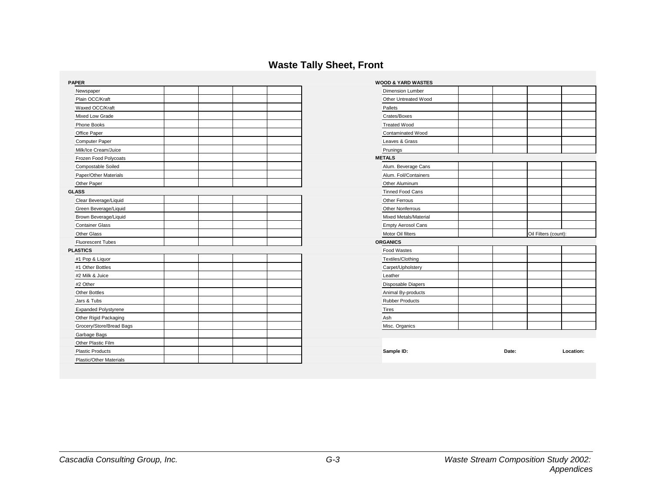### **Waste Tally Sheet, Front**

| <b>PAPER</b>                | <b>WOOD &amp; YARD WASTES</b> |       |                      |
|-----------------------------|-------------------------------|-------|----------------------|
| Newspaper                   | <b>Dimension Lumber</b>       |       |                      |
| Plain OCC/Kraft             | Other Untreated Wood          |       |                      |
| Waxed OCC/Kraft             | Pallets                       |       |                      |
| Mixed Low Grade             | Crates/Boxes                  |       |                      |
| Phone Books                 | <b>Treated Wood</b>           |       |                      |
| Office Paper                | Contaminated Wood             |       |                      |
| Computer Paper              | Leaves & Grass                |       |                      |
| Milk/Ice Cream/Juice        | Prunings                      |       |                      |
| Frozen Food Polycoats       | <b>METALS</b>                 |       |                      |
| Compostable Soiled          | Alum. Beverage Cans           |       |                      |
| Paper/Other Materials       | Alum. Foil/Containers         |       |                      |
| Other Paper                 | Other Aluminum                |       |                      |
| <b>GLASS</b>                | <b>Tinned Food Cans</b>       |       |                      |
| Clear Beverage/Liquid       | Other Ferrous                 |       |                      |
| Green Beverage/Liquid       | Other Nonferrous              |       |                      |
| Brown Beverage/Liquid       | Mixed Metals/Material         |       |                      |
| <b>Container Glass</b>      | <b>Empty Aerosol Cans</b>     |       |                      |
| <b>Other Glass</b>          | Motor Oil filters             |       | Oil Filters (count): |
| Fluorescent Tubes           | <b>ORGANICS</b>               |       |                      |
| <b>PLASTICS</b>             | Food Wastes                   |       |                      |
| #1 Pop & Liquor             | Textiles/Clothing             |       |                      |
| #1 Other Bottles            | Carpet/Upholstery             |       |                      |
| #2 Milk & Juice             | Leather                       |       |                      |
| #2 Other                    | Disposable Diapers            |       |                      |
| Other Bottles               | Animal By-products            |       |                      |
| Jars & Tubs                 | <b>Rubber Products</b>        |       |                      |
| <b>Expanded Polystyrene</b> | Tires                         |       |                      |
| Other Rigid Packaging       | Ash                           |       |                      |
| Grocery/Store/Bread Bags    | Misc. Organics                |       |                      |
| Garbage Bags                |                               |       |                      |
| Other Plastic Film          |                               |       |                      |
| <b>Plastic Products</b>     | Sample ID:                    | Date: | Location:            |
| Plastic/Other Materials     |                               |       |                      |

| Oil Filters (count): |
|----------------------|
|                      |
|                      |
|                      |
|                      |
|                      |
|                      |
|                      |
|                      |
|                      |
|                      |
|                      |
|                      |
|                      |
|                      |
|                      |
|                      |
|                      |
|                      |